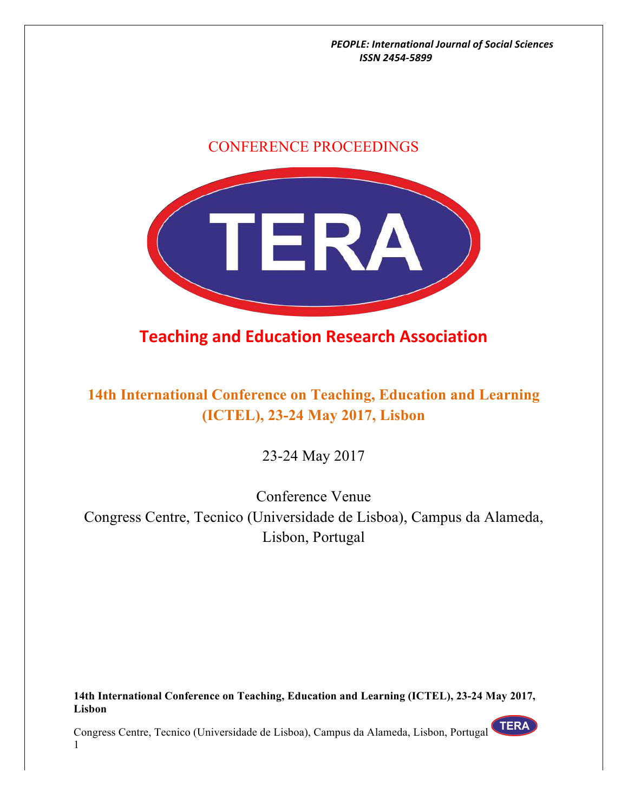# CONFERENCE PROCEEDINGS



# **Teaching and Education Research Association**

# **14th International Conference on Teaching, Education and Learning (ICTEL), 23-24 May 2017, Lisbon**

23-24 May 2017

Conference Venue Congress Centre, Tecnico (Universidade de Lisboa), Campus da Alameda, Lisbon, Portugal

**14th International Conference on Teaching, Education and Learning (ICTEL), 23-24 May 2017, Lisbon**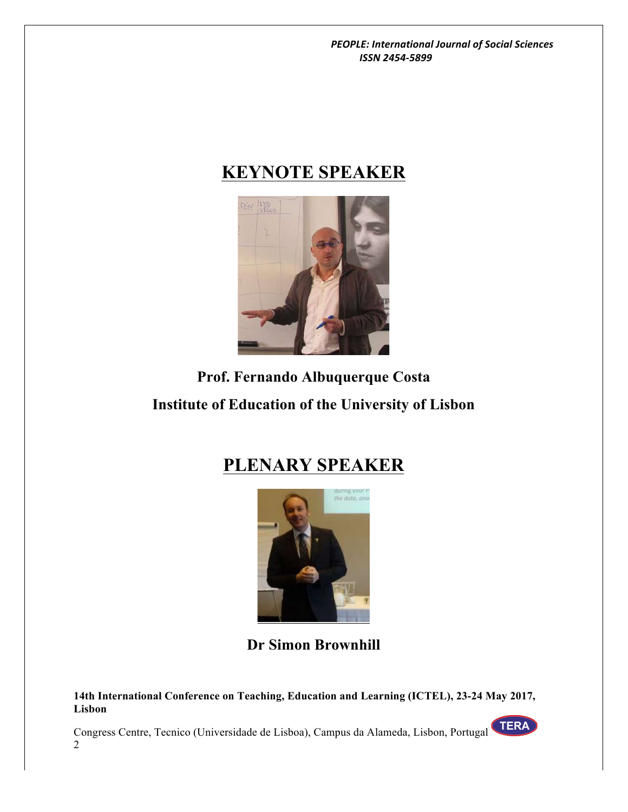# **KEYNOTE SPEAKER**



# **Prof. Fernando Albuquerque Costa Institute of Education of the University of Lisbon**

# **PLENARY SPEAKER**



**Dr Simon Brownhill**

**14th International Conference on Teaching, Education and Learning (ICTEL), 23-24 May 2017, Lisbon**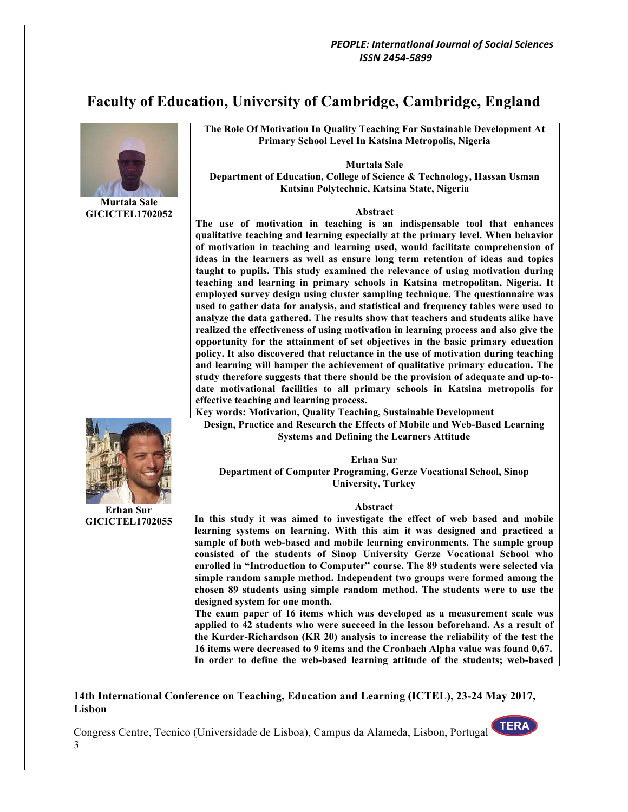# **Faculty of Education, University of Cambridge, Cambridge, England**

|                        | The Role Of Motivation In Quality Teaching For Sustainable Development At<br>Primary School Level In Katsina Metropolis, Nigeria                                                                                                                                                                                                                                                                                                                                                                                                                                                                                                                                                                                                                                                                                                                                                                                                                                                                                                                                                                                                                                                                             |
|------------------------|--------------------------------------------------------------------------------------------------------------------------------------------------------------------------------------------------------------------------------------------------------------------------------------------------------------------------------------------------------------------------------------------------------------------------------------------------------------------------------------------------------------------------------------------------------------------------------------------------------------------------------------------------------------------------------------------------------------------------------------------------------------------------------------------------------------------------------------------------------------------------------------------------------------------------------------------------------------------------------------------------------------------------------------------------------------------------------------------------------------------------------------------------------------------------------------------------------------|
|                        | <b>Murtala Sale</b>                                                                                                                                                                                                                                                                                                                                                                                                                                                                                                                                                                                                                                                                                                                                                                                                                                                                                                                                                                                                                                                                                                                                                                                          |
|                        | Department of Education, College of Science & Technology, Hassan Usman<br>Katsina Polytechnic, Katsina State, Nigeria                                                                                                                                                                                                                                                                                                                                                                                                                                                                                                                                                                                                                                                                                                                                                                                                                                                                                                                                                                                                                                                                                        |
| <b>Murtala Sale</b>    |                                                                                                                                                                                                                                                                                                                                                                                                                                                                                                                                                                                                                                                                                                                                                                                                                                                                                                                                                                                                                                                                                                                                                                                                              |
| <b>GICICTEL1702052</b> | Abstract                                                                                                                                                                                                                                                                                                                                                                                                                                                                                                                                                                                                                                                                                                                                                                                                                                                                                                                                                                                                                                                                                                                                                                                                     |
|                        | The use of motivation in teaching is an indispensable tool that enhances<br>qualitative teaching and learning especially at the primary level. When behavior<br>of motivation in teaching and learning used, would facilitate comprehension of<br>ideas in the learners as well as ensure long term retention of ideas and topics<br>taught to pupils. This study examined the relevance of using motivation during<br>teaching and learning in primary schools in Katsina metropolitan, Nigeria. It<br>employed survey design using cluster sampling technique. The questionnaire was<br>used to gather data for analysis, and statistical and frequency tables were used to<br>analyze the data gathered. The results show that teachers and students alike have<br>realized the effectiveness of using motivation in learning process and also give the<br>opportunity for the attainment of set objectives in the basic primary education<br>policy. It also discovered that reluctance in the use of motivation during teaching<br>and learning will hamper the achievement of qualitative primary education. The<br>study therefore suggests that there should be the provision of adequate and up-to- |
|                        | date motivational facilities to all primary schools in Katsina metropolis for                                                                                                                                                                                                                                                                                                                                                                                                                                                                                                                                                                                                                                                                                                                                                                                                                                                                                                                                                                                                                                                                                                                                |
|                        | effective teaching and learning process.<br>Key words: Motivation, Quality Teaching, Sustainable Development                                                                                                                                                                                                                                                                                                                                                                                                                                                                                                                                                                                                                                                                                                                                                                                                                                                                                                                                                                                                                                                                                                 |
|                        | Design, Practice and Research the Effects of Mobile and Web-Based Learning<br><b>Systems and Defining the Learners Attitude</b><br><b>Erhan Sur</b><br>Department of Computer Programing, Gerze Vocational School, Sinop                                                                                                                                                                                                                                                                                                                                                                                                                                                                                                                                                                                                                                                                                                                                                                                                                                                                                                                                                                                     |
|                        | <b>University, Turkey</b>                                                                                                                                                                                                                                                                                                                                                                                                                                                                                                                                                                                                                                                                                                                                                                                                                                                                                                                                                                                                                                                                                                                                                                                    |
| <b>Erhan Sur</b>       | Abstract                                                                                                                                                                                                                                                                                                                                                                                                                                                                                                                                                                                                                                                                                                                                                                                                                                                                                                                                                                                                                                                                                                                                                                                                     |
| <b>GICICTEL1702055</b> | In this study it was aimed to investigate the effect of web based and mobile<br>learning systems on learning. With this aim it was designed and practiced a<br>sample of both web-based and mobile learning environments. The sample group<br>consisted of the students of Sinop University Gerze Vocational School who<br>enrolled in "Introduction to Computer" course. The 89 students were selected via<br>simple random sample method. Independent two groups were formed among the<br>chosen 89 students using simple random method. The students were to use the<br>designed system for one month.                                                                                                                                                                                                                                                                                                                                                                                                                                                                                                                                                                                                    |
|                        | The exam paper of 16 items which was developed as a measurement scale was<br>applied to 42 students who were succeed in the lesson beforehand. As a result of<br>the Kurder-Richardson (KR 20) analysis to increase the reliability of the test the<br>16 items were decreased to 9 items and the Cronbach Alpha value was found 0,67.<br>In order to define the web-based learning attitude of the students; web-based                                                                                                                                                                                                                                                                                                                                                                                                                                                                                                                                                                                                                                                                                                                                                                                      |

# **14th International Conference on Teaching, Education and Learning (ICTEL), 23-24 May 2017, Lisbon**

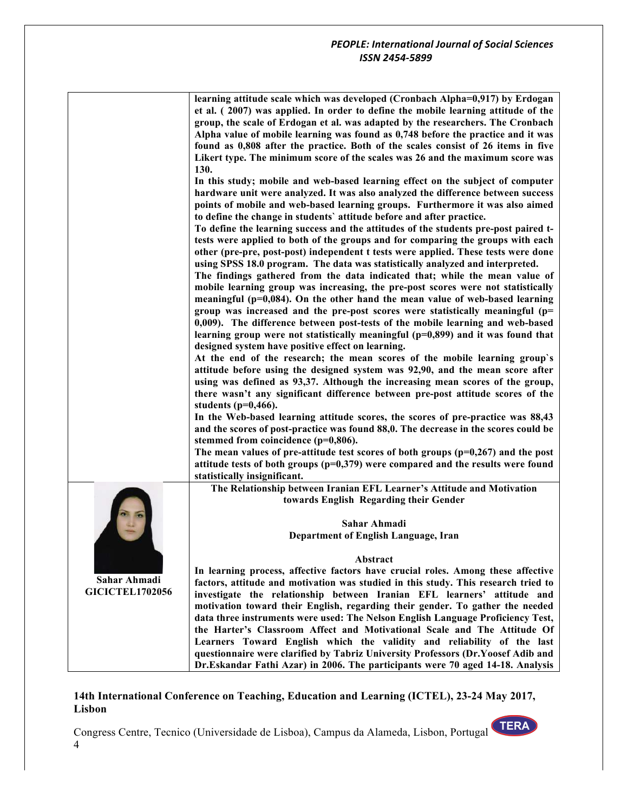| learning attitude scale which was developed (Cronbach Alpha=0,917) by Erdogan     |
|-----------------------------------------------------------------------------------|
| et al. (2007) was applied. In order to define the mobile learning attitude of the |
| group, the scale of Erdogan et al. was adapted by the researchers. The Cronbach   |
| Alpha value of mobile learning was found as 0.748 before the practice and it was  |
| found as 0.808 after the practice. Both of the scales consist of 26 items in five |
| Likert type. The minimum score of the scales was 26 and the maximum score was     |
| <b>130.</b>                                                                       |

**In this study; mobile and web-based learning effect on the subject of computer hardware unit were analyzed. It was also analyzed the difference between success points of mobile and web-based learning groups. Furthermore it was also aimed to define the change in students` attitude before and after practice.** 

**To define the learning success and the attitudes of the students pre-post paired ttests were applied to both of the groups and for comparing the groups with each other (pre-pre, post-post) independent t tests were applied. These tests were done using SPSS 18.0 program. The data was statistically analyzed and interpreted.**

**The findings gathered from the data indicated that; while the mean value of mobile learning group was increasing, the pre-post scores were not statistically meaningful (p=0,084). On the other hand the mean value of web-based learning group was increased and the pre-post scores were statistically meaningful (p= 0,009). The difference between post-tests of the mobile learning and web-based learning group were not statistically meaningful (p=0,899) and it was found that designed system have positive effect on learning.**

**At the end of the research; the mean scores of the mobile learning group`s attitude before using the designed system was 92,90, and the mean score after using was defined as 93,37. Although the increasing mean scores of the group, there wasn't any significant difference between pre-post attitude scores of the students (p=0,466).**

**In the Web-based learning attitude scores, the scores of pre-practice was 88,43 and the scores of post-practice was found 88,0. The decrease in the scores could be stemmed from coincidence (p=0,806).** 

**The mean values of pre-attitude test scores of both groups (p=0,267) and the post attitude tests of both groups (p=0,379) were compared and the results were found statistically insignificant.**

**The Relationship between Iranian EFL Learner's Attitude and Motivation towards English Regarding their Gender**

> **Sahar Ahmadi Department of English Language, Iran**

#### **Abstract**

**In learning process, affective factors have crucial roles. Among these affective factors, attitude and motivation was studied in this study. This research tried to investigate the relationship between Iranian EFL learners' attitude and motivation toward their English, regarding their gender. To gather the needed data three instruments were used: The Nelson English Language Proficiency Test, the Harter's Classroom Affect and Motivational Scale and The Attitude Of Learners Toward English which the validity and reliability of the last questionnaire were clarified by Tabriz University Professors (Dr.Yoosef Adib and Dr.Eskandar Fathi Azar) in 2006. The participants were 70 aged 14-18. Analysis** 

#### **14th International Conference on Teaching, Education and Learning (ICTEL), 23-24 May 2017, Lisbon**

Congress Centre, Tecnico (Universidade de Lisboa), Campus da Alameda, Lisbon, Portugal 4

**Sahar Ahmadi GICICTEL1702056**

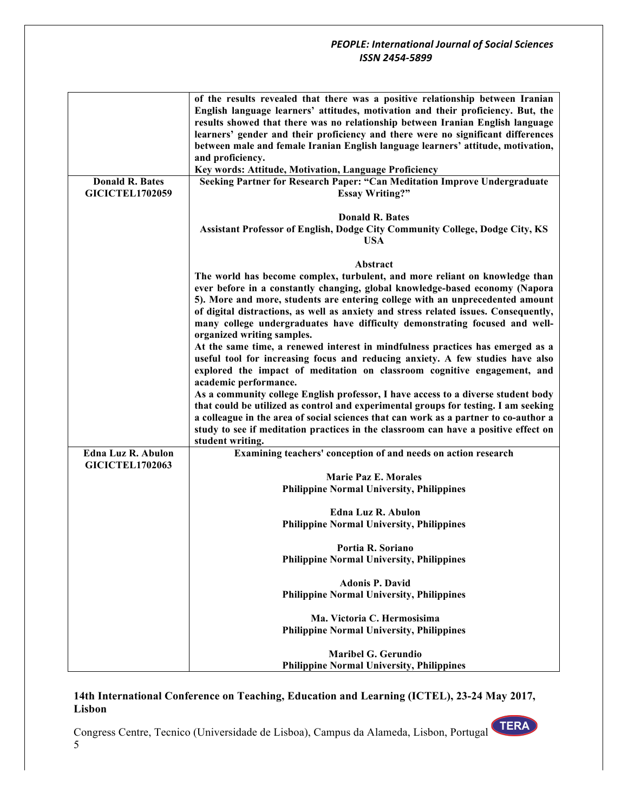|                           | of the results revealed that there was a positive relationship between Iranian<br>English language learners' attitudes, motivation and their proficiency. But, the |
|---------------------------|--------------------------------------------------------------------------------------------------------------------------------------------------------------------|
|                           | results showed that there was no relationship between Iranian English language                                                                                     |
|                           | learners' gender and their proficiency and there were no significant differences                                                                                   |
|                           | between male and female Iranian English language learners' attitude, motivation,                                                                                   |
|                           | and proficiency.                                                                                                                                                   |
|                           | Key words: Attitude, Motivation, Language Proficiency                                                                                                              |
| <b>Donald R. Bates</b>    | Seeking Partner for Research Paper: "Can Meditation Improve Undergraduate                                                                                          |
| <b>GICICTEL1702059</b>    | <b>Essay Writing?"</b>                                                                                                                                             |
|                           |                                                                                                                                                                    |
|                           | <b>Donald R. Bates</b>                                                                                                                                             |
|                           | Assistant Professor of English, Dodge City Community College, Dodge City, KS                                                                                       |
|                           | <b>USA</b>                                                                                                                                                         |
|                           |                                                                                                                                                                    |
|                           | Abstract                                                                                                                                                           |
|                           | The world has become complex, turbulent, and more reliant on knowledge than                                                                                        |
|                           | ever before in a constantly changing, global knowledge-based economy (Napora                                                                                       |
|                           | 5). More and more, students are entering college with an unprecedented amount                                                                                      |
|                           | of digital distractions, as well as anxiety and stress related issues. Consequently,                                                                               |
|                           | many college undergraduates have difficulty demonstrating focused and well-                                                                                        |
|                           | organized writing samples.                                                                                                                                         |
|                           | At the same time, a renewed interest in mindfulness practices has emerged as a                                                                                     |
|                           |                                                                                                                                                                    |
|                           | useful tool for increasing focus and reducing anxiety. A few studies have also                                                                                     |
|                           | explored the impact of meditation on classroom cognitive engagement, and                                                                                           |
|                           | academic performance.                                                                                                                                              |
|                           | As a community college English professor, I have access to a diverse student body                                                                                  |
|                           | that could be utilized as control and experimental groups for testing. I am seeking                                                                                |
|                           | a colleague in the area of social sciences that can work as a partner to co-author a                                                                               |
|                           | study to see if meditation practices in the classroom can have a positive effect on                                                                                |
|                           | student writing.                                                                                                                                                   |
| <b>Edna Luz R. Abulon</b> | Examining teachers' conception of and needs on action research                                                                                                     |
| <b>GICICTEL1702063</b>    |                                                                                                                                                                    |
|                           | <b>Marie Paz E. Morales</b>                                                                                                                                        |
|                           | <b>Philippine Normal University, Philippines</b>                                                                                                                   |
|                           |                                                                                                                                                                    |
|                           | <b>Edna Luz R. Abulon</b>                                                                                                                                          |
|                           | <b>Philippine Normal University, Philippines</b>                                                                                                                   |
|                           |                                                                                                                                                                    |
|                           | Portia R. Soriano                                                                                                                                                  |
|                           | <b>Philippine Normal University, Philippines</b>                                                                                                                   |
|                           |                                                                                                                                                                    |
|                           | <b>Adonis P. David</b>                                                                                                                                             |
|                           | <b>Philippine Normal University, Philippines</b>                                                                                                                   |
|                           |                                                                                                                                                                    |
|                           | Ma. Victoria C. Hermosisima                                                                                                                                        |
|                           | <b>Philippine Normal University, Philippines</b>                                                                                                                   |
|                           |                                                                                                                                                                    |
|                           | <b>Maribel G. Gerundio</b>                                                                                                                                         |
|                           | <b>Philippine Normal University, Philippines</b>                                                                                                                   |
|                           |                                                                                                                                                                    |

# **14th International Conference on Teaching, Education and Learning (ICTEL), 23-24 May 2017, Lisbon**

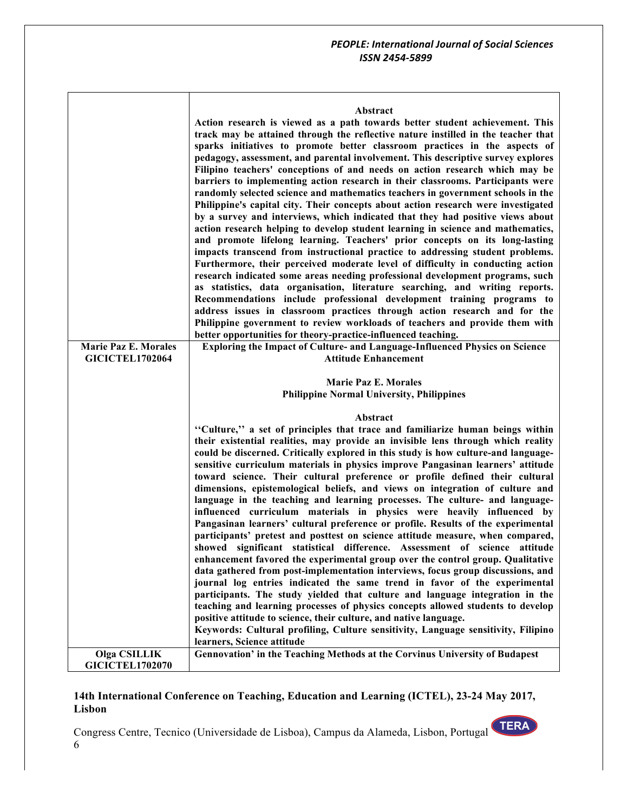#### **Abstract**

| <b>Marie Paz E. Morales</b><br><b>GICICTEL1702064</b> | Action research is viewed as a path towards better student achievement. This<br>track may be attained through the reflective nature instilled in the teacher that<br>sparks initiatives to promote better classroom practices in the aspects of<br>pedagogy, assessment, and parental involvement. This descriptive survey explores<br>Filipino teachers' conceptions of and needs on action research which may be<br>barriers to implementing action research in their classrooms. Participants were<br>randomly selected science and mathematics teachers in government schools in the<br>Philippine's capital city. Their concepts about action research were investigated<br>by a survey and interviews, which indicated that they had positive views about<br>action research helping to develop student learning in science and mathematics,<br>and promote lifelong learning. Teachers' prior concepts on its long-lasting<br>impacts transcend from instructional practice to addressing student problems.<br>Furthermore, their perceived moderate level of difficulty in conducting action<br>research indicated some areas needing professional development programs, such<br>as statistics, data organisation, literature searching, and writing reports.<br>Recommendations include professional development training programs to<br>address issues in classroom practices through action research and for the<br>Philippine government to review workloads of teachers and provide them with<br>better opportunities for theory-practice-influenced teaching.<br>Exploring the Impact of Culture- and Language-Influenced Physics on Science<br><b>Attitude Enhancement</b> |
|-------------------------------------------------------|-------------------------------------------------------------------------------------------------------------------------------------------------------------------------------------------------------------------------------------------------------------------------------------------------------------------------------------------------------------------------------------------------------------------------------------------------------------------------------------------------------------------------------------------------------------------------------------------------------------------------------------------------------------------------------------------------------------------------------------------------------------------------------------------------------------------------------------------------------------------------------------------------------------------------------------------------------------------------------------------------------------------------------------------------------------------------------------------------------------------------------------------------------------------------------------------------------------------------------------------------------------------------------------------------------------------------------------------------------------------------------------------------------------------------------------------------------------------------------------------------------------------------------------------------------------------------------------------------------------------------------------------------------------------------------------------|
|                                                       | <b>Marie Paz E. Morales</b>                                                                                                                                                                                                                                                                                                                                                                                                                                                                                                                                                                                                                                                                                                                                                                                                                                                                                                                                                                                                                                                                                                                                                                                                                                                                                                                                                                                                                                                                                                                                                                                                                                                               |
|                                                       | <b>Philippine Normal University, Philippines</b>                                                                                                                                                                                                                                                                                                                                                                                                                                                                                                                                                                                                                                                                                                                                                                                                                                                                                                                                                                                                                                                                                                                                                                                                                                                                                                                                                                                                                                                                                                                                                                                                                                          |
|                                                       | Abstract<br>"Culture," a set of principles that trace and familiarize human beings within<br>their existential realities, may provide an invisible lens through which reality<br>could be discerned. Critically explored in this study is how culture-and language-<br>sensitive curriculum materials in physics improve Pangasinan learners' attitude<br>toward science. Their cultural preference or profile defined their cultural<br>dimensions, epistemological beliefs, and views on integration of culture and<br>language in the teaching and learning processes. The culture- and language-<br>influenced curriculum materials in physics were heavily influenced by<br>Pangasinan learners' cultural preference or profile. Results of the experimental<br>participants' pretest and posttest on science attitude measure, when compared,<br>showed significant statistical difference. Assessment of science attitude<br>enhancement favored the experimental group over the control group. Qualitative<br>data gathered from post-implementation interviews, focus group discussions, and<br>journal log entries indicated the same trend in favor of the experimental<br>participants. The study yielded that culture and language integration in the<br>teaching and learning processes of physics concepts allowed students to develop<br>positive attitude to science, their culture, and native language.<br>Keywords: Cultural profiling, Culture sensitivity, Language sensitivity, Filipino                                                                                                                                                                           |
| <b>Olga CSILLIK</b>                                   | learners, Science attitude<br>Gennovation' in the Teaching Methods at the Corvinus University of Budapest                                                                                                                                                                                                                                                                                                                                                                                                                                                                                                                                                                                                                                                                                                                                                                                                                                                                                                                                                                                                                                                                                                                                                                                                                                                                                                                                                                                                                                                                                                                                                                                 |

# **14th International Conference on Teaching, Education and Learning (ICTEL), 23-24 May 2017, Lisbon**

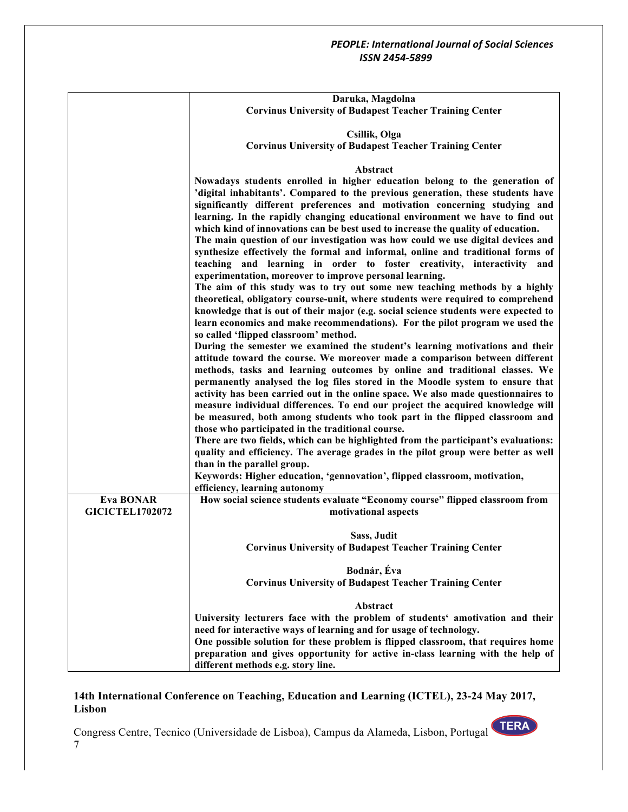|                        | Daruka, Magdolna                                                                                                                                                                                                                                                                                                                                                                                                                                                                                                                                                                                                                                                                                                                                                                                                                                                                             |
|------------------------|----------------------------------------------------------------------------------------------------------------------------------------------------------------------------------------------------------------------------------------------------------------------------------------------------------------------------------------------------------------------------------------------------------------------------------------------------------------------------------------------------------------------------------------------------------------------------------------------------------------------------------------------------------------------------------------------------------------------------------------------------------------------------------------------------------------------------------------------------------------------------------------------|
|                        | <b>Corvinus University of Budapest Teacher Training Center</b>                                                                                                                                                                                                                                                                                                                                                                                                                                                                                                                                                                                                                                                                                                                                                                                                                               |
|                        | Csillik, Olga                                                                                                                                                                                                                                                                                                                                                                                                                                                                                                                                                                                                                                                                                                                                                                                                                                                                                |
|                        | <b>Corvinus University of Budapest Teacher Training Center</b>                                                                                                                                                                                                                                                                                                                                                                                                                                                                                                                                                                                                                                                                                                                                                                                                                               |
|                        | Abstract                                                                                                                                                                                                                                                                                                                                                                                                                                                                                                                                                                                                                                                                                                                                                                                                                                                                                     |
|                        | Nowadays students enrolled in higher education belong to the generation of<br>'digital inhabitants'. Compared to the previous generation, these students have<br>significantly different preferences and motivation concerning studying and<br>learning. In the rapidly changing educational environment we have to find out<br>which kind of innovations can be best used to increase the quality of education.<br>The main question of our investigation was how could we use digital devices and<br>synthesize effectively the formal and informal, online and traditional forms of<br>teaching and learning in order to foster creativity, interactivity and<br>experimentation, moreover to improve personal learning.<br>The aim of this study was to try out some new teaching methods by a highly<br>theoretical, obligatory course-unit, where students were required to comprehend |
|                        | knowledge that is out of their major (e.g. social science students were expected to<br>learn economics and make recommendations). For the pilot program we used the                                                                                                                                                                                                                                                                                                                                                                                                                                                                                                                                                                                                                                                                                                                          |
|                        | so called 'flipped classroom' method.                                                                                                                                                                                                                                                                                                                                                                                                                                                                                                                                                                                                                                                                                                                                                                                                                                                        |
|                        | During the semester we examined the student's learning motivations and their<br>attitude toward the course. We moreover made a comparison between different<br>methods, tasks and learning outcomes by online and traditional classes. We                                                                                                                                                                                                                                                                                                                                                                                                                                                                                                                                                                                                                                                    |
|                        | permanently analysed the log files stored in the Moodle system to ensure that<br>activity has been carried out in the online space. We also made questionnaires to<br>measure individual differences. To end our project the acquired knowledge will<br>be measured, both among students who took part in the flipped classroom and<br>those who participated in the traditional course.                                                                                                                                                                                                                                                                                                                                                                                                                                                                                                     |
|                        | There are two fields, which can be highlighted from the participant's evaluations:<br>quality and efficiency. The average grades in the pilot group were better as well                                                                                                                                                                                                                                                                                                                                                                                                                                                                                                                                                                                                                                                                                                                      |
|                        | than in the parallel group.                                                                                                                                                                                                                                                                                                                                                                                                                                                                                                                                                                                                                                                                                                                                                                                                                                                                  |
|                        | Keywords: Higher education, 'gennovation', flipped classroom, motivation,                                                                                                                                                                                                                                                                                                                                                                                                                                                                                                                                                                                                                                                                                                                                                                                                                    |
| <b>Eva BONAR</b>       | efficiency, learning autonomy<br>How social science students evaluate "Economy course" flipped classroom from                                                                                                                                                                                                                                                                                                                                                                                                                                                                                                                                                                                                                                                                                                                                                                                |
| <b>GICICTEL1702072</b> | motivational aspects                                                                                                                                                                                                                                                                                                                                                                                                                                                                                                                                                                                                                                                                                                                                                                                                                                                                         |
|                        |                                                                                                                                                                                                                                                                                                                                                                                                                                                                                                                                                                                                                                                                                                                                                                                                                                                                                              |
|                        | Sass, Judit<br><b>Corvinus University of Budapest Teacher Training Center</b>                                                                                                                                                                                                                                                                                                                                                                                                                                                                                                                                                                                                                                                                                                                                                                                                                |
|                        |                                                                                                                                                                                                                                                                                                                                                                                                                                                                                                                                                                                                                                                                                                                                                                                                                                                                                              |
|                        | Bodnár, Éva                                                                                                                                                                                                                                                                                                                                                                                                                                                                                                                                                                                                                                                                                                                                                                                                                                                                                  |
|                        | <b>Corvinus University of Budapest Teacher Training Center</b>                                                                                                                                                                                                                                                                                                                                                                                                                                                                                                                                                                                                                                                                                                                                                                                                                               |
|                        | Abstract                                                                                                                                                                                                                                                                                                                                                                                                                                                                                                                                                                                                                                                                                                                                                                                                                                                                                     |
|                        | University lecturers face with the problem of students' amotivation and their                                                                                                                                                                                                                                                                                                                                                                                                                                                                                                                                                                                                                                                                                                                                                                                                                |
|                        | need for interactive ways of learning and for usage of technology.                                                                                                                                                                                                                                                                                                                                                                                                                                                                                                                                                                                                                                                                                                                                                                                                                           |
|                        | One possible solution for these problem is flipped classroom, that requires home<br>preparation and gives opportunity for active in-class learning with the help of                                                                                                                                                                                                                                                                                                                                                                                                                                                                                                                                                                                                                                                                                                                          |
|                        | different methods e.g. story line.                                                                                                                                                                                                                                                                                                                                                                                                                                                                                                                                                                                                                                                                                                                                                                                                                                                           |

# **14th International Conference on Teaching, Education and Learning (ICTEL), 23-24 May 2017, Lisbon**

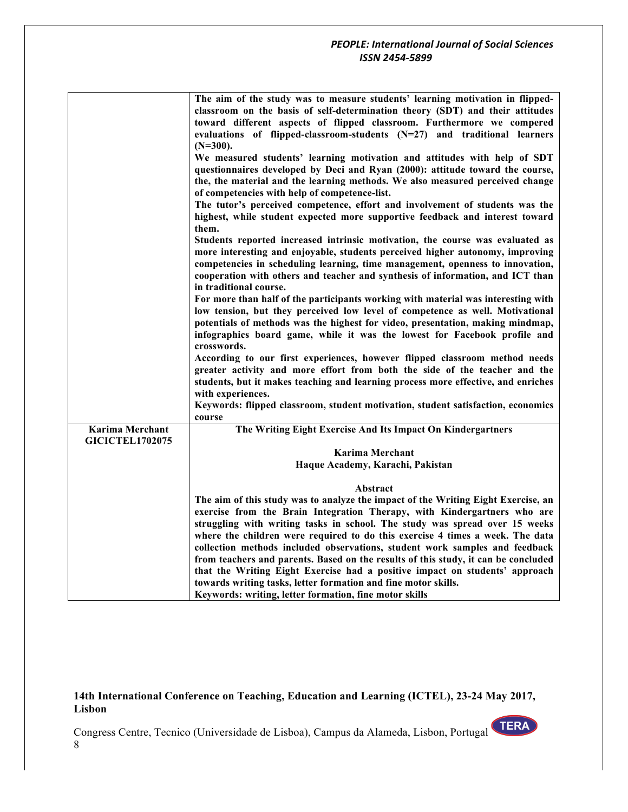|                                                  | The aim of the study was to measure students' learning motivation in flipped-<br>classroom on the basis of self-determination theory (SDT) and their attitudes<br>toward different aspects of flipped classroom. Furthermore we compered<br>evaluations of flipped-classroom-students $(N=27)$ and traditional learners<br>$(N=300).$<br>We measured students' learning motivation and attitudes with help of SDT<br>questionnaires developed by Deci and Ryan (2000): attitude toward the course, |
|--------------------------------------------------|----------------------------------------------------------------------------------------------------------------------------------------------------------------------------------------------------------------------------------------------------------------------------------------------------------------------------------------------------------------------------------------------------------------------------------------------------------------------------------------------------|
|                                                  | the, the material and the learning methods. We also measured perceived change<br>of competencies with help of competence-list.<br>The tutor's perceived competence, effort and involvement of students was the                                                                                                                                                                                                                                                                                     |
|                                                  | highest, while student expected more supportive feedback and interest toward<br>them.                                                                                                                                                                                                                                                                                                                                                                                                              |
|                                                  | Students reported increased intrinsic motivation, the course was evaluated as<br>more interesting and enjoyable, students perceived higher autonomy, improving<br>competencies in scheduling learning, time management, openness to innovation,<br>cooperation with others and teacher and synthesis of information, and ICT than<br>in traditional course.                                                                                                                                        |
|                                                  | For more than half of the participants working with material was interesting with<br>low tension, but they perceived low level of competence as well. Motivational<br>potentials of methods was the highest for video, presentation, making mindmap,<br>infographics board game, while it was the lowest for Facebook profile and<br>crosswords.                                                                                                                                                   |
|                                                  | According to our first experiences, however flipped classroom method needs<br>greater activity and more effort from both the side of the teacher and the<br>students, but it makes teaching and learning process more effective, and enriches<br>with experiences.                                                                                                                                                                                                                                 |
|                                                  | Keywords: flipped classroom, student motivation, student satisfaction, economics<br>course                                                                                                                                                                                                                                                                                                                                                                                                         |
| <b>Karima Merchant</b><br><b>GICICTEL1702075</b> | The Writing Eight Exercise And Its Impact On Kindergartners                                                                                                                                                                                                                                                                                                                                                                                                                                        |
|                                                  | <b>Karima Merchant</b><br>Haque Academy, Karachi, Pakistan                                                                                                                                                                                                                                                                                                                                                                                                                                         |
|                                                  | Abstract                                                                                                                                                                                                                                                                                                                                                                                                                                                                                           |
|                                                  | The aim of this study was to analyze the impact of the Writing Eight Exercise, an<br>exercise from the Brain Integration Therapy, with Kindergartners who are<br>struggling with writing tasks in school. The study was spread over 15 weeks<br>where the children were required to do this exercise 4 times a week. The data                                                                                                                                                                      |
|                                                  | collection methods included observations, student work samples and feedback<br>from teachers and parents. Based on the results of this study, it can be concluded<br>that the Writing Eight Exercise had a positive impact on students' approach<br>towards writing tasks, letter formation and fine motor skills.<br>Keywords: writing, letter formation, fine motor skills                                                                                                                       |

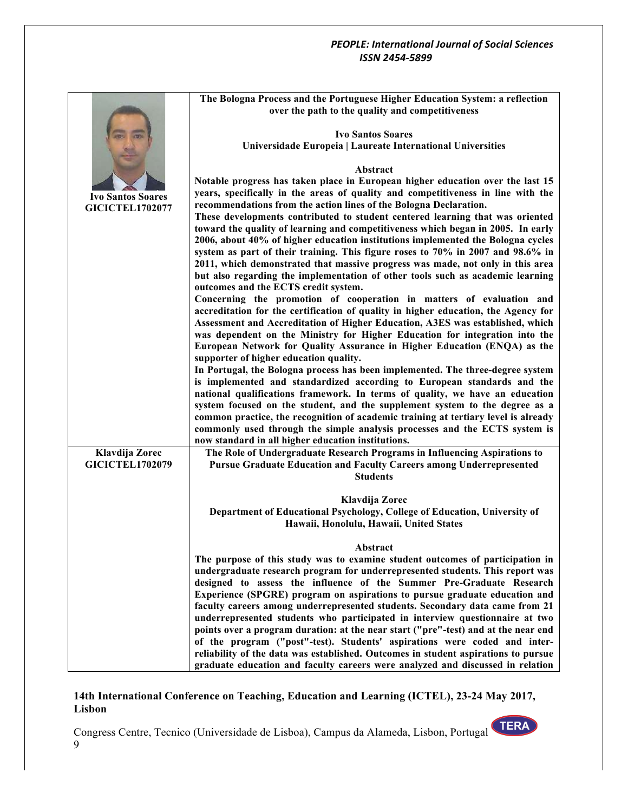|                          | The Bologna Process and the Portuguese Higher Education System: a reflection                                                                                     |
|--------------------------|------------------------------------------------------------------------------------------------------------------------------------------------------------------|
|                          | over the path to the quality and competitiveness                                                                                                                 |
|                          |                                                                                                                                                                  |
|                          | <b>Ivo Santos Soares</b>                                                                                                                                         |
|                          | Universidade Europeia   Laureate International Universities                                                                                                      |
|                          |                                                                                                                                                                  |
|                          | Abstract                                                                                                                                                         |
|                          | Notable progress has taken place in European higher education over the last 15                                                                                   |
| <b>Ivo Santos Soares</b> | years, specifically in the areas of quality and competitiveness in line with the                                                                                 |
| <b>GICICTEL1702077</b>   | recommendations from the action lines of the Bologna Declaration.                                                                                                |
|                          | These developments contributed to student centered learning that was oriented                                                                                    |
|                          | toward the quality of learning and competitiveness which began in 2005. In early                                                                                 |
|                          | 2006, about 40% of higher education institutions implemented the Bologna cycles                                                                                  |
|                          | system as part of their training. This figure roses to 70% in 2007 and 98.6% in                                                                                  |
|                          | 2011, which demonstrated that massive progress was made, not only in this area<br>but also regarding the implementation of other tools such as academic learning |
|                          | outcomes and the ECTS credit system.                                                                                                                             |
|                          | Concerning the promotion of cooperation in matters of evaluation and                                                                                             |
|                          | accreditation for the certification of quality in higher education, the Agency for                                                                               |
|                          | Assessment and Accreditation of Higher Education, A3ES was established, which                                                                                    |
|                          | was dependent on the Ministry for Higher Education for integration into the                                                                                      |
|                          | European Network for Quality Assurance in Higher Education (ENQA) as the                                                                                         |
|                          | supporter of higher education quality.                                                                                                                           |
|                          | In Portugal, the Bologna process has been implemented. The three-degree system                                                                                   |
|                          | is implemented and standardized according to European standards and the                                                                                          |
|                          | national qualifications framework. In terms of quality, we have an education                                                                                     |
|                          | system focused on the student, and the supplement system to the degree as a                                                                                      |
|                          | common practice, the recognition of academic training at tertiary level is already                                                                               |
|                          | commonly used through the simple analysis processes and the ECTS system is                                                                                       |
|                          | now standard in all higher education institutions.                                                                                                               |
| Klavdija Zorec           | The Role of Undergraduate Research Programs in Influencing Aspirations to                                                                                        |
| <b>GICICTEL1702079</b>   | Pursue Graduate Education and Faculty Careers among Underrepresented                                                                                             |
|                          | <b>Students</b>                                                                                                                                                  |
|                          | Klavdija Zorec                                                                                                                                                   |
|                          | Department of Educational Psychology, College of Education, University of                                                                                        |
|                          | Hawaii, Honolulu, Hawaii, United States                                                                                                                          |
|                          |                                                                                                                                                                  |
|                          | Abstract                                                                                                                                                         |
|                          | The purpose of this study was to examine student outcomes of participation in                                                                                    |
|                          | undergraduate research program for underrepresented students. This report was                                                                                    |
|                          | designed to assess the influence of the Summer Pre-Graduate Research                                                                                             |
|                          | Experience (SPGRE) program on aspirations to pursue graduate education and                                                                                       |
|                          | faculty careers among underrepresented students. Secondary data came from 21                                                                                     |
|                          | underrepresented students who participated in interview questionnaire at two                                                                                     |
|                          | points over a program duration: at the near start ("pre"-test) and at the near end                                                                               |
|                          | of the program ("post"-test). Students' aspirations were coded and inter-                                                                                        |
|                          | reliability of the data was established. Outcomes in student aspirations to pursue                                                                               |
|                          | graduate education and faculty careers were analyzed and discussed in relation                                                                                   |

# **14th International Conference on Teaching, Education and Learning (ICTEL), 23-24 May 2017, Lisbon**

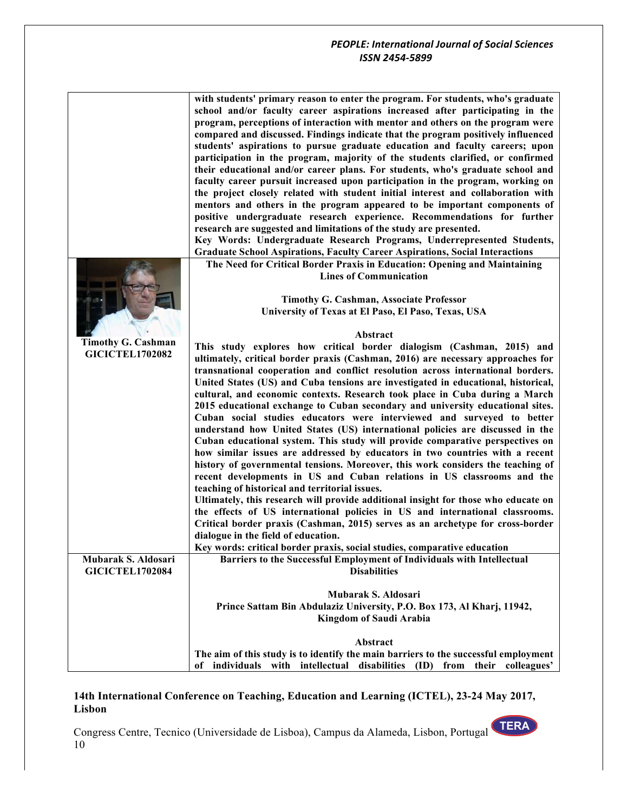|                                                     | with students' primary reason to enter the program. For students, who's graduate<br>school and/or faculty career aspirations increased after participating in the<br>program, perceptions of interaction with mentor and others on the program were<br>compared and discussed. Findings indicate that the program positively influenced<br>students' aspirations to pursue graduate education and faculty careers; upon<br>participation in the program, majority of the students clarified, or confirmed<br>their educational and/or career plans. For students, who's graduate school and<br>faculty career pursuit increased upon participation in the program, working on<br>the project closely related with student initial interest and collaboration with<br>mentors and others in the program appeared to be important components of |
|-----------------------------------------------------|-----------------------------------------------------------------------------------------------------------------------------------------------------------------------------------------------------------------------------------------------------------------------------------------------------------------------------------------------------------------------------------------------------------------------------------------------------------------------------------------------------------------------------------------------------------------------------------------------------------------------------------------------------------------------------------------------------------------------------------------------------------------------------------------------------------------------------------------------|
|                                                     | positive undergraduate research experience. Recommendations for further<br>research are suggested and limitations of the study are presented.                                                                                                                                                                                                                                                                                                                                                                                                                                                                                                                                                                                                                                                                                                 |
|                                                     | Key Words: Undergraduate Research Programs, Underrepresented Students,                                                                                                                                                                                                                                                                                                                                                                                                                                                                                                                                                                                                                                                                                                                                                                        |
|                                                     | <b>Graduate School Aspirations, Faculty Career Aspirations, Social Interactions</b><br>The Need for Critical Border Praxis in Education: Opening and Maintaining                                                                                                                                                                                                                                                                                                                                                                                                                                                                                                                                                                                                                                                                              |
|                                                     | <b>Lines of Communication</b>                                                                                                                                                                                                                                                                                                                                                                                                                                                                                                                                                                                                                                                                                                                                                                                                                 |
|                                                     |                                                                                                                                                                                                                                                                                                                                                                                                                                                                                                                                                                                                                                                                                                                                                                                                                                               |
|                                                     | <b>Timothy G. Cashman, Associate Professor</b>                                                                                                                                                                                                                                                                                                                                                                                                                                                                                                                                                                                                                                                                                                                                                                                                |
|                                                     | University of Texas at El Paso, El Paso, Texas, USA                                                                                                                                                                                                                                                                                                                                                                                                                                                                                                                                                                                                                                                                                                                                                                                           |
|                                                     | Abstract                                                                                                                                                                                                                                                                                                                                                                                                                                                                                                                                                                                                                                                                                                                                                                                                                                      |
| <b>Timothy G. Cashman</b><br><b>GICICTEL1702082</b> | This study explores how critical border dialogism (Cashman, 2015) and                                                                                                                                                                                                                                                                                                                                                                                                                                                                                                                                                                                                                                                                                                                                                                         |
|                                                     | ultimately, critical border praxis (Cashman, 2016) are necessary approaches for                                                                                                                                                                                                                                                                                                                                                                                                                                                                                                                                                                                                                                                                                                                                                               |
|                                                     | transnational cooperation and conflict resolution across international borders.<br>United States (US) and Cuba tensions are investigated in educational, historical,                                                                                                                                                                                                                                                                                                                                                                                                                                                                                                                                                                                                                                                                          |
|                                                     | cultural, and economic contexts. Research took place in Cuba during a March<br>2015 educational exchange to Cuban secondary and university educational sites.<br>Cuban social studies educators were interviewed and surveyed to better                                                                                                                                                                                                                                                                                                                                                                                                                                                                                                                                                                                                       |
|                                                     | understand how United States (US) international policies are discussed in the<br>Cuban educational system. This study will provide comparative perspectives on                                                                                                                                                                                                                                                                                                                                                                                                                                                                                                                                                                                                                                                                                |
|                                                     | how similar issues are addressed by educators in two countries with a recent                                                                                                                                                                                                                                                                                                                                                                                                                                                                                                                                                                                                                                                                                                                                                                  |
|                                                     | history of governmental tensions. Moreover, this work considers the teaching of                                                                                                                                                                                                                                                                                                                                                                                                                                                                                                                                                                                                                                                                                                                                                               |
|                                                     | recent developments in US and Cuban relations in US classrooms and the                                                                                                                                                                                                                                                                                                                                                                                                                                                                                                                                                                                                                                                                                                                                                                        |
|                                                     | teaching of historical and territorial issues.                                                                                                                                                                                                                                                                                                                                                                                                                                                                                                                                                                                                                                                                                                                                                                                                |
|                                                     | Ultimately, this research will provide additional insight for those who educate on<br>the effects of US international policies in US and international classrooms.                                                                                                                                                                                                                                                                                                                                                                                                                                                                                                                                                                                                                                                                            |
|                                                     | Critical border praxis (Cashman, 2015) serves as an archetype for cross-border                                                                                                                                                                                                                                                                                                                                                                                                                                                                                                                                                                                                                                                                                                                                                                |
|                                                     | dialogue in the field of education.                                                                                                                                                                                                                                                                                                                                                                                                                                                                                                                                                                                                                                                                                                                                                                                                           |
|                                                     | Key words: critical border praxis, social studies, comparative education                                                                                                                                                                                                                                                                                                                                                                                                                                                                                                                                                                                                                                                                                                                                                                      |
| Mubarak S. Aldosari                                 | Barriers to the Successful Employment of Individuals with Intellectual                                                                                                                                                                                                                                                                                                                                                                                                                                                                                                                                                                                                                                                                                                                                                                        |
| <b>GICICTEL1702084</b>                              | <b>Disabilities</b>                                                                                                                                                                                                                                                                                                                                                                                                                                                                                                                                                                                                                                                                                                                                                                                                                           |
|                                                     | Mubarak S. Aldosari                                                                                                                                                                                                                                                                                                                                                                                                                                                                                                                                                                                                                                                                                                                                                                                                                           |
|                                                     | Prince Sattam Bin Abdulaziz University, P.O. Box 173, Al Kharj, 11942,                                                                                                                                                                                                                                                                                                                                                                                                                                                                                                                                                                                                                                                                                                                                                                        |
|                                                     | Kingdom of Saudi Arabia                                                                                                                                                                                                                                                                                                                                                                                                                                                                                                                                                                                                                                                                                                                                                                                                                       |
|                                                     | Abstract                                                                                                                                                                                                                                                                                                                                                                                                                                                                                                                                                                                                                                                                                                                                                                                                                                      |
|                                                     | The aim of this study is to identify the main barriers to the successful employment                                                                                                                                                                                                                                                                                                                                                                                                                                                                                                                                                                                                                                                                                                                                                           |
|                                                     | individuals with intellectual disabilities (ID) from their colleagues'<br>оf                                                                                                                                                                                                                                                                                                                                                                                                                                                                                                                                                                                                                                                                                                                                                                  |

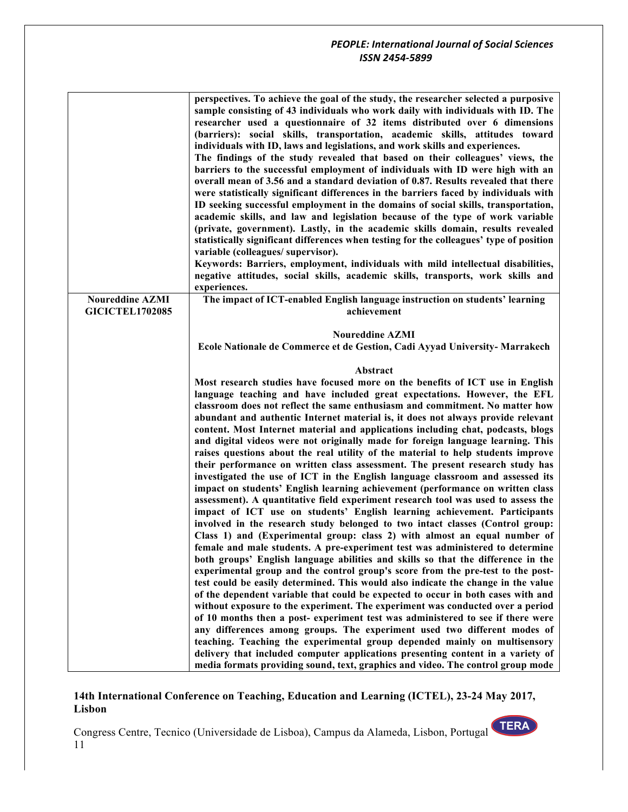| perspectives. To achieve the goal of the study, the researcher selected a purposive<br>sample consisting of 43 individuals who work daily with individuals with ID. The<br>researcher used a questionnaire of 32 items distributed over 6 dimensions<br>(barriers): social skills, transportation, academic skills, attitudes toward<br>individuals with ID, laws and legislations, and work skills and experiences.<br>The findings of the study revealed that based on their colleagues' views, the<br>barriers to the successful employment of individuals with ID were high with an<br>overall mean of 3.56 and a standard deviation of 0.87. Results revealed that there<br>were statistically significant differences in the barriers faced by individuals with<br>ID seeking successful employment in the domains of social skills, transportation,<br>academic skills, and law and legislation because of the type of work variable<br>(private, government). Lastly, in the academic skills domain, results revealed<br>statistically significant differences when testing for the colleagues' type of position<br>Keywords: Barriers, employment, individuals with mild intellectual disabilities,<br>negative attitudes, social skills, academic skills, transports, work skills and |
|-------------------------------------------------------------------------------------------------------------------------------------------------------------------------------------------------------------------------------------------------------------------------------------------------------------------------------------------------------------------------------------------------------------------------------------------------------------------------------------------------------------------------------------------------------------------------------------------------------------------------------------------------------------------------------------------------------------------------------------------------------------------------------------------------------------------------------------------------------------------------------------------------------------------------------------------------------------------------------------------------------------------------------------------------------------------------------------------------------------------------------------------------------------------------------------------------------------------------------------------------------------------------------------------------|
| The impact of ICT-enabled English language instruction on students' learning                                                                                                                                                                                                                                                                                                                                                                                                                                                                                                                                                                                                                                                                                                                                                                                                                                                                                                                                                                                                                                                                                                                                                                                                                    |
|                                                                                                                                                                                                                                                                                                                                                                                                                                                                                                                                                                                                                                                                                                                                                                                                                                                                                                                                                                                                                                                                                                                                                                                                                                                                                                 |
|                                                                                                                                                                                                                                                                                                                                                                                                                                                                                                                                                                                                                                                                                                                                                                                                                                                                                                                                                                                                                                                                                                                                                                                                                                                                                                 |
| Ecole Nationale de Commerce et de Gestion, Cadi Ayyad University- Marrakech                                                                                                                                                                                                                                                                                                                                                                                                                                                                                                                                                                                                                                                                                                                                                                                                                                                                                                                                                                                                                                                                                                                                                                                                                     |
|                                                                                                                                                                                                                                                                                                                                                                                                                                                                                                                                                                                                                                                                                                                                                                                                                                                                                                                                                                                                                                                                                                                                                                                                                                                                                                 |
|                                                                                                                                                                                                                                                                                                                                                                                                                                                                                                                                                                                                                                                                                                                                                                                                                                                                                                                                                                                                                                                                                                                                                                                                                                                                                                 |
|                                                                                                                                                                                                                                                                                                                                                                                                                                                                                                                                                                                                                                                                                                                                                                                                                                                                                                                                                                                                                                                                                                                                                                                                                                                                                                 |
| Most research studies have focused more on the benefits of ICT use in English                                                                                                                                                                                                                                                                                                                                                                                                                                                                                                                                                                                                                                                                                                                                                                                                                                                                                                                                                                                                                                                                                                                                                                                                                   |
| language teaching and have included great expectations. However, the EFL                                                                                                                                                                                                                                                                                                                                                                                                                                                                                                                                                                                                                                                                                                                                                                                                                                                                                                                                                                                                                                                                                                                                                                                                                        |
| classroom does not reflect the same enthusiasm and commitment. No matter how<br>abundant and authentic Internet material is, it does not always provide relevant                                                                                                                                                                                                                                                                                                                                                                                                                                                                                                                                                                                                                                                                                                                                                                                                                                                                                                                                                                                                                                                                                                                                |
| content. Most Internet material and applications including chat, podcasts, blogs                                                                                                                                                                                                                                                                                                                                                                                                                                                                                                                                                                                                                                                                                                                                                                                                                                                                                                                                                                                                                                                                                                                                                                                                                |
| and digital videos were not originally made for foreign language learning. This                                                                                                                                                                                                                                                                                                                                                                                                                                                                                                                                                                                                                                                                                                                                                                                                                                                                                                                                                                                                                                                                                                                                                                                                                 |
| raises questions about the real utility of the material to help students improve                                                                                                                                                                                                                                                                                                                                                                                                                                                                                                                                                                                                                                                                                                                                                                                                                                                                                                                                                                                                                                                                                                                                                                                                                |
| their performance on written class assessment. The present research study has                                                                                                                                                                                                                                                                                                                                                                                                                                                                                                                                                                                                                                                                                                                                                                                                                                                                                                                                                                                                                                                                                                                                                                                                                   |
| investigated the use of ICT in the English language classroom and assessed its                                                                                                                                                                                                                                                                                                                                                                                                                                                                                                                                                                                                                                                                                                                                                                                                                                                                                                                                                                                                                                                                                                                                                                                                                  |
| impact on students' English learning achievement (performance on written class                                                                                                                                                                                                                                                                                                                                                                                                                                                                                                                                                                                                                                                                                                                                                                                                                                                                                                                                                                                                                                                                                                                                                                                                                  |
| assessment). A quantitative field experiment research tool was used to assess the                                                                                                                                                                                                                                                                                                                                                                                                                                                                                                                                                                                                                                                                                                                                                                                                                                                                                                                                                                                                                                                                                                                                                                                                               |
| impact of ICT use on students' English learning achievement. Participants                                                                                                                                                                                                                                                                                                                                                                                                                                                                                                                                                                                                                                                                                                                                                                                                                                                                                                                                                                                                                                                                                                                                                                                                                       |
| involved in the research study belonged to two intact classes (Control group:                                                                                                                                                                                                                                                                                                                                                                                                                                                                                                                                                                                                                                                                                                                                                                                                                                                                                                                                                                                                                                                                                                                                                                                                                   |
| Class 1) and (Experimental group: class 2) with almost an equal number of                                                                                                                                                                                                                                                                                                                                                                                                                                                                                                                                                                                                                                                                                                                                                                                                                                                                                                                                                                                                                                                                                                                                                                                                                       |
| female and male students. A pre-experiment test was administered to determine<br>both groups' English language abilities and skills so that the difference in the                                                                                                                                                                                                                                                                                                                                                                                                                                                                                                                                                                                                                                                                                                                                                                                                                                                                                                                                                                                                                                                                                                                               |
| experimental group and the control group's score from the pre-test to the post-                                                                                                                                                                                                                                                                                                                                                                                                                                                                                                                                                                                                                                                                                                                                                                                                                                                                                                                                                                                                                                                                                                                                                                                                                 |
| test could be easily determined. This would also indicate the change in the value                                                                                                                                                                                                                                                                                                                                                                                                                                                                                                                                                                                                                                                                                                                                                                                                                                                                                                                                                                                                                                                                                                                                                                                                               |
| of the dependent variable that could be expected to occur in both cases with and                                                                                                                                                                                                                                                                                                                                                                                                                                                                                                                                                                                                                                                                                                                                                                                                                                                                                                                                                                                                                                                                                                                                                                                                                |
| without exposure to the experiment. The experiment was conducted over a period                                                                                                                                                                                                                                                                                                                                                                                                                                                                                                                                                                                                                                                                                                                                                                                                                                                                                                                                                                                                                                                                                                                                                                                                                  |
| of 10 months then a post-experiment test was administered to see if there were                                                                                                                                                                                                                                                                                                                                                                                                                                                                                                                                                                                                                                                                                                                                                                                                                                                                                                                                                                                                                                                                                                                                                                                                                  |
| any differences among groups. The experiment used two different modes of                                                                                                                                                                                                                                                                                                                                                                                                                                                                                                                                                                                                                                                                                                                                                                                                                                                                                                                                                                                                                                                                                                                                                                                                                        |
| teaching. Teaching the experimental group depended mainly on multisensory<br>delivery that included computer applications presenting content in a variety of                                                                                                                                                                                                                                                                                                                                                                                                                                                                                                                                                                                                                                                                                                                                                                                                                                                                                                                                                                                                                                                                                                                                    |
|                                                                                                                                                                                                                                                                                                                                                                                                                                                                                                                                                                                                                                                                                                                                                                                                                                                                                                                                                                                                                                                                                                                                                                                                                                                                                                 |

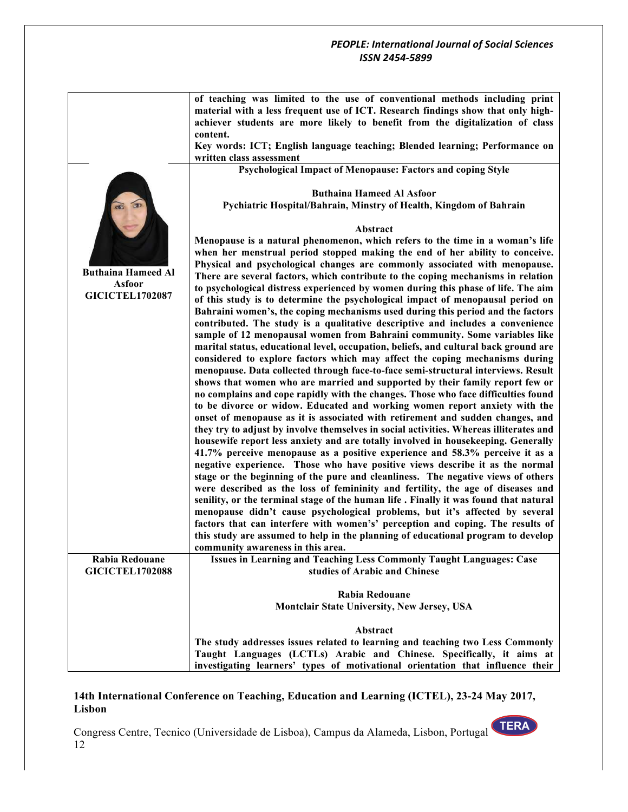|                           | of teaching was limited to the use of conventional methods including print<br>material with a less frequent use of ICT. Research findings show that only high-      |
|---------------------------|---------------------------------------------------------------------------------------------------------------------------------------------------------------------|
|                           | achiever students are more likely to benefit from the digitalization of class                                                                                       |
|                           | content.                                                                                                                                                            |
|                           | Key words: ICT; English language teaching; Blended learning; Performance on<br>written class assessment                                                             |
|                           | <b>Psychological Impact of Menopause: Factors and coping Style</b>                                                                                                  |
|                           |                                                                                                                                                                     |
|                           | <b>Buthaina Hameed Al Asfoor</b>                                                                                                                                    |
|                           | Pychiatric Hospital/Bahrain, Minstry of Health, Kingdom of Bahrain                                                                                                  |
|                           |                                                                                                                                                                     |
|                           | Abstract                                                                                                                                                            |
|                           | Menopause is a natural phenomenon, which refers to the time in a woman's life                                                                                       |
|                           | when her menstrual period stopped making the end of her ability to conceive.                                                                                        |
| <b>Buthaina Hameed Al</b> | Physical and psychological changes are commonly associated with menopause.<br>There are several factors, which contribute to the coping mechanisms in relation      |
| <b>Asfoor</b>             | to psychological distress experienced by women during this phase of life. The aim                                                                                   |
| <b>GICICTEL1702087</b>    | of this study is to determine the psychological impact of menopausal period on                                                                                      |
|                           | Bahraini women's, the coping mechanisms used during this period and the factors                                                                                     |
|                           | contributed. The study is a qualitative descriptive and includes a convenience                                                                                      |
|                           | sample of 12 menopausal women from Bahraini community. Some variables like                                                                                          |
|                           | marital status, educational level, occupation, beliefs, and cultural back ground are                                                                                |
|                           | considered to explore factors which may affect the coping mechanisms during                                                                                         |
|                           | menopause. Data collected through face-to-face semi-structural interviews. Result                                                                                   |
|                           | shows that women who are married and supported by their family report few or<br>no complains and cope rapidly with the changes. Those who face difficulties found   |
|                           | to be divorce or widow. Educated and working women report anxiety with the                                                                                          |
|                           | onset of menopause as it is associated with retirement and sudden changes, and                                                                                      |
|                           | they try to adjust by involve themselves in social activities. Whereas illiterates and                                                                              |
|                           | housewife report less anxiety and are totally involved in housekeeping. Generally                                                                                   |
|                           | 41.7% perceive menopause as a positive experience and 58.3% perceive it as a                                                                                        |
|                           | negative experience. Those who have positive views describe it as the normal                                                                                        |
|                           | stage or the beginning of the pure and cleanliness. The negative views of others                                                                                    |
|                           | were described as the loss of femininity and fertility, the age of diseases and                                                                                     |
|                           | senility, or the terminal stage of the human life. Finally it was found that natural<br>menopause didn't cause psychological problems, but it's affected by several |
|                           | factors that can interfere with women's' perception and coping. The results of                                                                                      |
|                           | this study are assumed to help in the planning of educational program to develop                                                                                    |
|                           | community awareness in this area.                                                                                                                                   |
| Rabia Redouane            | Issues in Learning and Teaching Less Commonly Taught Languages: Case                                                                                                |
| <b>GICICTEL1702088</b>    | studies of Arabic and Chinese                                                                                                                                       |
|                           |                                                                                                                                                                     |
|                           | <b>Rabia Redouane</b>                                                                                                                                               |
|                           | Montclair State University, New Jersey, USA                                                                                                                         |
|                           | Abstract                                                                                                                                                            |
|                           | The study addresses issues related to learning and teaching two Less Commonly                                                                                       |
|                           | Taught Languages (LCTLs) Arabic and Chinese. Specifically, it aims at                                                                                               |
|                           | investigating learners' types of motivational orientation that influence their                                                                                      |

# **14th International Conference on Teaching, Education and Learning (ICTEL), 23-24 May 2017, Lisbon**

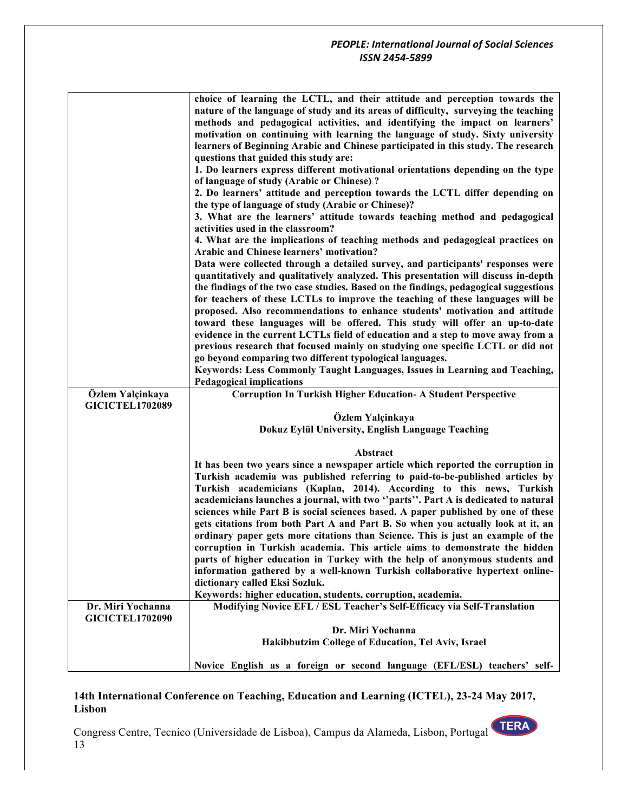|                                             | choice of learning the LCTL, and their attitude and perception towards the                                                                                    |
|---------------------------------------------|---------------------------------------------------------------------------------------------------------------------------------------------------------------|
|                                             | nature of the language of study and its areas of difficulty, surveying the teaching                                                                           |
|                                             | methods and pedagogical activities, and identifying the impact on learners'                                                                                   |
|                                             | motivation on continuing with learning the language of study. Sixty university                                                                                |
|                                             | learners of Beginning Arabic and Chinese participated in this study. The research                                                                             |
|                                             | questions that guided this study are:                                                                                                                         |
|                                             | 1. Do learners express different motivational orientations depending on the type                                                                              |
|                                             | of language of study (Arabic or Chinese)?                                                                                                                     |
|                                             | 2. Do learners' attitude and perception towards the LCTL differ depending on<br>the type of language of study (Arabic or Chinese)?                            |
|                                             | 3. What are the learners' attitude towards teaching method and pedagogical<br>activities used in the classroom?                                               |
|                                             | 4. What are the implications of teaching methods and pedagogical practices on                                                                                 |
|                                             | <b>Arabic and Chinese learners' motivation?</b>                                                                                                               |
|                                             | Data were collected through a detailed survey, and participants' responses were                                                                               |
|                                             | quantitatively and qualitatively analyzed. This presentation will discuss in-depth                                                                            |
|                                             | the findings of the two case studies. Based on the findings, pedagogical suggestions                                                                          |
|                                             | for teachers of these LCTLs to improve the teaching of these languages will be<br>proposed. Also recommendations to enhance students' motivation and attitude |
|                                             | toward these languages will be offered. This study will offer an up-to-date                                                                                   |
|                                             | evidence in the current LCTLs field of education and a step to move away from a                                                                               |
|                                             | previous research that focused mainly on studying one specific LCTL or did not                                                                                |
|                                             | go beyond comparing two different typological languages.                                                                                                      |
|                                             | Keywords: Less Commonly Taught Languages, Issues in Learning and Teaching,                                                                                    |
|                                             | <b>Pedagogical implications</b>                                                                                                                               |
| Özlem Yalçinkaya                            | <b>Corruption In Turkish Higher Education- A Student Perspective</b>                                                                                          |
| <b>GICICTEL1702089</b>                      |                                                                                                                                                               |
|                                             | Özlem Yalçinkaya                                                                                                                                              |
|                                             | Dokuz Eylül University, English Language Teaching                                                                                                             |
|                                             |                                                                                                                                                               |
|                                             | Abstract                                                                                                                                                      |
|                                             | It has been two years since a newspaper article which reported the corruption in                                                                              |
|                                             | Turkish academia was published referring to paid-to-be-published articles by                                                                                  |
|                                             | Turkish academicians (Kaplan, 2014). According to this news, Turkish                                                                                          |
|                                             | academicians launches a journal, with two "parts". Part A is dedicated to natural                                                                             |
|                                             | sciences while Part B is social sciences based. A paper published by one of these                                                                             |
|                                             | gets citations from both Part A and Part B. So when you actually look at it, an                                                                               |
|                                             | ordinary paper gets more citations than Science. This is just an example of the                                                                               |
|                                             | corruption in Turkish academia. This article aims to demonstrate the hidden                                                                                   |
|                                             | parts of higher education in Turkey with the help of anonymous students and                                                                                   |
|                                             | information gathered by a well-known Turkish collaborative hypertext online-                                                                                  |
|                                             | dictionary called Eksi Sozluk.                                                                                                                                |
|                                             | Keywords: higher education, students, corruption, academia.                                                                                                   |
| Dr. Miri Yochanna<br><b>GICICTEL1702090</b> | Modifying Novice EFL / ESL Teacher's Self-Efficacy via Self-Translation                                                                                       |
|                                             | Dr. Miri Yochanna                                                                                                                                             |
|                                             | Hakibbutzim College of Education, Tel Aviv, Israel                                                                                                            |
|                                             |                                                                                                                                                               |
|                                             | Novice English as a foreign or second language (EFL/ESL) teachers' self-                                                                                      |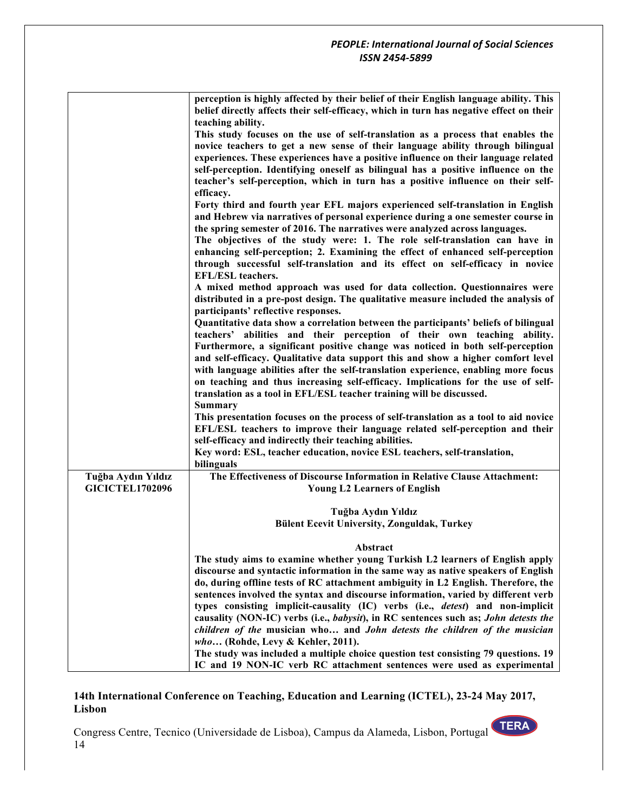|                        | perception is highly affected by their belief of their English language ability. This<br>belief directly affects their self-efficacy, which in turn has negative effect on their |
|------------------------|----------------------------------------------------------------------------------------------------------------------------------------------------------------------------------|
|                        | teaching ability.                                                                                                                                                                |
|                        | This study focuses on the use of self-translation as a process that enables the                                                                                                  |
|                        | novice teachers to get a new sense of their language ability through bilingual                                                                                                   |
|                        | experiences. These experiences have a positive influence on their language related                                                                                               |
|                        | self-perception. Identifying oneself as bilingual has a positive influence on the                                                                                                |
|                        | teacher's self-perception, which in turn has a positive influence on their self-                                                                                                 |
|                        | efficacy.                                                                                                                                                                        |
|                        | Forty third and fourth year EFL majors experienced self-translation in English                                                                                                   |
|                        | and Hebrew via narratives of personal experience during a one semester course in                                                                                                 |
|                        | the spring semester of 2016. The narratives were analyzed across languages.                                                                                                      |
|                        | The objectives of the study were: 1. The role self-translation can have in                                                                                                       |
|                        | enhancing self-perception; 2. Examining the effect of enhanced self-perception                                                                                                   |
|                        | through successful self-translation and its effect on self-efficacy in novice<br><b>EFL/ESL</b> teachers.                                                                        |
|                        | A mixed method approach was used for data collection. Questionnaires were                                                                                                        |
|                        | distributed in a pre-post design. The qualitative measure included the analysis of<br>participants' reflective responses.                                                        |
|                        | Quantitative data show a correlation between the participants' beliefs of bilingual                                                                                              |
|                        | teachers' abilities and their perception of their own teaching ability.                                                                                                          |
|                        | Furthermore, a significant positive change was noticed in both self-perception                                                                                                   |
|                        | and self-efficacy. Qualitative data support this and show a higher comfort level                                                                                                 |
|                        | with language abilities after the self-translation experience, enabling more focus                                                                                               |
|                        | on teaching and thus increasing self-efficacy. Implications for the use of self-                                                                                                 |
|                        | translation as a tool in EFL/ESL teacher training will be discussed.                                                                                                             |
|                        | <b>Summary</b>                                                                                                                                                                   |
|                        | This presentation focuses on the process of self-translation as a tool to aid novice                                                                                             |
|                        | EFL/ESL teachers to improve their language related self-perception and their                                                                                                     |
|                        | self-efficacy and indirectly their teaching abilities.                                                                                                                           |
|                        | Key word: ESL, teacher education, novice ESL teachers, self-translation,                                                                                                         |
|                        | bilinguals                                                                                                                                                                       |
| Tuğba Aydın Yıldız     | The Effectiveness of Discourse Information in Relative Clause Attachment:                                                                                                        |
| <b>GICICTEL1702096</b> | <b>Young L2 Learners of English</b>                                                                                                                                              |
|                        |                                                                                                                                                                                  |
|                        | Tuğba Aydın Yıldız                                                                                                                                                               |
|                        | <b>Bülent Ecevit University, Zonguldak, Turkey</b>                                                                                                                               |
|                        | Abstract                                                                                                                                                                         |
|                        | The study aims to examine whether young Turkish L2 learners of English apply                                                                                                     |
|                        | discourse and syntactic information in the same way as native speakers of English                                                                                                |
|                        | do, during offline tests of RC attachment ambiguity in L2 English. Therefore, the                                                                                                |
|                        | sentences involved the syntax and discourse information, varied by different verb                                                                                                |
|                        | types consisting implicit-causality (IC) verbs (i.e., <i>detest</i> ) and non-implicit                                                                                           |
|                        | causality (NON-IC) verbs (i.e., babysit), in RC sentences such as; John detests the<br>children of the musician who and John detests the children of the musician                |
|                        | who (Rohde, Levy & Kehler, 2011).                                                                                                                                                |
|                        | The study was included a multiple choice question test consisting 79 questions. 19                                                                                               |
|                        | IC and 19 NON-IC verb RC attachment sentences were used as experimental                                                                                                          |
|                        |                                                                                                                                                                                  |

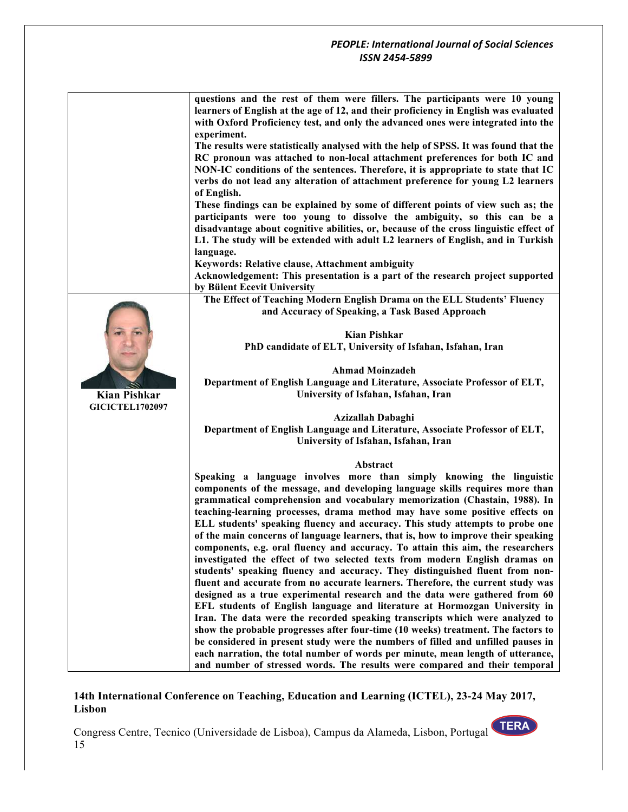|                        | questions and the rest of them were fillers. The participants were 10 young<br>learners of English at the age of 12, and their proficiency in English was evaluated<br>with Oxford Proficiency test, and only the advanced ones were integrated into the<br>experiment. |
|------------------------|-------------------------------------------------------------------------------------------------------------------------------------------------------------------------------------------------------------------------------------------------------------------------|
|                        | The results were statistically analysed with the help of SPSS. It was found that the                                                                                                                                                                                    |
|                        | RC pronoun was attached to non-local attachment preferences for both IC and<br>NON-IC conditions of the sentences. Therefore, it is appropriate to state that IC<br>verbs do not lead any alteration of attachment preference for young L2 learners<br>of English.      |
|                        | These findings can be explained by some of different points of view such as; the                                                                                                                                                                                        |
|                        | participants were too young to dissolve the ambiguity, so this can be a                                                                                                                                                                                                 |
|                        | disadvantage about cognitive abilities, or, because of the cross linguistic effect of                                                                                                                                                                                   |
|                        | L1. The study will be extended with adult L2 learners of English, and in Turkish                                                                                                                                                                                        |
|                        | language.                                                                                                                                                                                                                                                               |
|                        | Keywords: Relative clause, Attachment ambiguity                                                                                                                                                                                                                         |
|                        | Acknowledgement: This presentation is a part of the research project supported                                                                                                                                                                                          |
|                        | by Bülent Ecevit University                                                                                                                                                                                                                                             |
|                        | The Effect of Teaching Modern English Drama on the ELL Students' Fluency                                                                                                                                                                                                |
|                        | and Accuracy of Speaking, a Task Based Approach                                                                                                                                                                                                                         |
|                        | <b>Kian Pishkar</b>                                                                                                                                                                                                                                                     |
|                        | PhD candidate of ELT, University of Isfahan, Isfahan, Iran                                                                                                                                                                                                              |
|                        |                                                                                                                                                                                                                                                                         |
|                        | <b>Ahmad Moinzadeh</b>                                                                                                                                                                                                                                                  |
|                        | Department of English Language and Literature, Associate Professor of ELT,                                                                                                                                                                                              |
| <b>Kian Pishkar</b>    | University of Isfahan, Isfahan, Iran                                                                                                                                                                                                                                    |
| <b>GICICTEL1702097</b> | Azizallah Dabaghi                                                                                                                                                                                                                                                       |
|                        | Department of English Language and Literature, Associate Professor of ELT,                                                                                                                                                                                              |
|                        | University of Isfahan, Isfahan, Iran                                                                                                                                                                                                                                    |
|                        |                                                                                                                                                                                                                                                                         |
|                        | Abstract                                                                                                                                                                                                                                                                |
|                        | Speaking a language involves more than simply knowing the linguistic                                                                                                                                                                                                    |
|                        | components of the message, and developing language skills requires more than                                                                                                                                                                                            |
|                        | grammatical comprehension and vocabulary memorization (Chastain, 1988). In                                                                                                                                                                                              |
|                        | teaching-learning processes, drama method may have some positive effects on                                                                                                                                                                                             |
|                        | ELL students' speaking fluency and accuracy. This study attempts to probe one                                                                                                                                                                                           |
|                        | of the main concerns of language learners, that is, how to improve their speaking                                                                                                                                                                                       |
|                        | components, e.g. oral fluency and accuracy. To attain this aim, the researchers                                                                                                                                                                                         |
|                        | investigated the effect of two selected texts from modern English dramas on                                                                                                                                                                                             |
|                        | students' speaking fluency and accuracy. They distinguished fluent from non-                                                                                                                                                                                            |
|                        | fluent and accurate from no accurate learners. Therefore, the current study was                                                                                                                                                                                         |
|                        | designed as a true experimental research and the data were gathered from 60                                                                                                                                                                                             |
|                        | EFL students of English language and literature at Hormozgan University in                                                                                                                                                                                              |
|                        | Iran. The data were the recorded speaking transcripts which were analyzed to                                                                                                                                                                                            |
|                        | show the probable progresses after four-time (10 weeks) treatment. The factors to                                                                                                                                                                                       |
|                        | be considered in present study were the numbers of filled and unfilled pauses in                                                                                                                                                                                        |
|                        | each narration, the total number of words per minute, mean length of utterance,                                                                                                                                                                                         |
|                        | and number of stressed words. The results were compared and their temporal                                                                                                                                                                                              |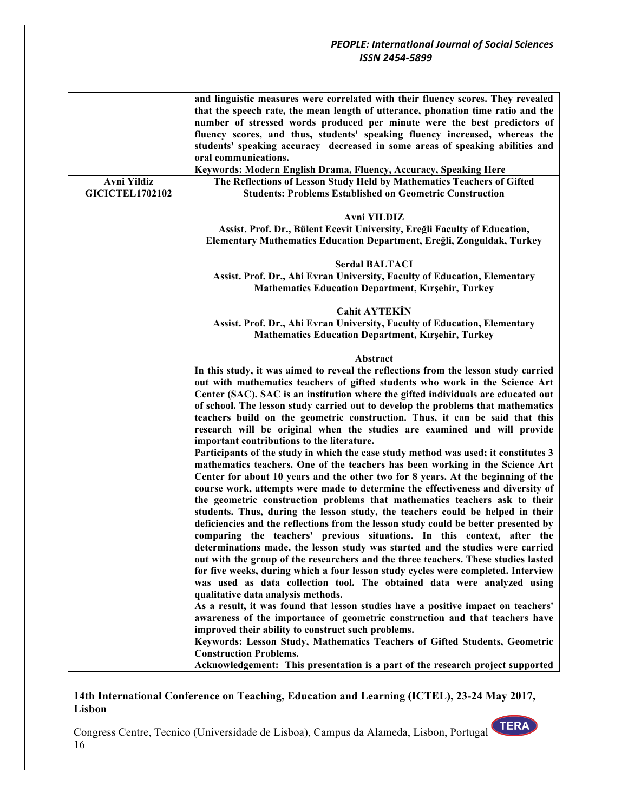|                        | and linguistic measures were correlated with their fluency scores. They revealed                                                                                                                                                                                                                                                                                                                                                                                                                                                                                                                                                   |
|------------------------|------------------------------------------------------------------------------------------------------------------------------------------------------------------------------------------------------------------------------------------------------------------------------------------------------------------------------------------------------------------------------------------------------------------------------------------------------------------------------------------------------------------------------------------------------------------------------------------------------------------------------------|
|                        | that the speech rate, the mean length of utterance, phonation time ratio and the                                                                                                                                                                                                                                                                                                                                                                                                                                                                                                                                                   |
|                        | number of stressed words produced per minute were the best predictors of                                                                                                                                                                                                                                                                                                                                                                                                                                                                                                                                                           |
|                        | fluency scores, and thus, students' speaking fluency increased, whereas the                                                                                                                                                                                                                                                                                                                                                                                                                                                                                                                                                        |
|                        | students' speaking accuracy decreased in some areas of speaking abilities and                                                                                                                                                                                                                                                                                                                                                                                                                                                                                                                                                      |
|                        | oral communications.                                                                                                                                                                                                                                                                                                                                                                                                                                                                                                                                                                                                               |
|                        | Keywords: Modern English Drama, Fluency, Accuracy, Speaking Here                                                                                                                                                                                                                                                                                                                                                                                                                                                                                                                                                                   |
| Avni Yildiz            | The Reflections of Lesson Study Held by Mathematics Teachers of Gifted                                                                                                                                                                                                                                                                                                                                                                                                                                                                                                                                                             |
| <b>GICICTEL1702102</b> | <b>Students: Problems Established on Geometric Construction</b>                                                                                                                                                                                                                                                                                                                                                                                                                                                                                                                                                                    |
|                        |                                                                                                                                                                                                                                                                                                                                                                                                                                                                                                                                                                                                                                    |
|                        | Avni YILDIZ                                                                                                                                                                                                                                                                                                                                                                                                                                                                                                                                                                                                                        |
|                        | Assist. Prof. Dr., Bülent Ecevit University, Ereğli Faculty of Education,                                                                                                                                                                                                                                                                                                                                                                                                                                                                                                                                                          |
|                        | Elementary Mathematics Education Department, Ereğli, Zonguldak, Turkey                                                                                                                                                                                                                                                                                                                                                                                                                                                                                                                                                             |
|                        |                                                                                                                                                                                                                                                                                                                                                                                                                                                                                                                                                                                                                                    |
|                        | <b>Serdal BALTACI</b>                                                                                                                                                                                                                                                                                                                                                                                                                                                                                                                                                                                                              |
|                        | Assist. Prof. Dr., Ahi Evran University, Faculty of Education, Elementary                                                                                                                                                                                                                                                                                                                                                                                                                                                                                                                                                          |
|                        | <b>Mathematics Education Department, Kırşehir, Turkey</b>                                                                                                                                                                                                                                                                                                                                                                                                                                                                                                                                                                          |
|                        |                                                                                                                                                                                                                                                                                                                                                                                                                                                                                                                                                                                                                                    |
|                        | <b>Cahit AYTEKİN</b>                                                                                                                                                                                                                                                                                                                                                                                                                                                                                                                                                                                                               |
|                        | Assist. Prof. Dr., Ahi Evran University, Faculty of Education, Elementary                                                                                                                                                                                                                                                                                                                                                                                                                                                                                                                                                          |
|                        | <b>Mathematics Education Department, Kırşehir, Turkey</b>                                                                                                                                                                                                                                                                                                                                                                                                                                                                                                                                                                          |
|                        |                                                                                                                                                                                                                                                                                                                                                                                                                                                                                                                                                                                                                                    |
|                        | Abstract                                                                                                                                                                                                                                                                                                                                                                                                                                                                                                                                                                                                                           |
|                        | In this study, it was aimed to reveal the reflections from the lesson study carried                                                                                                                                                                                                                                                                                                                                                                                                                                                                                                                                                |
|                        | out with mathematics teachers of gifted students who work in the Science Art                                                                                                                                                                                                                                                                                                                                                                                                                                                                                                                                                       |
|                        | Center (SAC). SAC is an institution where the gifted individuals are educated out                                                                                                                                                                                                                                                                                                                                                                                                                                                                                                                                                  |
|                        | of school. The lesson study carried out to develop the problems that mathematics                                                                                                                                                                                                                                                                                                                                                                                                                                                                                                                                                   |
|                        | teachers build on the geometric construction. Thus, it can be said that this                                                                                                                                                                                                                                                                                                                                                                                                                                                                                                                                                       |
|                        | research will be original when the studies are examined and will provide                                                                                                                                                                                                                                                                                                                                                                                                                                                                                                                                                           |
|                        | important contributions to the literature.                                                                                                                                                                                                                                                                                                                                                                                                                                                                                                                                                                                         |
|                        | Participants of the study in which the case study method was used; it constitutes 3                                                                                                                                                                                                                                                                                                                                                                                                                                                                                                                                                |
|                        | mathematics teachers. One of the teachers has been working in the Science Art                                                                                                                                                                                                                                                                                                                                                                                                                                                                                                                                                      |
|                        | Center for about 10 years and the other two for 8 years. At the beginning of the                                                                                                                                                                                                                                                                                                                                                                                                                                                                                                                                                   |
|                        | course work, attempts were made to determine the effectiveness and diversity of                                                                                                                                                                                                                                                                                                                                                                                                                                                                                                                                                    |
|                        | the geometric construction problems that mathematics teachers ask to their                                                                                                                                                                                                                                                                                                                                                                                                                                                                                                                                                         |
|                        |                                                                                                                                                                                                                                                                                                                                                                                                                                                                                                                                                                                                                                    |
|                        | deficiencies and the reflections from the lesson study could be better presented by                                                                                                                                                                                                                                                                                                                                                                                                                                                                                                                                                |
|                        | comparing the teachers' previous situations. In this context, after the                                                                                                                                                                                                                                                                                                                                                                                                                                                                                                                                                            |
|                        |                                                                                                                                                                                                                                                                                                                                                                                                                                                                                                                                                                                                                                    |
|                        | out with the group of the researchers and the three teachers. These studies lasted                                                                                                                                                                                                                                                                                                                                                                                                                                                                                                                                                 |
|                        | for five weeks, during which a four lesson study cycles were completed. Interview                                                                                                                                                                                                                                                                                                                                                                                                                                                                                                                                                  |
|                        | was used as data collection tool. The obtained data were analyzed using                                                                                                                                                                                                                                                                                                                                                                                                                                                                                                                                                            |
|                        |                                                                                                                                                                                                                                                                                                                                                                                                                                                                                                                                                                                                                                    |
|                        |                                                                                                                                                                                                                                                                                                                                                                                                                                                                                                                                                                                                                                    |
|                        |                                                                                                                                                                                                                                                                                                                                                                                                                                                                                                                                                                                                                                    |
|                        |                                                                                                                                                                                                                                                                                                                                                                                                                                                                                                                                                                                                                                    |
|                        |                                                                                                                                                                                                                                                                                                                                                                                                                                                                                                                                                                                                                                    |
|                        |                                                                                                                                                                                                                                                                                                                                                                                                                                                                                                                                                                                                                                    |
|                        |                                                                                                                                                                                                                                                                                                                                                                                                                                                                                                                                                                                                                                    |
|                        | students. Thus, during the lesson study, the teachers could be helped in their<br>determinations made, the lesson study was started and the studies were carried<br>qualitative data analysis methods.<br>As a result, it was found that lesson studies have a positive impact on teachers'<br>awareness of the importance of geometric construction and that teachers have<br>improved their ability to construct such problems.<br>Keywords: Lesson Study, Mathematics Teachers of Gifted Students, Geometric<br><b>Construction Problems.</b><br>Acknowledgement: This presentation is a part of the research project supported |

# **14th International Conference on Teaching, Education and Learning (ICTEL), 23-24 May 2017, Lisbon**

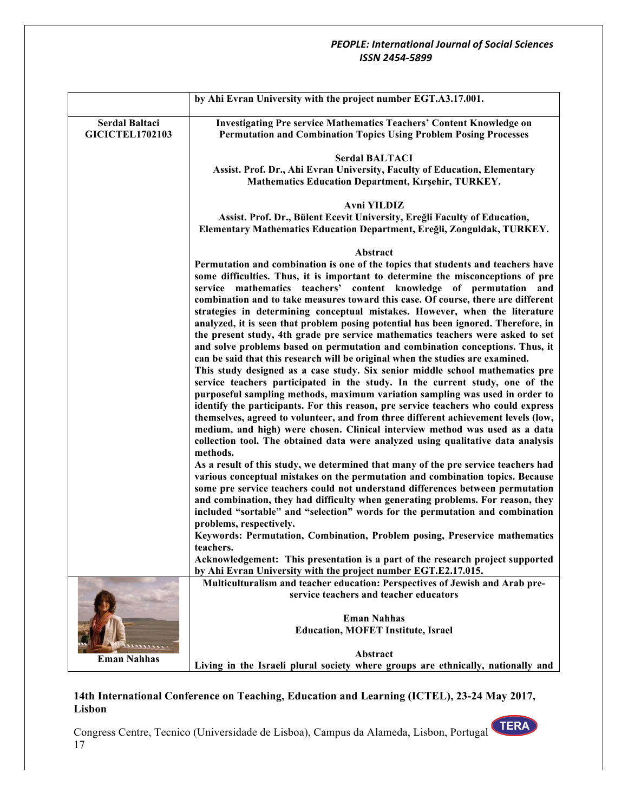|                        | by Ahi Evran University with the project number EGT.A3.17.001.                                                                                                        |
|------------------------|-----------------------------------------------------------------------------------------------------------------------------------------------------------------------|
|                        |                                                                                                                                                                       |
| Serdal Baltaci         | <b>Investigating Pre service Mathematics Teachers' Content Knowledge on</b>                                                                                           |
| <b>GICICTEL1702103</b> | <b>Permutation and Combination Topics Using Problem Posing Processes</b>                                                                                              |
|                        |                                                                                                                                                                       |
|                        | <b>Serdal BALTACI</b>                                                                                                                                                 |
|                        | Assist. Prof. Dr., Ahi Evran University, Faculty of Education, Elementary                                                                                             |
|                        | Mathematics Education Department, Kırşehir, TURKEY.                                                                                                                   |
|                        | <b>Avni YILDIZ</b>                                                                                                                                                    |
|                        | Assist. Prof. Dr., Bülent Ecevit University, Ereğli Faculty of Education,                                                                                             |
|                        | Elementary Mathematics Education Department, Ereğli, Zonguldak, TURKEY.                                                                                               |
|                        |                                                                                                                                                                       |
|                        | Abstract                                                                                                                                                              |
|                        | Permutation and combination is one of the topics that students and teachers have                                                                                      |
|                        | some difficulties. Thus, it is important to determine the misconceptions of pre                                                                                       |
|                        | service mathematics teachers' content knowledge of permutation and                                                                                                    |
|                        | combination and to take measures toward this case. Of course, there are different                                                                                     |
|                        | strategies in determining conceptual mistakes. However, when the literature                                                                                           |
|                        | analyzed, it is seen that problem posing potential has been ignored. Therefore, in<br>the present study, 4th grade pre service mathematics teachers were asked to set |
|                        | and solve problems based on permutation and combination conceptions. Thus, it                                                                                         |
|                        | can be said that this research will be original when the studies are examined.                                                                                        |
|                        | This study designed as a case study. Six senior middle school mathematics pre                                                                                         |
|                        | service teachers participated in the study. In the current study, one of the                                                                                          |
|                        | purposeful sampling methods, maximum variation sampling was used in order to                                                                                          |
|                        | identify the participants. For this reason, pre service teachers who could express                                                                                    |
|                        | themselves, agreed to volunteer, and from three different achievement levels (low,                                                                                    |
|                        | medium, and high) were chosen. Clinical interview method was used as a data                                                                                           |
|                        | collection tool. The obtained data were analyzed using qualitative data analysis                                                                                      |
|                        | methods.                                                                                                                                                              |
|                        | As a result of this study, we determined that many of the pre service teachers had                                                                                    |
|                        | various conceptual mistakes on the permutation and combination topics. Because                                                                                        |
|                        | some pre service teachers could not understand differences between permutation<br>and combination, they had difficulty when generating problems. For reason, they     |
|                        | included "sortable" and "selection" words for the permutation and combination                                                                                         |
|                        | problems, respectively.                                                                                                                                               |
|                        | Keywords: Permutation, Combination, Problem posing, Preservice mathematics                                                                                            |
|                        | teachers.                                                                                                                                                             |
|                        | Acknowledgement: This presentation is a part of the research project supported                                                                                        |
|                        | by Ahi Evran University with the project number EGT.E2.17.015.                                                                                                        |
|                        | Multiculturalism and teacher education: Perspectives of Jewish and Arab pre-                                                                                          |
|                        | service teachers and teacher educators                                                                                                                                |
|                        |                                                                                                                                                                       |
|                        | <b>Eman Nahhas</b><br><b>Education, MOFET Institute, Israel</b>                                                                                                       |
|                        |                                                                                                                                                                       |
|                        | Abstract                                                                                                                                                              |
| <b>Eman Nahhas</b>     | Living in the Israeli plural society where groups are ethnically, nationally and                                                                                      |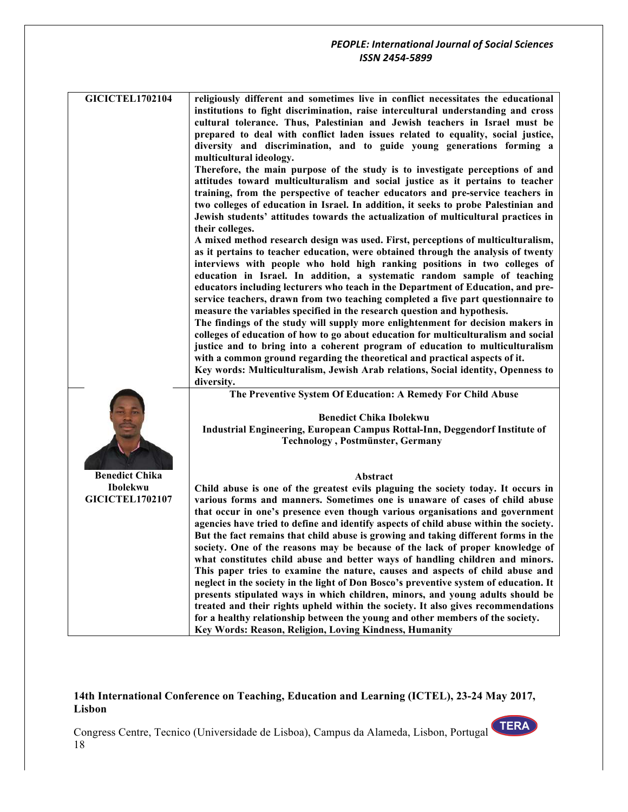| <b>GICICTEL1702104</b>             | religiously different and sometimes live in conflict necessitates the educational<br>institutions to fight discrimination, raise intercultural understanding and cross<br>cultural tolerance. Thus, Palestinian and Jewish teachers in Israel must be<br>prepared to deal with conflict laden issues related to equality, social justice,                                                                                                                                                                                                                                          |
|------------------------------------|------------------------------------------------------------------------------------------------------------------------------------------------------------------------------------------------------------------------------------------------------------------------------------------------------------------------------------------------------------------------------------------------------------------------------------------------------------------------------------------------------------------------------------------------------------------------------------|
|                                    | diversity and discrimination, and to guide young generations forming a<br>multicultural ideology.                                                                                                                                                                                                                                                                                                                                                                                                                                                                                  |
|                                    | Therefore, the main purpose of the study is to investigate perceptions of and<br>attitudes toward multiculturalism and social justice as it pertains to teacher<br>training, from the perspective of teacher educators and pre-service teachers in<br>two colleges of education in Israel. In addition, it seeks to probe Palestinian and<br>Jewish students' attitudes towards the actualization of multicultural practices in<br>their colleges.                                                                                                                                 |
|                                    | A mixed method research design was used. First, perceptions of multiculturalism,<br>as it pertains to teacher education, were obtained through the analysis of twenty<br>interviews with people who hold high ranking positions in two colleges of<br>education in Israel. In addition, a systematic random sample of teaching<br>educators including lecturers who teach in the Department of Education, and pre-<br>service teachers, drawn from two teaching completed a five part questionnaire to<br>measure the variables specified in the research question and hypothesis. |
|                                    | The findings of the study will supply more enlightenment for decision makers in<br>colleges of education of how to go about education for multiculturalism and social<br>justice and to bring into a coherent program of education to multiculturalism<br>with a common ground regarding the theoretical and practical aspects of it.<br>Key words: Multiculturalism, Jewish Arab relations, Social identity, Openness to<br>diversity.                                                                                                                                            |
|                                    | The Preventive System Of Education: A Remedy For Child Abuse                                                                                                                                                                                                                                                                                                                                                                                                                                                                                                                       |
|                                    | <b>Benedict Chika Ibolekwu</b><br>Industrial Engineering, European Campus Rottal-Inn, Deggendorf Institute of<br><b>Technology</b> , Postmünster, Germany                                                                                                                                                                                                                                                                                                                                                                                                                          |
| <b>Benedict Chika</b>              | Abstract                                                                                                                                                                                                                                                                                                                                                                                                                                                                                                                                                                           |
| Ibolekwu<br><b>GICICTEL1702107</b> | Child abuse is one of the greatest evils plaguing the society today. It occurs in<br>various forms and manners. Sometimes one is unaware of cases of child abuse                                                                                                                                                                                                                                                                                                                                                                                                                   |
|                                    | that occur in one's presence even though various organisations and government<br>agencies have tried to define and identify aspects of child abuse within the society.<br>But the fact remains that child abuse is growing and taking different forms in the<br>society. One of the reasons may be because of the lack of proper knowledge of                                                                                                                                                                                                                                      |
|                                    | what constitutes child abuse and better ways of handling children and minors.<br>This paper tries to examine the nature, causes and aspects of child abuse and<br>neglect in the society in the light of Don Bosco's preventive system of education. It<br>presents stipulated ways in which children, minors, and young adults should be                                                                                                                                                                                                                                          |
|                                    | treated and their rights upheld within the society. It also gives recommendations<br>for a healthy relationship between the young and other members of the society.<br>Key Words: Reason, Religion, Loving Kindness, Humanity                                                                                                                                                                                                                                                                                                                                                      |

## **14th International Conference on Teaching, Education and Learning (ICTEL), 23-24 May 2017, Lisbon**

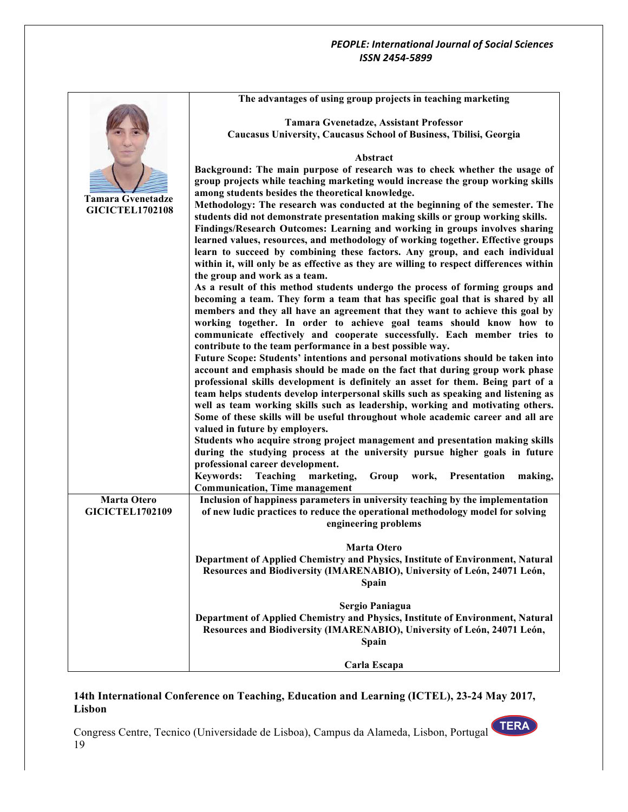|                                              | The advantages of using group projects in teaching marketing                                                                                                    |
|----------------------------------------------|-----------------------------------------------------------------------------------------------------------------------------------------------------------------|
|                                              | Tamara Gvenetadze, Assistant Professor                                                                                                                          |
|                                              | Caucasus University, Caucasus School of Business, Tbilisi, Georgia                                                                                              |
|                                              |                                                                                                                                                                 |
|                                              | Abstract                                                                                                                                                        |
|                                              | Background: The main purpose of research was to check whether the usage of                                                                                      |
|                                              | group projects while teaching marketing would increase the group working skills                                                                                 |
| <b>Tamara Gvenetadze</b>                     | among students besides the theoretical knowledge.                                                                                                               |
| <b>GICICTEL1702108</b>                       | Methodology: The research was conducted at the beginning of the semester. The                                                                                   |
|                                              | students did not demonstrate presentation making skills or group working skills.                                                                                |
|                                              | Findings/Research Outcomes: Learning and working in groups involves sharing                                                                                     |
|                                              | learned values, resources, and methodology of working together. Effective groups<br>learn to succeed by combining these factors. Any group, and each individual |
|                                              | within it, will only be as effective as they are willing to respect differences within                                                                          |
|                                              | the group and work as a team.                                                                                                                                   |
|                                              | As a result of this method students undergo the process of forming groups and                                                                                   |
|                                              | becoming a team. They form a team that has specific goal that is shared by all                                                                                  |
|                                              | members and they all have an agreement that they want to achieve this goal by                                                                                   |
|                                              | working together. In order to achieve goal teams should know how to                                                                                             |
|                                              | communicate effectively and cooperate successfully. Each member tries to                                                                                        |
|                                              | contribute to the team performance in a best possible way.                                                                                                      |
|                                              | Future Scope: Students' intentions and personal motivations should be taken into                                                                                |
|                                              | account and emphasis should be made on the fact that during group work phase                                                                                    |
|                                              | professional skills development is definitely an asset for them. Being part of a                                                                                |
|                                              | team helps students develop interpersonal skills such as speaking and listening as                                                                              |
|                                              | well as team working skills such as leadership, working and motivating others.                                                                                  |
|                                              | Some of these skills will be useful throughout whole academic career and all are                                                                                |
|                                              | valued in future by employers.                                                                                                                                  |
|                                              | Students who acquire strong project management and presentation making skills                                                                                   |
|                                              | during the studying process at the university pursue higher goals in future                                                                                     |
|                                              | professional career development.                                                                                                                                |
|                                              | <b>Keywords:</b><br>Teaching<br>marketing,<br>Group<br>work,<br>Presentation<br>making,                                                                         |
|                                              | <b>Communication, Time management</b>                                                                                                                           |
| <b>Marta Otero</b><br><b>GICICTEL1702109</b> | Inclusion of happiness parameters in university teaching by the implementation                                                                                  |
|                                              | of new ludic practices to reduce the operational methodology model for solving<br>engineering problems                                                          |
|                                              |                                                                                                                                                                 |
|                                              | <b>Marta Otero</b>                                                                                                                                              |
|                                              | Department of Applied Chemistry and Physics, Institute of Environment, Natural                                                                                  |
|                                              | Resources and Biodiversity (IMARENABIO), University of León, 24071 León,                                                                                        |
|                                              | Spain                                                                                                                                                           |
|                                              | <b>Sergio Paniagua</b>                                                                                                                                          |
|                                              | Department of Applied Chemistry and Physics, Institute of Environment, Natural                                                                                  |
|                                              | Resources and Biodiversity (IMARENABIO), University of León, 24071 León,                                                                                        |
|                                              | <b>Spain</b>                                                                                                                                                    |
|                                              |                                                                                                                                                                 |
|                                              | Carla Escapa                                                                                                                                                    |

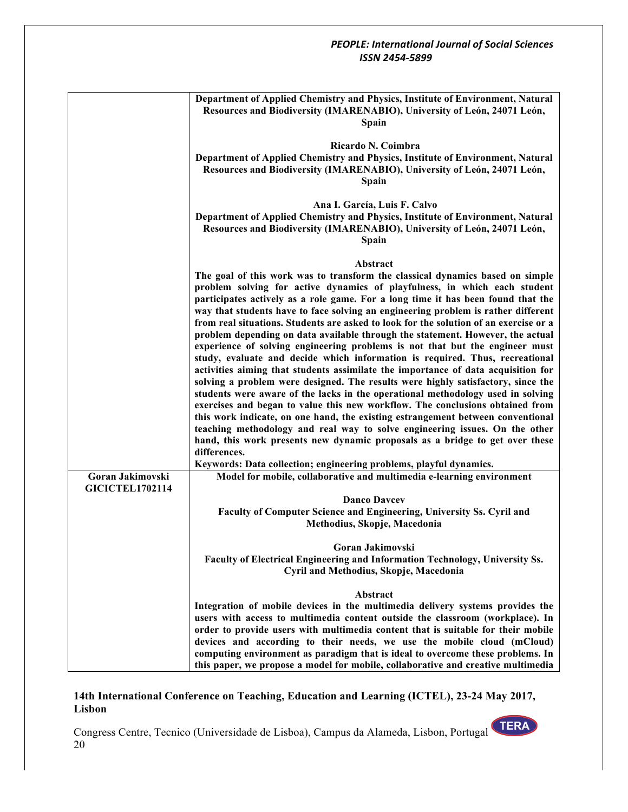|                                            | Department of Applied Chemistry and Physics, Institute of Environment, Natural<br>Resources and Biodiversity (IMARENABIO), University of León, 24071 León,<br>Spain                                                                                                                                                                                                                                                                                                                                                                                                                                                                                                                                                                                                                                                                                                                                                                                                                                                                                                                                                                                                                                                                                                                                                                                                                                                                                      |
|--------------------------------------------|----------------------------------------------------------------------------------------------------------------------------------------------------------------------------------------------------------------------------------------------------------------------------------------------------------------------------------------------------------------------------------------------------------------------------------------------------------------------------------------------------------------------------------------------------------------------------------------------------------------------------------------------------------------------------------------------------------------------------------------------------------------------------------------------------------------------------------------------------------------------------------------------------------------------------------------------------------------------------------------------------------------------------------------------------------------------------------------------------------------------------------------------------------------------------------------------------------------------------------------------------------------------------------------------------------------------------------------------------------------------------------------------------------------------------------------------------------|
|                                            | Ricardo N. Coimbra<br>Department of Applied Chemistry and Physics, Institute of Environment, Natural<br>Resources and Biodiversity (IMARENABIO), University of León, 24071 León,<br><b>Spain</b>                                                                                                                                                                                                                                                                                                                                                                                                                                                                                                                                                                                                                                                                                                                                                                                                                                                                                                                                                                                                                                                                                                                                                                                                                                                         |
|                                            | Ana I. García, Luis F. Calvo<br>Department of Applied Chemistry and Physics, Institute of Environment, Natural<br>Resources and Biodiversity (IMARENABIO), University of León, 24071 León,<br>Spain                                                                                                                                                                                                                                                                                                                                                                                                                                                                                                                                                                                                                                                                                                                                                                                                                                                                                                                                                                                                                                                                                                                                                                                                                                                      |
| Goran Jakimovski<br><b>GICICTEL1702114</b> | Abstract<br>The goal of this work was to transform the classical dynamics based on simple<br>problem solving for active dynamics of playfulness, in which each student<br>participates actively as a role game. For a long time it has been found that the<br>way that students have to face solving an engineering problem is rather different<br>from real situations. Students are asked to look for the solution of an exercise or a<br>problem depending on data available through the statement. However, the actual<br>experience of solving engineering problems is not that but the engineer must<br>study, evaluate and decide which information is required. Thus, recreational<br>activities aiming that students assimilate the importance of data acquisition for<br>solving a problem were designed. The results were highly satisfactory, since the<br>students were aware of the lacks in the operational methodology used in solving<br>exercises and began to value this new workflow. The conclusions obtained from<br>this work indicate, on one hand, the existing estrangement between conventional<br>teaching methodology and real way to solve engineering issues. On the other<br>hand, this work presents new dynamic proposals as a bridge to get over these<br>differences.<br>Keywords: Data collection; engineering problems, playful dynamics.<br>Model for mobile, collaborative and multimedia e-learning environment |
|                                            | <b>Danco Davcey</b><br>Faculty of Computer Science and Engineering, University Ss. Cyril and<br>Methodius, Skopje, Macedonia                                                                                                                                                                                                                                                                                                                                                                                                                                                                                                                                                                                                                                                                                                                                                                                                                                                                                                                                                                                                                                                                                                                                                                                                                                                                                                                             |
|                                            | Goran Jakimovski<br>Faculty of Electrical Engineering and Information Technology, University Ss.<br>Cyril and Methodius, Skopje, Macedonia                                                                                                                                                                                                                                                                                                                                                                                                                                                                                                                                                                                                                                                                                                                                                                                                                                                                                                                                                                                                                                                                                                                                                                                                                                                                                                               |
|                                            | Abstract<br>Integration of mobile devices in the multimedia delivery systems provides the<br>users with access to multimedia content outside the classroom (workplace). In<br>order to provide users with multimedia content that is suitable for their mobile<br>devices and according to their needs, we use the mobile cloud (mCloud)<br>computing environment as paradigm that is ideal to overcome these problems. In<br>this paper, we propose a model for mobile, collaborative and creative multimedia                                                                                                                                                                                                                                                                                                                                                                                                                                                                                                                                                                                                                                                                                                                                                                                                                                                                                                                                           |

# **14th International Conference on Teaching, Education and Learning (ICTEL), 23-24 May 2017, Lisbon**

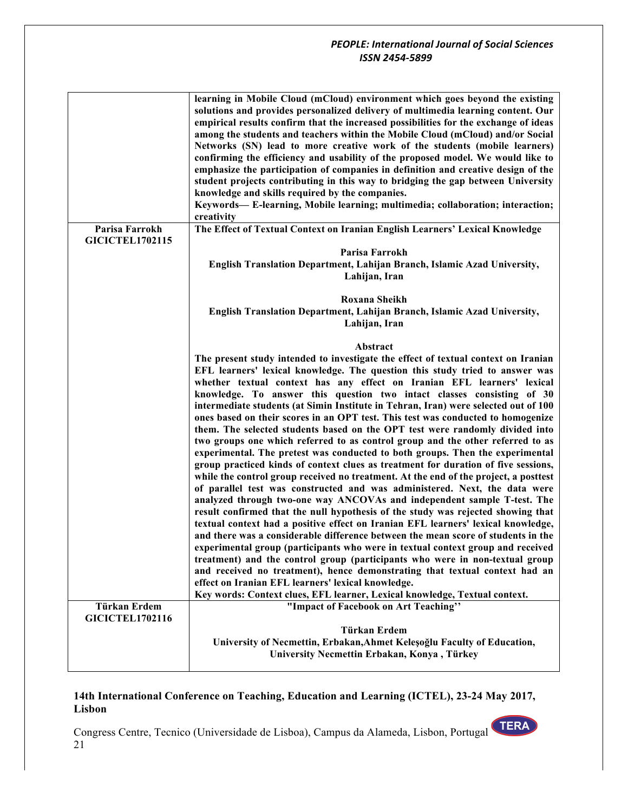|                                          | learning in Mobile Cloud (mCloud) environment which goes beyond the existing<br>solutions and provides personalized delivery of multimedia learning content. Our<br>empirical results confirm that the increased possibilities for the exchange of ideas<br>among the students and teachers within the Mobile Cloud (mCloud) and/or Social<br>Networks (SN) lead to more creative work of the students (mobile learners)<br>confirming the efficiency and usability of the proposed model. We would like to<br>emphasize the participation of companies in definition and creative design of the<br>student projects contributing in this way to bridging the gap between University<br>knowledge and skills required by the companies.<br>Keywords— E-learning, Mobile learning; multimedia; collaboration; interaction;<br>creativity                                                                                                                                                                                                                                                                                                                                                                                                                                                                                                                                                                                                                                                                                                                                                                                                                                                                                                                                                              |
|------------------------------------------|------------------------------------------------------------------------------------------------------------------------------------------------------------------------------------------------------------------------------------------------------------------------------------------------------------------------------------------------------------------------------------------------------------------------------------------------------------------------------------------------------------------------------------------------------------------------------------------------------------------------------------------------------------------------------------------------------------------------------------------------------------------------------------------------------------------------------------------------------------------------------------------------------------------------------------------------------------------------------------------------------------------------------------------------------------------------------------------------------------------------------------------------------------------------------------------------------------------------------------------------------------------------------------------------------------------------------------------------------------------------------------------------------------------------------------------------------------------------------------------------------------------------------------------------------------------------------------------------------------------------------------------------------------------------------------------------------------------------------------------------------------------------------------------------------|
| Parisa Farrokh<br><b>GICICTEL1702115</b> | The Effect of Textual Context on Iranian English Learners' Lexical Knowledge                                                                                                                                                                                                                                                                                                                                                                                                                                                                                                                                                                                                                                                                                                                                                                                                                                                                                                                                                                                                                                                                                                                                                                                                                                                                                                                                                                                                                                                                                                                                                                                                                                                                                                                         |
|                                          | Parisa Farrokh<br>English Translation Department, Lahijan Branch, Islamic Azad University,<br>Lahijan, Iran                                                                                                                                                                                                                                                                                                                                                                                                                                                                                                                                                                                                                                                                                                                                                                                                                                                                                                                                                                                                                                                                                                                                                                                                                                                                                                                                                                                                                                                                                                                                                                                                                                                                                          |
|                                          | Roxana Sheikh<br>English Translation Department, Lahijan Branch, Islamic Azad University,<br>Lahijan, Iran                                                                                                                                                                                                                                                                                                                                                                                                                                                                                                                                                                                                                                                                                                                                                                                                                                                                                                                                                                                                                                                                                                                                                                                                                                                                                                                                                                                                                                                                                                                                                                                                                                                                                           |
| Türkan Erdem                             | Abstract<br>The present study intended to investigate the effect of textual context on Iranian<br>EFL learners' lexical knowledge. The question this study tried to answer was<br>whether textual context has any effect on Iranian EFL learners' lexical<br>knowledge. To answer this question two intact classes consisting of 30<br>intermediate students (at Simin Institute in Tehran, Iran) were selected out of 100<br>ones based on their scores in an OPT test. This test was conducted to homogenize<br>them. The selected students based on the OPT test were randomly divided into<br>two groups one which referred to as control group and the other referred to as<br>experimental. The pretest was conducted to both groups. Then the experimental<br>group practiced kinds of context clues as treatment for duration of five sessions,<br>while the control group received no treatment. At the end of the project, a posttest<br>of parallel test was constructed and was administered. Next, the data were<br>analyzed through two-one way ANCOVAs and independent sample T-test. The<br>result confirmed that the null hypothesis of the study was rejected showing that<br>textual context had a positive effect on Iranian EFL learners' lexical knowledge,<br>and there was a considerable difference between the mean score of students in the<br>experimental group (participants who were in textual context group and received<br>treatment) and the control group (participants who were in non-textual group<br>and received no treatment), hence demonstrating that textual context had an<br>effect on Iranian EFL learners' lexical knowledge.<br>Key words: Context clues, EFL learner, Lexical knowledge, Textual context.<br>"Impact of Facebook on Art Teaching" |
| <b>GICICTEL1702116</b>                   | Türkan Erdem                                                                                                                                                                                                                                                                                                                                                                                                                                                                                                                                                                                                                                                                                                                                                                                                                                                                                                                                                                                                                                                                                                                                                                                                                                                                                                                                                                                                                                                                                                                                                                                                                                                                                                                                                                                         |
|                                          | University of Necmettin, Erbakan, Ahmet Keleşoğlu Faculty of Education,                                                                                                                                                                                                                                                                                                                                                                                                                                                                                                                                                                                                                                                                                                                                                                                                                                                                                                                                                                                                                                                                                                                                                                                                                                                                                                                                                                                                                                                                                                                                                                                                                                                                                                                              |
|                                          | University Necmettin Erbakan, Konya, Türkey                                                                                                                                                                                                                                                                                                                                                                                                                                                                                                                                                                                                                                                                                                                                                                                                                                                                                                                                                                                                                                                                                                                                                                                                                                                                                                                                                                                                                                                                                                                                                                                                                                                                                                                                                          |

### **14th International Conference on Teaching, Education and Learning (ICTEL), 23-24 May 2017, Lisbon**

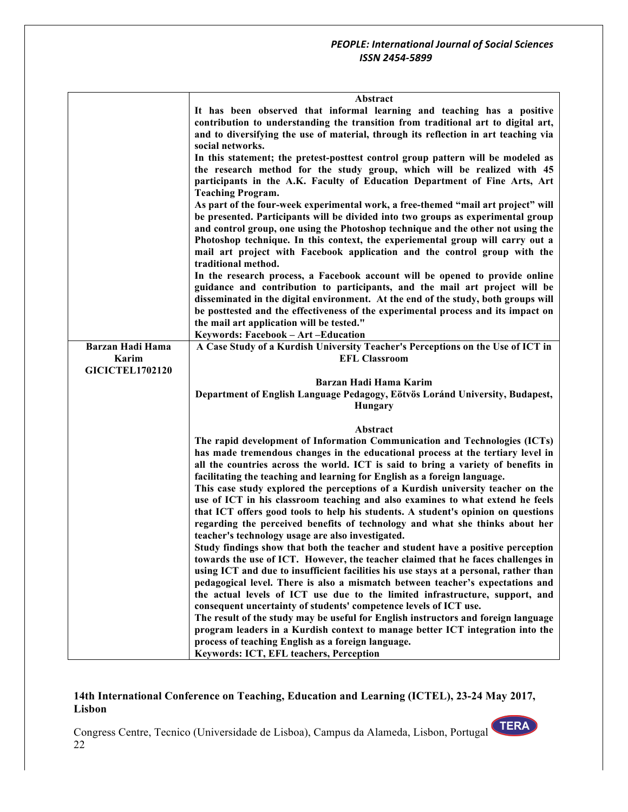|                         | Abstract                                                                                                                                                     |
|-------------------------|--------------------------------------------------------------------------------------------------------------------------------------------------------------|
|                         | It has been observed that informal learning and teaching has a positive<br>contribution to understanding the transition from traditional art to digital art, |
|                         | and to diversifying the use of material, through its reflection in art teaching via                                                                          |
|                         | social networks.                                                                                                                                             |
|                         | In this statement; the pretest-posttest control group pattern will be modeled as                                                                             |
|                         | the research method for the study group, which will be realized with 45                                                                                      |
|                         | participants in the A.K. Faculty of Education Department of Fine Arts, Art                                                                                   |
|                         | <b>Teaching Program.</b>                                                                                                                                     |
|                         | As part of the four-week experimental work, a free-themed "mail art project" will                                                                            |
|                         | be presented. Participants will be divided into two groups as experimental group                                                                             |
|                         | and control group, one using the Photoshop technique and the other not using the                                                                             |
|                         | Photoshop technique. In this context, the experiemental group will carry out a                                                                               |
|                         | mail art project with Facebook application and the control group with the                                                                                    |
|                         | traditional method.                                                                                                                                          |
|                         | In the research process, a Facebook account will be opened to provide online<br>guidance and contribution to participants, and the mail art project will be  |
|                         | disseminated in the digital environment. At the end of the study, both groups will                                                                           |
|                         | be posttested and the effectiveness of the experimental process and its impact on                                                                            |
|                         | the mail art application will be tested."                                                                                                                    |
|                         | Keywords: Facebook - Art - Education                                                                                                                         |
| <b>Barzan Hadi Hama</b> | A Case Study of a Kurdish University Teacher's Perceptions on the Use of ICT in                                                                              |
| Karim                   | <b>EFL Classroom</b>                                                                                                                                         |
| <b>GICICTEL1702120</b>  |                                                                                                                                                              |
|                         | Barzan Hadi Hama Karim                                                                                                                                       |
|                         | Department of English Language Pedagogy, Eötvös Loránd University, Budapest,<br>Hungary                                                                      |
|                         |                                                                                                                                                              |
|                         | Abstract                                                                                                                                                     |
|                         | The rapid development of Information Communication and Technologies (ICTs)                                                                                   |
|                         | has made tremendous changes in the educational process at the tertiary level in                                                                              |
|                         | all the countries across the world. ICT is said to bring a variety of benefits in                                                                            |
|                         | facilitating the teaching and learning for English as a foreign language.                                                                                    |
|                         | This case study explored the perceptions of a Kurdish university teacher on the                                                                              |
|                         | use of ICT in his classroom teaching and also examines to what extend he feels                                                                               |
|                         | that ICT offers good tools to help his students. A student's opinion on questions                                                                            |
|                         | regarding the perceived benefits of technology and what she thinks about her<br>teacher's technology usage are also investigated.                            |
|                         | Study findings show that both the teacher and student have a positive perception                                                                             |
|                         | towards the use of ICT. However, the teacher claimed that he faces challenges in                                                                             |
|                         | using ICT and due to insufficient facilities his use stays at a personal, rather than                                                                        |
|                         | pedagogical level. There is also a mismatch between teacher's expectations and                                                                               |
|                         | the actual levels of ICT use due to the limited infrastructure, support, and                                                                                 |
|                         | consequent uncertainty of students' competence levels of ICT use.                                                                                            |
|                         | The result of the study may be useful for English instructors and foreign language                                                                           |
|                         | program leaders in a Kurdish context to manage better ICT integration into the                                                                               |
|                         | process of teaching English as a foreign language.<br>Keywords: ICT, EFL teachers, Perception                                                                |
|                         |                                                                                                                                                              |

# **14th International Conference on Teaching, Education and Learning (ICTEL), 23-24 May 2017, Lisbon**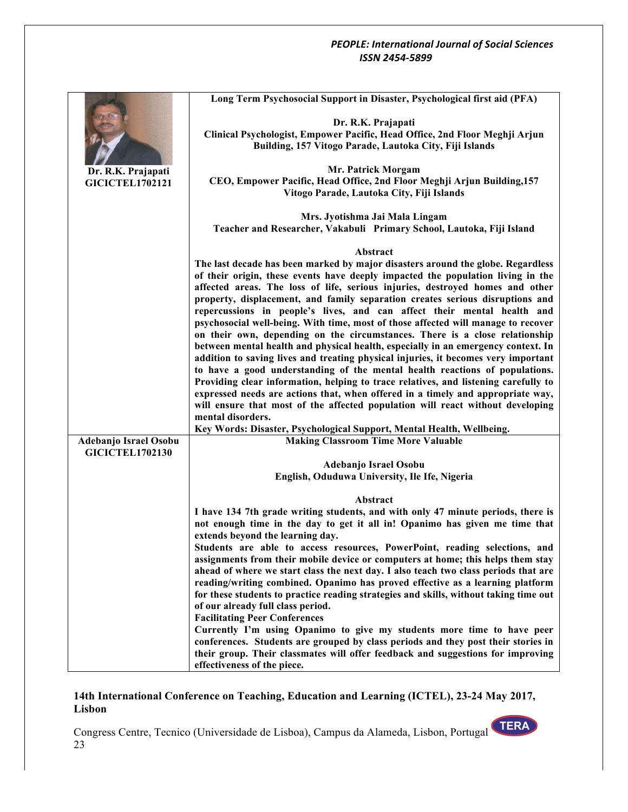|                        | Long Term Psychosocial Support in Disaster, Psychological first aid (PFA)             |
|------------------------|---------------------------------------------------------------------------------------|
|                        |                                                                                       |
|                        | Dr. R.K. Prajapati                                                                    |
|                        | Clinical Psychologist, Empower Pacific, Head Office, 2nd Floor Meghji Arjun           |
|                        | Building, 157 Vitogo Parade, Lautoka City, Fiji Islands                               |
| Dr. R.K. Prajapati     | Mr. Patrick Morgam                                                                    |
| <b>GICICTEL1702121</b> | CEO, Empower Pacific, Head Office, 2nd Floor Meghji Arjun Building, 157               |
|                        | Vitogo Parade, Lautoka City, Fiji Islands                                             |
|                        |                                                                                       |
|                        | Mrs. Jyotishma Jai Mala Lingam                                                        |
|                        | Teacher and Researcher, Vakabuli Primary School, Lautoka, Fiji Island                 |
|                        |                                                                                       |
|                        | Abstract                                                                              |
|                        | The last decade has been marked by major disasters around the globe. Regardless       |
|                        | of their origin, these events have deeply impacted the population living in the       |
|                        | affected areas. The loss of life, serious injuries, destroyed homes and other         |
|                        | property, displacement, and family separation creates serious disruptions and         |
|                        | repercussions in people's lives, and can affect their mental health and               |
|                        | psychosocial well-being. With time, most of those affected will manage to recover     |
|                        | on their own, depending on the circumstances. There is a close relationship           |
|                        | between mental health and physical health, especially in an emergency context. In     |
|                        | addition to saving lives and treating physical injuries, it becomes very important    |
|                        | to have a good understanding of the mental health reactions of populations.           |
|                        | Providing clear information, helping to trace relatives, and listening carefully to   |
|                        | expressed needs are actions that, when offered in a timely and appropriate way,       |
|                        | will ensure that most of the affected population will react without developing        |
|                        | mental disorders.                                                                     |
|                        | Key Words: Disaster, Psychological Support, Mental Health, Wellbeing.                 |
| Adebanjo Israel Osobu  | <b>Making Classroom Time More Valuable</b>                                            |
| <b>GICICTEL1702130</b> |                                                                                       |
|                        | Adebanjo Israel Osobu                                                                 |
|                        | English, Oduduwa University, Ile Ife, Nigeria                                         |
|                        | Abstract                                                                              |
|                        | I have 134 7th grade writing students, and with only 47 minute periods, there is      |
|                        | not enough time in the day to get it all in! Opanimo has given me time that           |
|                        | extends beyond the learning day.                                                      |
|                        | Students are able to access resources, PowerPoint, reading selections, and            |
|                        | assignments from their mobile device or computers at home; this helps them stay       |
|                        | ahead of where we start class the next day. I also teach two class periods that are   |
|                        | reading/writing combined. Opanimo has proved effective as a learning platform         |
|                        | for these students to practice reading strategies and skills, without taking time out |
|                        | of our already full class period.                                                     |
|                        | <b>Facilitating Peer Conferences</b>                                                  |
|                        | Currently I'm using Opanimo to give my students more time to have peer                |
|                        | conferences. Students are grouped by class periods and they post their stories in     |
|                        | their group. Their classmates will offer feedback and suggestions for improving       |
|                        | effectiveness of the piece.                                                           |

# **14th International Conference on Teaching, Education and Learning (ICTEL), 23-24 May 2017, Lisbon**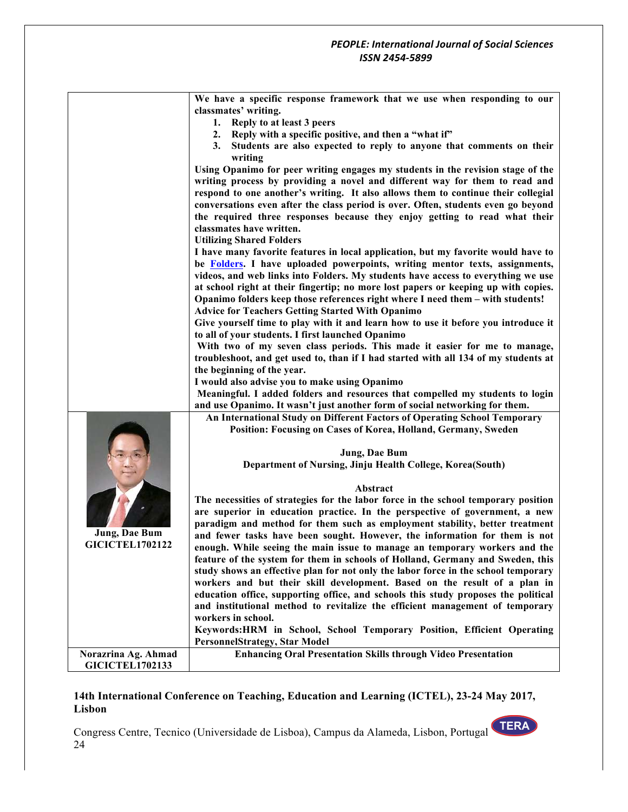|                        | We have a specific response framework that we use when responding to our<br>classmates' writing.                                                         |
|------------------------|----------------------------------------------------------------------------------------------------------------------------------------------------------|
|                        | 1. Reply to at least 3 peers                                                                                                                             |
|                        | 2. Reply with a specific positive, and then a "what if"                                                                                                  |
|                        | Students are also expected to reply to anyone that comments on their<br>3.                                                                               |
|                        | writing                                                                                                                                                  |
|                        | Using Opanimo for peer writing engages my students in the revision stage of the                                                                          |
|                        | writing process by providing a novel and different way for them to read and                                                                              |
|                        | respond to one another's writing. It also allows them to continue their collegial                                                                        |
|                        | conversations even after the class period is over. Often, students even go beyond                                                                        |
|                        | the required three responses because they enjoy getting to read what their                                                                               |
|                        | classmates have written.                                                                                                                                 |
|                        | <b>Utilizing Shared Folders</b>                                                                                                                          |
|                        | I have many favorite features in local application, but my favorite would have to                                                                        |
|                        | be Folders. I have uploaded powerpoints, writing mentor texts, assignments,                                                                              |
|                        | videos, and web links into Folders. My students have access to everything we use                                                                         |
|                        | at school right at their fingertip; no more lost papers or keeping up with copies.                                                                       |
|                        | Opanimo folders keep those references right where I need them - with students!                                                                           |
|                        | <b>Advice for Teachers Getting Started With Opanimo</b>                                                                                                  |
|                        | Give yourself time to play with it and learn how to use it before you introduce it                                                                       |
|                        | to all of your students. I first launched Opanimo                                                                                                        |
|                        | With two of my seven class periods. This made it easier for me to manage,                                                                                |
|                        | troubleshoot, and get used to, than if I had started with all 134 of my students at                                                                      |
|                        | the beginning of the year.<br>I would also advise you to make using Opanimo                                                                              |
|                        | Meaningful. I added folders and resources that compelled my students to login                                                                            |
|                        | and use Opanimo. It wasn't just another form of social networking for them.                                                                              |
|                        | An International Study on Different Factors of Operating School Temporary                                                                                |
|                        | Position: Focusing on Cases of Korea, Holland, Germany, Sweden                                                                                           |
|                        |                                                                                                                                                          |
|                        | Jung, Dae Bum                                                                                                                                            |
|                        | Department of Nursing, Jinju Health College, Korea(South)                                                                                                |
|                        |                                                                                                                                                          |
|                        | Abstract                                                                                                                                                 |
|                        | The necessities of strategies for the labor force in the school temporary position                                                                       |
|                        | are superior in education practice. In the perspective of government, a new                                                                              |
| <b>Jung, Dae Bum</b>   | paradigm and method for them such as employment stability, better treatment                                                                              |
| <b>GICICTEL1702122</b> | and fewer tasks have been sought. However, the information for them is not<br>enough. While seeing the main issue to manage an temporary workers and the |
|                        | feature of the system for them in schools of Holland, Germany and Sweden, this                                                                           |
|                        | study shows an effective plan for not only the labor force in the school temporary                                                                       |
|                        | workers and but their skill development. Based on the result of a plan in                                                                                |
|                        | education office, supporting office, and schools this study proposes the political                                                                       |
|                        | and institutional method to revitalize the efficient management of temporary                                                                             |
|                        | workers in school.                                                                                                                                       |
|                        | Keywords: HRM in School, School Temporary Position, Efficient Operating                                                                                  |
|                        | <b>PersonnelStrategy, Star Model</b>                                                                                                                     |
| Norazrina Ag. Ahmad    | <b>Enhancing Oral Presentation Skills through Video Presentation</b>                                                                                     |
| <b>GICICTEL1702133</b> |                                                                                                                                                          |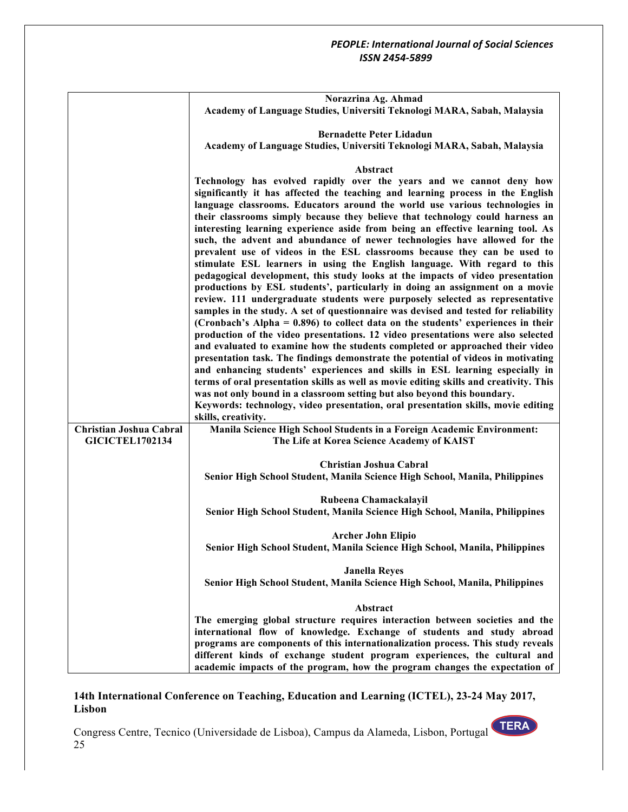|                         | Norazrina Ag. Ahmad<br>Academy of Language Studies, Universiti Teknologi MARA, Sabah, Malaysia                                                                                                                                                                                                                                                                                                                                                                                                                                                                                                                                                                                                                                                                                                                                                                                                                                                                                                                                                                                                                                                                                                                                                                                                                                                                                                                                                                                                                                                                                                                                                                                     |
|-------------------------|------------------------------------------------------------------------------------------------------------------------------------------------------------------------------------------------------------------------------------------------------------------------------------------------------------------------------------------------------------------------------------------------------------------------------------------------------------------------------------------------------------------------------------------------------------------------------------------------------------------------------------------------------------------------------------------------------------------------------------------------------------------------------------------------------------------------------------------------------------------------------------------------------------------------------------------------------------------------------------------------------------------------------------------------------------------------------------------------------------------------------------------------------------------------------------------------------------------------------------------------------------------------------------------------------------------------------------------------------------------------------------------------------------------------------------------------------------------------------------------------------------------------------------------------------------------------------------------------------------------------------------------------------------------------------------|
|                         | <b>Bernadette Peter Lidadun</b><br>Academy of Language Studies, Universiti Teknologi MARA, Sabah, Malaysia                                                                                                                                                                                                                                                                                                                                                                                                                                                                                                                                                                                                                                                                                                                                                                                                                                                                                                                                                                                                                                                                                                                                                                                                                                                                                                                                                                                                                                                                                                                                                                         |
|                         |                                                                                                                                                                                                                                                                                                                                                                                                                                                                                                                                                                                                                                                                                                                                                                                                                                                                                                                                                                                                                                                                                                                                                                                                                                                                                                                                                                                                                                                                                                                                                                                                                                                                                    |
|                         | Abstract                                                                                                                                                                                                                                                                                                                                                                                                                                                                                                                                                                                                                                                                                                                                                                                                                                                                                                                                                                                                                                                                                                                                                                                                                                                                                                                                                                                                                                                                                                                                                                                                                                                                           |
|                         | Technology has evolved rapidly over the years and we cannot deny how<br>significantly it has affected the teaching and learning process in the English<br>language classrooms. Educators around the world use various technologies in<br>their classrooms simply because they believe that technology could harness an<br>interesting learning experience aside from being an effective learning tool. As<br>such, the advent and abundance of newer technologies have allowed for the<br>prevalent use of videos in the ESL classrooms because they can be used to<br>stimulate ESL learners in using the English language. With regard to this<br>pedagogical development, this study looks at the impacts of video presentation<br>productions by ESL students', particularly in doing an assignment on a movie<br>review. 111 undergraduate students were purposely selected as representative<br>samples in the study. A set of questionnaire was devised and tested for reliability<br>(Cronbach's Alpha = 0.896) to collect data on the students' experiences in their<br>production of the video presentations. 12 video presentations were also selected<br>and evaluated to examine how the students completed or approached their video<br>presentation task. The findings demonstrate the potential of videos in motivating<br>and enhancing students' experiences and skills in ESL learning especially in<br>terms of oral presentation skills as well as movie editing skills and creativity. This<br>was not only bound in a classroom setting but also beyond this boundary.<br>Keywords: technology, video presentation, oral presentation skills, movie editing |
| Christian Joshua Cabral | skills, creativity.<br>Manila Science High School Students in a Foreign Academic Environment:                                                                                                                                                                                                                                                                                                                                                                                                                                                                                                                                                                                                                                                                                                                                                                                                                                                                                                                                                                                                                                                                                                                                                                                                                                                                                                                                                                                                                                                                                                                                                                                      |
| <b>GICICTEL1702134</b>  | The Life at Korea Science Academy of KAIST                                                                                                                                                                                                                                                                                                                                                                                                                                                                                                                                                                                                                                                                                                                                                                                                                                                                                                                                                                                                                                                                                                                                                                                                                                                                                                                                                                                                                                                                                                                                                                                                                                         |
|                         | Christian Joshua Cabral<br>Senior High School Student, Manila Science High School, Manila, Philippines                                                                                                                                                                                                                                                                                                                                                                                                                                                                                                                                                                                                                                                                                                                                                                                                                                                                                                                                                                                                                                                                                                                                                                                                                                                                                                                                                                                                                                                                                                                                                                             |
|                         | Rubeena Chamackalayil<br>Senior High School Student, Manila Science High School, Manila, Philippines                                                                                                                                                                                                                                                                                                                                                                                                                                                                                                                                                                                                                                                                                                                                                                                                                                                                                                                                                                                                                                                                                                                                                                                                                                                                                                                                                                                                                                                                                                                                                                               |
|                         | <b>Archer John Elipio</b><br>Senior High School Student, Manila Science High School, Manila, Philippines                                                                                                                                                                                                                                                                                                                                                                                                                                                                                                                                                                                                                                                                                                                                                                                                                                                                                                                                                                                                                                                                                                                                                                                                                                                                                                                                                                                                                                                                                                                                                                           |
|                         | <b>Janella Reyes</b><br>Senior High School Student, Manila Science High School, Manila, Philippines                                                                                                                                                                                                                                                                                                                                                                                                                                                                                                                                                                                                                                                                                                                                                                                                                                                                                                                                                                                                                                                                                                                                                                                                                                                                                                                                                                                                                                                                                                                                                                                |
|                         | Abstract                                                                                                                                                                                                                                                                                                                                                                                                                                                                                                                                                                                                                                                                                                                                                                                                                                                                                                                                                                                                                                                                                                                                                                                                                                                                                                                                                                                                                                                                                                                                                                                                                                                                           |
|                         | The emerging global structure requires interaction between societies and the<br>international flow of knowledge. Exchange of students and study abroad<br>programs are components of this internationalization process. This study reveals<br>different kinds of exchange student program experiences, the cultural and<br>academic impacts of the program, how the program changes the expectation of                                                                                                                                                                                                                                                                                                                                                                                                                                                                                                                                                                                                                                                                                                                                                                                                                                                                                                                                                                                                                                                                                                                                                                                                                                                                             |

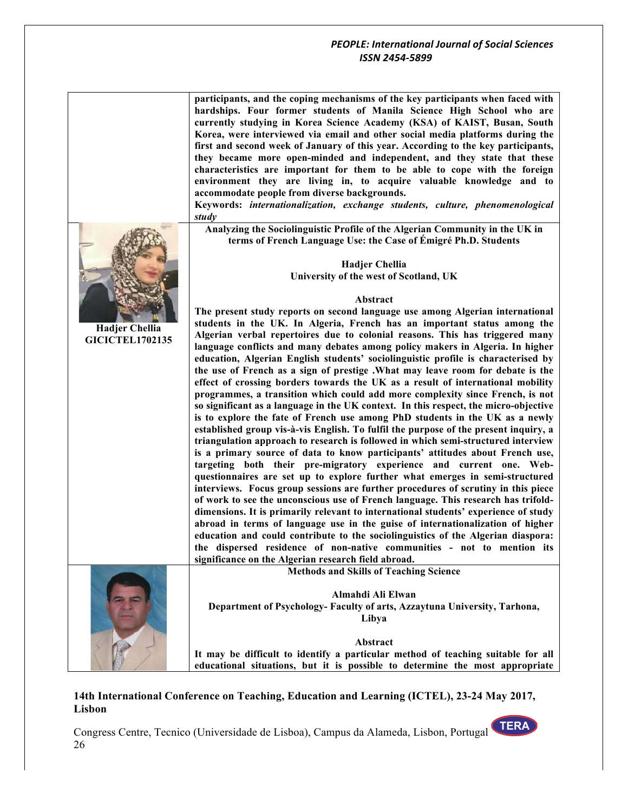|                        | participants, and the coping mechanisms of the key participants when faced with<br>hardships. Four former students of Manila Science High School who are<br>currently studying in Korea Science Academy (KSA) of KAIST, Busan, South<br>Korea, were interviewed via email and other social media platforms during the<br>first and second week of January of this year. According to the key participants,<br>they became more open-minded and independent, and they state that these<br>characteristics are important for them to be able to cope with the foreign<br>environment they are living in, to acquire valuable knowledge and to<br>accommodate people from diverse backgrounds.<br>Keywords: internationalization, exchange students, culture, phenomenological<br>study |
|------------------------|--------------------------------------------------------------------------------------------------------------------------------------------------------------------------------------------------------------------------------------------------------------------------------------------------------------------------------------------------------------------------------------------------------------------------------------------------------------------------------------------------------------------------------------------------------------------------------------------------------------------------------------------------------------------------------------------------------------------------------------------------------------------------------------|
|                        | Analyzing the Sociolinguistic Profile of the Algerian Community in the UK in<br>terms of French Language Use: the Case of Émigré Ph.D. Students                                                                                                                                                                                                                                                                                                                                                                                                                                                                                                                                                                                                                                      |
|                        |                                                                                                                                                                                                                                                                                                                                                                                                                                                                                                                                                                                                                                                                                                                                                                                      |
|                        | <b>Hadjer Chellia</b>                                                                                                                                                                                                                                                                                                                                                                                                                                                                                                                                                                                                                                                                                                                                                                |
|                        | University of the west of Scotland, UK                                                                                                                                                                                                                                                                                                                                                                                                                                                                                                                                                                                                                                                                                                                                               |
|                        | Abstract                                                                                                                                                                                                                                                                                                                                                                                                                                                                                                                                                                                                                                                                                                                                                                             |
|                        | The present study reports on second language use among Algerian international                                                                                                                                                                                                                                                                                                                                                                                                                                                                                                                                                                                                                                                                                                        |
| Hadjer Chellia         | students in the UK. In Algeria, French has an important status among the                                                                                                                                                                                                                                                                                                                                                                                                                                                                                                                                                                                                                                                                                                             |
| <b>GICICTEL1702135</b> | Algerian verbal repertoires due to colonial reasons. This has triggered many                                                                                                                                                                                                                                                                                                                                                                                                                                                                                                                                                                                                                                                                                                         |
|                        | language conflicts and many debates among policy makers in Algeria. In higher                                                                                                                                                                                                                                                                                                                                                                                                                                                                                                                                                                                                                                                                                                        |
|                        | education, Algerian English students' sociolinguistic profile is characterised by                                                                                                                                                                                                                                                                                                                                                                                                                                                                                                                                                                                                                                                                                                    |
|                        | the use of French as a sign of prestige .What may leave room for debate is the<br>effect of crossing borders towards the UK as a result of international mobility                                                                                                                                                                                                                                                                                                                                                                                                                                                                                                                                                                                                                    |
|                        | programmes, a transition which could add more complexity since French, is not                                                                                                                                                                                                                                                                                                                                                                                                                                                                                                                                                                                                                                                                                                        |
|                        | so significant as a language in the UK context. In this respect, the micro-objective                                                                                                                                                                                                                                                                                                                                                                                                                                                                                                                                                                                                                                                                                                 |
|                        | is to explore the fate of French use among PhD students in the UK as a newly                                                                                                                                                                                                                                                                                                                                                                                                                                                                                                                                                                                                                                                                                                         |
|                        | established group vis-à-vis English. To fulfil the purpose of the present inquiry, a                                                                                                                                                                                                                                                                                                                                                                                                                                                                                                                                                                                                                                                                                                 |
|                        | triangulation approach to research is followed in which semi-structured interview                                                                                                                                                                                                                                                                                                                                                                                                                                                                                                                                                                                                                                                                                                    |
|                        | is a primary source of data to know participants' attitudes about French use,                                                                                                                                                                                                                                                                                                                                                                                                                                                                                                                                                                                                                                                                                                        |
|                        | targeting both their pre-migratory experience and current one. Web-                                                                                                                                                                                                                                                                                                                                                                                                                                                                                                                                                                                                                                                                                                                  |
|                        | questionnaires are set up to explore further what emerges in semi-structured<br>interviews. Focus group sessions are further procedures of scrutiny in this piece                                                                                                                                                                                                                                                                                                                                                                                                                                                                                                                                                                                                                    |
|                        | of work to see the unconscious use of French language. This research has trifold-                                                                                                                                                                                                                                                                                                                                                                                                                                                                                                                                                                                                                                                                                                    |
|                        | dimensions. It is primarily relevant to international students' experience of study                                                                                                                                                                                                                                                                                                                                                                                                                                                                                                                                                                                                                                                                                                  |
|                        | abroad in terms of language use in the guise of internationalization of higher                                                                                                                                                                                                                                                                                                                                                                                                                                                                                                                                                                                                                                                                                                       |
|                        | education and could contribute to the sociolinguistics of the Algerian diaspora:                                                                                                                                                                                                                                                                                                                                                                                                                                                                                                                                                                                                                                                                                                     |
|                        | the dispersed residence of non-native communities - not to mention its                                                                                                                                                                                                                                                                                                                                                                                                                                                                                                                                                                                                                                                                                                               |
|                        | significance on the Algerian research field abroad.                                                                                                                                                                                                                                                                                                                                                                                                                                                                                                                                                                                                                                                                                                                                  |
|                        | <b>Methods and Skills of Teaching Science</b>                                                                                                                                                                                                                                                                                                                                                                                                                                                                                                                                                                                                                                                                                                                                        |
|                        |                                                                                                                                                                                                                                                                                                                                                                                                                                                                                                                                                                                                                                                                                                                                                                                      |
|                        | Almahdi Ali Elwan                                                                                                                                                                                                                                                                                                                                                                                                                                                                                                                                                                                                                                                                                                                                                                    |
|                        | Department of Psychology- Faculty of arts, Azzaytuna University, Tarhona,<br>Libya                                                                                                                                                                                                                                                                                                                                                                                                                                                                                                                                                                                                                                                                                                   |
|                        |                                                                                                                                                                                                                                                                                                                                                                                                                                                                                                                                                                                                                                                                                                                                                                                      |
|                        | Abstract                                                                                                                                                                                                                                                                                                                                                                                                                                                                                                                                                                                                                                                                                                                                                                             |
|                        | It may be difficult to identify a particular method of teaching suitable for all                                                                                                                                                                                                                                                                                                                                                                                                                                                                                                                                                                                                                                                                                                     |
|                        | educational situations, but it is possible to determine the most appropriate                                                                                                                                                                                                                                                                                                                                                                                                                                                                                                                                                                                                                                                                                                         |

## **14th International Conference on Teaching, Education and Learning (ICTEL), 23-24 May 2017, Lisbon**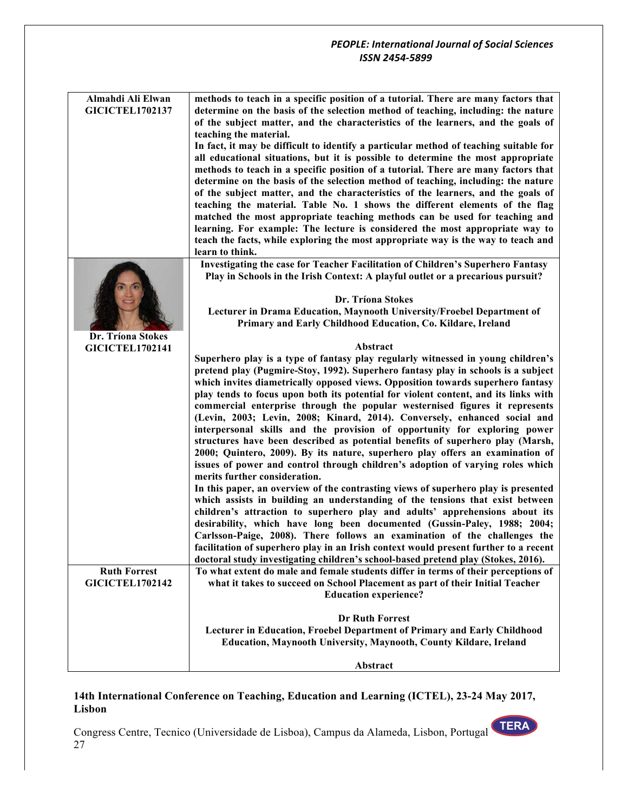| Almahdi Ali Elwan                             | methods to teach in a specific position of a tutorial. There are many factors that                                                                                        |
|-----------------------------------------------|---------------------------------------------------------------------------------------------------------------------------------------------------------------------------|
| <b>GICICTEL1702137</b>                        | determine on the basis of the selection method of teaching, including: the nature                                                                                         |
|                                               | of the subject matter, and the characteristics of the learners, and the goals of                                                                                          |
|                                               | teaching the material.                                                                                                                                                    |
|                                               | In fact, it may be difficult to identify a particular method of teaching suitable for<br>all educational situations, but it is possible to determine the most appropriate |
|                                               | methods to teach in a specific position of a tutorial. There are many factors that                                                                                        |
|                                               | determine on the basis of the selection method of teaching, including: the nature                                                                                         |
|                                               | of the subject matter, and the characteristics of the learners, and the goals of                                                                                          |
|                                               | teaching the material. Table No. 1 shows the different elements of the flag                                                                                               |
|                                               | matched the most appropriate teaching methods can be used for teaching and                                                                                                |
|                                               | learning. For example: The lecture is considered the most appropriate way to                                                                                              |
|                                               | teach the facts, while exploring the most appropriate way is the way to teach and<br>learn to think.                                                                      |
|                                               | Investigating the case for Teacher Facilitation of Children's Superhero Fantasy                                                                                           |
|                                               | Play in Schools in the Irish Context: A playful outlet or a precarious pursuit?                                                                                           |
|                                               |                                                                                                                                                                           |
|                                               | Dr. Tríona Stokes                                                                                                                                                         |
|                                               | Lecturer in Drama Education, Maynooth University/Froebel Department of                                                                                                    |
| Dr. Tríona Stokes                             | Primary and Early Childhood Education, Co. Kildare, Ireland                                                                                                               |
| <b>GICICTEL1702141</b>                        | Abstract                                                                                                                                                                  |
|                                               | Superhero play is a type of fantasy play regularly witnessed in young children's                                                                                          |
|                                               | pretend play (Pugmire-Stoy, 1992). Superhero fantasy play in schools is a subject                                                                                         |
|                                               | which invites diametrically opposed views. Opposition towards superhero fantasy                                                                                           |
|                                               | play tends to focus upon both its potential for violent content, and its links with                                                                                       |
|                                               | commercial enterprise through the popular westernised figures it represents<br>(Levin, 2003; Levin, 2008; Kinard, 2014). Conversely, enhanced social and                  |
|                                               | interpersonal skills and the provision of opportunity for exploring power                                                                                                 |
|                                               | structures have been described as potential benefits of superhero play (Marsh,                                                                                            |
|                                               | 2000; Quintero, 2009). By its nature, superhero play offers an examination of                                                                                             |
|                                               | issues of power and control through children's adoption of varying roles which                                                                                            |
|                                               | merits further consideration.                                                                                                                                             |
|                                               | In this paper, an overview of the contrasting views of superhero play is presented<br>which assists in building an understanding of the tensions that exist between       |
|                                               | children's attraction to superhero play and adults' apprehensions about its                                                                                               |
|                                               | desirability, which have long been documented (Gussin-Paley, 1988; 2004;                                                                                                  |
|                                               | Carlsson-Paige, 2008). There follows an examination of the challenges the                                                                                                 |
|                                               | facilitation of superhero play in an Irish context would present further to a recent                                                                                      |
|                                               | doctoral study investigating children's school-based pretend play (Stokes, 2016).                                                                                         |
| <b>Ruth Forrest</b><br><b>GICICTEL1702142</b> | To what extent do male and female students differ in terms of their perceptions of<br>what it takes to succeed on School Placement as part of their Initial Teacher       |
|                                               | <b>Education experience?</b>                                                                                                                                              |
|                                               |                                                                                                                                                                           |
|                                               | <b>Dr Ruth Forrest</b>                                                                                                                                                    |
|                                               | Lecturer in Education, Froebel Department of Primary and Early Childhood                                                                                                  |
|                                               | Education, Maynooth University, Maynooth, County Kildare, Ireland                                                                                                         |
|                                               | Abstract                                                                                                                                                                  |

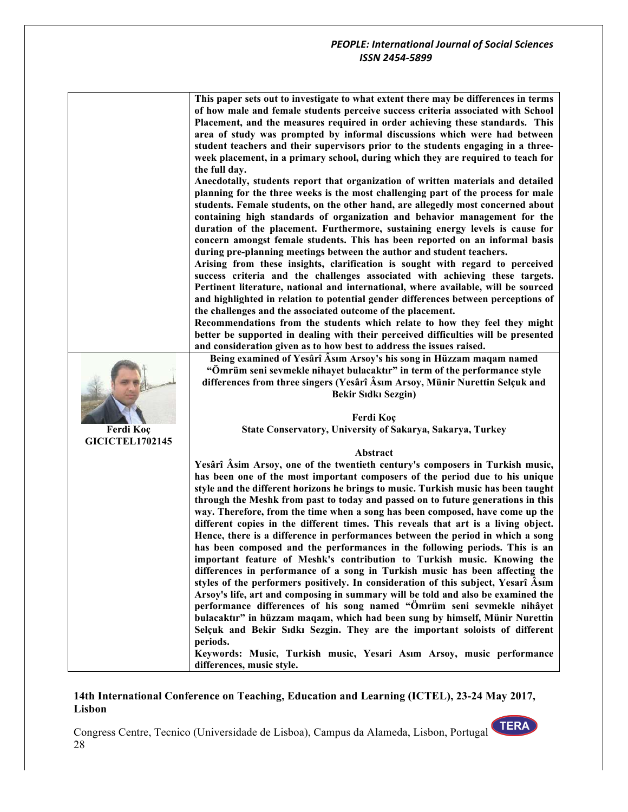| This paper sets out to investigate to what extent there may be differences in terms |
|-------------------------------------------------------------------------------------|
| of how male and female students perceive success criteria associated with School    |
| Placement, and the measures required in order achieving these standards. This       |
| area of study was prompted by informal discussions which were had between           |
| student teachers and their supervisors prior to the students engaging in a three-   |
| week placement, in a primary school, during which they are required to teach for    |
| the full day.                                                                       |

**Anecdotally, students report that organization of written materials and detailed planning for the three weeks is the most challenging part of the process for male students. Female students, on the other hand, are allegedly most concerned about containing high standards of organization and behavior management for the duration of the placement. Furthermore, sustaining energy levels is cause for concern amongst female students. This has been reported on an informal basis during pre-planning meetings between the author and student teachers.** 

**Arising from these insights, clarification is sought with regard to perceived success criteria and the challenges associated with achieving these targets. Pertinent literature, national and international, where available, will be sourced and highlighted in relation to potential gender differences between perceptions of the challenges and the associated outcome of the placement.** 

**Recommendations from the students which relate to how they feel they might better be supported in dealing with their perceived difficulties will be presented and consideration given as to how best to address the issues raised.** 



**Ferdi Koç GICICTEL1702145**

**Being examined of Yesârî Âsım Arsoy's his song in Hüzzam maqam named "Ömrüm seni sevmekle nihayet bulacaktır" in term of the performance style differences from three singers (Yesârî Âsım Arsoy, Münir Nurettin Selçuk and Bekir Sıdkı Sezgin)**

> **Ferdi Koç State Conservatory, University of Sakarya, Sakarya, Turkey**

#### **Abstract**

**Yesârî Âsim Arsoy, one of the twentieth century's composers in Turkish music, has been one of the most important composers of the period due to his unique style and the different horizons he brings to music. Turkish music has been taught through the Meshk from past to today and passed on to future generations in this way. Therefore, from the time when a song has been composed, have come up the different copies in the different times. This reveals that art is a living object. Hence, there is a difference in performances between the period in which a song has been composed and the performances in the following periods. This is an important feature of Meshk's contribution to Turkish music. Knowing the differences in performance of a song in Turkish music has been affecting the styles of the performers positively. In consideration of this subject, Yesarî Âsım Arsoy's life, art and composing in summary will be told and also be examined the performance differences of his song named "Ömrüm seni sevmekle nihâyet bulacaktır" in hüzzam maqam, which had been sung by himself, Münir Nurettin Selçuk and Bekir Sıdkı Sezgin. They are the important soloists of different periods.**

**Keywords: Music, Turkish music, Yesari Asım Arsoy, music performance differences, music style.**

#### **14th International Conference on Teaching, Education and Learning (ICTEL), 23-24 May 2017, Lisbon**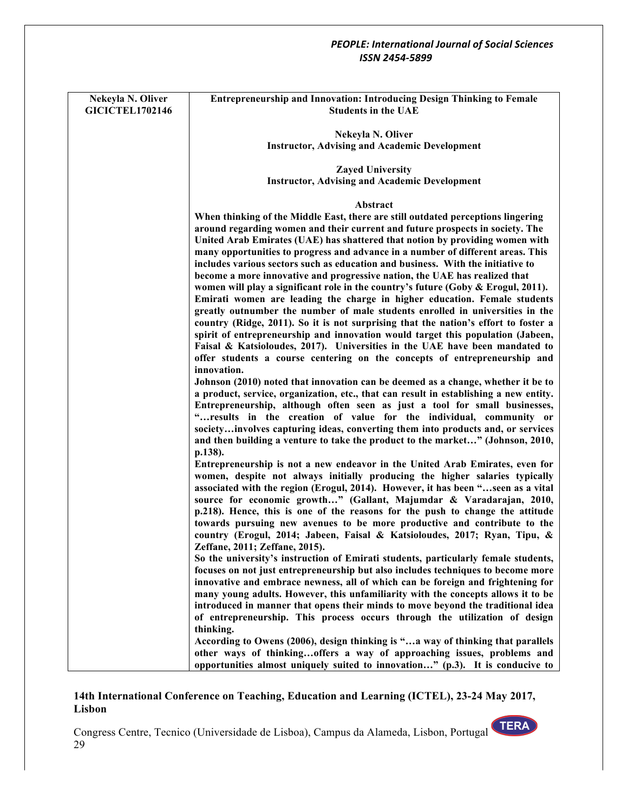| Nekeyla N. Oliver<br><b>GICICTEL1702146</b> | <b>Entrepreneurship and Innovation: Introducing Design Thinking to Female</b><br><b>Students in the UAE</b>                                                                                                                                                                                                                                                                                                                                                                                                                                                                                               |
|---------------------------------------------|-----------------------------------------------------------------------------------------------------------------------------------------------------------------------------------------------------------------------------------------------------------------------------------------------------------------------------------------------------------------------------------------------------------------------------------------------------------------------------------------------------------------------------------------------------------------------------------------------------------|
|                                             | Nekeyla N. Oliver                                                                                                                                                                                                                                                                                                                                                                                                                                                                                                                                                                                         |
|                                             | <b>Instructor, Advising and Academic Development</b>                                                                                                                                                                                                                                                                                                                                                                                                                                                                                                                                                      |
|                                             | <b>Zayed University</b>                                                                                                                                                                                                                                                                                                                                                                                                                                                                                                                                                                                   |
|                                             | <b>Instructor, Advising and Academic Development</b>                                                                                                                                                                                                                                                                                                                                                                                                                                                                                                                                                      |
|                                             | Abstract                                                                                                                                                                                                                                                                                                                                                                                                                                                                                                                                                                                                  |
|                                             | When thinking of the Middle East, there are still outdated perceptions lingering<br>around regarding women and their current and future prospects in society. The<br>United Arab Emirates (UAE) has shattered that notion by providing women with<br>many opportunities to progress and advance in a number of different areas. This<br>includes various sectors such as education and business. With the initiative to                                                                                                                                                                                   |
|                                             | become a more innovative and progressive nation, the UAE has realized that<br>women will play a significant role in the country's future (Goby $\&$ Erogul, 2011).<br>Emirati women are leading the charge in higher education. Female students<br>greatly outnumber the number of male students enrolled in universities in the<br>country (Ridge, 2011). So it is not surprising that the nation's effort to foster a<br>spirit of entrepreneurship and innovation would target this population (Jabeen,<br>Faisal & Katsioloudes, 2017). Universities in the UAE have been mandated to                 |
|                                             | offer students a course centering on the concepts of entrepreneurship and<br>innovation.<br>Johnson (2010) noted that innovation can be deemed as a change, whether it be to<br>a product, service, organization, etc., that can result in establishing a new entity.<br>Entrepreneurship, although often seen as just a tool for small businesses,<br>"results in the creation of value for the individual, community or<br>societyinvolves capturing ideas, converting them into products and, or services<br>and then building a venture to take the product to the market" (Johnson, 2010,<br>p.138). |
|                                             | Entrepreneurship is not a new endeavor in the United Arab Emirates, even for<br>women, despite not always initially producing the higher salaries typically<br>associated with the region (Erogul, 2014). However, it has been "seen as a vital<br>source for economic growth" (Gallant, Majumdar & Varadarajan, 2010,<br>p.218). Hence, this is one of the reasons for the push to change the attitude<br>towards pursuing new avenues to be more productive and contribute to the<br>country (Erogul, 2014; Jabeen, Faisal & Katsioloudes, 2017; Ryan, Tipu, &<br>Zeffane, 2011; Zeffane, 2015).        |
|                                             | So the university's instruction of Emirati students, particularly female students,<br>focuses on not just entrepreneurship but also includes techniques to become more<br>innovative and embrace newness, all of which can be foreign and frightening for<br>many young adults. However, this unfamiliarity with the concepts allows it to be<br>introduced in manner that opens their minds to move beyond the traditional idea<br>of entrepreneurship. This process occurs through the utilization of design<br>thinking.                                                                               |
|                                             | According to Owens (2006), design thinking is "a way of thinking that parallels<br>other ways of thinkingoffers a way of approaching issues, problems and<br>opportunities almost uniquely suited to innovation" $(p.3)$ . It is conducive to                                                                                                                                                                                                                                                                                                                                                             |

# **14th International Conference on Teaching, Education and Learning (ICTEL), 23-24 May 2017, Lisbon**

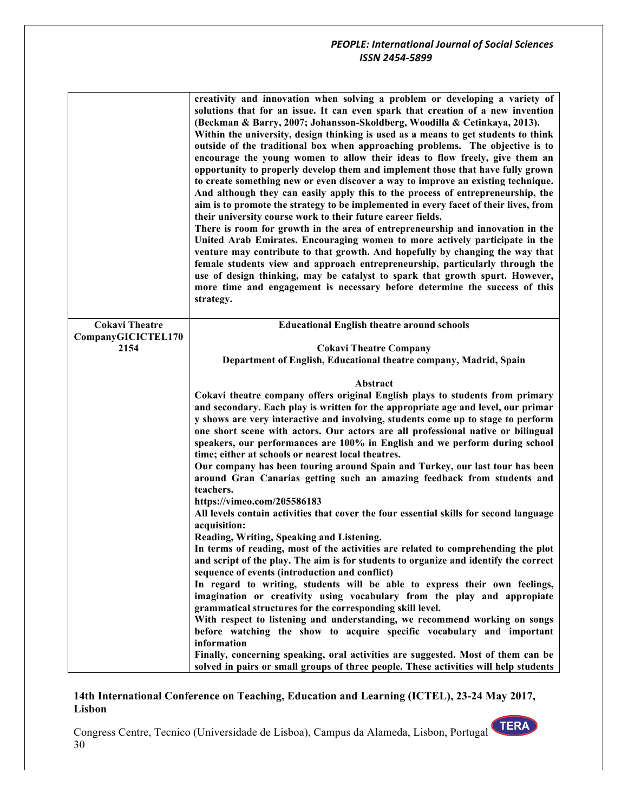|                       | creativity and innovation when solving a problem or developing a variety of<br>solutions that for an issue. It can even spark that creation of a new invention<br>(Beckman & Barry, 2007; Johansson-Skoldberg, Woodilla & Cetinkaya, 2013).<br>Within the university, design thinking is used as a means to get students to think<br>outside of the traditional box when approaching problems. The objective is to<br>encourage the young women to allow their ideas to flow freely, give them an<br>opportunity to properly develop them and implement those that have fully grown<br>to create something new or even discover a way to improve an existing technique.<br>And although they can easily apply this to the process of entrepreneurship, the<br>aim is to promote the strategy to be implemented in every facet of their lives, from<br>their university course work to their future career fields.<br>There is room for growth in the area of entrepreneurship and innovation in the<br>United Arab Emirates. Encouraging women to more actively participate in the<br>venture may contribute to that growth. And hopefully by changing the way that<br>female students view and approach entrepreneurship, particularly through the<br>use of design thinking, may be catalyst to spark that growth spurt. However,<br>more time and engagement is necessary before determine the success of this<br>strategy. |
|-----------------------|--------------------------------------------------------------------------------------------------------------------------------------------------------------------------------------------------------------------------------------------------------------------------------------------------------------------------------------------------------------------------------------------------------------------------------------------------------------------------------------------------------------------------------------------------------------------------------------------------------------------------------------------------------------------------------------------------------------------------------------------------------------------------------------------------------------------------------------------------------------------------------------------------------------------------------------------------------------------------------------------------------------------------------------------------------------------------------------------------------------------------------------------------------------------------------------------------------------------------------------------------------------------------------------------------------------------------------------------------------------------------------------------------------------------------------|
| <b>Cokavi Theatre</b> | <b>Educational English theatre around schools</b>                                                                                                                                                                                                                                                                                                                                                                                                                                                                                                                                                                                                                                                                                                                                                                                                                                                                                                                                                                                                                                                                                                                                                                                                                                                                                                                                                                              |
| CompanyGICICTEL170    |                                                                                                                                                                                                                                                                                                                                                                                                                                                                                                                                                                                                                                                                                                                                                                                                                                                                                                                                                                                                                                                                                                                                                                                                                                                                                                                                                                                                                                |
| 2154                  | <b>Cokavi Theatre Company</b><br>Department of English, Educational theatre company, Madrid, Spain                                                                                                                                                                                                                                                                                                                                                                                                                                                                                                                                                                                                                                                                                                                                                                                                                                                                                                                                                                                                                                                                                                                                                                                                                                                                                                                             |
|                       |                                                                                                                                                                                                                                                                                                                                                                                                                                                                                                                                                                                                                                                                                                                                                                                                                                                                                                                                                                                                                                                                                                                                                                                                                                                                                                                                                                                                                                |
|                       | Abstract                                                                                                                                                                                                                                                                                                                                                                                                                                                                                                                                                                                                                                                                                                                                                                                                                                                                                                                                                                                                                                                                                                                                                                                                                                                                                                                                                                                                                       |
|                       | Cokavi theatre company offers original English plays to students from primary                                                                                                                                                                                                                                                                                                                                                                                                                                                                                                                                                                                                                                                                                                                                                                                                                                                                                                                                                                                                                                                                                                                                                                                                                                                                                                                                                  |
|                       | and secondary. Each play is written for the appropriate age and level, our primar                                                                                                                                                                                                                                                                                                                                                                                                                                                                                                                                                                                                                                                                                                                                                                                                                                                                                                                                                                                                                                                                                                                                                                                                                                                                                                                                              |
|                       | y shows are very interactive and involving, students come up to stage to perform<br>one short scene with actors. Our actors are all professional native or bilingual                                                                                                                                                                                                                                                                                                                                                                                                                                                                                                                                                                                                                                                                                                                                                                                                                                                                                                                                                                                                                                                                                                                                                                                                                                                           |
|                       | speakers, our performances are 100% in English and we perform during school                                                                                                                                                                                                                                                                                                                                                                                                                                                                                                                                                                                                                                                                                                                                                                                                                                                                                                                                                                                                                                                                                                                                                                                                                                                                                                                                                    |
|                       | time; either at schools or nearest local theatres.                                                                                                                                                                                                                                                                                                                                                                                                                                                                                                                                                                                                                                                                                                                                                                                                                                                                                                                                                                                                                                                                                                                                                                                                                                                                                                                                                                             |
|                       | Our company has been touring around Spain and Turkey, our last tour has been                                                                                                                                                                                                                                                                                                                                                                                                                                                                                                                                                                                                                                                                                                                                                                                                                                                                                                                                                                                                                                                                                                                                                                                                                                                                                                                                                   |
|                       | around Gran Canarias getting such an amazing feedback from students and                                                                                                                                                                                                                                                                                                                                                                                                                                                                                                                                                                                                                                                                                                                                                                                                                                                                                                                                                                                                                                                                                                                                                                                                                                                                                                                                                        |
|                       | teachers.<br>https://vimeo.com/205586183                                                                                                                                                                                                                                                                                                                                                                                                                                                                                                                                                                                                                                                                                                                                                                                                                                                                                                                                                                                                                                                                                                                                                                                                                                                                                                                                                                                       |
|                       | All levels contain activities that cover the four essential skills for second language                                                                                                                                                                                                                                                                                                                                                                                                                                                                                                                                                                                                                                                                                                                                                                                                                                                                                                                                                                                                                                                                                                                                                                                                                                                                                                                                         |
|                       | acquisition:                                                                                                                                                                                                                                                                                                                                                                                                                                                                                                                                                                                                                                                                                                                                                                                                                                                                                                                                                                                                                                                                                                                                                                                                                                                                                                                                                                                                                   |
|                       | Reading, Writing, Speaking and Listening.                                                                                                                                                                                                                                                                                                                                                                                                                                                                                                                                                                                                                                                                                                                                                                                                                                                                                                                                                                                                                                                                                                                                                                                                                                                                                                                                                                                      |
|                       | In terms of reading, most of the activities are related to comprehending the plot                                                                                                                                                                                                                                                                                                                                                                                                                                                                                                                                                                                                                                                                                                                                                                                                                                                                                                                                                                                                                                                                                                                                                                                                                                                                                                                                              |
|                       | and script of the play. The aim is for students to organize and identify the correct<br>sequence of events (introduction and conflict)                                                                                                                                                                                                                                                                                                                                                                                                                                                                                                                                                                                                                                                                                                                                                                                                                                                                                                                                                                                                                                                                                                                                                                                                                                                                                         |
|                       | In regard to writing, students will be able to express their own feelings,                                                                                                                                                                                                                                                                                                                                                                                                                                                                                                                                                                                                                                                                                                                                                                                                                                                                                                                                                                                                                                                                                                                                                                                                                                                                                                                                                     |
|                       | imagination or creativity using vocabulary from the play and appropiate                                                                                                                                                                                                                                                                                                                                                                                                                                                                                                                                                                                                                                                                                                                                                                                                                                                                                                                                                                                                                                                                                                                                                                                                                                                                                                                                                        |
|                       | grammatical structures for the corresponding skill level.                                                                                                                                                                                                                                                                                                                                                                                                                                                                                                                                                                                                                                                                                                                                                                                                                                                                                                                                                                                                                                                                                                                                                                                                                                                                                                                                                                      |
|                       | With respect to listening and understanding, we recommend working on songs<br>before watching the show to acquire specific vocabulary and important                                                                                                                                                                                                                                                                                                                                                                                                                                                                                                                                                                                                                                                                                                                                                                                                                                                                                                                                                                                                                                                                                                                                                                                                                                                                            |
|                       | information                                                                                                                                                                                                                                                                                                                                                                                                                                                                                                                                                                                                                                                                                                                                                                                                                                                                                                                                                                                                                                                                                                                                                                                                                                                                                                                                                                                                                    |
|                       | Finally, concerning speaking, oral activities are suggested. Most of them can be                                                                                                                                                                                                                                                                                                                                                                                                                                                                                                                                                                                                                                                                                                                                                                                                                                                                                                                                                                                                                                                                                                                                                                                                                                                                                                                                               |
|                       | solved in pairs or small groups of three people. These activities will help students                                                                                                                                                                                                                                                                                                                                                                                                                                                                                                                                                                                                                                                                                                                                                                                                                                                                                                                                                                                                                                                                                                                                                                                                                                                                                                                                           |

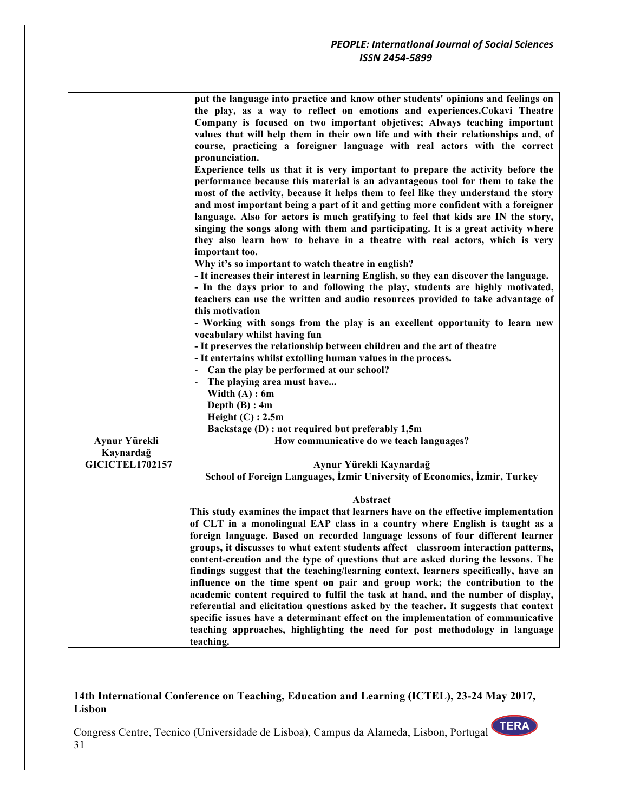|                        | put the language into practice and know other students' opinions and feelings on<br>the play, as a way to reflect on emotions and experiences. Cokavi Theatre<br>Company is focused on two important objetives; Always teaching important<br>values that will help them in their own life and with their relationships and, of<br>course, practicing a foreigner language with real actors with the correct<br>pronunciation.<br>Experience tells us that it is very important to prepare the activity before the<br>performance because this material is an advantageous tool for them to take the<br>most of the activity, because it helps them to feel like they understand the story<br>and most important being a part of it and getting more confident with a foreigner<br>language. Also for actors is much gratifying to feel that kids are IN the story,<br>singing the songs along with them and participating. It is a great activity where<br>they also learn how to behave in a theatre with real actors, which is very<br>important too.<br>Why it's so important to watch theatre in english?<br>- It increases their interest in learning English, so they can discover the language.<br>- In the days prior to and following the play, students are highly motivated,<br>teachers can use the written and audio resources provided to take advantage of<br>this motivation<br>- Working with songs from the play is an excellent opportunity to learn new<br>vocabulary whilst having fun<br>- It preserves the relationship between children and the art of theatre<br>- It entertains whilst extolling human values in the process.<br>- Can the play be performed at our school?<br>The playing area must have<br>Width $(A)$ : 6m |
|------------------------|---------------------------------------------------------------------------------------------------------------------------------------------------------------------------------------------------------------------------------------------------------------------------------------------------------------------------------------------------------------------------------------------------------------------------------------------------------------------------------------------------------------------------------------------------------------------------------------------------------------------------------------------------------------------------------------------------------------------------------------------------------------------------------------------------------------------------------------------------------------------------------------------------------------------------------------------------------------------------------------------------------------------------------------------------------------------------------------------------------------------------------------------------------------------------------------------------------------------------------------------------------------------------------------------------------------------------------------------------------------------------------------------------------------------------------------------------------------------------------------------------------------------------------------------------------------------------------------------------------------------------------------------------------------------------------------------------------------------------------------------------------|
|                        | Depth $(B)$ : 4m                                                                                                                                                                                                                                                                                                                                                                                                                                                                                                                                                                                                                                                                                                                                                                                                                                                                                                                                                                                                                                                                                                                                                                                                                                                                                                                                                                                                                                                                                                                                                                                                                                                                                                                                        |
|                        | Height $(C)$ : 2.5m                                                                                                                                                                                                                                                                                                                                                                                                                                                                                                                                                                                                                                                                                                                                                                                                                                                                                                                                                                                                                                                                                                                                                                                                                                                                                                                                                                                                                                                                                                                                                                                                                                                                                                                                     |
|                        | Backstage (D) : not required but preferably 1,5m                                                                                                                                                                                                                                                                                                                                                                                                                                                                                                                                                                                                                                                                                                                                                                                                                                                                                                                                                                                                                                                                                                                                                                                                                                                                                                                                                                                                                                                                                                                                                                                                                                                                                                        |
| <b>Aynur Yürekli</b>   | How communicative do we teach languages?                                                                                                                                                                                                                                                                                                                                                                                                                                                                                                                                                                                                                                                                                                                                                                                                                                                                                                                                                                                                                                                                                                                                                                                                                                                                                                                                                                                                                                                                                                                                                                                                                                                                                                                |
| Kaynardağ              |                                                                                                                                                                                                                                                                                                                                                                                                                                                                                                                                                                                                                                                                                                                                                                                                                                                                                                                                                                                                                                                                                                                                                                                                                                                                                                                                                                                                                                                                                                                                                                                                                                                                                                                                                         |
| <b>GICICTEL1702157</b> | Aynur Yürekli Kaynardağ                                                                                                                                                                                                                                                                                                                                                                                                                                                                                                                                                                                                                                                                                                                                                                                                                                                                                                                                                                                                                                                                                                                                                                                                                                                                                                                                                                                                                                                                                                                                                                                                                                                                                                                                 |
|                        | School of Foreign Languages, İzmir University of Economics, İzmir, Turkey                                                                                                                                                                                                                                                                                                                                                                                                                                                                                                                                                                                                                                                                                                                                                                                                                                                                                                                                                                                                                                                                                                                                                                                                                                                                                                                                                                                                                                                                                                                                                                                                                                                                               |
|                        |                                                                                                                                                                                                                                                                                                                                                                                                                                                                                                                                                                                                                                                                                                                                                                                                                                                                                                                                                                                                                                                                                                                                                                                                                                                                                                                                                                                                                                                                                                                                                                                                                                                                                                                                                         |
|                        | Abstract                                                                                                                                                                                                                                                                                                                                                                                                                                                                                                                                                                                                                                                                                                                                                                                                                                                                                                                                                                                                                                                                                                                                                                                                                                                                                                                                                                                                                                                                                                                                                                                                                                                                                                                                                |
|                        | This study examines the impact that learners have on the effective implementation                                                                                                                                                                                                                                                                                                                                                                                                                                                                                                                                                                                                                                                                                                                                                                                                                                                                                                                                                                                                                                                                                                                                                                                                                                                                                                                                                                                                                                                                                                                                                                                                                                                                       |
|                        | of CLT in a monolingual EAP class in a country where English is taught as a                                                                                                                                                                                                                                                                                                                                                                                                                                                                                                                                                                                                                                                                                                                                                                                                                                                                                                                                                                                                                                                                                                                                                                                                                                                                                                                                                                                                                                                                                                                                                                                                                                                                             |
|                        | foreign language. Based on recorded language lessons of four different learner                                                                                                                                                                                                                                                                                                                                                                                                                                                                                                                                                                                                                                                                                                                                                                                                                                                                                                                                                                                                                                                                                                                                                                                                                                                                                                                                                                                                                                                                                                                                                                                                                                                                          |
|                        | groups, it discusses to what extent students affect classroom interaction patterns,                                                                                                                                                                                                                                                                                                                                                                                                                                                                                                                                                                                                                                                                                                                                                                                                                                                                                                                                                                                                                                                                                                                                                                                                                                                                                                                                                                                                                                                                                                                                                                                                                                                                     |
|                        | content-creation and the type of questions that are asked during the lessons. The                                                                                                                                                                                                                                                                                                                                                                                                                                                                                                                                                                                                                                                                                                                                                                                                                                                                                                                                                                                                                                                                                                                                                                                                                                                                                                                                                                                                                                                                                                                                                                                                                                                                       |
|                        | findings suggest that the teaching/learning context, learners specifically, have an                                                                                                                                                                                                                                                                                                                                                                                                                                                                                                                                                                                                                                                                                                                                                                                                                                                                                                                                                                                                                                                                                                                                                                                                                                                                                                                                                                                                                                                                                                                                                                                                                                                                     |
|                        | influence on the time spent on pair and group work; the contribution to the                                                                                                                                                                                                                                                                                                                                                                                                                                                                                                                                                                                                                                                                                                                                                                                                                                                                                                                                                                                                                                                                                                                                                                                                                                                                                                                                                                                                                                                                                                                                                                                                                                                                             |
|                        | academic content required to fulfil the task at hand, and the number of display,<br>referential and elicitation questions asked by the teacher. It suggests that context                                                                                                                                                                                                                                                                                                                                                                                                                                                                                                                                                                                                                                                                                                                                                                                                                                                                                                                                                                                                                                                                                                                                                                                                                                                                                                                                                                                                                                                                                                                                                                                |
|                        | specific issues have a determinant effect on the implementation of communicative                                                                                                                                                                                                                                                                                                                                                                                                                                                                                                                                                                                                                                                                                                                                                                                                                                                                                                                                                                                                                                                                                                                                                                                                                                                                                                                                                                                                                                                                                                                                                                                                                                                                        |
|                        | teaching approaches, highlighting the need for post methodology in language                                                                                                                                                                                                                                                                                                                                                                                                                                                                                                                                                                                                                                                                                                                                                                                                                                                                                                                                                                                                                                                                                                                                                                                                                                                                                                                                                                                                                                                                                                                                                                                                                                                                             |
|                        | teaching.                                                                                                                                                                                                                                                                                                                                                                                                                                                                                                                                                                                                                                                                                                                                                                                                                                                                                                                                                                                                                                                                                                                                                                                                                                                                                                                                                                                                                                                                                                                                                                                                                                                                                                                                               |

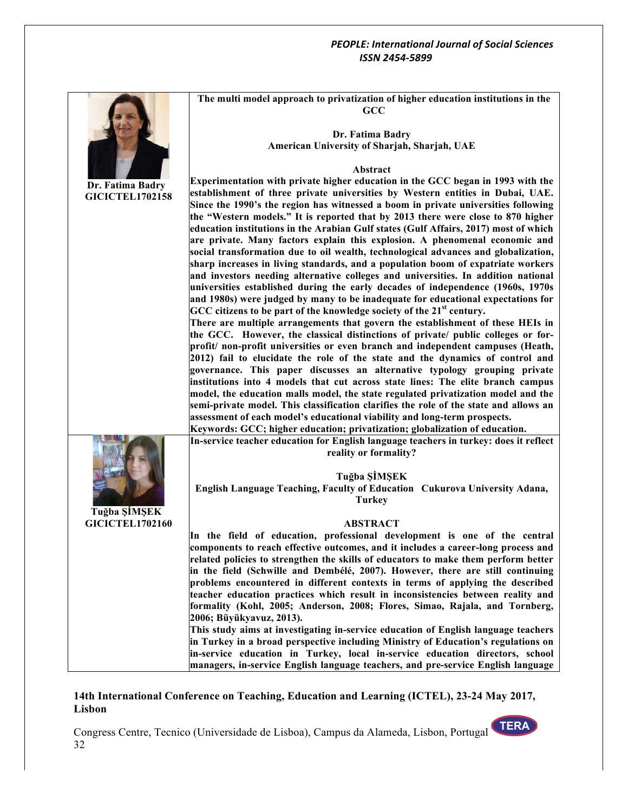|                        | The multi model approach to privatization of higher education institutions in the                                                                              |
|------------------------|----------------------------------------------------------------------------------------------------------------------------------------------------------------|
|                        | GCC                                                                                                                                                            |
|                        |                                                                                                                                                                |
|                        | Dr. Fatima Badry                                                                                                                                               |
|                        | American University of Sharjah, Sharjah, UAE                                                                                                                   |
|                        |                                                                                                                                                                |
|                        | Abstract                                                                                                                                                       |
| Dr. Fatima Badry       | Experimentation with private higher education in the GCC began in 1993 with the                                                                                |
| <b>GICICTEL1702158</b> | establishment of three private universities by Western entities in Dubai, UAE.                                                                                 |
|                        | Since the 1990's the region has witnessed a boom in private universities following                                                                             |
|                        | the "Western models." It is reported that by 2013 there were close to 870 higher                                                                               |
|                        | education institutions in the Arabian Gulf states (Gulf Affairs, 2017) most of which                                                                           |
|                        | are private. Many factors explain this explosion. A phenomenal economic and                                                                                    |
|                        | social transformation due to oil wealth, technological advances and globalization,                                                                             |
|                        | sharp increases in living standards, and a population boom of expatriate workers                                                                               |
|                        | and investors needing alternative colleges and universities. In addition national                                                                              |
|                        | universities established during the early decades of independence (1960s, 1970s                                                                                |
|                        | and 1980s) were judged by many to be inadequate for educational expectations for<br>GCC citizens to be part of the knowledge society of the 21st century.      |
|                        | There are multiple arrangements that govern the establishment of these HEIs in                                                                                 |
|                        | the GCC. However, the classical distinctions of private/ public colleges or for-                                                                               |
|                        | profit/ non-profit universities or even branch and independent campuses (Heath,                                                                                |
|                        | 2012) fail to elucidate the role of the state and the dynamics of control and                                                                                  |
|                        | governance. This paper discusses an alternative typology grouping private                                                                                      |
|                        | institutions into 4 models that cut across state lines: The elite branch campus                                                                                |
|                        | model, the education malls model, the state regulated privatization model and the                                                                              |
|                        | semi-private model. This classification clarifies the role of the state and allows an                                                                          |
|                        | assessment of each model's educational viability and long-term prospects.                                                                                      |
|                        | Keywords: GCC; higher education; privatization; globalization of education.                                                                                    |
|                        | In-service teacher education for English language teachers in turkey: does it reflect                                                                          |
|                        | reality or formality?                                                                                                                                          |
|                        |                                                                                                                                                                |
|                        | Tuğba ŞİMŞEK                                                                                                                                                   |
|                        | English Language Teaching, Faculty of Education Cukurova University Adana,                                                                                     |
|                        | <b>Turkey</b>                                                                                                                                                  |
| Tuğba ŞİMŞEK           |                                                                                                                                                                |
| <b>GICICTEL1702160</b> | <b>ABSTRACT</b>                                                                                                                                                |
|                        | In the field of education, professional development is one of the central<br>components to reach effective outcomes, and it includes a career-long process and |
|                        | related policies to strengthen the skills of educators to make them perform better                                                                             |
|                        | in the field (Schwille and Dembélé, 2007). However, there are still continuing                                                                                 |
|                        | problems encountered in different contexts in terms of applying the described                                                                                  |
|                        | teacher education practices which result in inconsistencies between reality and                                                                                |
|                        | formality (Kohl, 2005; Anderson, 2008; Flores, Simao, Rajala, and Tornberg,                                                                                    |
|                        | 2006; Büyükyavuz, 2013).                                                                                                                                       |
|                        | This study aims at investigating in-service education of English language teachers                                                                             |
|                        | in Turkey in a broad perspective including Ministry of Education's regulations on                                                                              |
|                        | in-service education in Turkey, local in-service education directors, school                                                                                   |
|                        | managers, in-service English language teachers, and pre-service English language                                                                               |

# **14th International Conference on Teaching, Education and Learning (ICTEL), 23-24 May 2017, Lisbon**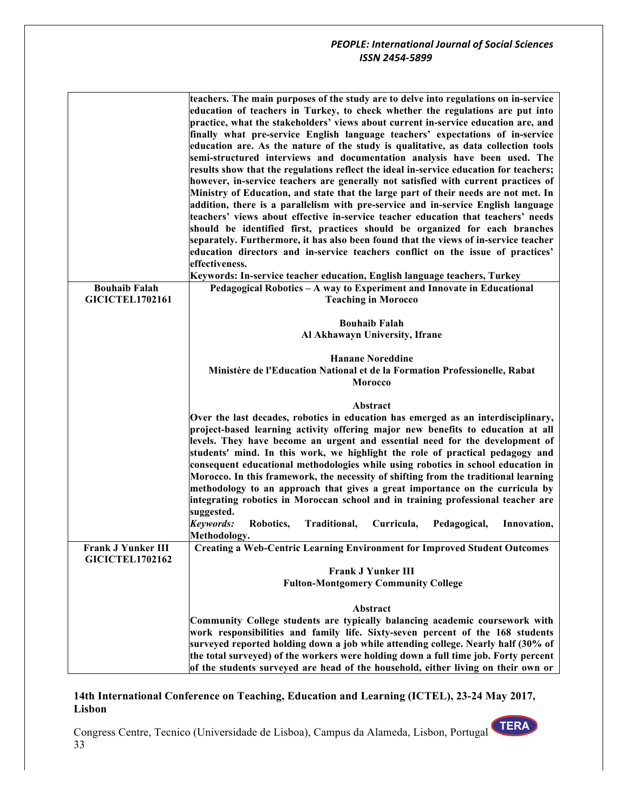|                           | teachers. The main purposes of the study are to delve into regulations on in-service   |
|---------------------------|----------------------------------------------------------------------------------------|
|                           | education of teachers in Turkey, to check whether the regulations are put into         |
|                           | practice, what the stakeholders' views about current in-service education are, and     |
|                           | finally what pre-service English language teachers' expectations of in-service         |
|                           | education are. As the nature of the study is qualitative, as data collection tools     |
|                           | semi-structured interviews and documentation analysis have been used. The              |
|                           | results show that the regulations reflect the ideal in-service education for teachers; |
|                           | however, in-service teachers are generally not satisfied with current practices of     |
|                           | Ministry of Education, and state that the large part of their needs are not met. In    |
|                           |                                                                                        |
|                           | addition, there is a parallelism with pre-service and in-service English language      |
|                           | teachers' views about effective in-service teacher education that teachers' needs      |
|                           | should be identified first, practices should be organized for each branches            |
|                           | separately. Furthermore, it has also been found that the views of in-service teacher   |
|                           | education directors and in-service teachers conflict on the issue of practices'        |
|                           | effectiveness.                                                                         |
|                           | Keywords: In-service teacher education, English language teachers, Turkey              |
| <b>Bouhaib Falah</b>      | Pedagogical Robotics - A way to Experiment and Innovate in Educational                 |
| <b>GICICTEL1702161</b>    | <b>Teaching in Morocco</b>                                                             |
|                           |                                                                                        |
|                           | <b>Bouhaib Falah</b>                                                                   |
|                           | Al Akhawayn University, Ifrane                                                         |
|                           |                                                                                        |
|                           | <b>Hanane Noreddine</b>                                                                |
|                           | Ministère de l'Education National et de la Formation Professionelle, Rabat             |
|                           | <b>Morocco</b>                                                                         |
|                           | <b>Abstract</b>                                                                        |
|                           |                                                                                        |
|                           | Over the last decades, robotics in education has emerged as an interdisciplinary,      |
|                           | project-based learning activity offering major new benefits to education at all        |
|                           | levels. They have become an urgent and essential need for the development of           |
|                           | students' mind. In this work, we highlight the role of practical pedagogy and          |
|                           | consequent educational methodologies while using robotics in school education in       |
|                           | Morocco. In this framework, the necessity of shifting from the traditional learning    |
|                           | methodology to an approach that gives a great importance on the curricula by           |
|                           | integrating robotics in Moroccan school and in training professional teacher are       |
|                           | suggested.                                                                             |
|                           | Keywords:<br>Robotics,<br>Traditional,<br>Curricula,<br>Pedagogical,<br>Innovation,    |
|                           | Methodology.                                                                           |
| <b>Frank J Yunker III</b> | <b>Creating a Web-Centric Learning Environment for Improved Student Outcomes</b>       |
| <b>GICICTEL1702162</b>    |                                                                                        |
|                           | <b>Frank J Yunker III</b>                                                              |
|                           | <b>Fulton-Montgomery Community College</b>                                             |
|                           |                                                                                        |
|                           | Abstract                                                                               |
|                           | Community College students are typically balancing academic coursework with            |
|                           | work responsibilities and family life. Sixty-seven percent of the 168 students         |
|                           | surveyed reported holding down a job while attending college. Nearly half (30% of      |
|                           | the total surveyed) of the workers were holding down a full time job. Forty percent    |
|                           | of the students surveyed are head of the household, either living on their own or      |

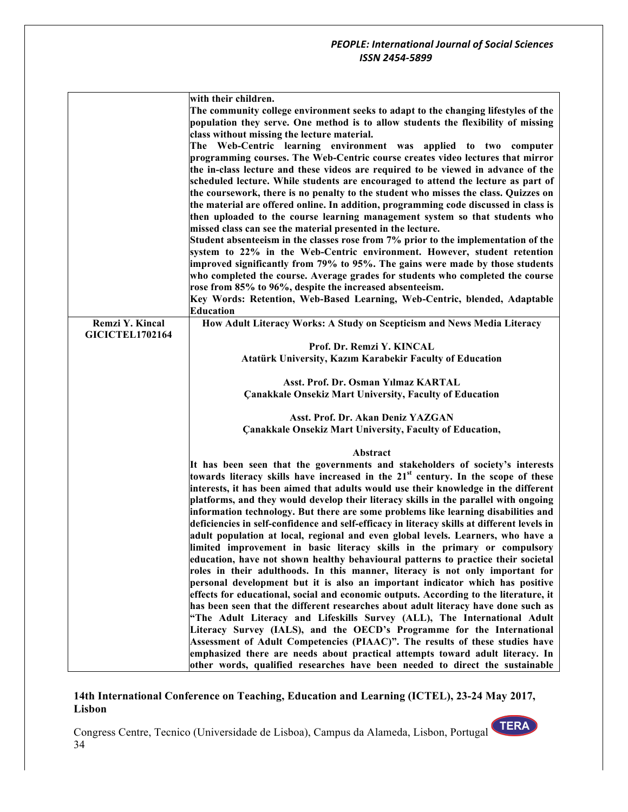|                        | with their children.                                                                          |
|------------------------|-----------------------------------------------------------------------------------------------|
|                        | The community college environment seeks to adapt to the changing lifestyles of the            |
|                        | population they serve. One method is to allow students the flexibility of missing             |
|                        | class without missing the lecture material.                                                   |
|                        | The Web-Centric learning environment was applied to two computer                              |
|                        | programming courses. The Web-Centric course creates video lectures that mirror                |
|                        |                                                                                               |
|                        | the in-class lecture and these videos are required to be viewed in advance of the             |
|                        | scheduled lecture. While students are encouraged to attend the lecture as part of             |
|                        | the coursework, there is no penalty to the student who misses the class. Quizzes on           |
|                        | the material are offered online. In addition, programming code discussed in class is          |
|                        | then uploaded to the course learning management system so that students who                   |
|                        | missed class can see the material presented in the lecture.                                   |
|                        | Student absenteeism in the classes rose from 7% prior to the implementation of the            |
|                        | system to 22% in the Web-Centric environment. However, student retention                      |
|                        | improved significantly from 79% to 95%. The gains were made by those students                 |
|                        | who completed the course. Average grades for students who completed the course                |
|                        |                                                                                               |
|                        | rose from 85% to 96%, despite the increased absenteeism.                                      |
|                        | Key Words: Retention, Web-Based Learning, Web-Centric, blended, Adaptable                     |
|                        | <b>Education</b>                                                                              |
| Remzi Y. Kincal        | How Adult Literacy Works: A Study on Scepticism and News Media Literacy                       |
| <b>GICICTEL1702164</b> |                                                                                               |
|                        | Prof. Dr. Remzi Y. KINCAL                                                                     |
|                        | Atatürk University, Kazım Karabekir Faculty of Education                                      |
|                        |                                                                                               |
|                        | Asst. Prof. Dr. Osman Yılmaz KARTAL                                                           |
|                        | <b>Çanakkale Onsekiz Mart University, Faculty of Education</b>                                |
|                        |                                                                                               |
|                        | Asst. Prof. Dr. Akan Deniz YAZGAN                                                             |
|                        | <b>Çanakkale Onsekiz Mart University, Faculty of Education,</b>                               |
|                        |                                                                                               |
|                        | Abstract                                                                                      |
|                        | It has been seen that the governments and stakeholders of society's interests                 |
|                        | towards literacy skills have increased in the 21 <sup>st</sup> century. In the scope of these |
|                        |                                                                                               |
|                        | interests, it has been aimed that adults would use their knowledge in the different           |
|                        | platforms, and they would develop their literacy skills in the parallel with ongoing          |
|                        | information technology. But there are some problems like learning disabilities and            |
|                        | deficiencies in self-confidence and self-efficacy in literacy skills at different levels in   |
|                        | adult population at local, regional and even global levels. Learners, who have a              |
|                        | limited improvement in basic literacy skills in the primary or compulsory                     |
|                        | education, have not shown healthy behavioural patterns to practice their societal             |
|                        | roles in their adulthoods. In this manner, literacy is not only important for                 |
|                        | personal development but it is also an important indicator which has positive                 |
|                        | effects for educational, social and economic outputs. According to the literature, it         |
|                        | has been seen that the different researches about adult literacy have done such as            |
|                        |                                                                                               |
|                        | "The Adult Literacy and Lifeskills Survey (ALL), The International Adult                      |
|                        | Literacy Survey (IALS), and the OECD's Programme for the International                        |
|                        | Assessment of Adult Competencies (PIAAC)". The results of these studies have                  |
|                        | emphasized there are needs about practical attempts toward adult literacy. In                 |
|                        | other words, qualified researches have been needed to direct the sustainable                  |

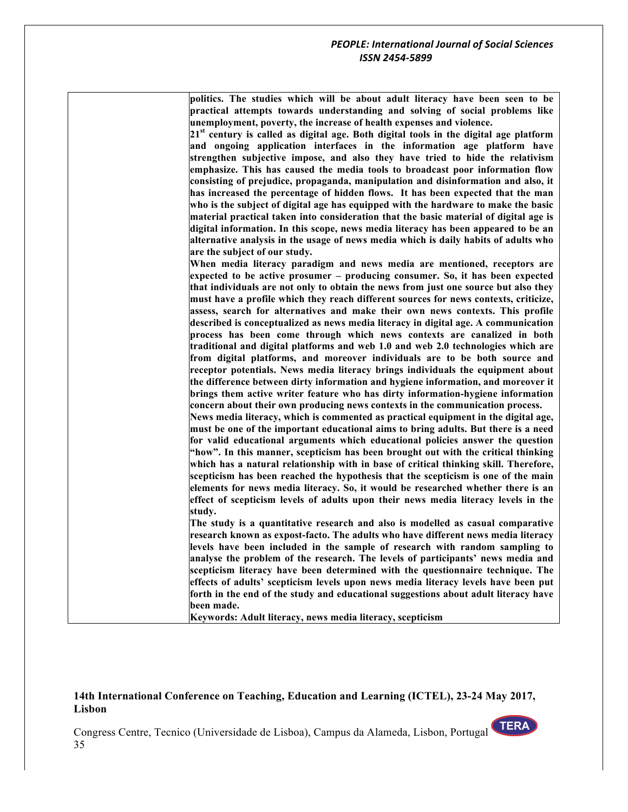**politics. The studies which will be about adult literacy have been seen to be practical attempts towards understanding and solving of social problems like unemployment, poverty, the increase of health expenses and violence.** 

**21st century is called as digital age. Both digital tools in the digital age platform and ongoing application interfaces in the information age platform have strengthen subjective impose, and also they have tried to hide the relativism emphasize. This has caused the media tools to broadcast poor information flow consisting of prejudice, propaganda, manipulation and disinformation and also, it has increased the percentage of hidden flows. It has been expected that the man who is the subject of digital age has equipped with the hardware to make the basic material practical taken into consideration that the basic material of digital age is digital information. In this scope, news media literacy has been appeared to be an alternative analysis in the usage of news media which is daily habits of adults who are the subject of our study.** 

**When media literacy paradigm and news media are mentioned, receptors are expected to be active prosumer – producing consumer. So, it has been expected that individuals are not only to obtain the news from just one source but also they must have a profile which they reach different sources for news contexts, criticize, assess, search for alternatives and make their own news contexts. This profile described is conceptualized as news media literacy in digital age. A communication process has been come through which news contexts are canalized in both traditional and digital platforms and web 1.0 and web 2.0 technologies which are from digital platforms, and moreover individuals are to be both source and receptor potentials. News media literacy brings individuals the equipment about the difference between dirty information and hygiene information, and moreover it brings them active writer feature who has dirty information-hygiene information concern about their own producing news contexts in the communication process.**

**News media literacy, which is commented as practical equipment in the digital age, must be one of the important educational aims to bring adults. But there is a need for valid educational arguments which educational policies answer the question "how". In this manner, scepticism has been brought out with the critical thinking which has a natural relationship with in base of critical thinking skill. Therefore, scepticism has been reached the hypothesis that the scepticism is one of the main elements for news media literacy. So, it would be researched whether there is an effect of scepticism levels of adults upon their news media literacy levels in the study.** 

**The study is a quantitative research and also is modelled as casual comparative research known as expost-facto. The adults who have different news media literacy levels have been included in the sample of research with random sampling to analyse the problem of the research. The levels of participants' news media and scepticism literacy have been determined with the questionnaire technique. The effects of adults' scepticism levels upon news media literacy levels have been put forth in the end of the study and educational suggestions about adult literacy have been made.** 

**Keywords: Adult literacy, news media literacy, scepticism**

#### **14th International Conference on Teaching, Education and Learning (ICTEL), 23-24 May 2017, Lisbon**

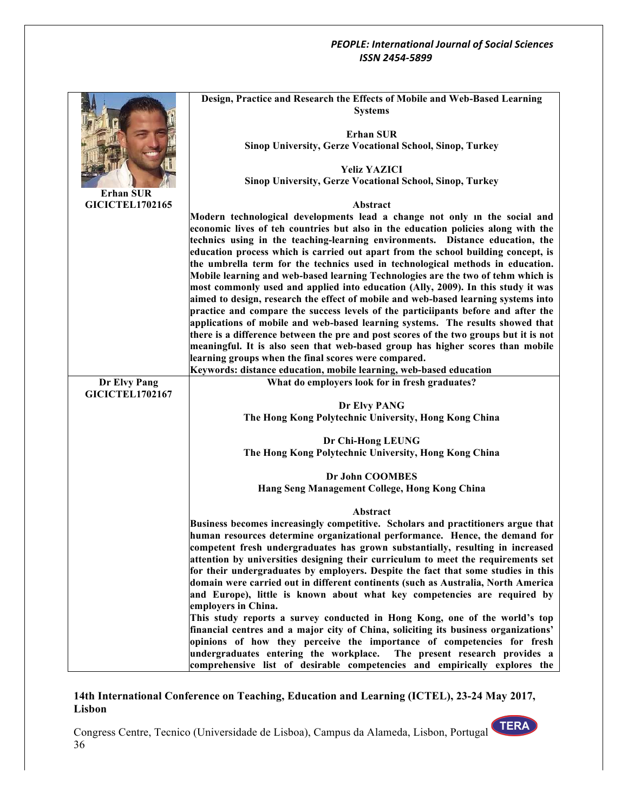|                        | Design, Practice and Research the Effects of Mobile and Web-Based Learning                                                                                           |
|------------------------|----------------------------------------------------------------------------------------------------------------------------------------------------------------------|
|                        | <b>Systems</b>                                                                                                                                                       |
|                        | <b>Erhan SUR</b>                                                                                                                                                     |
|                        | <b>Sinop University, Gerze Vocational School, Sinop, Turkey</b>                                                                                                      |
|                        |                                                                                                                                                                      |
|                        | <b>Yeliz YAZICI</b>                                                                                                                                                  |
| <b>Erhan SUR</b>       | Sinop University, Gerze Vocational School, Sinop, Turkey                                                                                                             |
| <b>GICICTEL1702165</b> | Abstract                                                                                                                                                             |
|                        | Modern technological developments lead a change not only in the social and                                                                                           |
|                        | economic lives of teh countries but also in the education policies along with the                                                                                    |
|                        | technics using in the teaching-learning environments. Distance education, the                                                                                        |
|                        | education process which is carried out apart from the school building concept, is                                                                                    |
|                        | the umbrella term for the technics used in technological methods in education.                                                                                       |
|                        | Mobile learning and web-based learning Technologies are the two of tehm which is<br>most commonly used and applied into education (Ally, 2009). In this study it was |
|                        | aimed to design, research the effect of mobile and web-based learning systems into                                                                                   |
|                        | practice and compare the success levels of the particiipants before and after the                                                                                    |
|                        | applications of mobile and web-based learning systems. The results showed that                                                                                       |
|                        | there is a difference between the pre and post scores of the two groups but it is not                                                                                |
|                        | meaningful. It is also seen that web-based group has higher scores than mobile                                                                                       |
|                        | learning groups when the final scores were compared.<br>Keywords: distance education, mobile learning, web-based education                                           |
| Dr Elvy Pang           | What do employers look for in fresh graduates?                                                                                                                       |
| <b>GICICTEL1702167</b> |                                                                                                                                                                      |
|                        | Dr Elvy PANG                                                                                                                                                         |
|                        | The Hong Kong Polytechnic University, Hong Kong China                                                                                                                |
|                        | Dr Chi-Hong LEUNG                                                                                                                                                    |
|                        | The Hong Kong Polytechnic University, Hong Kong China                                                                                                                |
|                        |                                                                                                                                                                      |
|                        | Dr John COOMBES                                                                                                                                                      |
|                        | Hang Seng Management College, Hong Kong China                                                                                                                        |
|                        | Abstract                                                                                                                                                             |
|                        | Business becomes increasingly competitive. Scholars and practitioners argue that                                                                                     |
|                        | human resources determine organizational performance. Hence, the demand for                                                                                          |
|                        | competent fresh undergraduates has grown substantially, resulting in increased                                                                                       |
|                        | attention by universities designing their curriculum to meet the requirements set                                                                                    |
|                        | for their undergraduates by employers. Despite the fact that some studies in this                                                                                    |
|                        | domain were carried out in different continents (such as Australia, North America<br>and Europe), little is known about what key competencies are required by        |
|                        | employers in China.                                                                                                                                                  |
|                        | This study reports a survey conducted in Hong Kong, one of the world's top                                                                                           |
|                        | financial centres and a major city of China, soliciting its business organizations'                                                                                  |
|                        | opinions of how they perceive the importance of competencies for fresh                                                                                               |
|                        | undergraduates entering the workplace.<br>The present research provides a                                                                                            |
|                        | comprehensive list of desirable competencies and empirically explores the                                                                                            |

## **14th International Conference on Teaching, Education and Learning (ICTEL), 23-24 May 2017, Lisbon**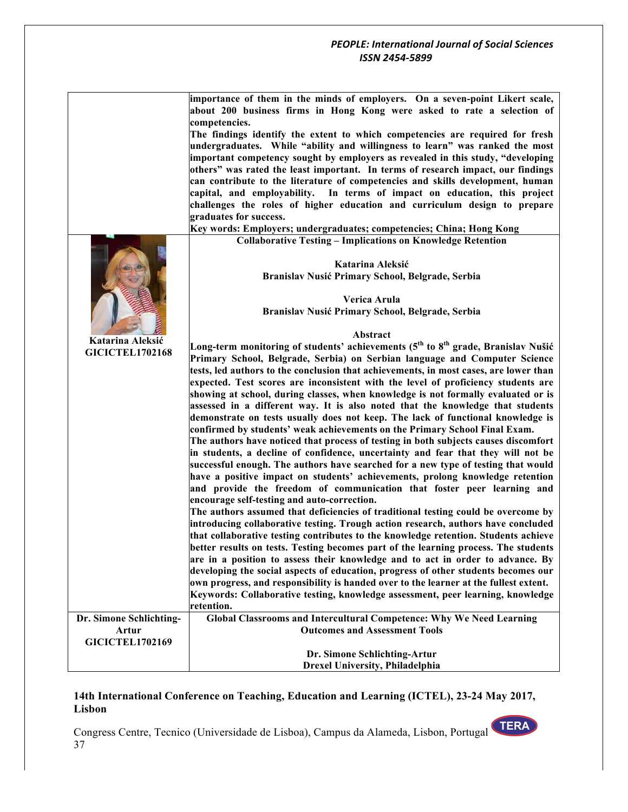|                         | importance of them in the minds of employers. On a seven-point Likert scale,<br>about 200 business firms in Hong Kong were asked to rate a selection of               |
|-------------------------|-----------------------------------------------------------------------------------------------------------------------------------------------------------------------|
|                         | competencies.                                                                                                                                                         |
|                         | The findings identify the extent to which competencies are required for fresh                                                                                         |
|                         | undergraduates. While "ability and willingness to learn" was ranked the most                                                                                          |
|                         | important competency sought by employers as revealed in this study, "developing<br>others" was rated the least important. In terms of research impact, our findings   |
|                         | can contribute to the literature of competencies and skills development, human                                                                                        |
|                         | capital, and employability. In terms of impact on education, this project                                                                                             |
|                         | challenges the roles of higher education and curriculum design to prepare                                                                                             |
|                         | graduates for success.                                                                                                                                                |
|                         | Key words: Employers; undergraduates; competencies; China; Hong Kong                                                                                                  |
|                         | <b>Collaborative Testing - Implications on Knowledge Retention</b>                                                                                                    |
|                         |                                                                                                                                                                       |
|                         | Katarina Aleksić                                                                                                                                                      |
|                         | Branislav Nusić Primary School, Belgrade, Serbia                                                                                                                      |
|                         |                                                                                                                                                                       |
|                         | Verica Arula                                                                                                                                                          |
|                         | Branislav Nusić Primary School, Belgrade, Serbia                                                                                                                      |
|                         |                                                                                                                                                                       |
| Katarina Aleksić        | Abstract                                                                                                                                                              |
| <b>GICICTEL1702168</b>  | Long-term monitoring of students' achievements (5 <sup>th</sup> to 8 <sup>th</sup> grade, Branislav Nušić                                                             |
|                         | Primary School, Belgrade, Serbia) on Serbian language and Computer Science                                                                                            |
|                         | tests, led authors to the conclusion that achievements, in most cases, are lower than                                                                                 |
|                         | expected. Test scores are inconsistent with the level of proficiency students are                                                                                     |
|                         | showing at school, during classes, when knowledge is not formally evaluated or is                                                                                     |
|                         | assessed in a different way. It is also noted that the knowledge that students                                                                                        |
|                         | demonstrate on tests usually does not keep. The lack of functional knowledge is<br>confirmed by students' weak achievements on the Primary School Final Exam.         |
|                         | The authors have noticed that process of testing in both subjects causes discomfort                                                                                   |
|                         |                                                                                                                                                                       |
|                         | in students, a decline of confidence, uncertainty and fear that they will not be<br>successful enough. The authors have searched for a new type of testing that would |
|                         | have a positive impact on students' achievements, prolong knowledge retention                                                                                         |
|                         | and provide the freedom of communication that foster peer learning and                                                                                                |
|                         | encourage self-testing and auto-correction.                                                                                                                           |
|                         | The authors assumed that deficiencies of traditional testing could be overcome by                                                                                     |
|                         | introducing collaborative testing. Trough action research, authors have concluded                                                                                     |
|                         | that collaborative testing contributes to the knowledge retention. Students achieve                                                                                   |
|                         | better results on tests. Testing becomes part of the learning process. The students                                                                                   |
|                         | are in a position to assess their knowledge and to act in order to advance. By                                                                                        |
|                         | developing the social aspects of education, progress of other students becomes our                                                                                    |
|                         | own progress, and responsibility is handed over to the learner at the fullest extent.                                                                                 |
|                         | Keywords: Collaborative testing, knowledge assessment, peer learning, knowledge                                                                                       |
|                         | retention.                                                                                                                                                            |
| Dr. Simone Schlichting- | Global Classrooms and Intercultural Competence: Why We Need Learning                                                                                                  |
| Artur                   | <b>Outcomes and Assessment Tools</b>                                                                                                                                  |
| <b>GICICTEL1702169</b>  |                                                                                                                                                                       |
|                         | Dr. Simone Schlichting-Artur                                                                                                                                          |
|                         | <b>Drexel University, Philadelphia</b>                                                                                                                                |

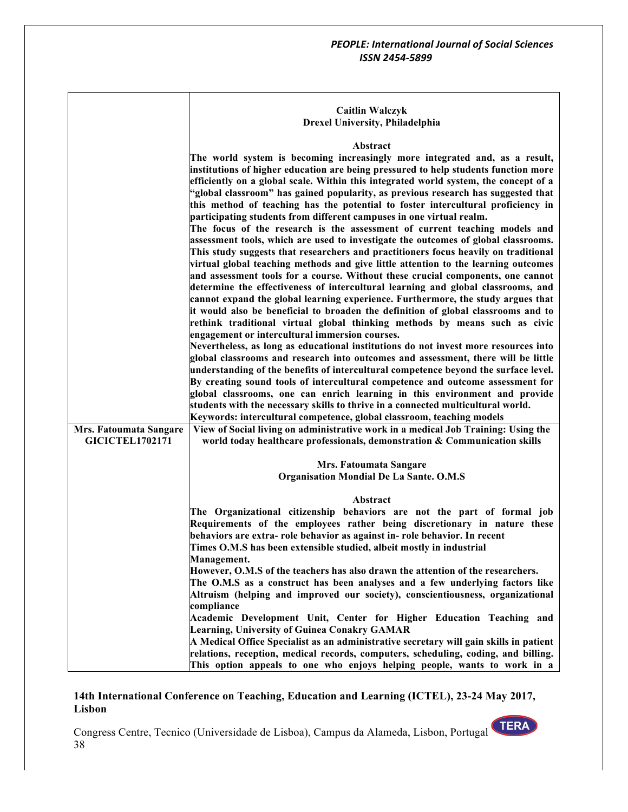#### **Caitlin Walczyk Drexel University, Philadelphia**

#### **Abstract**

|                        | Abstract                                                                               |
|------------------------|----------------------------------------------------------------------------------------|
|                        | The world system is becoming increasingly more integrated and, as a result,            |
|                        | institutions of higher education are being pressured to help students function more    |
|                        | efficiently on a global scale. Within this integrated world system, the concept of a   |
|                        | "global classroom" has gained popularity, as previous research has suggested that      |
|                        | this method of teaching has the potential to foster intercultural proficiency in       |
|                        | participating students from different campuses in one virtual realm.                   |
|                        | The focus of the research is the assessment of current teaching models and             |
|                        | assessment tools, which are used to investigate the outcomes of global classrooms.     |
|                        | This study suggests that researchers and practitioners focus heavily on traditional    |
|                        | virtual global teaching methods and give little attention to the learning outcomes     |
|                        | and assessment tools for a course. Without these crucial components, one cannot        |
|                        | determine the effectiveness of intercultural learning and global classrooms, and       |
|                        | cannot expand the global learning experience. Furthermore, the study argues that       |
|                        | it would also be beneficial to broaden the definition of global classrooms and to      |
|                        | rethink traditional virtual global thinking methods by means such as civic             |
|                        | engagement or intercultural immersion courses.                                         |
|                        | Nevertheless, as long as educational institutions do not invest more resources into    |
|                        | global classrooms and research into outcomes and assessment, there will be little      |
|                        | understanding of the benefits of intercultural competence beyond the surface level.    |
|                        | By creating sound tools of intercultural competence and outcome assessment for         |
|                        | global classrooms, one can enrich learning in this environment and provide             |
|                        | students with the necessary skills to thrive in a connected multicultural world.       |
|                        | Keywords: intercultural competence, global classroom, teaching models                  |
| Mrs. Fatoumata Sangare | View of Social living on administrative work in a medical Job Training: Using the      |
| <b>GICICTEL1702171</b> | world today healthcare professionals, demonstration & Communication skills             |
|                        |                                                                                        |
|                        | Mrs. Fatoumata Sangare                                                                 |
|                        | Organisation Mondial De La Sante. O.M.S                                                |
|                        |                                                                                        |
|                        | Abstract                                                                               |
|                        | The Organizational citizenship behaviors are not the part of formal job                |
|                        | Requirements of the employees rather being discretionary in nature these               |
|                        | behaviors are extra- role behavior as against in- role behavior. In recent             |
|                        | Times O.M.S has been extensible studied, albeit mostly in industrial                   |
|                        | Management.                                                                            |
|                        | However, O.M.S of the teachers has also drawn the attention of the researchers.        |
|                        | The O.M.S as a construct has been analyses and a few underlying factors like           |
|                        | Altruism (helping and improved our society), conscientiousness, organizational         |
|                        | compliance                                                                             |
|                        | Academic Development Unit, Center for Higher Education Teaching and                    |
|                        | <b>Learning, University of Guinea Conakry GAMAR</b>                                    |
|                        | A Medical Office Specialist as an administrative secretary will gain skills in patient |
|                        | relations, reception, medical records, computers, scheduling, coding, and billing.     |
|                        | This option appeals to one who enjoys helping people, wants to work in a               |

## **14th International Conference on Teaching, Education and Learning (ICTEL), 23-24 May 2017, Lisbon**

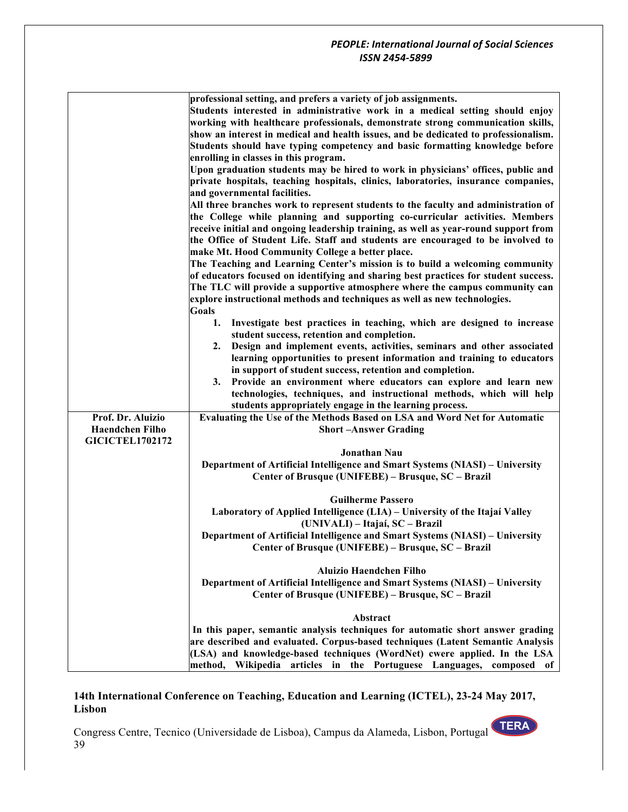|                        | professional setting, and prefers a variety of job assignments.                     |
|------------------------|-------------------------------------------------------------------------------------|
|                        | Students interested in administrative work in a medical setting should enjoy        |
|                        | working with healthcare professionals, demonstrate strong communication skills,     |
|                        | show an interest in medical and health issues, and be dedicated to professionalism. |
|                        |                                                                                     |
|                        | Students should have typing competency and basic formatting knowledge before        |
|                        | enrolling in classes in this program.                                               |
|                        | Upon graduation students may be hired to work in physicians' offices, public and    |
|                        | private hospitals, teaching hospitals, clinics, laboratories, insurance companies,  |
|                        | and governmental facilities.                                                        |
|                        | All three branches work to represent students to the faculty and administration of  |
|                        | the College while planning and supporting co-curricular activities. Members         |
|                        | receive initial and ongoing leadership training, as well as year-round support from |
|                        | the Office of Student Life. Staff and students are encouraged to be involved to     |
|                        |                                                                                     |
|                        | make Mt. Hood Community College a better place.                                     |
|                        | The Teaching and Learning Center's mission is to build a welcoming community        |
|                        | of educators focused on identifying and sharing best practices for student success. |
|                        | The TLC will provide a supportive atmosphere where the campus community can         |
|                        | explore instructional methods and techniques as well as new technologies.           |
|                        | Goals                                                                               |
|                        | Investigate best practices in teaching, which are designed to increase<br>1.        |
|                        | student success, retention and completion.                                          |
|                        | Design and implement events, activities, seminars and other associated<br>2.        |
|                        | learning opportunities to present information and training to educators             |
|                        |                                                                                     |
|                        | in support of student success, retention and completion.                            |
|                        | Provide an environment where educators can explore and learn new<br>3.              |
|                        | technologies, techniques, and instructional methods, which will help                |
|                        | students appropriately engage in the learning process.                              |
| Prof. Dr. Aluizio      | Evaluating the Use of the Methods Based on LSA and Word Net for Automatic           |
| <b>Haendchen Filho</b> | <b>Short-Answer Grading</b>                                                         |
| <b>GICICTEL1702172</b> |                                                                                     |
|                        | Jonathan Nau                                                                        |
|                        | Department of Artificial Intelligence and Smart Systems (NIASI) - University        |
|                        | Center of Brusque (UNIFEBE) - Brusque, SC - Brazil                                  |
|                        |                                                                                     |
|                        | <b>Guilherme Passero</b>                                                            |
|                        | Laboratory of Applied Intelligence (LIA) - University of the Itajaí Valley          |
|                        | (UNIVALI) – Itajaí, SC – Brazil                                                     |
|                        | Department of Artificial Intelligence and Smart Systems (NIASI) - University        |
|                        |                                                                                     |
|                        | Center of Brusque (UNIFEBE) - Brusque, SC - Brazil                                  |
|                        | Aluizio Haendchen Filho                                                             |
|                        | Department of Artificial Intelligence and Smart Systems (NIASI) - University        |
|                        | Center of Brusque (UNIFEBE) - Brusque, SC - Brazil                                  |
|                        |                                                                                     |
|                        | Abstract                                                                            |
|                        | In this paper, semantic analysis techniques for automatic short answer grading      |
|                        | are described and evaluated. Corpus-based techniques (Latent Semantic Analysis      |
|                        |                                                                                     |
|                        | (LSA) and knowledge-based techniques (WordNet) cwere applied. In the LSA            |
|                        | method, Wikipedia articles in the Portuguese Languages, composed of                 |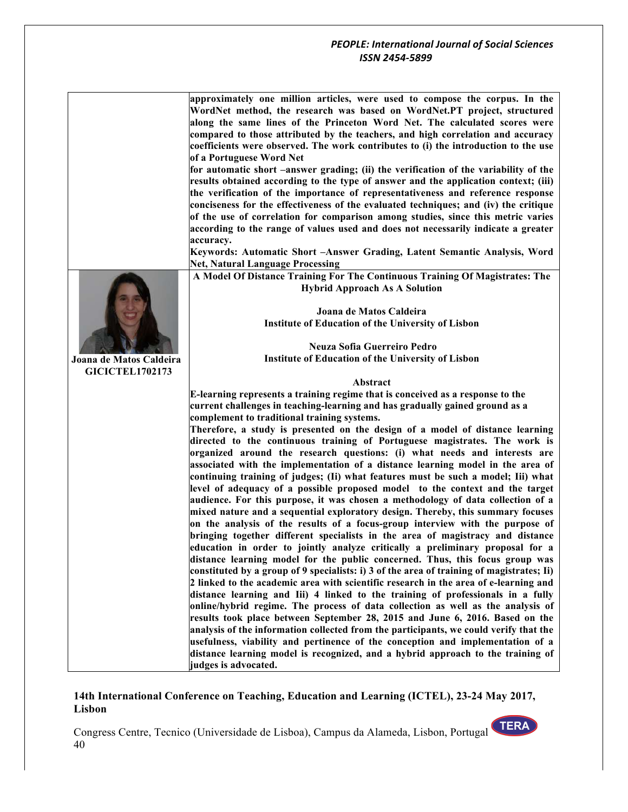

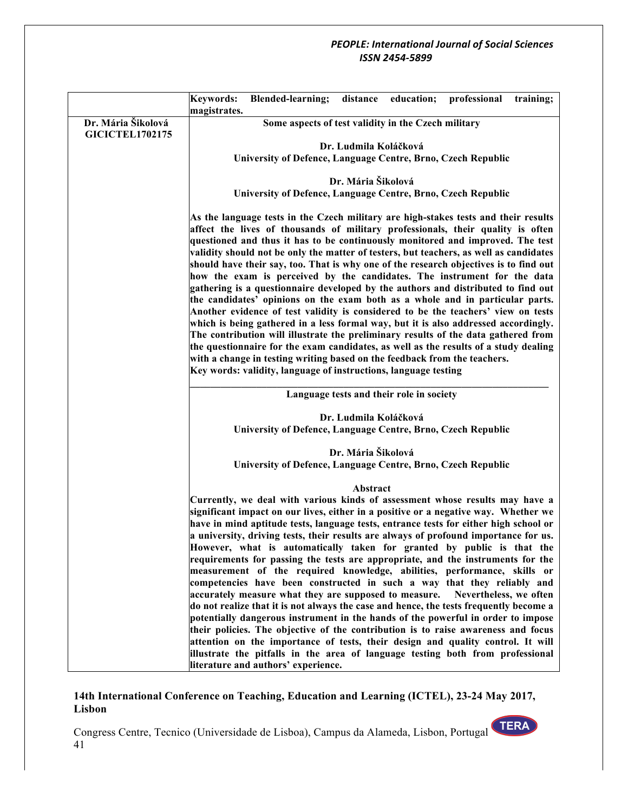|                                              | <b>Keywords:</b>                                    | Blended-learning; distance education; professional training;                                                                                                                                                                                                                                                                                                                                                                                                                                                                                                                                                                                                                                                                                                                                                                                                                                                                                                                                                                                                                                                                                                                                                                  |                       |                                          |                        |  |
|----------------------------------------------|-----------------------------------------------------|-------------------------------------------------------------------------------------------------------------------------------------------------------------------------------------------------------------------------------------------------------------------------------------------------------------------------------------------------------------------------------------------------------------------------------------------------------------------------------------------------------------------------------------------------------------------------------------------------------------------------------------------------------------------------------------------------------------------------------------------------------------------------------------------------------------------------------------------------------------------------------------------------------------------------------------------------------------------------------------------------------------------------------------------------------------------------------------------------------------------------------------------------------------------------------------------------------------------------------|-----------------------|------------------------------------------|------------------------|--|
|                                              | magistrates.                                        |                                                                                                                                                                                                                                                                                                                                                                                                                                                                                                                                                                                                                                                                                                                                                                                                                                                                                                                                                                                                                                                                                                                                                                                                                               |                       |                                          |                        |  |
| Dr. Mária Šikolová<br><b>GICICTEL1702175</b> | Some aspects of test validity in the Czech military |                                                                                                                                                                                                                                                                                                                                                                                                                                                                                                                                                                                                                                                                                                                                                                                                                                                                                                                                                                                                                                                                                                                                                                                                                               |                       |                                          |                        |  |
|                                              |                                                     |                                                                                                                                                                                                                                                                                                                                                                                                                                                                                                                                                                                                                                                                                                                                                                                                                                                                                                                                                                                                                                                                                                                                                                                                                               |                       |                                          |                        |  |
|                                              |                                                     | Dr. Ludmila Koláčková<br>University of Defence, Language Centre, Brno, Czech Republic                                                                                                                                                                                                                                                                                                                                                                                                                                                                                                                                                                                                                                                                                                                                                                                                                                                                                                                                                                                                                                                                                                                                         |                       |                                          |                        |  |
|                                              |                                                     |                                                                                                                                                                                                                                                                                                                                                                                                                                                                                                                                                                                                                                                                                                                                                                                                                                                                                                                                                                                                                                                                                                                                                                                                                               |                       |                                          |                        |  |
|                                              |                                                     |                                                                                                                                                                                                                                                                                                                                                                                                                                                                                                                                                                                                                                                                                                                                                                                                                                                                                                                                                                                                                                                                                                                                                                                                                               | Dr. Mária Šikolová    |                                          |                        |  |
|                                              |                                                     | University of Defence, Language Centre, Brno, Czech Republic                                                                                                                                                                                                                                                                                                                                                                                                                                                                                                                                                                                                                                                                                                                                                                                                                                                                                                                                                                                                                                                                                                                                                                  |                       |                                          |                        |  |
|                                              |                                                     |                                                                                                                                                                                                                                                                                                                                                                                                                                                                                                                                                                                                                                                                                                                                                                                                                                                                                                                                                                                                                                                                                                                                                                                                                               |                       |                                          |                        |  |
|                                              |                                                     | As the language tests in the Czech military are high-stakes tests and their results<br>affect the lives of thousands of military professionals, their quality is often                                                                                                                                                                                                                                                                                                                                                                                                                                                                                                                                                                                                                                                                                                                                                                                                                                                                                                                                                                                                                                                        |                       |                                          |                        |  |
|                                              |                                                     | questioned and thus it has to be continuously monitored and improved. The test                                                                                                                                                                                                                                                                                                                                                                                                                                                                                                                                                                                                                                                                                                                                                                                                                                                                                                                                                                                                                                                                                                                                                |                       |                                          |                        |  |
|                                              |                                                     | validity should not be only the matter of testers, but teachers, as well as candidates                                                                                                                                                                                                                                                                                                                                                                                                                                                                                                                                                                                                                                                                                                                                                                                                                                                                                                                                                                                                                                                                                                                                        |                       |                                          |                        |  |
|                                              |                                                     | should have their say, too. That is why one of the research objectives is to find out                                                                                                                                                                                                                                                                                                                                                                                                                                                                                                                                                                                                                                                                                                                                                                                                                                                                                                                                                                                                                                                                                                                                         |                       |                                          |                        |  |
|                                              |                                                     | how the exam is perceived by the candidates. The instrument for the data                                                                                                                                                                                                                                                                                                                                                                                                                                                                                                                                                                                                                                                                                                                                                                                                                                                                                                                                                                                                                                                                                                                                                      |                       |                                          |                        |  |
|                                              |                                                     | gathering is a questionnaire developed by the authors and distributed to find out                                                                                                                                                                                                                                                                                                                                                                                                                                                                                                                                                                                                                                                                                                                                                                                                                                                                                                                                                                                                                                                                                                                                             |                       |                                          |                        |  |
|                                              |                                                     | the candidates' opinions on the exam both as a whole and in particular parts.                                                                                                                                                                                                                                                                                                                                                                                                                                                                                                                                                                                                                                                                                                                                                                                                                                                                                                                                                                                                                                                                                                                                                 |                       |                                          |                        |  |
|                                              |                                                     | Another evidence of test validity is considered to be the teachers' view on tests                                                                                                                                                                                                                                                                                                                                                                                                                                                                                                                                                                                                                                                                                                                                                                                                                                                                                                                                                                                                                                                                                                                                             |                       |                                          |                        |  |
|                                              |                                                     |                                                                                                                                                                                                                                                                                                                                                                                                                                                                                                                                                                                                                                                                                                                                                                                                                                                                                                                                                                                                                                                                                                                                                                                                                               |                       |                                          |                        |  |
|                                              |                                                     |                                                                                                                                                                                                                                                                                                                                                                                                                                                                                                                                                                                                                                                                                                                                                                                                                                                                                                                                                                                                                                                                                                                                                                                                                               |                       |                                          |                        |  |
|                                              |                                                     |                                                                                                                                                                                                                                                                                                                                                                                                                                                                                                                                                                                                                                                                                                                                                                                                                                                                                                                                                                                                                                                                                                                                                                                                                               |                       |                                          |                        |  |
|                                              |                                                     | Key words: validity, language of instructions, language testing                                                                                                                                                                                                                                                                                                                                                                                                                                                                                                                                                                                                                                                                                                                                                                                                                                                                                                                                                                                                                                                                                                                                                               |                       |                                          |                        |  |
|                                              |                                                     |                                                                                                                                                                                                                                                                                                                                                                                                                                                                                                                                                                                                                                                                                                                                                                                                                                                                                                                                                                                                                                                                                                                                                                                                                               |                       |                                          |                        |  |
|                                              |                                                     |                                                                                                                                                                                                                                                                                                                                                                                                                                                                                                                                                                                                                                                                                                                                                                                                                                                                                                                                                                                                                                                                                                                                                                                                                               |                       |                                          |                        |  |
|                                              |                                                     |                                                                                                                                                                                                                                                                                                                                                                                                                                                                                                                                                                                                                                                                                                                                                                                                                                                                                                                                                                                                                                                                                                                                                                                                                               | Dr. Ludmila Koláčková |                                          |                        |  |
|                                              |                                                     | University of Defence, Language Centre, Brno, Czech Republic                                                                                                                                                                                                                                                                                                                                                                                                                                                                                                                                                                                                                                                                                                                                                                                                                                                                                                                                                                                                                                                                                                                                                                  |                       |                                          |                        |  |
|                                              |                                                     |                                                                                                                                                                                                                                                                                                                                                                                                                                                                                                                                                                                                                                                                                                                                                                                                                                                                                                                                                                                                                                                                                                                                                                                                                               | Dr. Mária Šikolová    |                                          |                        |  |
|                                              |                                                     |                                                                                                                                                                                                                                                                                                                                                                                                                                                                                                                                                                                                                                                                                                                                                                                                                                                                                                                                                                                                                                                                                                                                                                                                                               |                       |                                          |                        |  |
|                                              |                                                     |                                                                                                                                                                                                                                                                                                                                                                                                                                                                                                                                                                                                                                                                                                                                                                                                                                                                                                                                                                                                                                                                                                                                                                                                                               | Abstract              |                                          |                        |  |
|                                              |                                                     | Currently, we deal with various kinds of assessment whose results may have a                                                                                                                                                                                                                                                                                                                                                                                                                                                                                                                                                                                                                                                                                                                                                                                                                                                                                                                                                                                                                                                                                                                                                  |                       |                                          |                        |  |
|                                              |                                                     | significant impact on our lives, either in a positive or a negative way. Whether we                                                                                                                                                                                                                                                                                                                                                                                                                                                                                                                                                                                                                                                                                                                                                                                                                                                                                                                                                                                                                                                                                                                                           |                       |                                          |                        |  |
|                                              |                                                     |                                                                                                                                                                                                                                                                                                                                                                                                                                                                                                                                                                                                                                                                                                                                                                                                                                                                                                                                                                                                                                                                                                                                                                                                                               |                       |                                          |                        |  |
|                                              |                                                     |                                                                                                                                                                                                                                                                                                                                                                                                                                                                                                                                                                                                                                                                                                                                                                                                                                                                                                                                                                                                                                                                                                                                                                                                                               |                       |                                          |                        |  |
|                                              |                                                     |                                                                                                                                                                                                                                                                                                                                                                                                                                                                                                                                                                                                                                                                                                                                                                                                                                                                                                                                                                                                                                                                                                                                                                                                                               |                       |                                          |                        |  |
|                                              |                                                     |                                                                                                                                                                                                                                                                                                                                                                                                                                                                                                                                                                                                                                                                                                                                                                                                                                                                                                                                                                                                                                                                                                                                                                                                                               |                       |                                          |                        |  |
|                                              |                                                     | competencies have been constructed in such a way that they reliably and                                                                                                                                                                                                                                                                                                                                                                                                                                                                                                                                                                                                                                                                                                                                                                                                                                                                                                                                                                                                                                                                                                                                                       |                       |                                          |                        |  |
|                                              |                                                     | accurately measure what they are supposed to measure.                                                                                                                                                                                                                                                                                                                                                                                                                                                                                                                                                                                                                                                                                                                                                                                                                                                                                                                                                                                                                                                                                                                                                                         |                       |                                          | Nevertheless, we often |  |
|                                              |                                                     | do not realize that it is not always the case and hence, the tests frequently become a                                                                                                                                                                                                                                                                                                                                                                                                                                                                                                                                                                                                                                                                                                                                                                                                                                                                                                                                                                                                                                                                                                                                        |                       |                                          |                        |  |
|                                              |                                                     |                                                                                                                                                                                                                                                                                                                                                                                                                                                                                                                                                                                                                                                                                                                                                                                                                                                                                                                                                                                                                                                                                                                                                                                                                               |                       |                                          |                        |  |
|                                              |                                                     |                                                                                                                                                                                                                                                                                                                                                                                                                                                                                                                                                                                                                                                                                                                                                                                                                                                                                                                                                                                                                                                                                                                                                                                                                               |                       |                                          |                        |  |
|                                              |                                                     |                                                                                                                                                                                                                                                                                                                                                                                                                                                                                                                                                                                                                                                                                                                                                                                                                                                                                                                                                                                                                                                                                                                                                                                                                               |                       |                                          |                        |  |
|                                              |                                                     |                                                                                                                                                                                                                                                                                                                                                                                                                                                                                                                                                                                                                                                                                                                                                                                                                                                                                                                                                                                                                                                                                                                                                                                                                               |                       |                                          |                        |  |
|                                              |                                                     | which is being gathered in a less formal way, but it is also addressed accordingly.<br>The contribution will illustrate the preliminary results of the data gathered from<br>the questionnaire for the exam candidates, as well as the results of a study dealing<br>with a change in testing writing based on the feedback from the teachers.<br>University of Defence, Language Centre, Brno, Czech Republic<br>have in mind aptitude tests, language tests, entrance tests for either high school or<br>a university, driving tests, their results are always of profound importance for us.<br>However, what is automatically taken for granted by public is that the<br>requirements for passing the tests are appropriate, and the instruments for the<br>measurement of the required knowledge, abilities, performance, skills or<br>potentially dangerous instrument in the hands of the powerful in order to impose<br>their policies. The objective of the contribution is to raise awareness and focus<br>attention on the importance of tests, their design and quality control. It will<br>illustrate the pitfalls in the area of language testing both from professional<br>literature and authors' experience. |                       | Language tests and their role in society |                        |  |

# **14th International Conference on Teaching, Education and Learning (ICTEL), 23-24 May 2017, Lisbon**

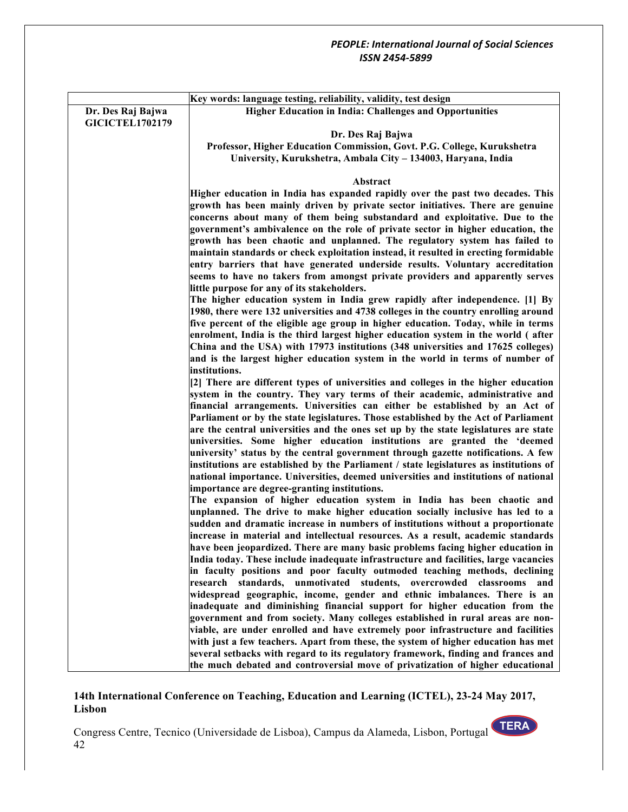|                        | Key words: language testing, reliability, validity, test design                                                                                                                                                                                                                                                                          |
|------------------------|------------------------------------------------------------------------------------------------------------------------------------------------------------------------------------------------------------------------------------------------------------------------------------------------------------------------------------------|
| Dr. Des Raj Bajwa      | <b>Higher Education in India: Challenges and Opportunities</b>                                                                                                                                                                                                                                                                           |
| <b>GICICTEL1702179</b> |                                                                                                                                                                                                                                                                                                                                          |
|                        | Dr. Des Raj Bajwa                                                                                                                                                                                                                                                                                                                        |
|                        | Professor, Higher Education Commission, Govt. P.G. College, Kurukshetra                                                                                                                                                                                                                                                                  |
|                        | University, Kurukshetra, Ambala City - 134003, Haryana, India                                                                                                                                                                                                                                                                            |
|                        |                                                                                                                                                                                                                                                                                                                                          |
|                        | Abstract                                                                                                                                                                                                                                                                                                                                 |
|                        | Higher education in India has expanded rapidly over the past two decades. This<br>growth has been mainly driven by private sector initiatives. There are genuine<br>concerns about many of them being substandard and exploitative. Due to the                                                                                           |
|                        | government's ambivalence on the role of private sector in higher education, the<br>growth has been chaotic and unplanned. The regulatory system has failed to<br>maintain standards or check exploitation instead, it resulted in erecting formidable<br>entry barriers that have generated underside results. Voluntary accreditation   |
|                        | seems to have no takers from amongst private providers and apparently serves<br>little purpose for any of its stakeholders.                                                                                                                                                                                                              |
|                        | The higher education system in India grew rapidly after independence. [1] By<br>1980, there were 132 universities and 4738 colleges in the country enrolling around                                                                                                                                                                      |
|                        | five percent of the eligible age group in higher education. Today, while in terms<br>enrolment, India is the third largest higher education system in the world (after<br>China and the USA) with 17973 institutions (348 universities and 17625 colleges)                                                                               |
|                        | and is the largest higher education system in the world in terms of number of<br>institutions.                                                                                                                                                                                                                                           |
|                        | [2] There are different types of universities and colleges in the higher education<br>system in the country. They vary terms of their academic, administrative and<br>financial arrangements. Universities can either be established by an Act of<br>Parliament or by the state legislatures. Those established by the Act of Parliament |
|                        | are the central universities and the ones set up by the state legislatures are state<br>universities. Some higher education institutions are granted the 'deemed<br>university' status by the central government through gazette notifications. A few                                                                                    |
|                        | institutions are established by the Parliament / state legislatures as institutions of<br>national importance. Universities, deemed universities and institutions of national                                                                                                                                                            |
|                        | importance are degree-granting institutions.                                                                                                                                                                                                                                                                                             |
|                        | The expansion of higher education system in India has been chaotic and                                                                                                                                                                                                                                                                   |
|                        | unplanned. The drive to make higher education socially inclusive has led to a                                                                                                                                                                                                                                                            |
|                        | sudden and dramatic increase in numbers of institutions without a proportionate                                                                                                                                                                                                                                                          |
|                        | increase in material and intellectual resources. As a result, academic standards                                                                                                                                                                                                                                                         |
|                        | have been jeopardized. There are many basic problems facing higher education in                                                                                                                                                                                                                                                          |
|                        | India today. These include inadequate infrastructure and facilities, large vacancies<br>in faculty positions and poor faculty outmoded teaching methods, declining                                                                                                                                                                       |
|                        | research standards, unmotivated students, overcrowded classrooms<br>and                                                                                                                                                                                                                                                                  |
|                        | widespread geographic, income, gender and ethnic imbalances. There is an                                                                                                                                                                                                                                                                 |
|                        | inadequate and diminishing financial support for higher education from the                                                                                                                                                                                                                                                               |
|                        | government and from society. Many colleges established in rural areas are non-                                                                                                                                                                                                                                                           |
|                        | viable, are under enrolled and have extremely poor infrastructure and facilities                                                                                                                                                                                                                                                         |
|                        | with just a few teachers. Apart from these, the system of higher education has met                                                                                                                                                                                                                                                       |
|                        | several setbacks with regard to its regulatory framework, finding and frances and                                                                                                                                                                                                                                                        |
|                        | the much debated and controversial move of privatization of higher educational                                                                                                                                                                                                                                                           |

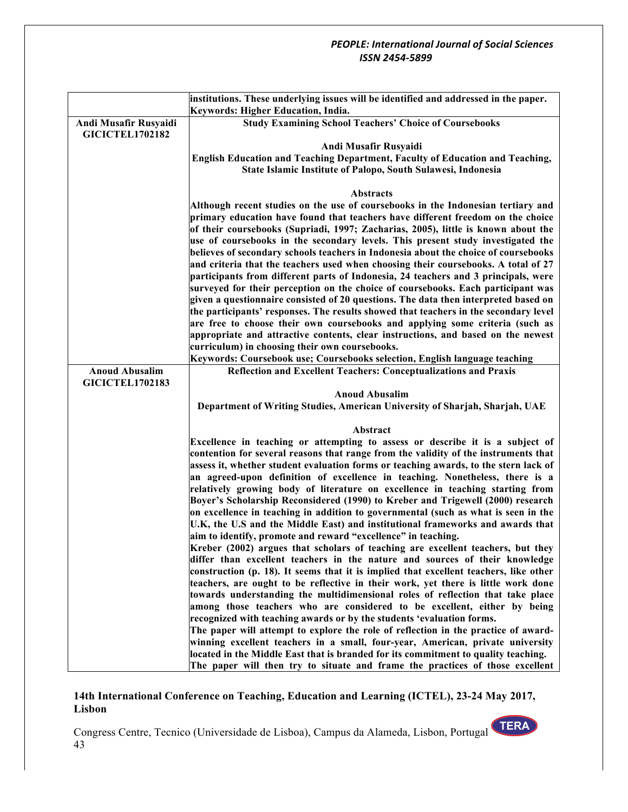|                        | institutions. These underlying issues will be identified and addressed in the paper.                                                                                       |  |  |
|------------------------|----------------------------------------------------------------------------------------------------------------------------------------------------------------------------|--|--|
|                        | Keywords: Higher Education, India.                                                                                                                                         |  |  |
| Andi Musafir Rusyaidi  | <b>Study Examining School Teachers' Choice of Coursebooks</b>                                                                                                              |  |  |
| <b>GICICTEL1702182</b> |                                                                                                                                                                            |  |  |
|                        | Andi Musafir Rusyaidi                                                                                                                                                      |  |  |
|                        | <b>English Education and Teaching Department, Faculty of Education and Teaching,</b>                                                                                       |  |  |
|                        | State Islamic Institute of Palopo, South Sulawesi, Indonesia                                                                                                               |  |  |
|                        |                                                                                                                                                                            |  |  |
|                        | Abstracts                                                                                                                                                                  |  |  |
|                        | Although recent studies on the use of coursebooks in the Indonesian tertiary and<br>primary education have found that teachers have different freedom on the choice        |  |  |
|                        | of their coursebooks (Supriadi, 1997; Zacharias, 2005), little is known about the                                                                                          |  |  |
|                        | use of coursebooks in the secondary levels. This present study investigated the                                                                                            |  |  |
|                        | believes of secondary schools teachers in Indonesia about the choice of coursebooks                                                                                        |  |  |
|                        | and criteria that the teachers used when choosing their coursebooks. A total of 27                                                                                         |  |  |
|                        | participants from different parts of Indonesia, 24 teachers and 3 principals, were                                                                                         |  |  |
|                        | surveyed for their perception on the choice of coursebooks. Each participant was                                                                                           |  |  |
|                        | given a questionnaire consisted of 20 questions. The data then interpreted based on                                                                                        |  |  |
|                        | the participants' responses. The results showed that teachers in the secondary level                                                                                       |  |  |
|                        | are free to choose their own coursebooks and applying some criteria (such as                                                                                               |  |  |
|                        | appropriate and attractive contents, clear instructions, and based on the newest                                                                                           |  |  |
|                        | curriculum) in choosing their own coursebooks.                                                                                                                             |  |  |
|                        | Keywords: Coursebook use; Coursebooks selection, English language teaching                                                                                                 |  |  |
| <b>Anoud Abusalim</b>  | <b>Reflection and Excellent Teachers: Conceptualizations and Praxis</b>                                                                                                    |  |  |
| <b>GICICTEL1702183</b> |                                                                                                                                                                            |  |  |
|                        | <b>Anoud Abusalim</b><br>Department of Writing Studies, American University of Sharjah, Sharjah, UAE                                                                       |  |  |
|                        |                                                                                                                                                                            |  |  |
|                        | Abstract                                                                                                                                                                   |  |  |
|                        | Excellence in teaching or attempting to assess or describe it is a subject of                                                                                              |  |  |
|                        | contention for several reasons that range from the validity of the instruments that                                                                                        |  |  |
|                        | assess it, whether student evaluation forms or teaching awards, to the stern lack of                                                                                       |  |  |
|                        | an agreed-upon definition of excellence in teaching. Nonetheless, there is a                                                                                               |  |  |
|                        | relatively growing body of literature on excellence in teaching starting from                                                                                              |  |  |
|                        | Boyer's Scholarship Reconsidered (1990) to Kreber and Trigewell (2000) research                                                                                            |  |  |
|                        | on excellence in teaching in addition to governmental (such as what is seen in the                                                                                         |  |  |
|                        | U.K, the U.S and the Middle East) and institutional frameworks and awards that                                                                                             |  |  |
|                        | aim to identify, promote and reward "excellence" in teaching.                                                                                                              |  |  |
|                        | Kreber (2002) argues that scholars of teaching are excellent teachers, but they                                                                                            |  |  |
|                        | differ than excellent teachers in the nature and sources of their knowledge                                                                                                |  |  |
|                        | construction (p. 18). It seems that it is implied that excellent teachers, like other<br>teachers, are ought to be reflective in their work, yet there is little work done |  |  |
|                        | towards understanding the multidimensional roles of reflection that take place                                                                                             |  |  |
|                        | among those teachers who are considered to be excellent, either by being                                                                                                   |  |  |
|                        | recognized with teaching awards or by the students 'evaluation forms.                                                                                                      |  |  |
|                        | The paper will attempt to explore the role of reflection in the practice of award-                                                                                         |  |  |
|                        | winning excellent teachers in a small, four-year, American, private university                                                                                             |  |  |
|                        | located in the Middle East that is branded for its commitment to quality teaching.                                                                                         |  |  |
|                        | The paper will then try to situate and frame the practices of those excellent                                                                                              |  |  |

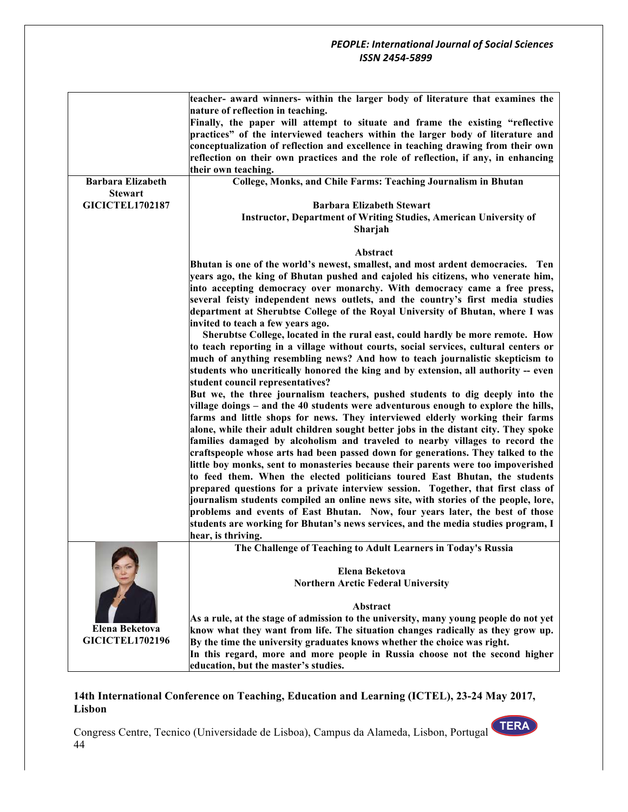|                          | teacher- award winners- within the larger body of literature that examines the<br>nature of reflection in teaching. |
|--------------------------|---------------------------------------------------------------------------------------------------------------------|
|                          | Finally, the paper will attempt to situate and frame the existing "reflective                                       |
|                          | practices" of the interviewed teachers within the larger body of literature and                                     |
|                          |                                                                                                                     |
|                          | conceptualization of reflection and excellence in teaching drawing from their own                                   |
|                          | reflection on their own practices and the role of reflection, if any, in enhancing                                  |
|                          | their own teaching.                                                                                                 |
| <b>Barbara Elizabeth</b> | College, Monks, and Chile Farms: Teaching Journalism in Bhutan                                                      |
| <b>Stewart</b>           |                                                                                                                     |
| <b>GICICTEL1702187</b>   | <b>Barbara Elizabeth Stewart</b>                                                                                    |
|                          | <b>Instructor, Department of Writing Studies, American University of</b>                                            |
|                          | Sharjah                                                                                                             |
|                          | Abstract                                                                                                            |
|                          | Bhutan is one of the world's newest, smallest, and most ardent democracies. Ten                                     |
|                          | years ago, the king of Bhutan pushed and cajoled his citizens, who venerate him,                                    |
|                          | into accepting democracy over monarchy. With democracy came a free press,                                           |
|                          | several feisty independent news outlets, and the country's first media studies                                      |
|                          | department at Sherubtse College of the Royal University of Bhutan, where I was                                      |
|                          | invited to teach a few years ago.                                                                                   |
|                          | Sherubtse College, located in the rural east, could hardly be more remote. How                                      |
|                          | to teach reporting in a village without courts, social services, cultural centers or                                |
|                          | much of anything resembling news? And how to teach journalistic skepticism to                                       |
|                          | students who uncritically honored the king and by extension, all authority -- even                                  |
|                          | student council representatives?                                                                                    |
|                          | But we, the three journalism teachers, pushed students to dig deeply into the                                       |
|                          | village doings - and the 40 students were adventurous enough to explore the hills,                                  |
|                          | farms and little shops for news. They interviewed elderly working their farms                                       |
|                          | alone, while their adult children sought better jobs in the distant city. They spoke                                |
|                          | families damaged by alcoholism and traveled to nearby villages to record the                                        |
|                          | craftspeople whose arts had been passed down for generations. They talked to the                                    |
|                          | little boy monks, sent to monasteries because their parents were too impoverished                                   |
|                          | to feed them. When the elected politicians toured East Bhutan, the students                                         |
|                          | prepared questions for a private interview session. Together, that first class of                                   |
|                          | journalism students compiled an online news site, with stories of the people, lore,                                 |
|                          | problems and events of East Bhutan. Now, four years later, the best of those                                        |
|                          | students are working for Bhutan's news services, and the media studies program, I                                   |
|                          | hear, is thriving.                                                                                                  |
|                          | The Challenge of Teaching to Adult Learners in Today's Russia                                                       |
|                          |                                                                                                                     |
|                          | Elena Beketova                                                                                                      |
|                          | <b>Northern Arctic Federal University</b>                                                                           |
|                          |                                                                                                                     |
|                          | Abstract                                                                                                            |
|                          | As a rule, at the stage of admission to the university, many young people do not yet                                |
| <b>Elena Beketova</b>    | know what they want from life. The situation changes radically as they grow up.                                     |
| <b>GICICTEL1702196</b>   | By the time the university graduates knows whether the choice was right.                                            |
|                          | In this regard, more and more people in Russia choose not the second higher                                         |
|                          | education, but the master's studies.                                                                                |
|                          |                                                                                                                     |

## **14th International Conference on Teaching, Education and Learning (ICTEL), 23-24 May 2017, Lisbon**

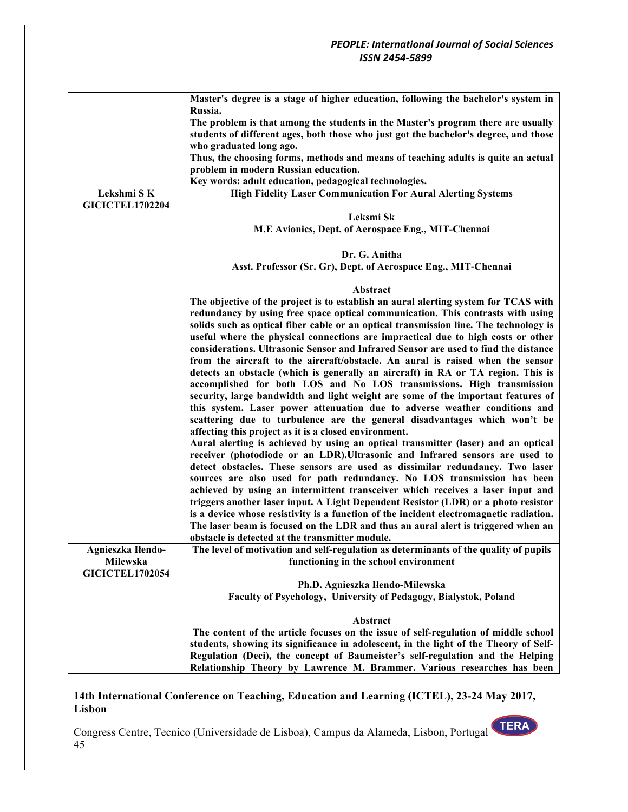|                        | Master's degree is a stage of higher education, following the bachelor's system in<br>Russia.                                                                                                       |
|------------------------|-----------------------------------------------------------------------------------------------------------------------------------------------------------------------------------------------------|
|                        | The problem is that among the students in the Master's program there are usually<br>students of different ages, both those who just got the bachelor's degree, and those<br>who graduated long ago. |
|                        | Thus, the choosing forms, methods and means of teaching adults is quite an actual<br>problem in modern Russian education.                                                                           |
|                        | Key words: adult education, pedagogical technologies.                                                                                                                                               |
| Lekshmi SK             | <b>High Fidelity Laser Communication For Aural Alerting Systems</b>                                                                                                                                 |
| <b>GICICTEL1702204</b> |                                                                                                                                                                                                     |
|                        | Leksmi Sk                                                                                                                                                                                           |
|                        | M.E Avionics, Dept. of Aerospace Eng., MIT-Chennai                                                                                                                                                  |
|                        | Dr. G. Anitha                                                                                                                                                                                       |
|                        | Asst. Professor (Sr. Gr), Dept. of Aerospace Eng., MIT-Chennai                                                                                                                                      |
|                        | Abstract                                                                                                                                                                                            |
|                        | The objective of the project is to establish an aural alerting system for TCAS with                                                                                                                 |
|                        | redundancy by using free space optical communication. This contrasts with using                                                                                                                     |
|                        | solids such as optical fiber cable or an optical transmission line. The technology is                                                                                                               |
|                        | useful where the physical connections are impractical due to high costs or other                                                                                                                    |
|                        | considerations. Ultrasonic Sensor and Infrared Sensor are used to find the distance                                                                                                                 |
|                        | from the aircraft to the aircraft/obstacle. An aural is raised when the sensor                                                                                                                      |
|                        | detects an obstacle (which is generally an aircraft) in RA or TA region. This is                                                                                                                    |
|                        | accomplished for both LOS and No LOS transmissions. High transmission<br>security, large bandwidth and light weight are some of the important features of                                           |
|                        | this system. Laser power attenuation due to adverse weather conditions and                                                                                                                          |
|                        | scattering due to turbulence are the general disadvantages which won't be                                                                                                                           |
|                        | affecting this project as it is a closed environment.                                                                                                                                               |
|                        | Aural alerting is achieved by using an optical transmitter (laser) and an optical                                                                                                                   |
|                        | receiver (photodiode or an LDR). Ultrasonic and Infrared sensors are used to                                                                                                                        |
|                        | detect obstacles. These sensors are used as dissimilar redundancy. Two laser                                                                                                                        |
|                        | sources are also used for path redundancy. No LOS transmission has been                                                                                                                             |
|                        | achieved by using an intermittent transceiver which receives a laser input and                                                                                                                      |
|                        | triggers another laser input. A Light Dependent Resistor (LDR) or a photo resistor<br>is a device whose resistivity is a function of the incident electromagnetic radiation.                        |
|                        | The laser beam is focused on the LDR and thus an aural alert is triggered when an                                                                                                                   |
|                        | obstacle is detected at the transmitter module.                                                                                                                                                     |
| Agnieszka Iłendo-      | The level of motivation and self-regulation as determinants of the quality of pupils                                                                                                                |
| Milewska               | functioning in the school environment                                                                                                                                                               |
| <b>GICICTEL1702054</b> |                                                                                                                                                                                                     |
|                        | Ph.D. Agnieszka Iłendo-Milewska                                                                                                                                                                     |
|                        | Faculty of Psychology, University of Pedagogy, Bialystok, Poland                                                                                                                                    |
|                        | Abstract                                                                                                                                                                                            |
|                        | The content of the article focuses on the issue of self-regulation of middle school                                                                                                                 |
|                        | students, showing its significance in adolescent, in the light of the Theory of Self-                                                                                                               |
|                        | Regulation (Deci), the concept of Baumeister's self-regulation and the Helping                                                                                                                      |
|                        | Relationship Theory by Lawrence M. Brammer. Various researches has been                                                                                                                             |

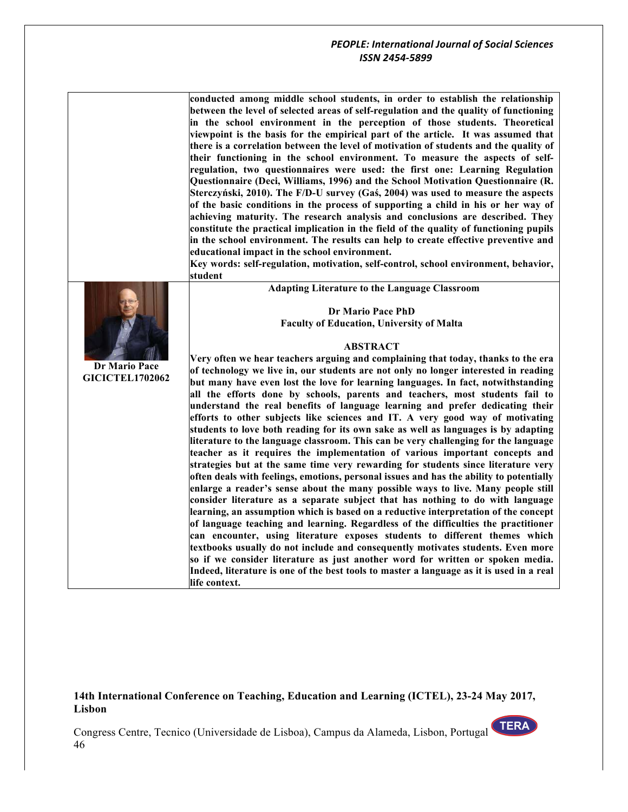|                        | conducted among middle school students, in order to establish the relationship<br>between the level of selected areas of self-regulation and the quality of functioning<br>in the school environment in the perception of those students. Theoretical<br>viewpoint is the basis for the empirical part of the article. It was assumed that<br>there is a correlation between the level of motivation of students and the quality of<br>their functioning in the school environment. To measure the aspects of self-<br>regulation, two questionnaires were used: the first one: Learning Regulation<br>Questionnaire (Deci, Williams, 1996) and the School Motivation Questionnaire (R.<br>Sterczyński, 2010). The F/D-U survey (Gaś, 2004) was used to measure the aspects<br>of the basic conditions in the process of supporting a child in his or her way of<br>achieving maturity. The research analysis and conclusions are described. They<br>constitute the practical implication in the field of the quality of functioning pupils<br>in the school environment. The results can help to create effective preventive and<br>educational impact in the school environment.<br>Key words: self-regulation, motivation, self-control, school environment, behavior,                                                                                                                                                                                                                          |
|------------------------|----------------------------------------------------------------------------------------------------------------------------------------------------------------------------------------------------------------------------------------------------------------------------------------------------------------------------------------------------------------------------------------------------------------------------------------------------------------------------------------------------------------------------------------------------------------------------------------------------------------------------------------------------------------------------------------------------------------------------------------------------------------------------------------------------------------------------------------------------------------------------------------------------------------------------------------------------------------------------------------------------------------------------------------------------------------------------------------------------------------------------------------------------------------------------------------------------------------------------------------------------------------------------------------------------------------------------------------------------------------------------------------------------------------------------------------------------------------------------------------------------|
|                        | student                                                                                                                                                                                                                                                                                                                                                                                                                                                                                                                                                                                                                                                                                                                                                                                                                                                                                                                                                                                                                                                                                                                                                                                                                                                                                                                                                                                                                                                                                            |
|                        | <b>Adapting Literature to the Language Classroom</b>                                                                                                                                                                                                                                                                                                                                                                                                                                                                                                                                                                                                                                                                                                                                                                                                                                                                                                                                                                                                                                                                                                                                                                                                                                                                                                                                                                                                                                               |
|                        | <b>Dr Mario Pace PhD</b>                                                                                                                                                                                                                                                                                                                                                                                                                                                                                                                                                                                                                                                                                                                                                                                                                                                                                                                                                                                                                                                                                                                                                                                                                                                                                                                                                                                                                                                                           |
|                        | <b>Faculty of Education, University of Malta</b>                                                                                                                                                                                                                                                                                                                                                                                                                                                                                                                                                                                                                                                                                                                                                                                                                                                                                                                                                                                                                                                                                                                                                                                                                                                                                                                                                                                                                                                   |
|                        |                                                                                                                                                                                                                                                                                                                                                                                                                                                                                                                                                                                                                                                                                                                                                                                                                                                                                                                                                                                                                                                                                                                                                                                                                                                                                                                                                                                                                                                                                                    |
|                        | <b>ABSTRACT</b>                                                                                                                                                                                                                                                                                                                                                                                                                                                                                                                                                                                                                                                                                                                                                                                                                                                                                                                                                                                                                                                                                                                                                                                                                                                                                                                                                                                                                                                                                    |
| <b>Dr Mario Pace</b>   | Very often we hear teachers arguing and complaining that today, thanks to the era                                                                                                                                                                                                                                                                                                                                                                                                                                                                                                                                                                                                                                                                                                                                                                                                                                                                                                                                                                                                                                                                                                                                                                                                                                                                                                                                                                                                                  |
| <b>GICICTEL1702062</b> | of technology we live in, our students are not only no longer interested in reading                                                                                                                                                                                                                                                                                                                                                                                                                                                                                                                                                                                                                                                                                                                                                                                                                                                                                                                                                                                                                                                                                                                                                                                                                                                                                                                                                                                                                |
|                        | but many have even lost the love for learning languages. In fact, notwithstanding<br>all the efforts done by schools, parents and teachers, most students fail to<br>understand the real benefits of language learning and prefer dedicating their<br>efforts to other subjects like sciences and IT. A very good way of motivating<br>students to love both reading for its own sake as well as languages is by adapting<br>literature to the language classroom. This can be very challenging for the language<br>teacher as it requires the implementation of various important concepts and<br>strategies but at the same time very rewarding for students since literature very<br>often deals with feelings, emotions, personal issues and has the ability to potentially<br>enlarge a reader's sense about the many possible ways to live. Many people still<br>consider literature as a separate subject that has nothing to do with language<br>learning, an assumption which is based on a reductive interpretation of the concept<br>of language teaching and learning. Regardless of the difficulties the practitioner<br>can encounter, using literature exposes students to different themes which<br>textbooks usually do not include and consequently motivates students. Even more<br>so if we consider literature as just another word for written or spoken media.<br>Indeed, literature is one of the best tools to master a language as it is used in a real<br>life context. |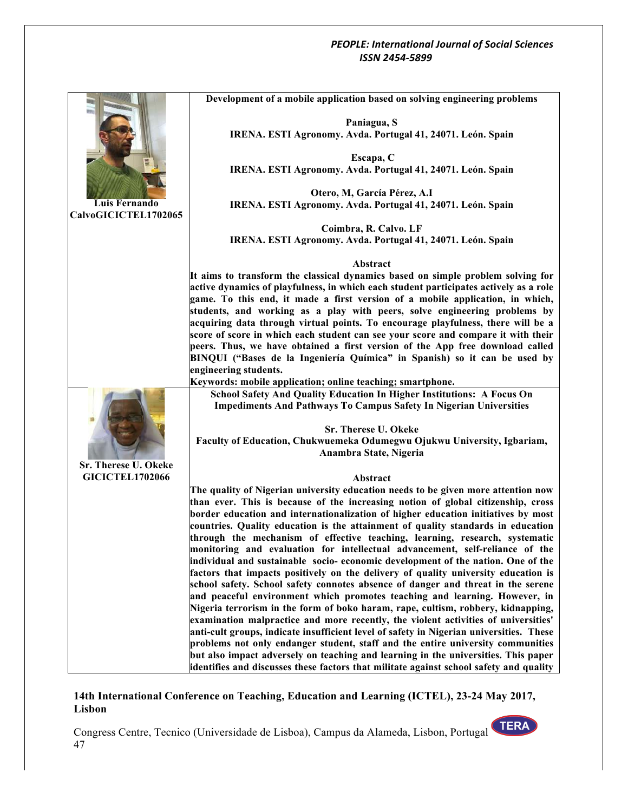|                        | Development of a mobile application based on solving engineering problems               |
|------------------------|-----------------------------------------------------------------------------------------|
|                        |                                                                                         |
|                        | Paniagua, S                                                                             |
|                        | IRENA. ESTI Agronomy. Avda. Portugal 41, 24071. León. Spain                             |
|                        | Escapa, C                                                                               |
|                        | IRENA. ESTI Agronomy. Avda. Portugal 41, 24071. León. Spain                             |
|                        |                                                                                         |
|                        | Otero, M, García Pérez, A.I                                                             |
| Luis Fernando          | IRENA. ESTI Agronomy. Avda. Portugal 41, 24071. León. Spain                             |
| CalvoGICICTEL1702065   |                                                                                         |
|                        | Coimbra, R. Calvo. LF                                                                   |
|                        | IRENA. ESTI Agronomy. Avda. Portugal 41, 24071. León. Spain                             |
|                        | Abstract                                                                                |
|                        | It aims to transform the classical dynamics based on simple problem solving for         |
|                        | active dynamics of playfulness, in which each student participates actively as a role   |
|                        | game. To this end, it made a first version of a mobile application, in which,           |
|                        | students, and working as a play with peers, solve engineering problems by               |
|                        | acquiring data through virtual points. To encourage playfulness, there will be a        |
|                        | score of score in which each student can see your score and compare it with their       |
|                        | peers. Thus, we have obtained a first version of the App free download called           |
|                        | BINQUI ("Bases de la Ingeniería Química" in Spanish) so it can be used by               |
|                        | engineering students.                                                                   |
|                        | Keywords: mobile application; online teaching; smartphone.                              |
|                        | School Safety And Quality Education In Higher Institutions: A Focus On                  |
|                        | <b>Impediments And Pathways To Campus Safety In Nigerian Universities</b>               |
|                        | Sr. Therese U. Okeke                                                                    |
|                        | Faculty of Education, Chukwuemeka Odumegwu Ojukwu University, Igbariam,                 |
|                        | Anambra State, Nigeria                                                                  |
| Sr. Therese U. Okeke   |                                                                                         |
| <b>GICICTEL1702066</b> | Abstract                                                                                |
|                        | The quality of Nigerian university education needs to be given more attention now       |
|                        | than ever. This is because of the increasing notion of global citizenship, cross        |
|                        | border education and internationalization of higher education initiatives by most       |
|                        | countries. Quality education is the attainment of quality standards in education        |
|                        | through the mechanism of effective teaching, learning, research, systematic             |
|                        | monitoring and evaluation for intellectual advancement, self-reliance of the            |
|                        | individual and sustainable socio-economic development of the nation. One of the         |
|                        | factors that impacts positively on the delivery of quality university education is      |
|                        | school safety. School safety connotes absence of danger and threat in the serene        |
|                        | and peaceful environment which promotes teaching and learning. However, in              |
|                        | Nigeria terrorism in the form of boko haram, rape, cultism, robbery, kidnapping,        |
|                        | examination malpractice and more recently, the violent activities of universities'      |
|                        | anti-cult groups, indicate insufficient level of safety in Nigerian universities. These |
|                        | problems not only endanger student, staff and the entire university communities         |
|                        | but also impact adversely on teaching and learning in the universities. This paper      |
|                        | identifies and discusses these factors that militate against school safety and quality  |

## **14th International Conference on Teaching, Education and Learning (ICTEL), 23-24 May 2017, Lisbon**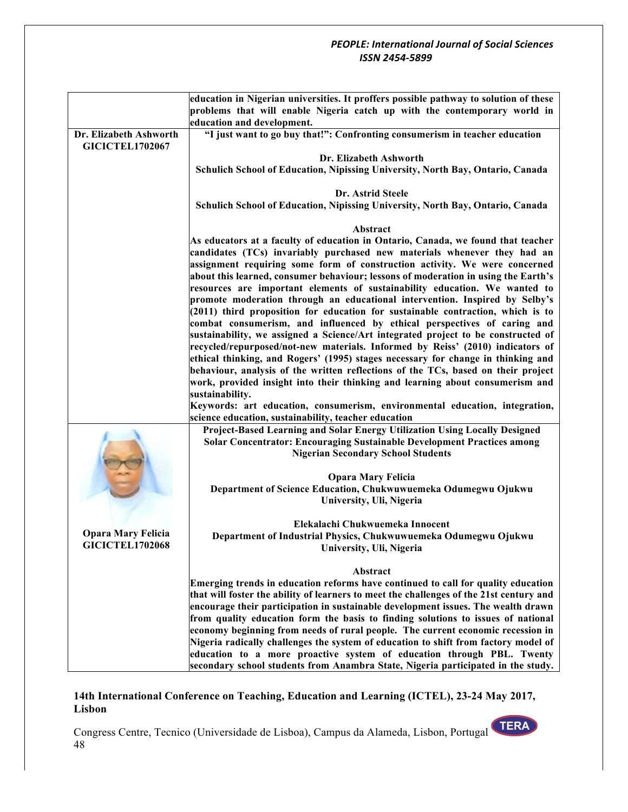|                                                                           | education in Nigerian universities. It proffers possible pathway to solution of these   |
|---------------------------------------------------------------------------|-----------------------------------------------------------------------------------------|
| problems that will enable Nigeria catch up with the contemporary world in |                                                                                         |
|                                                                           | education and development.                                                              |
| Dr. Elizabeth Ashworth                                                    | "I just want to go buy that!": Confronting consumerism in teacher education             |
| <b>GICICTEL1702067</b>                                                    |                                                                                         |
|                                                                           | Dr. Elizabeth Ashworth                                                                  |
|                                                                           |                                                                                         |
|                                                                           | Schulich School of Education, Nipissing University, North Bay, Ontario, Canada          |
|                                                                           |                                                                                         |
|                                                                           | Dr. Astrid Steele                                                                       |
|                                                                           | Schulich School of Education, Nipissing University, North Bay, Ontario, Canada          |
|                                                                           |                                                                                         |
|                                                                           | Abstract                                                                                |
|                                                                           | As educators at a faculty of education in Ontario, Canada, we found that teacher        |
|                                                                           | candidates (TCs) invariably purchased new materials whenever they had an                |
|                                                                           | assignment requiring some form of construction activity. We were concerned              |
|                                                                           | about this learned, consumer behaviour; lessons of moderation in using the Earth's      |
|                                                                           | resources are important elements of sustainability education. We wanted to              |
|                                                                           |                                                                                         |
|                                                                           | promote moderation through an educational intervention. Inspired by Selby's             |
|                                                                           | (2011) third proposition for education for sustainable contraction, which is to         |
|                                                                           | combat consumerism, and influenced by ethical perspectives of caring and                |
|                                                                           | sustainability, we assigned a Science/Art integrated project to be constructed of       |
|                                                                           | recycled/repurposed/not-new materials. Informed by Reiss' (2010) indicators of          |
|                                                                           | ethical thinking, and Rogers' (1995) stages necessary for change in thinking and        |
|                                                                           | behaviour, analysis of the written reflections of the TCs, based on their project       |
|                                                                           | work, provided insight into their thinking and learning about consumerism and           |
|                                                                           | sustainability.                                                                         |
|                                                                           | Keywords: art education, consumerism, environmental education, integration,             |
|                                                                           | science education, sustainability, teacher education                                    |
|                                                                           |                                                                                         |
|                                                                           | Project-Based Learning and Solar Energy Utilization Using Locally Designed              |
|                                                                           | <b>Solar Concentrator: Encouraging Sustainable Development Practices among</b>          |
|                                                                           | <b>Nigerian Secondary School Students</b>                                               |
|                                                                           |                                                                                         |
|                                                                           | <b>Opara Mary Felicia</b>                                                               |
|                                                                           | Department of Science Education, Chukwuwuemeka Odumegwu Ojukwu                          |
|                                                                           | University, Uli, Nigeria                                                                |
|                                                                           |                                                                                         |
|                                                                           | Elekalachi Chukwuemeka Innocent                                                         |
| <b>Opara Mary Felicia</b>                                                 | Department of Industrial Physics, Chukwuwuemeka Odumegwu Ojukwu                         |
| <b>GICICTEL1702068</b>                                                    |                                                                                         |
|                                                                           | University, Uli, Nigeria                                                                |
|                                                                           |                                                                                         |
|                                                                           | Abstract                                                                                |
|                                                                           | Emerging trends in education reforms have continued to call for quality education       |
|                                                                           | that will foster the ability of learners to meet the challenges of the 21st century and |
|                                                                           | encourage their participation in sustainable development issues. The wealth drawn       |
|                                                                           | from quality education form the basis to finding solutions to issues of national        |
|                                                                           | economy beginning from needs of rural people. The current economic recession in         |
|                                                                           | Nigeria radically challenges the system of education to shift from factory model of     |
|                                                                           | education to a more proactive system of education through PBL. Twenty                   |
|                                                                           | secondary school students from Anambra State, Nigeria participated in the study.        |
|                                                                           |                                                                                         |

## **14th International Conference on Teaching, Education and Learning (ICTEL), 23-24 May 2017, Lisbon**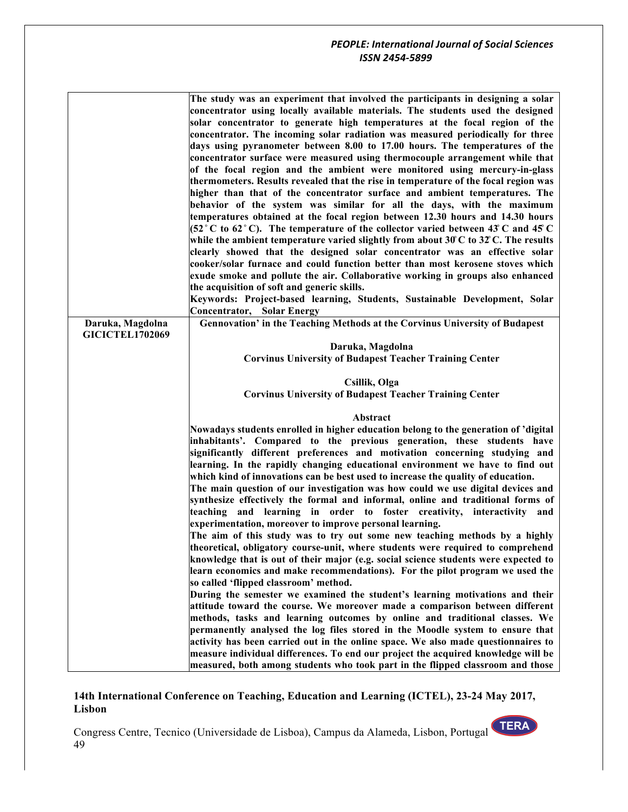|                                            | The study was an experiment that involved the participants in designing a solar<br>concentrator using locally available materials. The students used the designed<br>solar concentrator to generate high temperatures at the focal region of the<br>concentrator. The incoming solar radiation was measured periodically for three<br>days using pyranometer between 8.00 to 17.00 hours. The temperatures of the<br>concentrator surface were measured using thermocouple arrangement while that<br>of the focal region and the ambient were monitored using mercury-in-glass<br>thermometers. Results revealed that the rise in temperature of the focal region was<br>higher than that of the concentrator surface and ambient temperatures. The<br>behavior of the system was similar for all the days, with the maximum |
|--------------------------------------------|------------------------------------------------------------------------------------------------------------------------------------------------------------------------------------------------------------------------------------------------------------------------------------------------------------------------------------------------------------------------------------------------------------------------------------------------------------------------------------------------------------------------------------------------------------------------------------------------------------------------------------------------------------------------------------------------------------------------------------------------------------------------------------------------------------------------------|
|                                            | temperatures obtained at the focal region between 12.30 hours and 14.30 hours<br>(52 ° C to 62 ° C). The temperature of the collector varied between 43 C and 45 C<br>while the ambient temperature varied slightly from about $30^{\circ}$ C to $32^{\circ}$ C. The results<br>clearly showed that the designed solar concentrator was an effective solar<br>cooker/solar furnace and could function better than most kerosene stoves which<br>exude smoke and pollute the air. Collaborative working in groups also enhanced<br>the acquisition of soft and generic skills.                                                                                                                                                                                                                                                |
|                                            | Keywords: Project-based learning, Students, Sustainable Development, Solar                                                                                                                                                                                                                                                                                                                                                                                                                                                                                                                                                                                                                                                                                                                                                   |
| Daruka, Magdolna<br><b>GICICTEL1702069</b> | <b>Concentrator, Solar Energy</b><br>Gennovation' in the Teaching Methods at the Corvinus University of Budapest                                                                                                                                                                                                                                                                                                                                                                                                                                                                                                                                                                                                                                                                                                             |
|                                            | Daruka, Magdolna                                                                                                                                                                                                                                                                                                                                                                                                                                                                                                                                                                                                                                                                                                                                                                                                             |
|                                            | <b>Corvinus University of Budapest Teacher Training Center</b>                                                                                                                                                                                                                                                                                                                                                                                                                                                                                                                                                                                                                                                                                                                                                               |
|                                            | Csillik, Olga                                                                                                                                                                                                                                                                                                                                                                                                                                                                                                                                                                                                                                                                                                                                                                                                                |
|                                            | <b>Corvinus University of Budapest Teacher Training Center</b>                                                                                                                                                                                                                                                                                                                                                                                                                                                                                                                                                                                                                                                                                                                                                               |
|                                            |                                                                                                                                                                                                                                                                                                                                                                                                                                                                                                                                                                                                                                                                                                                                                                                                                              |
|                                            | Abstract                                                                                                                                                                                                                                                                                                                                                                                                                                                                                                                                                                                                                                                                                                                                                                                                                     |
|                                            | Nowadays students enrolled in higher education belong to the generation of 'digital<br>inhabitants'. Compared to the previous generation, these students have                                                                                                                                                                                                                                                                                                                                                                                                                                                                                                                                                                                                                                                                |
|                                            | significantly different preferences and motivation concerning studying and                                                                                                                                                                                                                                                                                                                                                                                                                                                                                                                                                                                                                                                                                                                                                   |
|                                            | learning. In the rapidly changing educational environment we have to find out                                                                                                                                                                                                                                                                                                                                                                                                                                                                                                                                                                                                                                                                                                                                                |
|                                            | which kind of innovations can be best used to increase the quality of education.                                                                                                                                                                                                                                                                                                                                                                                                                                                                                                                                                                                                                                                                                                                                             |
|                                            | The main question of our investigation was how could we use digital devices and                                                                                                                                                                                                                                                                                                                                                                                                                                                                                                                                                                                                                                                                                                                                              |
|                                            | synthesize effectively the formal and informal, online and traditional forms of<br>teaching and learning in order to foster creativity, interactivity and                                                                                                                                                                                                                                                                                                                                                                                                                                                                                                                                                                                                                                                                    |
|                                            | experimentation, moreover to improve personal learning.                                                                                                                                                                                                                                                                                                                                                                                                                                                                                                                                                                                                                                                                                                                                                                      |
|                                            | The aim of this study was to try out some new teaching methods by a highly                                                                                                                                                                                                                                                                                                                                                                                                                                                                                                                                                                                                                                                                                                                                                   |
|                                            | theoretical, obligatory course-unit, where students were required to comprehend                                                                                                                                                                                                                                                                                                                                                                                                                                                                                                                                                                                                                                                                                                                                              |
|                                            | knowledge that is out of their major (e.g. social science students were expected to<br>learn economics and make recommendations). For the pilot program we used the                                                                                                                                                                                                                                                                                                                                                                                                                                                                                                                                                                                                                                                          |
|                                            | so called 'flipped classroom' method.                                                                                                                                                                                                                                                                                                                                                                                                                                                                                                                                                                                                                                                                                                                                                                                        |
|                                            | During the semester we examined the student's learning motivations and their                                                                                                                                                                                                                                                                                                                                                                                                                                                                                                                                                                                                                                                                                                                                                 |
|                                            | attitude toward the course. We moreover made a comparison between different                                                                                                                                                                                                                                                                                                                                                                                                                                                                                                                                                                                                                                                                                                                                                  |
|                                            | methods, tasks and learning outcomes by online and traditional classes. We                                                                                                                                                                                                                                                                                                                                                                                                                                                                                                                                                                                                                                                                                                                                                   |
|                                            | permanently analysed the log files stored in the Moodle system to ensure that<br>activity has been carried out in the online space. We also made questionnaires to                                                                                                                                                                                                                                                                                                                                                                                                                                                                                                                                                                                                                                                           |
|                                            | measure individual differences. To end our project the acquired knowledge will be                                                                                                                                                                                                                                                                                                                                                                                                                                                                                                                                                                                                                                                                                                                                            |
|                                            | measured, both among students who took part in the flipped classroom and those                                                                                                                                                                                                                                                                                                                                                                                                                                                                                                                                                                                                                                                                                                                                               |

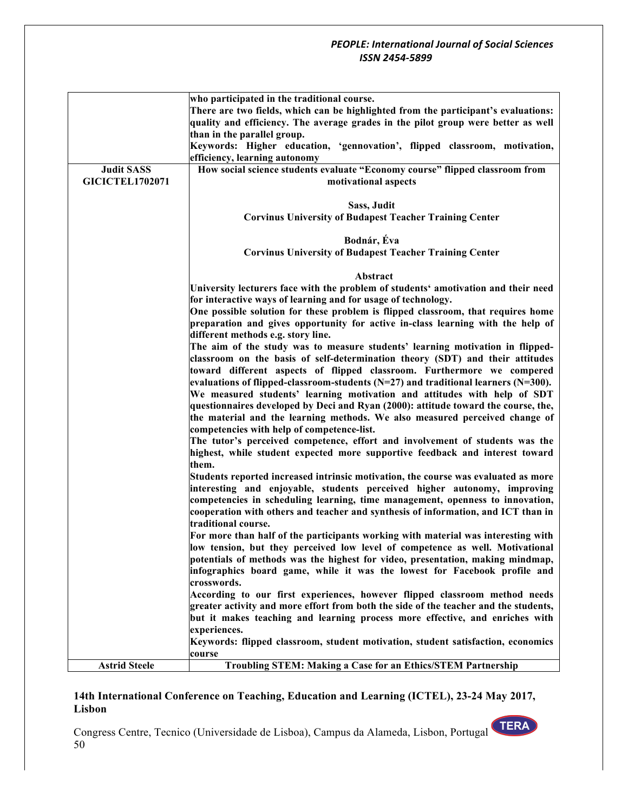|                        | who participated in the traditional course.                                                                                                                             |
|------------------------|-------------------------------------------------------------------------------------------------------------------------------------------------------------------------|
|                        | There are two fields, which can be highlighted from the participant's evaluations:<br>quality and efficiency. The average grades in the pilot group were better as well |
|                        | than in the parallel group.                                                                                                                                             |
|                        | Keywords: Higher education, 'gennovation', flipped classroom, motivation,                                                                                               |
|                        | efficiency, learning autonomy                                                                                                                                           |
| <b>Judit SASS</b>      | How social science students evaluate "Economy course" flipped classroom from                                                                                            |
| <b>GICICTEL1702071</b> | motivational aspects                                                                                                                                                    |
|                        | Sass, Judit                                                                                                                                                             |
|                        | <b>Corvinus University of Budapest Teacher Training Center</b>                                                                                                          |
|                        |                                                                                                                                                                         |
|                        | Bodnár, Éva                                                                                                                                                             |
|                        | <b>Corvinus University of Budapest Teacher Training Center</b>                                                                                                          |
|                        |                                                                                                                                                                         |
|                        | Abstract                                                                                                                                                                |
|                        | University lecturers face with the problem of students' amotivation and their need                                                                                      |
|                        | for interactive ways of learning and for usage of technology.                                                                                                           |
|                        | One possible solution for these problem is flipped classroom, that requires home                                                                                        |
|                        | preparation and gives opportunity for active in-class learning with the help of                                                                                         |
|                        | different methods e.g. story line.                                                                                                                                      |
|                        | The aim of the study was to measure students' learning motivation in flipped-                                                                                           |
|                        | classroom on the basis of self-determination theory (SDT) and their attitudes                                                                                           |
|                        | toward different aspects of flipped classroom. Furthermore we compered                                                                                                  |
|                        | evaluations of flipped-classroom-students $(N=27)$ and traditional learners $(N=300)$ .                                                                                 |
|                        | We measured students' learning motivation and attitudes with help of SDT                                                                                                |
|                        | questionnaires developed by Deci and Ryan (2000): attitude toward the course, the,                                                                                      |
|                        | the material and the learning methods. We also measured perceived change of                                                                                             |
|                        | competencies with help of competence-list.<br>The tutor's perceived competence, effort and involvement of students was the                                              |
|                        | highest, while student expected more supportive feedback and interest toward                                                                                            |
|                        | them.                                                                                                                                                                   |
|                        | Students reported increased intrinsic motivation, the course was evaluated as more                                                                                      |
|                        | interesting and enjoyable, students perceived higher autonomy, improving                                                                                                |
|                        | competencies in scheduling learning, time management, openness to innovation,                                                                                           |
|                        | cooperation with others and teacher and synthesis of information, and ICT than in                                                                                       |
|                        | traditional course.                                                                                                                                                     |
|                        | For more than half of the participants working with material was interesting with                                                                                       |
|                        | low tension, but they perceived low level of competence as well. Motivational                                                                                           |
|                        | potentials of methods was the highest for video, presentation, making mindmap,                                                                                          |
|                        | infographics board game, while it was the lowest for Facebook profile and                                                                                               |
|                        | crosswords.                                                                                                                                                             |
|                        | According to our first experiences, however flipped classroom method needs                                                                                              |
|                        | greater activity and more effort from both the side of the teacher and the students,                                                                                    |
|                        | but it makes teaching and learning process more effective, and enriches with                                                                                            |
|                        | experiences.                                                                                                                                                            |
|                        | Keywords: flipped classroom, student motivation, student satisfaction, economics                                                                                        |
|                        | course                                                                                                                                                                  |
| <b>Astrid Steele</b>   | Troubling STEM: Making a Case for an Ethics/STEM Partnership                                                                                                            |

# **14th International Conference on Teaching, Education and Learning (ICTEL), 23-24 May 2017, Lisbon**

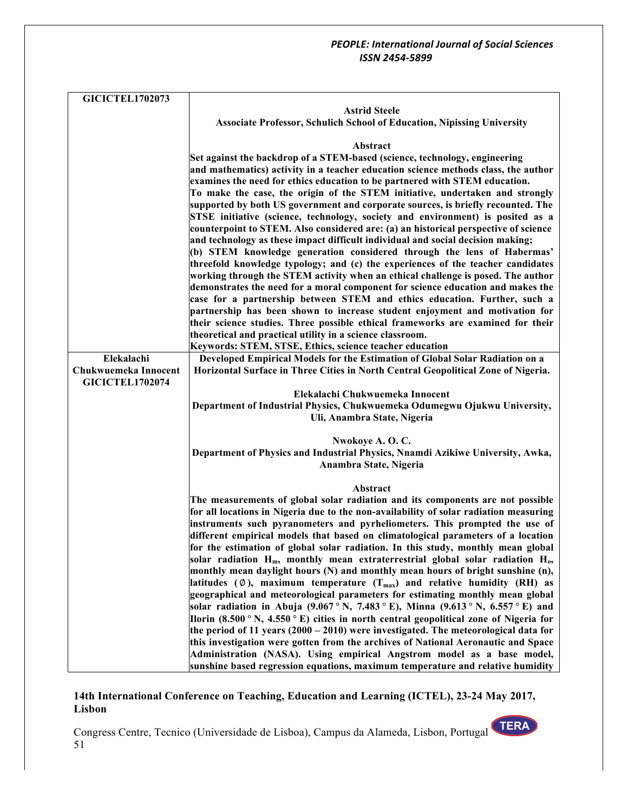| <b>GICICTEL1702073</b> |                                                                                                                                                                                    |
|------------------------|------------------------------------------------------------------------------------------------------------------------------------------------------------------------------------|
|                        | <b>Astrid Steele</b>                                                                                                                                                               |
|                        | <b>Associate Professor, Schulich School of Education, Nipissing University</b>                                                                                                     |
|                        |                                                                                                                                                                                    |
|                        | Abstract                                                                                                                                                                           |
|                        | Set against the backdrop of a STEM-based (science, technology, engineering                                                                                                         |
|                        | and mathematics) activity in a teacher education science methods class, the author                                                                                                 |
|                        | examines the need for ethics education to be partnered with STEM education.                                                                                                        |
|                        | To make the case, the origin of the STEM initiative, undertaken and strongly                                                                                                       |
|                        | supported by both US government and corporate sources, is briefly recounted. The<br>STSE initiative (science, technology, society and environment) is posited as a                 |
|                        | counterpoint to STEM. Also considered are: (a) an historical perspective of science                                                                                                |
|                        | and technology as these impact difficult individual and social decision making;                                                                                                    |
|                        | (b) STEM knowledge generation considered through the lens of Habermas'                                                                                                             |
|                        | threefold knowledge typology; and (c) the experiences of the teacher candidates                                                                                                    |
|                        | working through the STEM activity when an ethical challenge is posed. The author                                                                                                   |
|                        | demonstrates the need for a moral component for science education and makes the                                                                                                    |
|                        | case for a partnership between STEM and ethics education. Further, such a                                                                                                          |
|                        | partnership has been shown to increase student enjoyment and motivation for                                                                                                        |
|                        | their science studies. Three possible ethical frameworks are examined for their                                                                                                    |
|                        | theoretical and practical utility in a science classroom.                                                                                                                          |
| Elekalachi             | Keywords: STEM, STSE, Ethics, science teacher education<br>Developed Empirical Models for the Estimation of Global Solar Radiation on a                                            |
| Chukwuemeka Innocent   | Horizontal Surface in Three Cities in North Central Geopolitical Zone of Nigeria.                                                                                                  |
| <b>GICICTEL1702074</b> |                                                                                                                                                                                    |
|                        | Elekalachi Chukwuemeka Innocent                                                                                                                                                    |
|                        | Department of Industrial Physics, Chukwuemeka Odumegwu Ojukwu University,                                                                                                          |
|                        | Uli, Anambra State, Nigeria                                                                                                                                                        |
|                        |                                                                                                                                                                                    |
|                        | Nwokoye A. O. C.                                                                                                                                                                   |
|                        | Department of Physics and Industrial Physics, Nnamdi Azikiwe University, Awka,                                                                                                     |
|                        | Anambra State, Nigeria                                                                                                                                                             |
|                        | Abstract                                                                                                                                                                           |
|                        | The measurements of global solar radiation and its components are not possible                                                                                                     |
|                        | for all locations in Nigeria due to the non-availability of solar radiation measuring                                                                                              |
|                        | instruments such pyranometers and pyrheliometers. This prompted the use of                                                                                                         |
|                        | different empirical models that based on climatological parameters of a location                                                                                                   |
|                        | for the estimation of global solar radiation. In this study, monthly mean global                                                                                                   |
|                        | solar radiation $H_m$ , monthly mean extraterrestrial global solar radiation $H_o$ ,                                                                                               |
|                        | monthly mean daylight hours (N) and monthly mean hours of bright sunshine (n),                                                                                                     |
|                        | latitudes ( $\emptyset$ ), maximum temperature ( $T_{\text{max}}$ ) and relative humidity (RH) as<br>geographical and meteorological parameters for estimating monthly mean global |
|                        | solar radiation in Abuja (9.067 ° N, 7.483 ° E), Minna (9.613 ° N, 6.557 ° E) and                                                                                                  |
|                        | Ilorin (8.500 ° N, 4.550 ° E) cities in north central geopolitical zone of Nigeria for                                                                                             |
|                        | the period of 11 years $(2000 - 2010)$ were investigated. The meteorological data for                                                                                              |
|                        | this investigation were gotten from the archives of National Aeronautic and Space                                                                                                  |
|                        | Administration (NASA). Using empirical Angstrom model as a base model,                                                                                                             |
|                        | sunshine based regression equations, maximum temperature and relative humidity                                                                                                     |

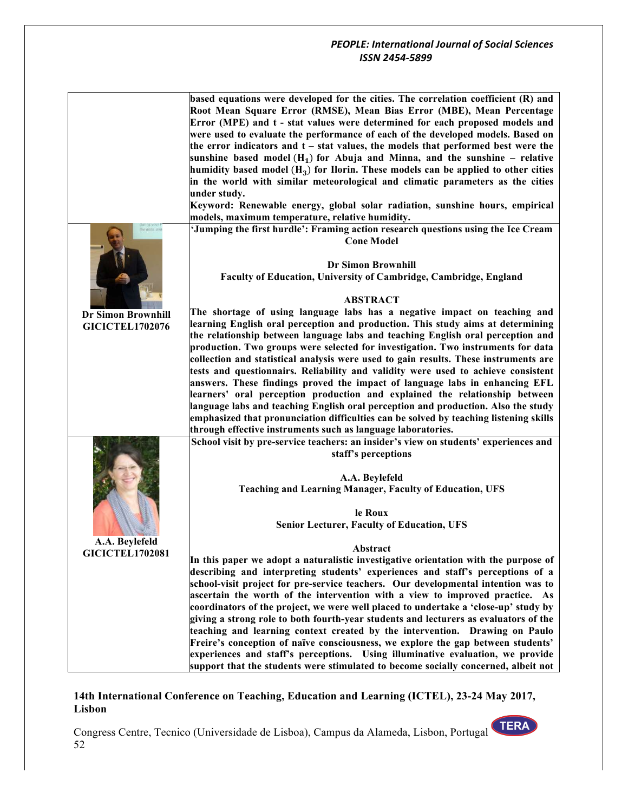| he data, ar               | based equations were developed for the cities. The correlation coefficient (R) and<br>Root Mean Square Error (RMSE), Mean Bias Error (MBE), Mean Percentage<br>Error (MPE) and t - stat values were determined for each proposed models and<br>were used to evaluate the performance of each of the developed models. Based on<br>the error indicators and $t - stat$ values, the models that performed best were the<br>sunshine based model $(H_1)$ for Abuja and Minna, and the sunshine – relative<br>humidity based model $(H_3)$ for Ilorin. These models can be applied to other cities<br>in the world with similar meteorological and climatic parameters as the cities<br>under study.<br>Keyword: Renewable energy, global solar radiation, sunshine hours, empirical<br>models, maximum temperature, relative humidity.<br>'Jumping the first hurdle': Framing action research questions using the Ice Cream<br><b>Cone Model</b> |
|---------------------------|-----------------------------------------------------------------------------------------------------------------------------------------------------------------------------------------------------------------------------------------------------------------------------------------------------------------------------------------------------------------------------------------------------------------------------------------------------------------------------------------------------------------------------------------------------------------------------------------------------------------------------------------------------------------------------------------------------------------------------------------------------------------------------------------------------------------------------------------------------------------------------------------------------------------------------------------------|
|                           | <b>Dr Simon Brownhill</b>                                                                                                                                                                                                                                                                                                                                                                                                                                                                                                                                                                                                                                                                                                                                                                                                                                                                                                                     |
|                           | Faculty of Education, University of Cambridge, Cambridge, England                                                                                                                                                                                                                                                                                                                                                                                                                                                                                                                                                                                                                                                                                                                                                                                                                                                                             |
|                           | <b>ABSTRACT</b>                                                                                                                                                                                                                                                                                                                                                                                                                                                                                                                                                                                                                                                                                                                                                                                                                                                                                                                               |
| <b>Dr Simon Brownhill</b> | The shortage of using language labs has a negative impact on teaching and                                                                                                                                                                                                                                                                                                                                                                                                                                                                                                                                                                                                                                                                                                                                                                                                                                                                     |
| <b>GICICTEL1702076</b>    | learning English oral perception and production. This study aims at determining                                                                                                                                                                                                                                                                                                                                                                                                                                                                                                                                                                                                                                                                                                                                                                                                                                                               |
|                           | the relationship between language labs and teaching English oral perception and                                                                                                                                                                                                                                                                                                                                                                                                                                                                                                                                                                                                                                                                                                                                                                                                                                                               |
|                           | production. Two groups were selected for investigation. Two instruments for data                                                                                                                                                                                                                                                                                                                                                                                                                                                                                                                                                                                                                                                                                                                                                                                                                                                              |
|                           | collection and statistical analysis were used to gain results. These instruments are                                                                                                                                                                                                                                                                                                                                                                                                                                                                                                                                                                                                                                                                                                                                                                                                                                                          |
|                           | tests and questionnairs. Reliability and validity were used to achieve consistent                                                                                                                                                                                                                                                                                                                                                                                                                                                                                                                                                                                                                                                                                                                                                                                                                                                             |
|                           | answers. These findings proved the impact of language labs in enhancing EFL                                                                                                                                                                                                                                                                                                                                                                                                                                                                                                                                                                                                                                                                                                                                                                                                                                                                   |
|                           | learners' oral perception production and explained the relationship between                                                                                                                                                                                                                                                                                                                                                                                                                                                                                                                                                                                                                                                                                                                                                                                                                                                                   |
|                           | language labs and teaching English oral perception and production. Also the study<br>emphasized that pronunciation difficulties can be solved by teaching listening skills                                                                                                                                                                                                                                                                                                                                                                                                                                                                                                                                                                                                                                                                                                                                                                    |
|                           | through effective instruments such as language laboratories.                                                                                                                                                                                                                                                                                                                                                                                                                                                                                                                                                                                                                                                                                                                                                                                                                                                                                  |
|                           | School visit by pre-service teachers: an insider's view on students' experiences and                                                                                                                                                                                                                                                                                                                                                                                                                                                                                                                                                                                                                                                                                                                                                                                                                                                          |
|                           | staff's perceptions                                                                                                                                                                                                                                                                                                                                                                                                                                                                                                                                                                                                                                                                                                                                                                                                                                                                                                                           |
|                           | A.A. Beylefeld                                                                                                                                                                                                                                                                                                                                                                                                                                                                                                                                                                                                                                                                                                                                                                                                                                                                                                                                |
|                           | <b>Teaching and Learning Manager, Faculty of Education, UFS</b>                                                                                                                                                                                                                                                                                                                                                                                                                                                                                                                                                                                                                                                                                                                                                                                                                                                                               |
|                           | le Roux                                                                                                                                                                                                                                                                                                                                                                                                                                                                                                                                                                                                                                                                                                                                                                                                                                                                                                                                       |
|                           | <b>Senior Lecturer, Faculty of Education, UFS</b>                                                                                                                                                                                                                                                                                                                                                                                                                                                                                                                                                                                                                                                                                                                                                                                                                                                                                             |
| A.A. Beylefeld            |                                                                                                                                                                                                                                                                                                                                                                                                                                                                                                                                                                                                                                                                                                                                                                                                                                                                                                                                               |
| <b>GICICTEL1702081</b>    | Abstract                                                                                                                                                                                                                                                                                                                                                                                                                                                                                                                                                                                                                                                                                                                                                                                                                                                                                                                                      |
|                           | In this paper we adopt a naturalistic investigative orientation with the purpose of                                                                                                                                                                                                                                                                                                                                                                                                                                                                                                                                                                                                                                                                                                                                                                                                                                                           |
|                           | describing and interpreting students' experiences and staff's perceptions of a                                                                                                                                                                                                                                                                                                                                                                                                                                                                                                                                                                                                                                                                                                                                                                                                                                                                |
|                           | school-visit project for pre-service teachers. Our developmental intention was to                                                                                                                                                                                                                                                                                                                                                                                                                                                                                                                                                                                                                                                                                                                                                                                                                                                             |
|                           | ascertain the worth of the intervention with a view to improved practice. As                                                                                                                                                                                                                                                                                                                                                                                                                                                                                                                                                                                                                                                                                                                                                                                                                                                                  |
|                           | coordinators of the project, we were well placed to undertake a 'close-up' study by                                                                                                                                                                                                                                                                                                                                                                                                                                                                                                                                                                                                                                                                                                                                                                                                                                                           |
|                           | giving a strong role to both fourth-year students and lecturers as evaluators of the<br>teaching and learning context created by the intervention. Drawing on Paulo                                                                                                                                                                                                                                                                                                                                                                                                                                                                                                                                                                                                                                                                                                                                                                           |
|                           | Freire's conception of naïve consciousness, we explore the gap between students'                                                                                                                                                                                                                                                                                                                                                                                                                                                                                                                                                                                                                                                                                                                                                                                                                                                              |
|                           | experiences and staff's perceptions. Using illuminative evaluation, we provide                                                                                                                                                                                                                                                                                                                                                                                                                                                                                                                                                                                                                                                                                                                                                                                                                                                                |
|                           | support that the students were stimulated to become socially concerned, albeit not                                                                                                                                                                                                                                                                                                                                                                                                                                                                                                                                                                                                                                                                                                                                                                                                                                                            |

## **14th International Conference on Teaching, Education and Learning (ICTEL), 23-24 May 2017, Lisbon**

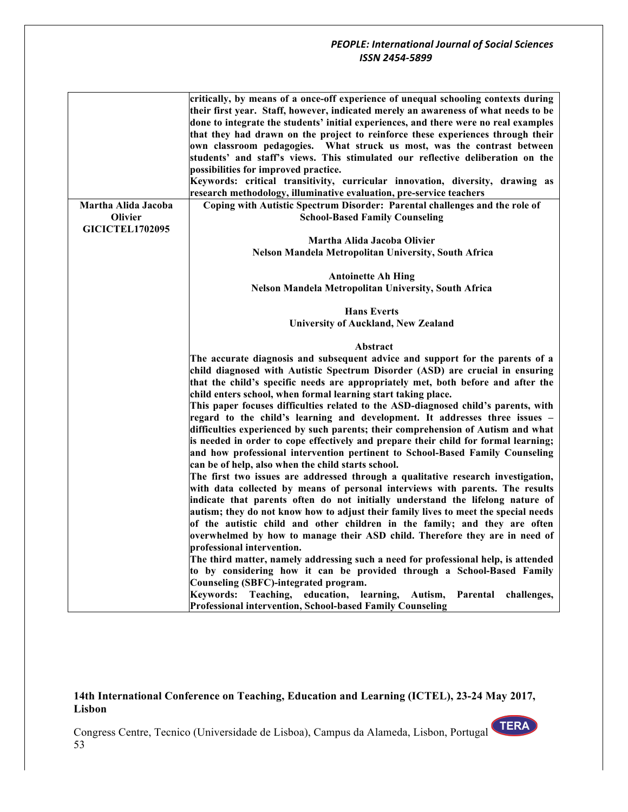| Martha Alida Jacoba                      | critically, by means of a once-off experience of unequal schooling contexts during<br>their first year. Staff, however, indicated merely an awareness of what needs to be<br>done to integrate the students' initial experiences, and there were no real examples<br>that they had drawn on the project to reinforce these experiences through their<br>own classroom pedagogies. What struck us most, was the contrast between<br>students' and staff's views. This stimulated our reflective deliberation on the<br>possibilities for improved practice.<br>Keywords: critical transitivity, curricular innovation, diversity, drawing as<br>research methodology, illuminative evaluation, pre-service teachers<br>Coping with Autistic Spectrum Disorder: Parental challenges and the role of                                                                                                                                                                                                                                                                 |
|------------------------------------------|-------------------------------------------------------------------------------------------------------------------------------------------------------------------------------------------------------------------------------------------------------------------------------------------------------------------------------------------------------------------------------------------------------------------------------------------------------------------------------------------------------------------------------------------------------------------------------------------------------------------------------------------------------------------------------------------------------------------------------------------------------------------------------------------------------------------------------------------------------------------------------------------------------------------------------------------------------------------------------------------------------------------------------------------------------------------|
| <b>Olivier</b><br><b>GICICTEL1702095</b> | <b>School-Based Family Counseling</b>                                                                                                                                                                                                                                                                                                                                                                                                                                                                                                                                                                                                                                                                                                                                                                                                                                                                                                                                                                                                                             |
|                                          | Martha Alida Jacoba Olivier                                                                                                                                                                                                                                                                                                                                                                                                                                                                                                                                                                                                                                                                                                                                                                                                                                                                                                                                                                                                                                       |
|                                          | <b>Nelson Mandela Metropolitan University, South Africa</b>                                                                                                                                                                                                                                                                                                                                                                                                                                                                                                                                                                                                                                                                                                                                                                                                                                                                                                                                                                                                       |
|                                          | <b>Antoinette Ah Hing</b>                                                                                                                                                                                                                                                                                                                                                                                                                                                                                                                                                                                                                                                                                                                                                                                                                                                                                                                                                                                                                                         |
|                                          | Nelson Mandela Metropolitan University, South Africa                                                                                                                                                                                                                                                                                                                                                                                                                                                                                                                                                                                                                                                                                                                                                                                                                                                                                                                                                                                                              |
|                                          |                                                                                                                                                                                                                                                                                                                                                                                                                                                                                                                                                                                                                                                                                                                                                                                                                                                                                                                                                                                                                                                                   |
|                                          | <b>Hans Everts</b>                                                                                                                                                                                                                                                                                                                                                                                                                                                                                                                                                                                                                                                                                                                                                                                                                                                                                                                                                                                                                                                |
|                                          | <b>University of Auckland, New Zealand</b>                                                                                                                                                                                                                                                                                                                                                                                                                                                                                                                                                                                                                                                                                                                                                                                                                                                                                                                                                                                                                        |
|                                          | Abstract                                                                                                                                                                                                                                                                                                                                                                                                                                                                                                                                                                                                                                                                                                                                                                                                                                                                                                                                                                                                                                                          |
|                                          | The accurate diagnosis and subsequent advice and support for the parents of a<br>child diagnosed with Autistic Spectrum Disorder (ASD) are crucial in ensuring<br>that the child's specific needs are appropriately met, both before and after the<br>child enters school, when formal learning start taking place.<br>This paper focuses difficulties related to the ASD-diagnosed child's parents, with<br>regard to the child's learning and development. It addresses three issues -<br>difficulties experienced by such parents; their comprehension of Autism and what<br>is needed in order to cope effectively and prepare their child for formal learning;<br>and how professional intervention pertinent to School-Based Family Counseling<br>can be of help, also when the child starts school.<br>The first two issues are addressed through a qualitative research investigation,<br>with data collected by means of personal interviews with parents. The results<br>indicate that parents often do not initially understand the lifelong nature of |
|                                          | autism; they do not know how to adjust their family lives to meet the special needs<br>of the autistic child and other children in the family; and they are often                                                                                                                                                                                                                                                                                                                                                                                                                                                                                                                                                                                                                                                                                                                                                                                                                                                                                                 |
|                                          | overwhelmed by how to manage their ASD child. Therefore they are in need of                                                                                                                                                                                                                                                                                                                                                                                                                                                                                                                                                                                                                                                                                                                                                                                                                                                                                                                                                                                       |
|                                          | professional intervention.                                                                                                                                                                                                                                                                                                                                                                                                                                                                                                                                                                                                                                                                                                                                                                                                                                                                                                                                                                                                                                        |
|                                          | The third matter, namely addressing such a need for professional help, is attended<br>to by considering how it can be provided through a School-Based Family<br>Counseling (SBFC)-integrated program.                                                                                                                                                                                                                                                                                                                                                                                                                                                                                                                                                                                                                                                                                                                                                                                                                                                             |
|                                          | Teaching, education, learning, Autism,<br>Kevwords:<br>Parental<br>challenges,<br><b>Professional intervention, School-based Family Counseling</b>                                                                                                                                                                                                                                                                                                                                                                                                                                                                                                                                                                                                                                                                                                                                                                                                                                                                                                                |

**14th International Conference on Teaching, Education and Learning (ICTEL), 23-24 May 2017, Lisbon**

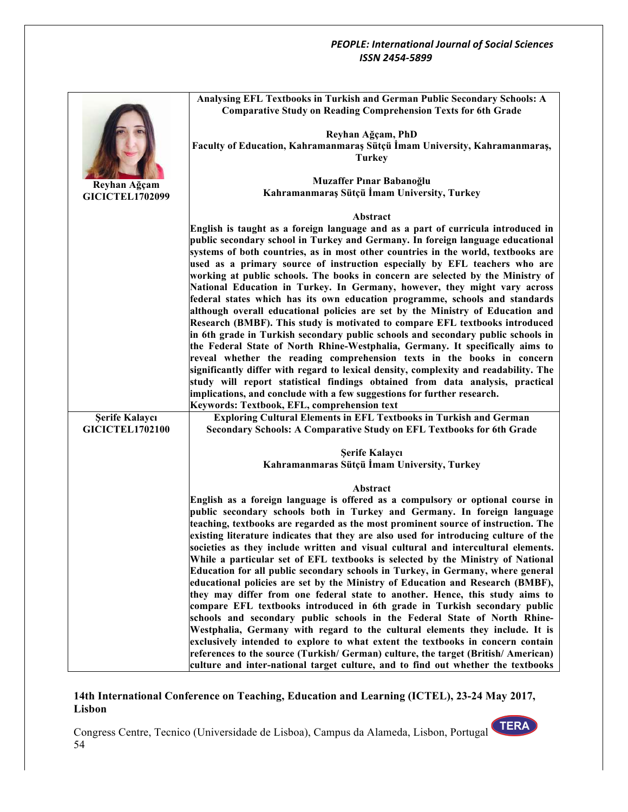|                        | Analysing EFL Textbooks in Turkish and German Public Secondary Schools: A<br><b>Comparative Study on Reading Comprehension Texts for 6th Grade</b>             |
|------------------------|----------------------------------------------------------------------------------------------------------------------------------------------------------------|
|                        | Reyhan Ağçam, PhD                                                                                                                                              |
|                        | Faculty of Education, Kahramanmaraş Sütçü İmam University, Kahramanmaraş,                                                                                      |
|                        | <b>Turkey</b>                                                                                                                                                  |
| Reyhan Ağçam           | Muzaffer Pınar Babanoğlu                                                                                                                                       |
| <b>GICICTEL1702099</b> | Kahramanmaraş Sütçü İmam University, Turkey                                                                                                                    |
|                        | <b>Abstract</b>                                                                                                                                                |
|                        | English is taught as a foreign language and as a part of curricula introduced in                                                                               |
|                        | public secondary school in Turkey and Germany. In foreign language educational                                                                                 |
|                        | systems of both countries, as in most other countries in the world, textbooks are                                                                              |
|                        | used as a primary source of instruction especially by EFL teachers who are                                                                                     |
|                        | working at public schools. The books in concern are selected by the Ministry of<br>National Education in Turkey. In Germany, however, they might vary across   |
|                        | federal states which has its own education programme, schools and standards                                                                                    |
|                        | although overall educational policies are set by the Ministry of Education and                                                                                 |
|                        | Research (BMBF). This study is motivated to compare EFL textbooks introduced                                                                                   |
|                        | in 6th grade in Turkish secondary public schools and secondary public schools in                                                                               |
|                        | the Federal State of North Rhine-Westphalia, Germany. It specifically aims to                                                                                  |
|                        | reveal whether the reading comprehension texts in the books in concern<br>significantly differ with regard to lexical density, complexity and readability. The |
|                        | study will report statistical findings obtained from data analysis, practical                                                                                  |
|                        | implications, and conclude with a few suggestions for further research.                                                                                        |
|                        | Keywords: Textbook, EFL, comprehension text                                                                                                                    |
| Şerife Kalaycı         | <b>Exploring Cultural Elements in EFL Textbooks in Turkish and German</b>                                                                                      |
| <b>GICICTEL1702100</b> | Secondary Schools: A Comparative Study on EFL Textbooks for 6th Grade                                                                                          |
|                        | Şerife Kalaycı                                                                                                                                                 |
|                        | Kahramanmaras Sütçü İmam University, Turkey                                                                                                                    |
|                        | Abstract                                                                                                                                                       |
|                        | English as a foreign language is offered as a compulsory or optional course in<br>public secondary schools both in Turkey and Germany. In foreign language     |
|                        | teaching, textbooks are regarded as the most prominent source of instruction. The                                                                              |
|                        | existing literature indicates that they are also used for introducing culture of the                                                                           |
|                        | societies as they include written and visual cultural and intercultural elements.                                                                              |
|                        | While a particular set of EFL textbooks is selected by the Ministry of National                                                                                |
|                        | Education for all public secondary schools in Turkey, in Germany, where general                                                                                |
|                        | educational policies are set by the Ministry of Education and Research (BMBF),                                                                                 |
|                        | they may differ from one federal state to another. Hence, this study aims to<br>compare EFL textbooks introduced in 6th grade in Turkish secondary public      |
|                        | schools and secondary public schools in the Federal State of North Rhine-                                                                                      |
|                        | Westphalia, Germany with regard to the cultural elements they include. It is                                                                                   |
|                        | exclusively intended to explore to what extent the textbooks in concern contain                                                                                |
|                        | references to the source (Turkish/ German) culture, the target (British/ American)                                                                             |
|                        | culture and inter-national target culture, and to find out whether the textbooks                                                                               |

## **14th International Conference on Teaching, Education and Learning (ICTEL), 23-24 May 2017, Lisbon**

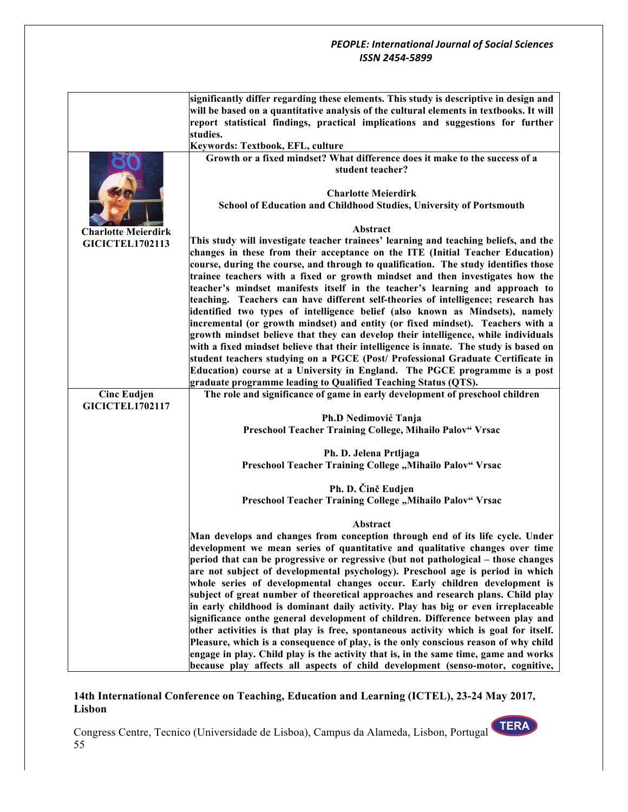|                                              | significantly differ regarding these elements. This study is descriptive in design and<br>will be based on a quantitative analysis of the cultural elements in textbooks. It will |
|----------------------------------------------|-----------------------------------------------------------------------------------------------------------------------------------------------------------------------------------|
|                                              | report statistical findings, practical implications and suggestions for further                                                                                                   |
|                                              | studies.<br>Keywords: Textbook, EFL, culture                                                                                                                                      |
|                                              | Growth or a fixed mindset? What difference does it make to the success of a                                                                                                       |
|                                              | student teacher?                                                                                                                                                                  |
|                                              | <b>Charlotte Meierdirk</b>                                                                                                                                                        |
|                                              | School of Education and Childhood Studies, University of Portsmouth                                                                                                               |
| <b>Charlotte Meierdirk</b>                   | Abstract                                                                                                                                                                          |
| <b>GICICTEL1702113</b>                       | This study will investigate teacher trainees' learning and teaching beliefs, and the                                                                                              |
|                                              | changes in these from their acceptance on the ITE (Initial Teacher Education)                                                                                                     |
|                                              | course, during the course, and through to qualification. The study identifies those                                                                                               |
|                                              | trainee teachers with a fixed or growth mindset and then investigates how the                                                                                                     |
|                                              | teacher's mindset manifests itself in the teacher's learning and approach to                                                                                                      |
|                                              | teaching. Teachers can have different self-theories of intelligence; research has                                                                                                 |
|                                              | identified two types of intelligence belief (also known as Mindsets), namely<br>incremental (or growth mindset) and entity (or fixed mindset). Teachers with a                    |
|                                              | growth mindset believe that they can develop their intelligence, while individuals                                                                                                |
|                                              | with a fixed mindset believe that their intelligence is innate. The study is based on                                                                                             |
|                                              | student teachers studying on a PGCE (Post/ Professional Graduate Certificate in                                                                                                   |
|                                              | Education) course at a University in England. The PGCE programme is a post                                                                                                        |
|                                              | graduate programme leading to Qualified Teaching Status (QTS).                                                                                                                    |
| <b>Cinc Eudjen</b><br><b>GICICTEL1702117</b> | The role and significance of game in early development of preschool children                                                                                                      |
|                                              | Ph.D Nedimović Tanja                                                                                                                                                              |
|                                              | Preschool Teacher Training College, Mihailo Palov" Vrsac                                                                                                                          |
|                                              | Ph. D. Jelena Prtljaga                                                                                                                                                            |
|                                              | Preschool Teacher Training College "Mihailo Palov" Vrsac                                                                                                                          |
|                                              | Ph. D. Činč Eudjen                                                                                                                                                                |
|                                              | Preschool Teacher Training College "Mihailo Palov" Vrsac                                                                                                                          |
|                                              | Abstract                                                                                                                                                                          |
|                                              | Man develops and changes from conception through end of its life cycle. Under                                                                                                     |
|                                              | development we mean series of quantitative and qualitative changes over time                                                                                                      |
|                                              | period that can be progressive or regressive (but not pathological – those changes                                                                                                |
|                                              | are not subject of developmental psychology). Preschool age is period in which                                                                                                    |
|                                              | whole series of developmental changes occur. Early children development is                                                                                                        |
|                                              | subject of great number of theoretical approaches and research plans. Child play<br>in early childhood is dominant daily activity. Play has big or even irreplaceable             |
|                                              | significance onthe general development of children. Difference between play and                                                                                                   |
|                                              | other activities is that play is free, spontaneous activity which is goal for itself.                                                                                             |
|                                              | Pleasure, which is a consequence of play, is the only conscious reason of why child                                                                                               |
|                                              | engage in play. Child play is the activity that is, in the same time, game and works                                                                                              |
|                                              | because play affects all aspects of child development (senso-motor, cognitive,                                                                                                    |

# **14th International Conference on Teaching, Education and Learning (ICTEL), 23-24 May 2017, Lisbon**

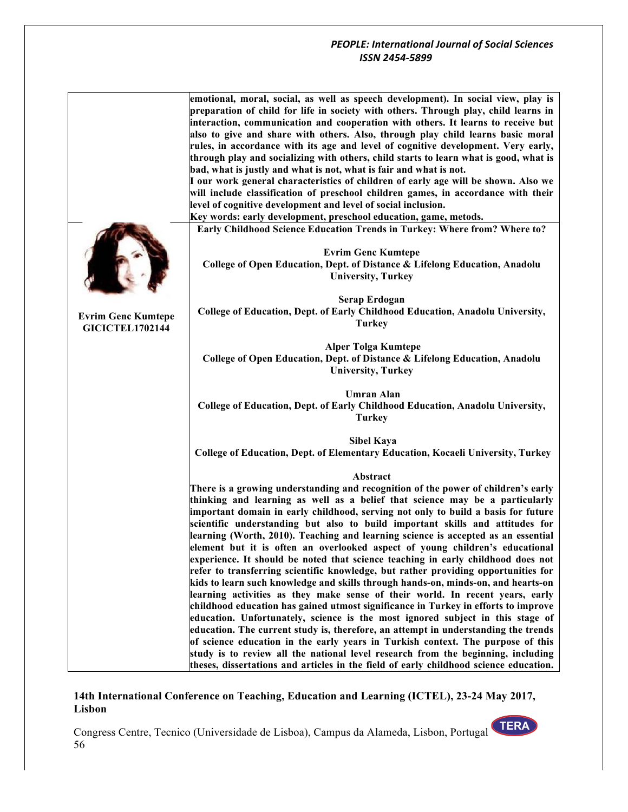|                                                     | emotional, moral, social, as well as speech development). In social view, play is<br>preparation of child for life in society with others. Through play, child learns in<br>interaction, communication and cooperation with others. It learns to receive but<br>also to give and share with others. Also, through play child learns basic moral<br>rules, in accordance with its age and level of cognitive development. Very early,<br>through play and socializing with others, child starts to learn what is good, what is<br>bad, what is justly and what is not, what is fair and what is not.<br>I our work general characteristics of children of early age will be shown. Also we<br>will include classification of preschool children games, in accordance with their<br>level of cognitive development and level of social inclusion.<br>Key words: early development, preschool education, game, metods.<br>Early Childhood Science Education Trends in Turkey: Where from? Where to?                                                                                                                                                                                                                                                                                                                                                                                                       |
|-----------------------------------------------------|--------------------------------------------------------------------------------------------------------------------------------------------------------------------------------------------------------------------------------------------------------------------------------------------------------------------------------------------------------------------------------------------------------------------------------------------------------------------------------------------------------------------------------------------------------------------------------------------------------------------------------------------------------------------------------------------------------------------------------------------------------------------------------------------------------------------------------------------------------------------------------------------------------------------------------------------------------------------------------------------------------------------------------------------------------------------------------------------------------------------------------------------------------------------------------------------------------------------------------------------------------------------------------------------------------------------------------------------------------------------------------------------------------|
|                                                     | <b>Evrim Genc Kumtepe</b><br>College of Open Education, Dept. of Distance & Lifelong Education, Anadolu<br><b>University, Turkey</b>                                                                                                                                                                                                                                                                                                                                                                                                                                                                                                                                                                                                                                                                                                                                                                                                                                                                                                                                                                                                                                                                                                                                                                                                                                                                   |
| <b>Evrim Genc Kumtepe</b><br><b>GICICTEL1702144</b> | <b>Serap Erdogan</b><br>College of Education, Dept. of Early Childhood Education, Anadolu University,<br><b>Turkey</b>                                                                                                                                                                                                                                                                                                                                                                                                                                                                                                                                                                                                                                                                                                                                                                                                                                                                                                                                                                                                                                                                                                                                                                                                                                                                                 |
|                                                     | <b>Alper Tolga Kumtepe</b><br>College of Open Education, Dept. of Distance & Lifelong Education, Anadolu<br><b>University, Turkey</b>                                                                                                                                                                                                                                                                                                                                                                                                                                                                                                                                                                                                                                                                                                                                                                                                                                                                                                                                                                                                                                                                                                                                                                                                                                                                  |
|                                                     | Umran Alan<br>College of Education, Dept. of Early Childhood Education, Anadolu University,<br><b>Turkey</b>                                                                                                                                                                                                                                                                                                                                                                                                                                                                                                                                                                                                                                                                                                                                                                                                                                                                                                                                                                                                                                                                                                                                                                                                                                                                                           |
|                                                     | <b>Sibel Kaya</b><br><b>College of Education, Dept. of Elementary Education, Kocaeli University, Turkey</b>                                                                                                                                                                                                                                                                                                                                                                                                                                                                                                                                                                                                                                                                                                                                                                                                                                                                                                                                                                                                                                                                                                                                                                                                                                                                                            |
|                                                     | Abstract<br>There is a growing understanding and recognition of the power of children's early<br>thinking and learning as well as a belief that science may be a particularly<br>important domain in early childhood, serving not only to build a basis for future<br>scientific understanding but also to build important skills and attitudes for<br>learning (Worth, 2010). Teaching and learning science is accepted as an essential<br>element but it is often an overlooked aspect of young children's educational<br>experience. It should be noted that science teaching in early childhood does not<br>refer to transferring scientific knowledge, but rather providing opportunities for<br>kids to learn such knowledge and skills through hands-on, minds-on, and hearts-on<br>learning activities as they make sense of their world. In recent years, early<br>childhood education has gained utmost significance in Turkey in efforts to improve<br>education. Unfortunately, science is the most ignored subject in this stage of<br>education. The current study is, therefore, an attempt in understanding the trends<br>of science education in the early years in Turkish context. The purpose of this<br>study is to review all the national level research from the beginning, including<br>theses, dissertations and articles in the field of early childhood science education. |

# **14th International Conference on Teaching, Education and Learning (ICTEL), 23-24 May 2017, Lisbon**

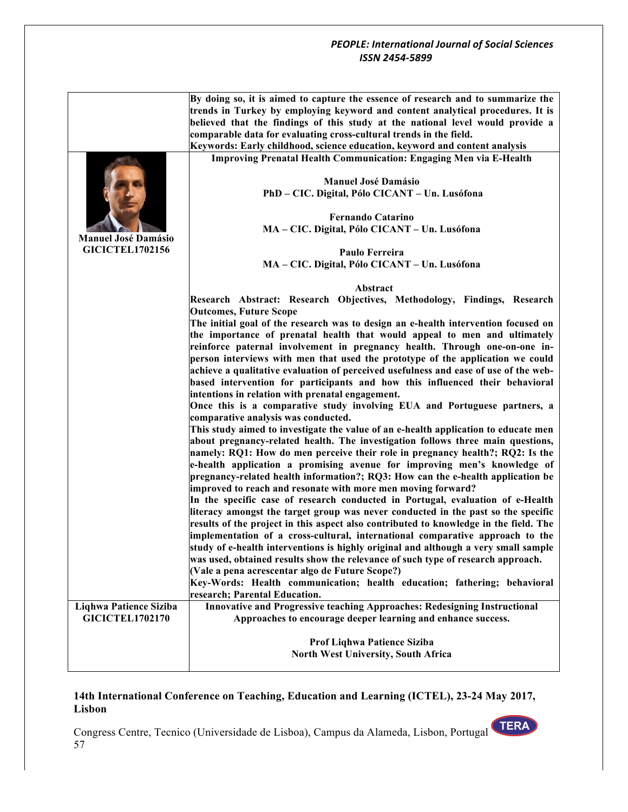|                            | By doing so, it is aimed to capture the essence of research and to summarize the      |
|----------------------------|---------------------------------------------------------------------------------------|
|                            | trends in Turkey by employing keyword and content analytical procedures. It is        |
|                            | believed that the findings of this study at the national level would provide a        |
|                            | comparable data for evaluating cross-cultural trends in the field.                    |
|                            | Keywords: Early childhood, science education, keyword and content analysis            |
|                            | <b>Improving Prenatal Health Communication: Engaging Men via E-Health</b>             |
|                            | <b>Manuel José Damásio</b>                                                            |
|                            | PhD - CIC. Digital, Pólo CICANT - Un. Lusófona                                        |
|                            | Fernando Catarino                                                                     |
|                            | MA - CIC. Digital, Pólo CICANT - Un. Lusófona                                         |
| <b>Manuel José Damásio</b> |                                                                                       |
| <b>GICICTEL1702156</b>     | Paulo Ferreira                                                                        |
|                            | MA - CIC. Digital, Pólo CICANT - Un. Lusófona                                         |
|                            |                                                                                       |
|                            | Abstract                                                                              |
|                            | Research Abstract: Research Objectives, Methodology, Findings, Research               |
|                            | <b>Outcomes, Future Scope</b>                                                         |
|                            | The initial goal of the research was to design an e-health intervention focused on    |
|                            | the importance of prenatal health that would appeal to men and ultimately             |
|                            | reinforce paternal involvement in pregnancy health. Through one-on-one in-            |
|                            | person interviews with men that used the prototype of the application we could        |
|                            | achieve a qualitative evaluation of perceived usefulness and ease of use of the web-  |
|                            | based intervention for participants and how this influenced their behavioral          |
|                            | intentions in relation with prenatal engagement.                                      |
|                            | Once this is a comparative study involving EUA and Portuguese partners, a             |
|                            | comparative analysis was conducted.                                                   |
|                            | This study aimed to investigate the value of an e-health application to educate men   |
|                            | about pregnancy-related health. The investigation follows three main questions,       |
|                            | namely: RQ1: How do men perceive their role in pregnancy health?; RQ2: Is the         |
|                            | e-health application a promising avenue for improving men's knowledge of              |
|                            | pregnancy-related health information?; RQ3: How can the e-health application be       |
|                            | improved to reach and resonate with more men moving forward?                          |
|                            | In the specific case of research conducted in Portugal, evaluation of e-Health        |
|                            | literacy amongst the target group was never conducted in the past so the specific     |
|                            | results of the project in this aspect also contributed to knowledge in the field. The |
|                            | implementation of a cross-cultural, international comparative approach to the         |
|                            | study of e-health interventions is highly original and although a very small sample   |
|                            | was used, obtained results show the relevance of such type of research approach.      |
|                            | (Vale a pena acrescentar algo de Future Scope?)                                       |
|                            | Key-Words: Health communication; health education; fathering; behavioral              |
|                            | research; Parental Education.                                                         |
| Liqhwa Patience Siziba     | Innovative and Progressive teaching Approaches: Redesigning Instructional             |
| <b>GICICTEL1702170</b>     | Approaches to encourage deeper learning and enhance success.                          |
|                            |                                                                                       |
|                            | Prof Liqhwa Patience Siziba                                                           |
|                            | <b>North West University, South Africa</b>                                            |
|                            |                                                                                       |

# **14th International Conference on Teaching, Education and Learning (ICTEL), 23-24 May 2017, Lisbon**

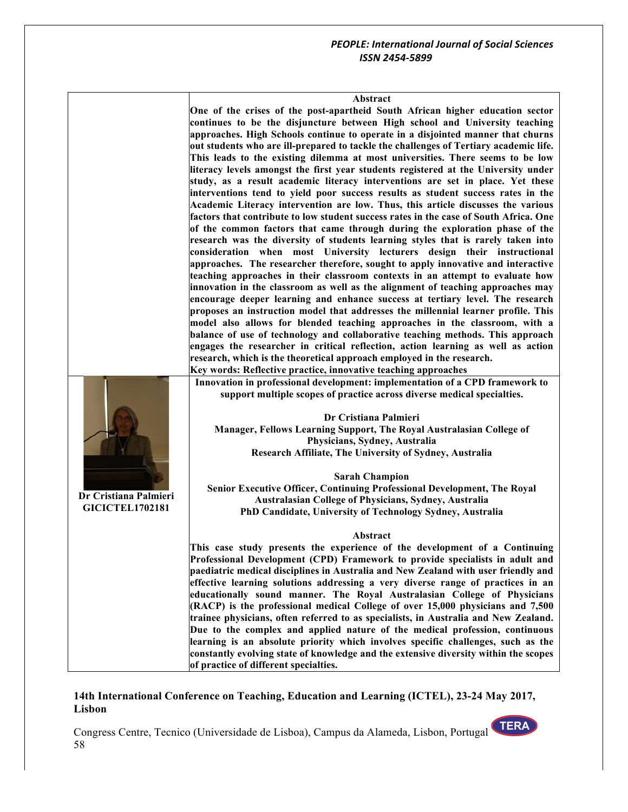#### **Abstract**

**One of the crises of the post-apartheid South African higher education sector continues to be the disjuncture between High school and University teaching approaches. High Schools continue to operate in a disjointed manner that churns out students who are ill-prepared to tackle the challenges of Tertiary academic life. This leads to the existing dilemma at most universities. There seems to be low literacy levels amongst the first year students registered at the University under study, as a result academic literacy interventions are set in place. Yet these interventions tend to yield poor success results as student success rates in the Academic Literacy intervention are low. Thus, this article discusses the various factors that contribute to low student success rates in the case of South Africa. One of the common factors that came through during the exploration phase of the research was the diversity of students learning styles that is rarely taken into consideration when most University lecturers design their instructional approaches. The researcher therefore, sought to apply innovative and interactive teaching approaches in their classroom contexts in an attempt to evaluate how innovation in the classroom as well as the alignment of teaching approaches may encourage deeper learning and enhance success at tertiary level. The research proposes an instruction model that addresses the millennial learner profile. This model also allows for blended teaching approaches in the classroom, with a balance of use of technology and collaborative teaching methods. This approach engages the researcher in critical reflection, action learning as well as action research, which is the theoretical approach employed in the research. Key words: Reflective practice, innovative teaching approaches**

|                        | $\sim$ 0. 200 $\sim$ 0. 200 $\sim$ 0. 200 $\sim$ 0. 200 $\sim$ 0. 200 $\sim$ 0. 200 $\sim$ 0. 200 $\sim$                                                                                  |
|------------------------|-------------------------------------------------------------------------------------------------------------------------------------------------------------------------------------------|
|                        | Innovation in professional development: implementation of a CPD framework to<br>support multiple scopes of practice across diverse medical specialties.                                   |
|                        | Dr Cristiana Palmieri<br>Manager, Fellows Learning Support, The Royal Australasian College of<br>Physicians, Sydney, Australia<br>Research Affiliate, The University of Sydney, Australia |
|                        | <b>Sarah Champion</b>                                                                                                                                                                     |
|                        | Senior Executive Officer, Continuing Professional Development, The Royal                                                                                                                  |
| Dr Cristiana Palmieri  | <b>Australasian College of Physicians, Sydney, Australia</b>                                                                                                                              |
| <b>GICICTEL1702181</b> | PhD Candidate, University of Technology Sydney, Australia                                                                                                                                 |
|                        | Abstract                                                                                                                                                                                  |
|                        | This case study presents the experience of the development of a Continuing                                                                                                                |
|                        | Professional Development (CPD) Framework to provide specialists in adult and                                                                                                              |
|                        | paediatric medical disciplines in Australia and New Zealand with user friendly and                                                                                                        |
|                        | effective learning solutions addressing a very diverse range of practices in an                                                                                                           |
|                        | educationally sound manner. The Royal Australasian College of Physicians<br>$(RACP)$ is the professional medical College of over 15,000 physicians and 7,500                              |
|                        | trainee physicians, often referred to as specialists, in Australia and New Zealand.                                                                                                       |
|                        | Due to the complex and applied nature of the medical profession, continuous                                                                                                               |
|                        | learning is an absolute priority which involves specific challenges, such as the                                                                                                          |

#### **14th International Conference on Teaching, Education and Learning (ICTEL), 23-24 May 2017, Lisbon**

**constantly evolving state of knowledge and the extensive diversity within the scopes** 

Congress Centre, Tecnico (Universidade de Lisboa), Campus da Alameda, Lisbon, Portugal 58

**of practice of different specialties.**

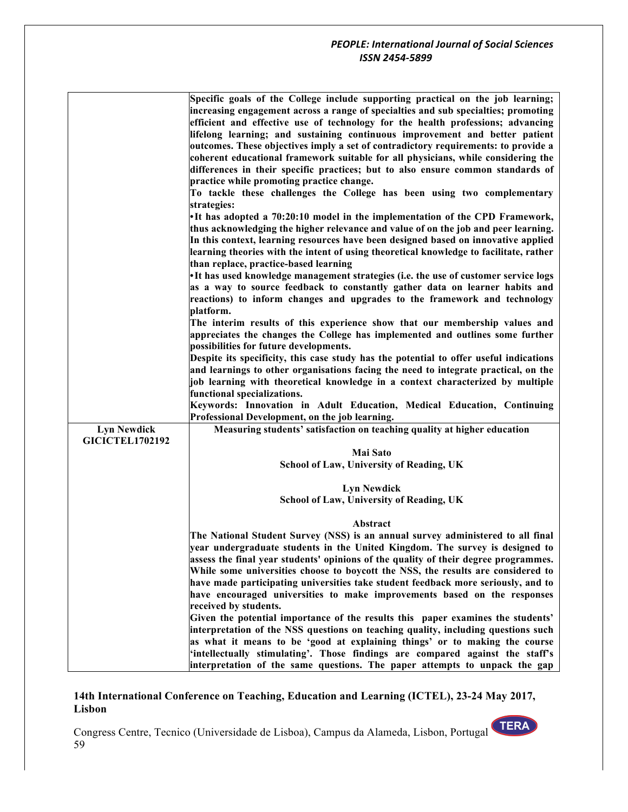|                                              | Specific goals of the College include supporting practical on the job learning;<br>increasing engagement across a range of specialties and sub specialties; promoting<br>efficient and effective use of technology for the health professions; advancing<br>lifelong learning; and sustaining continuous improvement and better patient<br>outcomes. These objectives imply a set of contradictory requirements: to provide a<br>coherent educational framework suitable for all physicians, while considering the<br>differences in their specific practices; but to also ensure common standards of<br>practice while promoting practice change.<br>To tackle these challenges the College has been using two complementary<br>strategies:<br>•It has adopted a 70:20:10 model in the implementation of the CPD Framework,<br>thus acknowledging the higher relevance and value of on the job and peer learning.<br>In this context, learning resources have been designed based on innovative applied<br>learning theories with the intent of using theoretical knowledge to facilitate, rather<br>than replace, practice-based learning |
|----------------------------------------------|---------------------------------------------------------------------------------------------------------------------------------------------------------------------------------------------------------------------------------------------------------------------------------------------------------------------------------------------------------------------------------------------------------------------------------------------------------------------------------------------------------------------------------------------------------------------------------------------------------------------------------------------------------------------------------------------------------------------------------------------------------------------------------------------------------------------------------------------------------------------------------------------------------------------------------------------------------------------------------------------------------------------------------------------------------------------------------------------------------------------------------------------|
|                                              | •It has used knowledge management strategies (i.e. the use of customer service logs<br>as a way to source feedback to constantly gather data on learner habits and<br>reactions) to inform changes and upgrades to the framework and technology                                                                                                                                                                                                                                                                                                                                                                                                                                                                                                                                                                                                                                                                                                                                                                                                                                                                                             |
|                                              | platform.<br>The interim results of this experience show that our membership values and<br>appreciates the changes the College has implemented and outlines some further<br>possibilities for future developments.                                                                                                                                                                                                                                                                                                                                                                                                                                                                                                                                                                                                                                                                                                                                                                                                                                                                                                                          |
|                                              | Despite its specificity, this case study has the potential to offer useful indications<br>and learnings to other organisations facing the need to integrate practical, on the<br>job learning with theoretical knowledge in a context characterized by multiple<br>functional specializations.                                                                                                                                                                                                                                                                                                                                                                                                                                                                                                                                                                                                                                                                                                                                                                                                                                              |
|                                              | Keywords: Innovation in Adult Education, Medical Education, Continuing<br>Professional Development, on the job learning.                                                                                                                                                                                                                                                                                                                                                                                                                                                                                                                                                                                                                                                                                                                                                                                                                                                                                                                                                                                                                    |
| <b>Lyn Newdick</b><br><b>GICICTEL1702192</b> | Measuring students' satisfaction on teaching quality at higher education                                                                                                                                                                                                                                                                                                                                                                                                                                                                                                                                                                                                                                                                                                                                                                                                                                                                                                                                                                                                                                                                    |
|                                              | <b>Mai Sato</b><br>School of Law, University of Reading, UK                                                                                                                                                                                                                                                                                                                                                                                                                                                                                                                                                                                                                                                                                                                                                                                                                                                                                                                                                                                                                                                                                 |
|                                              | <b>Lyn Newdick</b>                                                                                                                                                                                                                                                                                                                                                                                                                                                                                                                                                                                                                                                                                                                                                                                                                                                                                                                                                                                                                                                                                                                          |
|                                              | School of Law, University of Reading, UK                                                                                                                                                                                                                                                                                                                                                                                                                                                                                                                                                                                                                                                                                                                                                                                                                                                                                                                                                                                                                                                                                                    |
|                                              | Abstract<br>The National Student Survey (NSS) is an annual survey administered to all final<br>year undergraduate students in the United Kingdom. The survey is designed to                                                                                                                                                                                                                                                                                                                                                                                                                                                                                                                                                                                                                                                                                                                                                                                                                                                                                                                                                                 |
|                                              | assess the final year students' opinions of the quality of their degree programmes.<br>While some universities choose to boycott the NSS, the results are considered to<br>have made participating universities take student feedback more seriously, and to<br>have encouraged universities to make improvements based on the responses<br>received by students.                                                                                                                                                                                                                                                                                                                                                                                                                                                                                                                                                                                                                                                                                                                                                                           |
|                                              | Given the potential importance of the results this paper examines the students'<br>interpretation of the NSS questions on teaching quality, including questions such<br>as what it means to be 'good at explaining things' or to making the course<br>'intellectually stimulating'. Those findings are compared against the staff's<br>interpretation of the same questions. The paper attempts to unpack the gap                                                                                                                                                                                                                                                                                                                                                                                                                                                                                                                                                                                                                                                                                                                           |

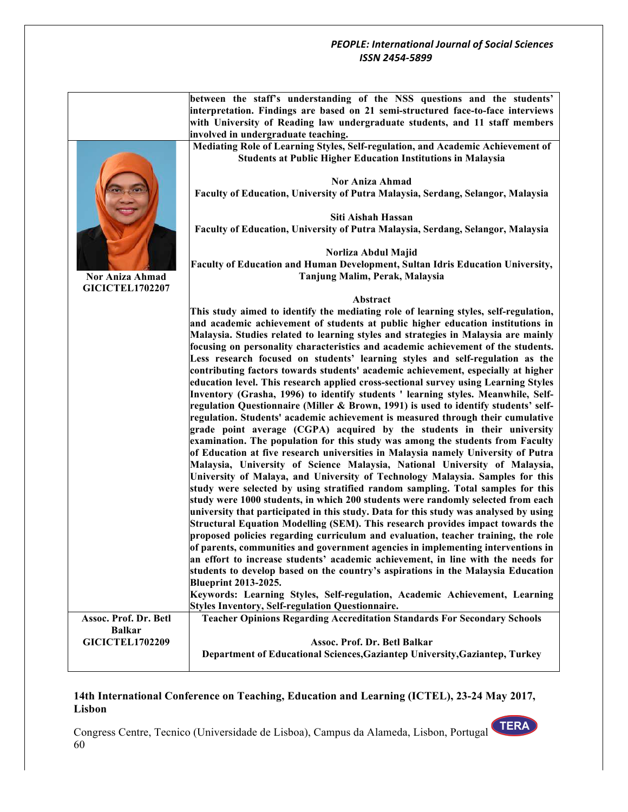| interpretation. Findings are based on 21 semi-structured face-to-face interviews<br>with University of Reading law undergraduate students, and 11 staff members<br>involved in undergraduate teaching.<br>Mediating Role of Learning Styles, Self-regulation, and Academic Achievement of<br><b>Students at Public Higher Education Institutions in Malaysia</b><br><b>Nor Aniza Ahmad</b><br>Faculty of Education, University of Putra Malaysia, Serdang, Selangor, Malaysia<br>Siti Aishah Hassan<br>Faculty of Education, University of Putra Malaysia, Serdang, Selangor, Malaysia<br>Norliza Abdul Majid<br>Faculty of Education and Human Development, Sultan Idris Education University,<br>Tanjung Malim, Perak, Malaysia<br><b>Nor Aniza Ahmad</b><br><b>GICICTEL1702207</b><br>Abstract<br>This study aimed to identify the mediating role of learning styles, self-regulation,<br>and academic achievement of students at public higher education institutions in<br>Malaysia. Studies related to learning styles and strategies in Malaysia are mainly<br>focusing on personality characteristics and academic achievement of the students.<br>Less research focused on students' learning styles and self-regulation as the<br>contributing factors towards students' academic achievement, especially at higher<br>education level. This research applied cross-sectional survey using Learning Styles<br>Inventory (Grasha, 1996) to identify students ' learning styles. Meanwhile, Self-<br>regulation Questionnaire (Miller & Brown, 1991) is used to identify students' self-<br>regulation. Students' academic achievement is measured through their cumulative<br>grade point average (CGPA) acquired by the students in their university<br>examination. The population for this study was among the students from Faculty<br>of Education at five research universities in Malaysia namely University of Putra<br>Malaysia, University of Science Malaysia, National University of Malaysia,<br>University of Malaya, and University of Technology Malaysia. Samples for this<br>study were selected by using stratified random sampling. Total samples for this<br>study were 1000 students, in which 200 students were randomly selected from each<br>university that participated in this study. Data for this study was analysed by using<br>Structural Equation Modelling (SEM). This research provides impact towards the<br>proposed policies regarding curriculum and evaluation, teacher training, the role<br>of parents, communities and government agencies in implementing interventions in<br>an effort to increase students' academic achievement, in line with the needs for<br>students to develop based on the country's aspirations in the Malaysia Education<br><b>Blueprint 2013-2025.</b><br>Keywords: Learning Styles, Self-regulation, Academic Achievement, Learning<br><b>Styles Inventory, Self-regulation Questionnaire.</b><br><b>Teacher Opinions Regarding Accreditation Standards For Secondary Schools</b><br>Assoc. Prof. Dr. Betl<br><b>Balkar</b><br><b>GICICTEL1702209</b><br>Assoc. Prof. Dr. Betl Balkar<br>Department of Educational Sciences, Gaziantep University, Gaziantep, Turkey | between the staff's understanding of the NSS questions and the students' |
|-------------------------------------------------------------------------------------------------------------------------------------------------------------------------------------------------------------------------------------------------------------------------------------------------------------------------------------------------------------------------------------------------------------------------------------------------------------------------------------------------------------------------------------------------------------------------------------------------------------------------------------------------------------------------------------------------------------------------------------------------------------------------------------------------------------------------------------------------------------------------------------------------------------------------------------------------------------------------------------------------------------------------------------------------------------------------------------------------------------------------------------------------------------------------------------------------------------------------------------------------------------------------------------------------------------------------------------------------------------------------------------------------------------------------------------------------------------------------------------------------------------------------------------------------------------------------------------------------------------------------------------------------------------------------------------------------------------------------------------------------------------------------------------------------------------------------------------------------------------------------------------------------------------------------------------------------------------------------------------------------------------------------------------------------------------------------------------------------------------------------------------------------------------------------------------------------------------------------------------------------------------------------------------------------------------------------------------------------------------------------------------------------------------------------------------------------------------------------------------------------------------------------------------------------------------------------------------------------------------------------------------------------------------------------------------------------------------------------------------------------------------------------------------------------------------------------------------------------------------------------------------------------------------------------------------------------------------------------------------------------------------------------------------------------------------------------------------------------------------------------------------------------------------------------------------------------------------------------------------------------------|--------------------------------------------------------------------------|
|                                                                                                                                                                                                                                                                                                                                                                                                                                                                                                                                                                                                                                                                                                                                                                                                                                                                                                                                                                                                                                                                                                                                                                                                                                                                                                                                                                                                                                                                                                                                                                                                                                                                                                                                                                                                                                                                                                                                                                                                                                                                                                                                                                                                                                                                                                                                                                                                                                                                                                                                                                                                                                                                                                                                                                                                                                                                                                                                                                                                                                                                                                                                                                                                                                                       |                                                                          |
|                                                                                                                                                                                                                                                                                                                                                                                                                                                                                                                                                                                                                                                                                                                                                                                                                                                                                                                                                                                                                                                                                                                                                                                                                                                                                                                                                                                                                                                                                                                                                                                                                                                                                                                                                                                                                                                                                                                                                                                                                                                                                                                                                                                                                                                                                                                                                                                                                                                                                                                                                                                                                                                                                                                                                                                                                                                                                                                                                                                                                                                                                                                                                                                                                                                       |                                                                          |
|                                                                                                                                                                                                                                                                                                                                                                                                                                                                                                                                                                                                                                                                                                                                                                                                                                                                                                                                                                                                                                                                                                                                                                                                                                                                                                                                                                                                                                                                                                                                                                                                                                                                                                                                                                                                                                                                                                                                                                                                                                                                                                                                                                                                                                                                                                                                                                                                                                                                                                                                                                                                                                                                                                                                                                                                                                                                                                                                                                                                                                                                                                                                                                                                                                                       |                                                                          |
|                                                                                                                                                                                                                                                                                                                                                                                                                                                                                                                                                                                                                                                                                                                                                                                                                                                                                                                                                                                                                                                                                                                                                                                                                                                                                                                                                                                                                                                                                                                                                                                                                                                                                                                                                                                                                                                                                                                                                                                                                                                                                                                                                                                                                                                                                                                                                                                                                                                                                                                                                                                                                                                                                                                                                                                                                                                                                                                                                                                                                                                                                                                                                                                                                                                       |                                                                          |
|                                                                                                                                                                                                                                                                                                                                                                                                                                                                                                                                                                                                                                                                                                                                                                                                                                                                                                                                                                                                                                                                                                                                                                                                                                                                                                                                                                                                                                                                                                                                                                                                                                                                                                                                                                                                                                                                                                                                                                                                                                                                                                                                                                                                                                                                                                                                                                                                                                                                                                                                                                                                                                                                                                                                                                                                                                                                                                                                                                                                                                                                                                                                                                                                                                                       |                                                                          |
|                                                                                                                                                                                                                                                                                                                                                                                                                                                                                                                                                                                                                                                                                                                                                                                                                                                                                                                                                                                                                                                                                                                                                                                                                                                                                                                                                                                                                                                                                                                                                                                                                                                                                                                                                                                                                                                                                                                                                                                                                                                                                                                                                                                                                                                                                                                                                                                                                                                                                                                                                                                                                                                                                                                                                                                                                                                                                                                                                                                                                                                                                                                                                                                                                                                       |                                                                          |
|                                                                                                                                                                                                                                                                                                                                                                                                                                                                                                                                                                                                                                                                                                                                                                                                                                                                                                                                                                                                                                                                                                                                                                                                                                                                                                                                                                                                                                                                                                                                                                                                                                                                                                                                                                                                                                                                                                                                                                                                                                                                                                                                                                                                                                                                                                                                                                                                                                                                                                                                                                                                                                                                                                                                                                                                                                                                                                                                                                                                                                                                                                                                                                                                                                                       |                                                                          |
|                                                                                                                                                                                                                                                                                                                                                                                                                                                                                                                                                                                                                                                                                                                                                                                                                                                                                                                                                                                                                                                                                                                                                                                                                                                                                                                                                                                                                                                                                                                                                                                                                                                                                                                                                                                                                                                                                                                                                                                                                                                                                                                                                                                                                                                                                                                                                                                                                                                                                                                                                                                                                                                                                                                                                                                                                                                                                                                                                                                                                                                                                                                                                                                                                                                       |                                                                          |
|                                                                                                                                                                                                                                                                                                                                                                                                                                                                                                                                                                                                                                                                                                                                                                                                                                                                                                                                                                                                                                                                                                                                                                                                                                                                                                                                                                                                                                                                                                                                                                                                                                                                                                                                                                                                                                                                                                                                                                                                                                                                                                                                                                                                                                                                                                                                                                                                                                                                                                                                                                                                                                                                                                                                                                                                                                                                                                                                                                                                                                                                                                                                                                                                                                                       |                                                                          |
|                                                                                                                                                                                                                                                                                                                                                                                                                                                                                                                                                                                                                                                                                                                                                                                                                                                                                                                                                                                                                                                                                                                                                                                                                                                                                                                                                                                                                                                                                                                                                                                                                                                                                                                                                                                                                                                                                                                                                                                                                                                                                                                                                                                                                                                                                                                                                                                                                                                                                                                                                                                                                                                                                                                                                                                                                                                                                                                                                                                                                                                                                                                                                                                                                                                       |                                                                          |
|                                                                                                                                                                                                                                                                                                                                                                                                                                                                                                                                                                                                                                                                                                                                                                                                                                                                                                                                                                                                                                                                                                                                                                                                                                                                                                                                                                                                                                                                                                                                                                                                                                                                                                                                                                                                                                                                                                                                                                                                                                                                                                                                                                                                                                                                                                                                                                                                                                                                                                                                                                                                                                                                                                                                                                                                                                                                                                                                                                                                                                                                                                                                                                                                                                                       |                                                                          |
|                                                                                                                                                                                                                                                                                                                                                                                                                                                                                                                                                                                                                                                                                                                                                                                                                                                                                                                                                                                                                                                                                                                                                                                                                                                                                                                                                                                                                                                                                                                                                                                                                                                                                                                                                                                                                                                                                                                                                                                                                                                                                                                                                                                                                                                                                                                                                                                                                                                                                                                                                                                                                                                                                                                                                                                                                                                                                                                                                                                                                                                                                                                                                                                                                                                       |                                                                          |
|                                                                                                                                                                                                                                                                                                                                                                                                                                                                                                                                                                                                                                                                                                                                                                                                                                                                                                                                                                                                                                                                                                                                                                                                                                                                                                                                                                                                                                                                                                                                                                                                                                                                                                                                                                                                                                                                                                                                                                                                                                                                                                                                                                                                                                                                                                                                                                                                                                                                                                                                                                                                                                                                                                                                                                                                                                                                                                                                                                                                                                                                                                                                                                                                                                                       |                                                                          |
|                                                                                                                                                                                                                                                                                                                                                                                                                                                                                                                                                                                                                                                                                                                                                                                                                                                                                                                                                                                                                                                                                                                                                                                                                                                                                                                                                                                                                                                                                                                                                                                                                                                                                                                                                                                                                                                                                                                                                                                                                                                                                                                                                                                                                                                                                                                                                                                                                                                                                                                                                                                                                                                                                                                                                                                                                                                                                                                                                                                                                                                                                                                                                                                                                                                       |                                                                          |
|                                                                                                                                                                                                                                                                                                                                                                                                                                                                                                                                                                                                                                                                                                                                                                                                                                                                                                                                                                                                                                                                                                                                                                                                                                                                                                                                                                                                                                                                                                                                                                                                                                                                                                                                                                                                                                                                                                                                                                                                                                                                                                                                                                                                                                                                                                                                                                                                                                                                                                                                                                                                                                                                                                                                                                                                                                                                                                                                                                                                                                                                                                                                                                                                                                                       |                                                                          |
|                                                                                                                                                                                                                                                                                                                                                                                                                                                                                                                                                                                                                                                                                                                                                                                                                                                                                                                                                                                                                                                                                                                                                                                                                                                                                                                                                                                                                                                                                                                                                                                                                                                                                                                                                                                                                                                                                                                                                                                                                                                                                                                                                                                                                                                                                                                                                                                                                                                                                                                                                                                                                                                                                                                                                                                                                                                                                                                                                                                                                                                                                                                                                                                                                                                       |                                                                          |
|                                                                                                                                                                                                                                                                                                                                                                                                                                                                                                                                                                                                                                                                                                                                                                                                                                                                                                                                                                                                                                                                                                                                                                                                                                                                                                                                                                                                                                                                                                                                                                                                                                                                                                                                                                                                                                                                                                                                                                                                                                                                                                                                                                                                                                                                                                                                                                                                                                                                                                                                                                                                                                                                                                                                                                                                                                                                                                                                                                                                                                                                                                                                                                                                                                                       |                                                                          |
|                                                                                                                                                                                                                                                                                                                                                                                                                                                                                                                                                                                                                                                                                                                                                                                                                                                                                                                                                                                                                                                                                                                                                                                                                                                                                                                                                                                                                                                                                                                                                                                                                                                                                                                                                                                                                                                                                                                                                                                                                                                                                                                                                                                                                                                                                                                                                                                                                                                                                                                                                                                                                                                                                                                                                                                                                                                                                                                                                                                                                                                                                                                                                                                                                                                       |                                                                          |
|                                                                                                                                                                                                                                                                                                                                                                                                                                                                                                                                                                                                                                                                                                                                                                                                                                                                                                                                                                                                                                                                                                                                                                                                                                                                                                                                                                                                                                                                                                                                                                                                                                                                                                                                                                                                                                                                                                                                                                                                                                                                                                                                                                                                                                                                                                                                                                                                                                                                                                                                                                                                                                                                                                                                                                                                                                                                                                                                                                                                                                                                                                                                                                                                                                                       |                                                                          |
|                                                                                                                                                                                                                                                                                                                                                                                                                                                                                                                                                                                                                                                                                                                                                                                                                                                                                                                                                                                                                                                                                                                                                                                                                                                                                                                                                                                                                                                                                                                                                                                                                                                                                                                                                                                                                                                                                                                                                                                                                                                                                                                                                                                                                                                                                                                                                                                                                                                                                                                                                                                                                                                                                                                                                                                                                                                                                                                                                                                                                                                                                                                                                                                                                                                       |                                                                          |
|                                                                                                                                                                                                                                                                                                                                                                                                                                                                                                                                                                                                                                                                                                                                                                                                                                                                                                                                                                                                                                                                                                                                                                                                                                                                                                                                                                                                                                                                                                                                                                                                                                                                                                                                                                                                                                                                                                                                                                                                                                                                                                                                                                                                                                                                                                                                                                                                                                                                                                                                                                                                                                                                                                                                                                                                                                                                                                                                                                                                                                                                                                                                                                                                                                                       |                                                                          |
|                                                                                                                                                                                                                                                                                                                                                                                                                                                                                                                                                                                                                                                                                                                                                                                                                                                                                                                                                                                                                                                                                                                                                                                                                                                                                                                                                                                                                                                                                                                                                                                                                                                                                                                                                                                                                                                                                                                                                                                                                                                                                                                                                                                                                                                                                                                                                                                                                                                                                                                                                                                                                                                                                                                                                                                                                                                                                                                                                                                                                                                                                                                                                                                                                                                       |                                                                          |
|                                                                                                                                                                                                                                                                                                                                                                                                                                                                                                                                                                                                                                                                                                                                                                                                                                                                                                                                                                                                                                                                                                                                                                                                                                                                                                                                                                                                                                                                                                                                                                                                                                                                                                                                                                                                                                                                                                                                                                                                                                                                                                                                                                                                                                                                                                                                                                                                                                                                                                                                                                                                                                                                                                                                                                                                                                                                                                                                                                                                                                                                                                                                                                                                                                                       |                                                                          |
|                                                                                                                                                                                                                                                                                                                                                                                                                                                                                                                                                                                                                                                                                                                                                                                                                                                                                                                                                                                                                                                                                                                                                                                                                                                                                                                                                                                                                                                                                                                                                                                                                                                                                                                                                                                                                                                                                                                                                                                                                                                                                                                                                                                                                                                                                                                                                                                                                                                                                                                                                                                                                                                                                                                                                                                                                                                                                                                                                                                                                                                                                                                                                                                                                                                       |                                                                          |
|                                                                                                                                                                                                                                                                                                                                                                                                                                                                                                                                                                                                                                                                                                                                                                                                                                                                                                                                                                                                                                                                                                                                                                                                                                                                                                                                                                                                                                                                                                                                                                                                                                                                                                                                                                                                                                                                                                                                                                                                                                                                                                                                                                                                                                                                                                                                                                                                                                                                                                                                                                                                                                                                                                                                                                                                                                                                                                                                                                                                                                                                                                                                                                                                                                                       |                                                                          |
|                                                                                                                                                                                                                                                                                                                                                                                                                                                                                                                                                                                                                                                                                                                                                                                                                                                                                                                                                                                                                                                                                                                                                                                                                                                                                                                                                                                                                                                                                                                                                                                                                                                                                                                                                                                                                                                                                                                                                                                                                                                                                                                                                                                                                                                                                                                                                                                                                                                                                                                                                                                                                                                                                                                                                                                                                                                                                                                                                                                                                                                                                                                                                                                                                                                       |                                                                          |
|                                                                                                                                                                                                                                                                                                                                                                                                                                                                                                                                                                                                                                                                                                                                                                                                                                                                                                                                                                                                                                                                                                                                                                                                                                                                                                                                                                                                                                                                                                                                                                                                                                                                                                                                                                                                                                                                                                                                                                                                                                                                                                                                                                                                                                                                                                                                                                                                                                                                                                                                                                                                                                                                                                                                                                                                                                                                                                                                                                                                                                                                                                                                                                                                                                                       |                                                                          |
|                                                                                                                                                                                                                                                                                                                                                                                                                                                                                                                                                                                                                                                                                                                                                                                                                                                                                                                                                                                                                                                                                                                                                                                                                                                                                                                                                                                                                                                                                                                                                                                                                                                                                                                                                                                                                                                                                                                                                                                                                                                                                                                                                                                                                                                                                                                                                                                                                                                                                                                                                                                                                                                                                                                                                                                                                                                                                                                                                                                                                                                                                                                                                                                                                                                       |                                                                          |
|                                                                                                                                                                                                                                                                                                                                                                                                                                                                                                                                                                                                                                                                                                                                                                                                                                                                                                                                                                                                                                                                                                                                                                                                                                                                                                                                                                                                                                                                                                                                                                                                                                                                                                                                                                                                                                                                                                                                                                                                                                                                                                                                                                                                                                                                                                                                                                                                                                                                                                                                                                                                                                                                                                                                                                                                                                                                                                                                                                                                                                                                                                                                                                                                                                                       |                                                                          |
|                                                                                                                                                                                                                                                                                                                                                                                                                                                                                                                                                                                                                                                                                                                                                                                                                                                                                                                                                                                                                                                                                                                                                                                                                                                                                                                                                                                                                                                                                                                                                                                                                                                                                                                                                                                                                                                                                                                                                                                                                                                                                                                                                                                                                                                                                                                                                                                                                                                                                                                                                                                                                                                                                                                                                                                                                                                                                                                                                                                                                                                                                                                                                                                                                                                       |                                                                          |
|                                                                                                                                                                                                                                                                                                                                                                                                                                                                                                                                                                                                                                                                                                                                                                                                                                                                                                                                                                                                                                                                                                                                                                                                                                                                                                                                                                                                                                                                                                                                                                                                                                                                                                                                                                                                                                                                                                                                                                                                                                                                                                                                                                                                                                                                                                                                                                                                                                                                                                                                                                                                                                                                                                                                                                                                                                                                                                                                                                                                                                                                                                                                                                                                                                                       |                                                                          |
|                                                                                                                                                                                                                                                                                                                                                                                                                                                                                                                                                                                                                                                                                                                                                                                                                                                                                                                                                                                                                                                                                                                                                                                                                                                                                                                                                                                                                                                                                                                                                                                                                                                                                                                                                                                                                                                                                                                                                                                                                                                                                                                                                                                                                                                                                                                                                                                                                                                                                                                                                                                                                                                                                                                                                                                                                                                                                                                                                                                                                                                                                                                                                                                                                                                       |                                                                          |
|                                                                                                                                                                                                                                                                                                                                                                                                                                                                                                                                                                                                                                                                                                                                                                                                                                                                                                                                                                                                                                                                                                                                                                                                                                                                                                                                                                                                                                                                                                                                                                                                                                                                                                                                                                                                                                                                                                                                                                                                                                                                                                                                                                                                                                                                                                                                                                                                                                                                                                                                                                                                                                                                                                                                                                                                                                                                                                                                                                                                                                                                                                                                                                                                                                                       |                                                                          |
|                                                                                                                                                                                                                                                                                                                                                                                                                                                                                                                                                                                                                                                                                                                                                                                                                                                                                                                                                                                                                                                                                                                                                                                                                                                                                                                                                                                                                                                                                                                                                                                                                                                                                                                                                                                                                                                                                                                                                                                                                                                                                                                                                                                                                                                                                                                                                                                                                                                                                                                                                                                                                                                                                                                                                                                                                                                                                                                                                                                                                                                                                                                                                                                                                                                       |                                                                          |
|                                                                                                                                                                                                                                                                                                                                                                                                                                                                                                                                                                                                                                                                                                                                                                                                                                                                                                                                                                                                                                                                                                                                                                                                                                                                                                                                                                                                                                                                                                                                                                                                                                                                                                                                                                                                                                                                                                                                                                                                                                                                                                                                                                                                                                                                                                                                                                                                                                                                                                                                                                                                                                                                                                                                                                                                                                                                                                                                                                                                                                                                                                                                                                                                                                                       |                                                                          |
|                                                                                                                                                                                                                                                                                                                                                                                                                                                                                                                                                                                                                                                                                                                                                                                                                                                                                                                                                                                                                                                                                                                                                                                                                                                                                                                                                                                                                                                                                                                                                                                                                                                                                                                                                                                                                                                                                                                                                                                                                                                                                                                                                                                                                                                                                                                                                                                                                                                                                                                                                                                                                                                                                                                                                                                                                                                                                                                                                                                                                                                                                                                                                                                                                                                       |                                                                          |
|                                                                                                                                                                                                                                                                                                                                                                                                                                                                                                                                                                                                                                                                                                                                                                                                                                                                                                                                                                                                                                                                                                                                                                                                                                                                                                                                                                                                                                                                                                                                                                                                                                                                                                                                                                                                                                                                                                                                                                                                                                                                                                                                                                                                                                                                                                                                                                                                                                                                                                                                                                                                                                                                                                                                                                                                                                                                                                                                                                                                                                                                                                                                                                                                                                                       |                                                                          |
|                                                                                                                                                                                                                                                                                                                                                                                                                                                                                                                                                                                                                                                                                                                                                                                                                                                                                                                                                                                                                                                                                                                                                                                                                                                                                                                                                                                                                                                                                                                                                                                                                                                                                                                                                                                                                                                                                                                                                                                                                                                                                                                                                                                                                                                                                                                                                                                                                                                                                                                                                                                                                                                                                                                                                                                                                                                                                                                                                                                                                                                                                                                                                                                                                                                       |                                                                          |
|                                                                                                                                                                                                                                                                                                                                                                                                                                                                                                                                                                                                                                                                                                                                                                                                                                                                                                                                                                                                                                                                                                                                                                                                                                                                                                                                                                                                                                                                                                                                                                                                                                                                                                                                                                                                                                                                                                                                                                                                                                                                                                                                                                                                                                                                                                                                                                                                                                                                                                                                                                                                                                                                                                                                                                                                                                                                                                                                                                                                                                                                                                                                                                                                                                                       |                                                                          |
|                                                                                                                                                                                                                                                                                                                                                                                                                                                                                                                                                                                                                                                                                                                                                                                                                                                                                                                                                                                                                                                                                                                                                                                                                                                                                                                                                                                                                                                                                                                                                                                                                                                                                                                                                                                                                                                                                                                                                                                                                                                                                                                                                                                                                                                                                                                                                                                                                                                                                                                                                                                                                                                                                                                                                                                                                                                                                                                                                                                                                                                                                                                                                                                                                                                       |                                                                          |
|                                                                                                                                                                                                                                                                                                                                                                                                                                                                                                                                                                                                                                                                                                                                                                                                                                                                                                                                                                                                                                                                                                                                                                                                                                                                                                                                                                                                                                                                                                                                                                                                                                                                                                                                                                                                                                                                                                                                                                                                                                                                                                                                                                                                                                                                                                                                                                                                                                                                                                                                                                                                                                                                                                                                                                                                                                                                                                                                                                                                                                                                                                                                                                                                                                                       |                                                                          |
|                                                                                                                                                                                                                                                                                                                                                                                                                                                                                                                                                                                                                                                                                                                                                                                                                                                                                                                                                                                                                                                                                                                                                                                                                                                                                                                                                                                                                                                                                                                                                                                                                                                                                                                                                                                                                                                                                                                                                                                                                                                                                                                                                                                                                                                                                                                                                                                                                                                                                                                                                                                                                                                                                                                                                                                                                                                                                                                                                                                                                                                                                                                                                                                                                                                       |                                                                          |
|                                                                                                                                                                                                                                                                                                                                                                                                                                                                                                                                                                                                                                                                                                                                                                                                                                                                                                                                                                                                                                                                                                                                                                                                                                                                                                                                                                                                                                                                                                                                                                                                                                                                                                                                                                                                                                                                                                                                                                                                                                                                                                                                                                                                                                                                                                                                                                                                                                                                                                                                                                                                                                                                                                                                                                                                                                                                                                                                                                                                                                                                                                                                                                                                                                                       |                                                                          |
|                                                                                                                                                                                                                                                                                                                                                                                                                                                                                                                                                                                                                                                                                                                                                                                                                                                                                                                                                                                                                                                                                                                                                                                                                                                                                                                                                                                                                                                                                                                                                                                                                                                                                                                                                                                                                                                                                                                                                                                                                                                                                                                                                                                                                                                                                                                                                                                                                                                                                                                                                                                                                                                                                                                                                                                                                                                                                                                                                                                                                                                                                                                                                                                                                                                       |                                                                          |
|                                                                                                                                                                                                                                                                                                                                                                                                                                                                                                                                                                                                                                                                                                                                                                                                                                                                                                                                                                                                                                                                                                                                                                                                                                                                                                                                                                                                                                                                                                                                                                                                                                                                                                                                                                                                                                                                                                                                                                                                                                                                                                                                                                                                                                                                                                                                                                                                                                                                                                                                                                                                                                                                                                                                                                                                                                                                                                                                                                                                                                                                                                                                                                                                                                                       |                                                                          |
|                                                                                                                                                                                                                                                                                                                                                                                                                                                                                                                                                                                                                                                                                                                                                                                                                                                                                                                                                                                                                                                                                                                                                                                                                                                                                                                                                                                                                                                                                                                                                                                                                                                                                                                                                                                                                                                                                                                                                                                                                                                                                                                                                                                                                                                                                                                                                                                                                                                                                                                                                                                                                                                                                                                                                                                                                                                                                                                                                                                                                                                                                                                                                                                                                                                       |                                                                          |

## **14th International Conference on Teaching, Education and Learning (ICTEL), 23-24 May 2017, Lisbon**

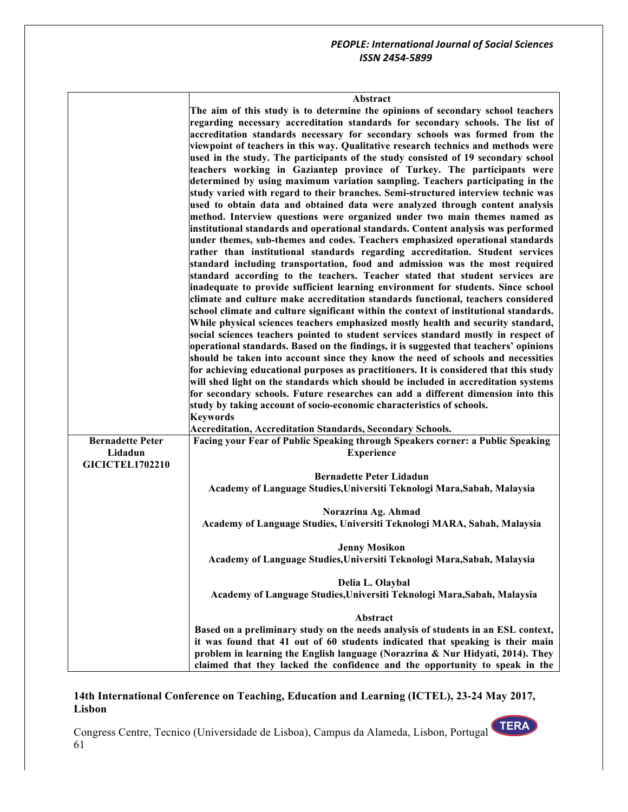٦

#### **Abstract**

|                         | Abstract                                                                              |
|-------------------------|---------------------------------------------------------------------------------------|
|                         | The aim of this study is to determine the opinions of secondary school teachers       |
|                         | regarding necessary accreditation standards for secondary schools. The list of        |
|                         | accreditation standards necessary for secondary schools was formed from the           |
|                         | viewpoint of teachers in this way. Qualitative research technics and methods were     |
|                         | used in the study. The participants of the study consisted of 19 secondary school     |
|                         | teachers working in Gaziantep province of Turkey. The participants were               |
|                         | determined by using maximum variation sampling. Teachers participating in the         |
|                         | study varied with regard to their branches. Semi-structured interview technic was     |
|                         | used to obtain data and obtained data were analyzed through content analysis          |
|                         | method. Interview questions were organized under two main themes named as             |
|                         | institutional standards and operational standards. Content analysis was performed     |
|                         | under themes, sub-themes and codes. Teachers emphasized operational standards         |
|                         | rather than institutional standards regarding accreditation. Student services         |
|                         | standard including transportation, food and admission was the most required           |
|                         | standard according to the teachers. Teacher stated that student services are          |
|                         | inadequate to provide sufficient learning environment for students. Since school      |
|                         | climate and culture make accreditation standards functional, teachers considered      |
|                         | school climate and culture significant within the context of institutional standards. |
|                         | While physical sciences teachers emphasized mostly health and security standard,      |
|                         | social sciences teachers pointed to student services standard mostly in respect of    |
|                         | operational standards. Based on the findings, it is suggested that teachers' opinions |
|                         | should be taken into account since they know the need of schools and necessities      |
|                         | for achieving educational purposes as practitioners. It is considered that this study |
|                         | will shed light on the standards which should be included in accreditation systems    |
|                         | for secondary schools. Future researches can add a different dimension into this      |
|                         | study by taking account of socio-economic characteristics of schools.                 |
|                         | <b>Keywords</b>                                                                       |
|                         | <b>Accreditation, Accreditation Standards, Secondary Schools.</b>                     |
| <b>Bernadette Peter</b> | Facing your Fear of Public Speaking through Speakers corner: a Public Speaking        |
| Lidadun                 | <b>Experience</b>                                                                     |
| <b>GICICTEL1702210</b>  |                                                                                       |
|                         | <b>Bernadette Peter Lidadun</b>                                                       |
|                         | Academy of Language Studies, Universiti Teknologi Mara, Sabah, Malaysia               |
|                         |                                                                                       |
|                         | Norazrina Ag. Ahmad                                                                   |
|                         | Academy of Language Studies, Universiti Teknologi MARA, Sabah, Malaysia               |
|                         | <b>Jenny Mosikon</b>                                                                  |
|                         | Academy of Language Studies, Universiti Teknologi Mara, Sabah, Malaysia               |
|                         |                                                                                       |
|                         | Delia L. Olaybal                                                                      |
|                         | Academy of Language Studies, Universiti Teknologi Mara, Sabah, Malaysia               |
|                         | Abstract                                                                              |
|                         | Based on a preliminary study on the needs analysis of students in an ESL context,     |
|                         | it was found that 41 out of 60 students indicated that speaking is their main         |
|                         | problem in learning the English language (Norazrina & Nur Hidyati, 2014). They        |
|                         | claimed that they lacked the confidence and the opportunity to speak in the           |

## **14th International Conference on Teaching, Education and Learning (ICTEL), 23-24 May 2017, Lisbon**

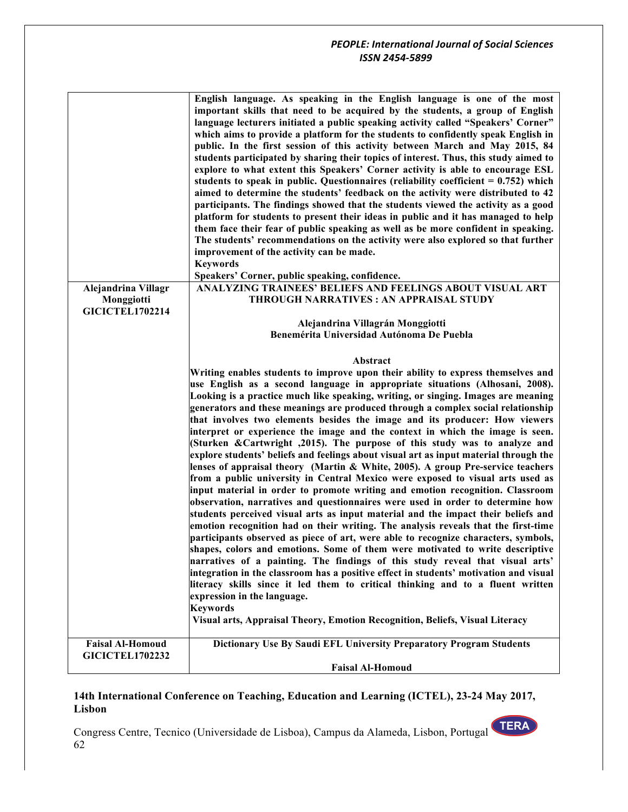|                                      | English language. As speaking in the English language is one of the most<br>important skills that need to be acquired by the students, a group of English<br>language lecturers initiated a public speaking activity called "Speakers' Corner"<br>which aims to provide a platform for the students to confidently speak English in<br>public. In the first session of this activity between March and May 2015, 84<br>students participated by sharing their topics of interest. Thus, this study aimed to<br>explore to what extent this Speakers' Corner activity is able to encourage ESL<br>students to speak in public. Questionnaires (reliability coefficient $= 0.752$ ) which<br>aimed to determine the students' feedback on the activity were distributed to 42<br>participants. The findings showed that the students viewed the activity as a good<br>platform for students to present their ideas in public and it has managed to help<br>them face their fear of public speaking as well as be more confident in speaking.<br>The students' recommendations on the activity were also explored so that further<br>improvement of the activity can be made.<br><b>Keywords</b><br>Speakers' Corner, public speaking, confidence.                                                                                                                                                                                                                                                                                                                                                                                                                                         |
|--------------------------------------|-----------------------------------------------------------------------------------------------------------------------------------------------------------------------------------------------------------------------------------------------------------------------------------------------------------------------------------------------------------------------------------------------------------------------------------------------------------------------------------------------------------------------------------------------------------------------------------------------------------------------------------------------------------------------------------------------------------------------------------------------------------------------------------------------------------------------------------------------------------------------------------------------------------------------------------------------------------------------------------------------------------------------------------------------------------------------------------------------------------------------------------------------------------------------------------------------------------------------------------------------------------------------------------------------------------------------------------------------------------------------------------------------------------------------------------------------------------------------------------------------------------------------------------------------------------------------------------------------------------------------------------------------------------------------------------------|
| Alejandrina Villagr                  | ANALYZING TRAINEES' BELIEFS AND FEELINGS ABOUT VISUAL ART                                                                                                                                                                                                                                                                                                                                                                                                                                                                                                                                                                                                                                                                                                                                                                                                                                                                                                                                                                                                                                                                                                                                                                                                                                                                                                                                                                                                                                                                                                                                                                                                                               |
| Monggiotti<br><b>GICICTEL1702214</b> | <b>THROUGH NARRATIVES : AN APPRAISAL STUDY</b>                                                                                                                                                                                                                                                                                                                                                                                                                                                                                                                                                                                                                                                                                                                                                                                                                                                                                                                                                                                                                                                                                                                                                                                                                                                                                                                                                                                                                                                                                                                                                                                                                                          |
|                                      | Alejandrina Villagrán Monggiotti                                                                                                                                                                                                                                                                                                                                                                                                                                                                                                                                                                                                                                                                                                                                                                                                                                                                                                                                                                                                                                                                                                                                                                                                                                                                                                                                                                                                                                                                                                                                                                                                                                                        |
|                                      | Benemérita Universidad Autónoma De Puebla                                                                                                                                                                                                                                                                                                                                                                                                                                                                                                                                                                                                                                                                                                                                                                                                                                                                                                                                                                                                                                                                                                                                                                                                                                                                                                                                                                                                                                                                                                                                                                                                                                               |
|                                      |                                                                                                                                                                                                                                                                                                                                                                                                                                                                                                                                                                                                                                                                                                                                                                                                                                                                                                                                                                                                                                                                                                                                                                                                                                                                                                                                                                                                                                                                                                                                                                                                                                                                                         |
|                                      | Abstract                                                                                                                                                                                                                                                                                                                                                                                                                                                                                                                                                                                                                                                                                                                                                                                                                                                                                                                                                                                                                                                                                                                                                                                                                                                                                                                                                                                                                                                                                                                                                                                                                                                                                |
|                                      | Writing enables students to improve upon their ability to express themselves and                                                                                                                                                                                                                                                                                                                                                                                                                                                                                                                                                                                                                                                                                                                                                                                                                                                                                                                                                                                                                                                                                                                                                                                                                                                                                                                                                                                                                                                                                                                                                                                                        |
|                                      | use English as a second language in appropriate situations (Alhosani, 2008).<br>Looking is a practice much like speaking, writing, or singing. Images are meaning<br>generators and these meanings are produced through a complex social relationship<br>that involves two elements besides the image and its producer: How viewers<br>interpret or experience the image and the context in which the image is seen.<br>(Sturken & Cartwright , 2015). The purpose of this study was to analyze and<br>explore students' beliefs and feelings about visual art as input material through the<br>lenses of appraisal theory (Martin $\&$ White, 2005). A group Pre-service teachers<br>from a public university in Central Mexico were exposed to visual arts used as<br>input material in order to promote writing and emotion recognition. Classroom<br>observation, narratives and questionnaires were used in order to determine how<br>students perceived visual arts as input material and the impact their beliefs and<br>emotion recognition had on their writing. The analysis reveals that the first-time<br>participants observed as piece of art, were able to recognize characters, symbols,<br>shapes, colors and emotions. Some of them were motivated to write descriptive<br>narratives of a painting. The findings of this study reveal that visual arts'<br>integration in the classroom has a positive effect in students' motivation and visual<br>literacy skills since it led them to critical thinking and to a fluent written<br>expression in the language.<br><b>Keywords</b><br>Visual arts, Appraisal Theory, Emotion Recognition, Beliefs, Visual Literacy |
| <b>Faisal Al-Homoud</b>              | Dictionary Use By Saudi EFL University Preparatory Program Students                                                                                                                                                                                                                                                                                                                                                                                                                                                                                                                                                                                                                                                                                                                                                                                                                                                                                                                                                                                                                                                                                                                                                                                                                                                                                                                                                                                                                                                                                                                                                                                                                     |
| <b>GICICTEL1702232</b>               |                                                                                                                                                                                                                                                                                                                                                                                                                                                                                                                                                                                                                                                                                                                                                                                                                                                                                                                                                                                                                                                                                                                                                                                                                                                                                                                                                                                                                                                                                                                                                                                                                                                                                         |
|                                      | <b>Faisal Al-Homoud</b>                                                                                                                                                                                                                                                                                                                                                                                                                                                                                                                                                                                                                                                                                                                                                                                                                                                                                                                                                                                                                                                                                                                                                                                                                                                                                                                                                                                                                                                                                                                                                                                                                                                                 |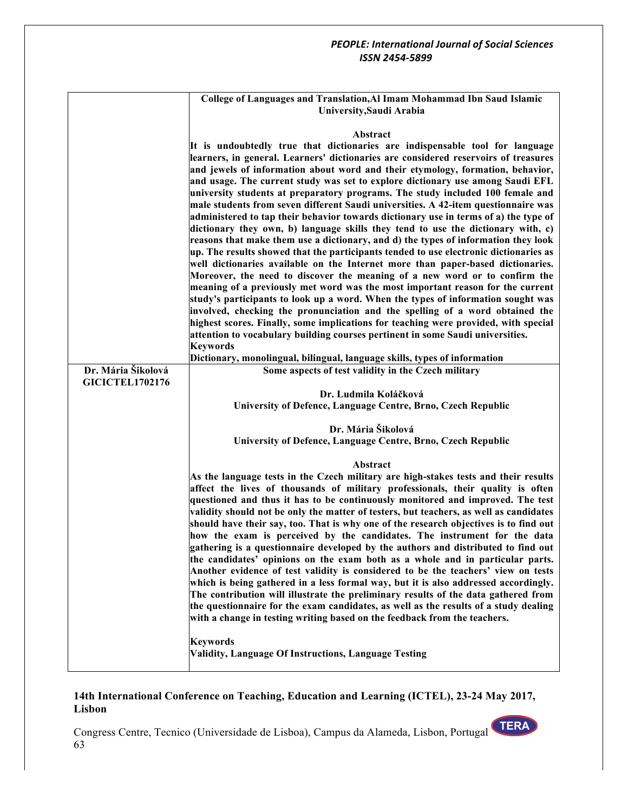|                        | College of Languages and Translation, Al Imam Mohammad Ibn Saud Islamic<br>University, Saudi Arabia                                                                                                                                                                                                                                                                                                                                                                                                                                                                                                                                                                                                                                                                                                                                                                                                                                                                                                                                                                                                                                                                                                                                                                                                                                                                                                                                                                        |
|------------------------|----------------------------------------------------------------------------------------------------------------------------------------------------------------------------------------------------------------------------------------------------------------------------------------------------------------------------------------------------------------------------------------------------------------------------------------------------------------------------------------------------------------------------------------------------------------------------------------------------------------------------------------------------------------------------------------------------------------------------------------------------------------------------------------------------------------------------------------------------------------------------------------------------------------------------------------------------------------------------------------------------------------------------------------------------------------------------------------------------------------------------------------------------------------------------------------------------------------------------------------------------------------------------------------------------------------------------------------------------------------------------------------------------------------------------------------------------------------------------|
|                        | Abstract                                                                                                                                                                                                                                                                                                                                                                                                                                                                                                                                                                                                                                                                                                                                                                                                                                                                                                                                                                                                                                                                                                                                                                                                                                                                                                                                                                                                                                                                   |
|                        | It is undoubtedly true that dictionaries are indispensable tool for language<br>learners, in general. Learners' dictionaries are considered reservoirs of treasures<br>and jewels of information about word and their etymology, formation, behavior,<br>and usage. The current study was set to explore dictionary use among Saudi EFL<br>university students at preparatory programs. The study included 100 female and<br>male students from seven different Saudi universities. A 42-item questionnaire was<br>administered to tap their behavior towards dictionary use in terms of a) the type of<br>dictionary they own, b) language skills they tend to use the dictionary with, c)<br>reasons that make them use a dictionary, and d) the types of information they look<br>up. The results showed that the participants tended to use electronic dictionaries as<br>well dictionaries available on the Internet more than paper-based dictionaries.<br>Moreover, the need to discover the meaning of a new word or to confirm the<br>meaning of a previously met word was the most important reason for the current<br>study's participants to look up a word. When the types of information sought was<br>involved, checking the pronunciation and the spelling of a word obtained the<br>highest scores. Finally, some implications for teaching were provided, with special<br>attention to vocabulary building courses pertinent in some Saudi universities. |
|                        | <b>Keywords</b>                                                                                                                                                                                                                                                                                                                                                                                                                                                                                                                                                                                                                                                                                                                                                                                                                                                                                                                                                                                                                                                                                                                                                                                                                                                                                                                                                                                                                                                            |
|                        | Dictionary, monolingual, bilingual, language skills, types of information                                                                                                                                                                                                                                                                                                                                                                                                                                                                                                                                                                                                                                                                                                                                                                                                                                                                                                                                                                                                                                                                                                                                                                                                                                                                                                                                                                                                  |
| Dr. Mária Šikolová     | Some aspects of test validity in the Czech military                                                                                                                                                                                                                                                                                                                                                                                                                                                                                                                                                                                                                                                                                                                                                                                                                                                                                                                                                                                                                                                                                                                                                                                                                                                                                                                                                                                                                        |
| <b>GICICTEL1702176</b> |                                                                                                                                                                                                                                                                                                                                                                                                                                                                                                                                                                                                                                                                                                                                                                                                                                                                                                                                                                                                                                                                                                                                                                                                                                                                                                                                                                                                                                                                            |
|                        | Dr. Ludmila Koláčková                                                                                                                                                                                                                                                                                                                                                                                                                                                                                                                                                                                                                                                                                                                                                                                                                                                                                                                                                                                                                                                                                                                                                                                                                                                                                                                                                                                                                                                      |
|                        | University of Defence, Language Centre, Brno, Czech Republic                                                                                                                                                                                                                                                                                                                                                                                                                                                                                                                                                                                                                                                                                                                                                                                                                                                                                                                                                                                                                                                                                                                                                                                                                                                                                                                                                                                                               |
|                        | Dr. Mária Šikolová                                                                                                                                                                                                                                                                                                                                                                                                                                                                                                                                                                                                                                                                                                                                                                                                                                                                                                                                                                                                                                                                                                                                                                                                                                                                                                                                                                                                                                                         |
|                        | University of Defence, Language Centre, Brno, Czech Republic                                                                                                                                                                                                                                                                                                                                                                                                                                                                                                                                                                                                                                                                                                                                                                                                                                                                                                                                                                                                                                                                                                                                                                                                                                                                                                                                                                                                               |
|                        |                                                                                                                                                                                                                                                                                                                                                                                                                                                                                                                                                                                                                                                                                                                                                                                                                                                                                                                                                                                                                                                                                                                                                                                                                                                                                                                                                                                                                                                                            |
|                        | Abstract                                                                                                                                                                                                                                                                                                                                                                                                                                                                                                                                                                                                                                                                                                                                                                                                                                                                                                                                                                                                                                                                                                                                                                                                                                                                                                                                                                                                                                                                   |
|                        | As the language tests in the Czech military are high-stakes tests and their results<br>affect the lives of thousands of military professionals, their quality is often<br>questioned and thus it has to be continuously monitored and improved. The test<br>validity should not be only the matter of testers, but teachers, as well as candidates<br>should have their say, too. That is why one of the research objectives is to find out<br>how the exam is perceived by the candidates. The instrument for the data<br>gathering is a questionnaire developed by the authors and distributed to find out<br>the candidates' opinions on the exam both as a whole and in particular parts.<br>Another evidence of test validity is considered to be the teachers' view on tests<br>which is being gathered in a less formal way, but it is also addressed accordingly.<br>The contribution will illustrate the preliminary results of the data gathered from<br>the questionnaire for the exam candidates, as well as the results of a study dealing<br>with a change in testing writing based on the feedback from the teachers.                                                                                                                                                                                                                                                                                                                                       |
|                        | <b>Keywords</b>                                                                                                                                                                                                                                                                                                                                                                                                                                                                                                                                                                                                                                                                                                                                                                                                                                                                                                                                                                                                                                                                                                                                                                                                                                                                                                                                                                                                                                                            |
|                        | Validity, Language Of Instructions, Language Testing                                                                                                                                                                                                                                                                                                                                                                                                                                                                                                                                                                                                                                                                                                                                                                                                                                                                                                                                                                                                                                                                                                                                                                                                                                                                                                                                                                                                                       |
|                        |                                                                                                                                                                                                                                                                                                                                                                                                                                                                                                                                                                                                                                                                                                                                                                                                                                                                                                                                                                                                                                                                                                                                                                                                                                                                                                                                                                                                                                                                            |

## **14th International Conference on Teaching, Education and Learning (ICTEL), 23-24 May 2017, Lisbon**

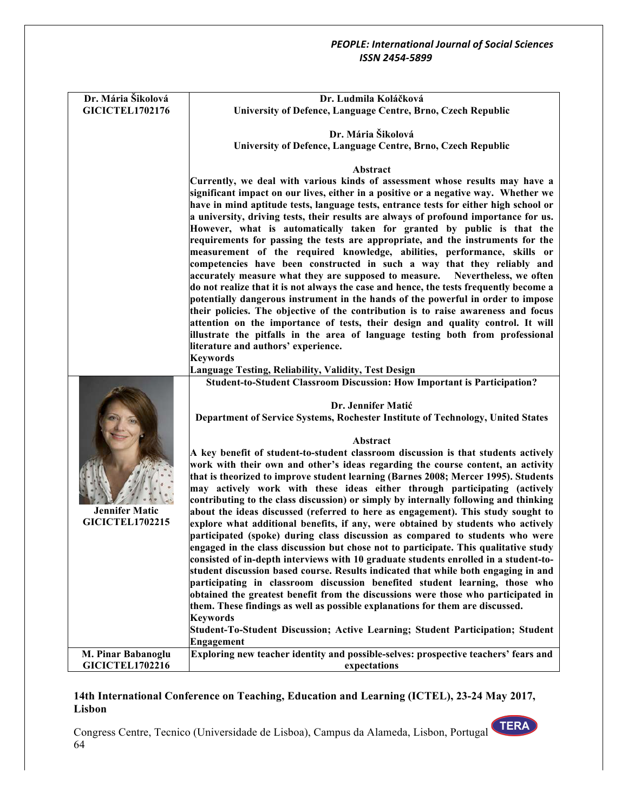| Dr. Mária Šikolová                           | Dr. Ludmila Koláčková                                                                                                                                                |
|----------------------------------------------|----------------------------------------------------------------------------------------------------------------------------------------------------------------------|
| <b>GICICTEL1702176</b>                       | University of Defence, Language Centre, Brno, Czech Republic                                                                                                         |
|                                              |                                                                                                                                                                      |
|                                              | Dr. Mária Šikolová                                                                                                                                                   |
|                                              | University of Defence, Language Centre, Brno, Czech Republic                                                                                                         |
|                                              |                                                                                                                                                                      |
|                                              | Abstract                                                                                                                                                             |
|                                              | Currently, we deal with various kinds of assessment whose results may have a                                                                                         |
|                                              | significant impact on our lives, either in a positive or a negative way. Whether we                                                                                  |
|                                              | have in mind aptitude tests, language tests, entrance tests for either high school or                                                                                |
|                                              | a university, driving tests, their results are always of profound importance for us.                                                                                 |
|                                              | However, what is automatically taken for granted by public is that the                                                                                               |
|                                              | requirements for passing the tests are appropriate, and the instruments for the                                                                                      |
|                                              | measurement of the required knowledge, abilities, performance, skills or                                                                                             |
|                                              | competencies have been constructed in such a way that they reliably and                                                                                              |
|                                              | accurately measure what they are supposed to measure. Nevertheless, we often                                                                                         |
|                                              | do not realize that it is not always the case and hence, the tests frequently become a                                                                               |
|                                              | potentially dangerous instrument in the hands of the powerful in order to impose                                                                                     |
|                                              | their policies. The objective of the contribution is to raise awareness and focus                                                                                    |
|                                              | attention on the importance of tests, their design and quality control. It will                                                                                      |
|                                              | illustrate the pitfalls in the area of language testing both from professional                                                                                       |
|                                              | literature and authors' experience.                                                                                                                                  |
|                                              | <b>Keywords</b>                                                                                                                                                      |
|                                              | Language Testing, Reliability, Validity, Test Design                                                                                                                 |
|                                              | Student-to-Student Classroom Discussion: How Important is Participation?                                                                                             |
|                                              | Dr. Jennifer Matić                                                                                                                                                   |
|                                              | Department of Service Systems, Rochester Institute of Technology, United States                                                                                      |
|                                              |                                                                                                                                                                      |
|                                              | Abstract                                                                                                                                                             |
|                                              | A key benefit of student-to-student classroom discussion is that students actively                                                                                   |
|                                              | work with their own and other's ideas regarding the course content, an activity                                                                                      |
|                                              | that is theorized to improve student learning (Barnes 2008; Mercer 1995). Students                                                                                   |
|                                              | may actively work with these ideas either through participating (actively                                                                                            |
|                                              | contributing to the class discussion) or simply by internally following and thinking                                                                                 |
| <b>Jennifer Matic</b>                        |                                                                                                                                                                      |
|                                              |                                                                                                                                                                      |
| <b>GICICTEL1702215</b>                       | about the ideas discussed (referred to here as engagement). This study sought to<br>explore what additional benefits, if any, were obtained by students who actively |
|                                              | participated (spoke) during class discussion as compared to students who were                                                                                        |
|                                              | engaged in the class discussion but chose not to participate. This qualitative study                                                                                 |
|                                              | consisted of in-depth interviews with 10 graduate students enrolled in a student-to-                                                                                 |
|                                              | student discussion based course. Results indicated that while both engaging in and                                                                                   |
|                                              | participating in classroom discussion benefited student learning, those who                                                                                          |
|                                              | obtained the greatest benefit from the discussions were those who participated in                                                                                    |
|                                              | them. These findings as well as possible explanations for them are discussed.                                                                                        |
|                                              | <b>Keywords</b>                                                                                                                                                      |
|                                              | Student-To-Student Discussion; Active Learning; Student Participation; Student                                                                                       |
|                                              | Engagement                                                                                                                                                           |
| M. Pinar Babanoglu<br><b>GICICTEL1702216</b> | Exploring new teacher identity and possible-selves: prospective teachers' fears and<br>expectations                                                                  |

## **14th International Conference on Teaching, Education and Learning (ICTEL), 23-24 May 2017, Lisbon**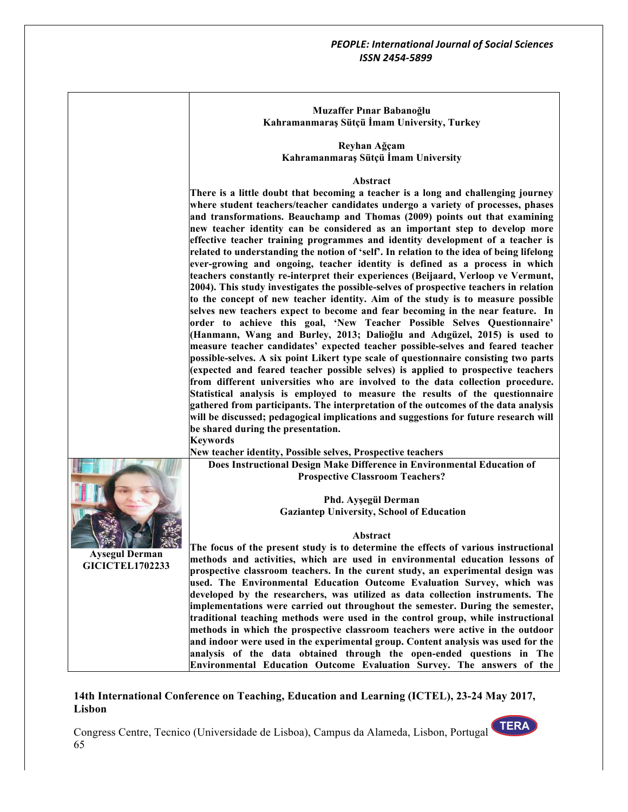| Muzaffer Pinar Babanoğlu                    |  |
|---------------------------------------------|--|
| Kahramanmaraş Sütçü İmam University, Turkey |  |

**Reyhan Ağçam Kahramanmaraş Sütçü İmam University**

#### **Abstract**

**There is a little doubt that becoming a teacher is a long and challenging journey where student teachers/teacher candidates undergo a variety of processes, phases and transformations. Beauchamp and Thomas (2009) points out that examining new teacher identity can be considered as an important step to develop more effective teacher training programmes and identity development of a teacher is related to understanding the notion of 'self'. In relation to the idea of being lifelong ever-growing and ongoing, teacher identity is defined as a process in which teachers constantly re-interpret their experiences (Beijaard, Verloop ve Vermunt, 2004). This study investigates the possible-selves of prospective teachers in relation to the concept of new teacher identity. Aim of the study is to measure possible selves new teachers expect to become and fear becoming in the near feature. In order to achieve this goal, 'New Teacher Possible Selves Questionnaire' (Hanmann, Wang and Burley, 2013; Dalioğlu and Adıgüzel, 2015) is used to measure teacher candidates' expected teacher possible-selves and feared teacher possible-selves. A six point Likert type scale of questionnaire consisting two parts (expected and feared teacher possible selves) is applied to prospective teachers from different universities who are involved to the data collection procedure. Statistical analysis is employed to measure the results of the questionnaire gathered from participants. The interpretation of the outcomes of the data analysis will be discussed; pedagogical implications and suggestions for future research will be shared during the presentation. Keywords**



**Aysegul Derman GICICTEL1702233** **New teacher identity, Possible selves, Prospective teachers**

**Does Instructional Design Make Difference in Environmental Education of Prospective Classroom Teachers?**

> **Phd. Ayşegül Derman Gaziantep University, School of Education**

#### **Abstract**

**The focus of the present study is to determine the effects of various instructional methods and activities, which are used in environmental education lessons of prospective classroom teachers. In the curent study, an experimental design was used. The Environmental Education Outcome Evaluation Survey, which was developed by the researchers, was utilized as data collection instruments. The implementations were carried out throughout the semester. During the semester, traditional teaching methods were used in the control group, while instructional methods in which the prospective classroom teachers were active in the outdoor and indoor were used in the experimental group. Content analysis was used for the analysis of the data obtained through the open-ended questions in The Environmental Education Outcome Evaluation Survey. The answers of the** 

#### **14th International Conference on Teaching, Education and Learning (ICTEL), 23-24 May 2017, Lisbon**

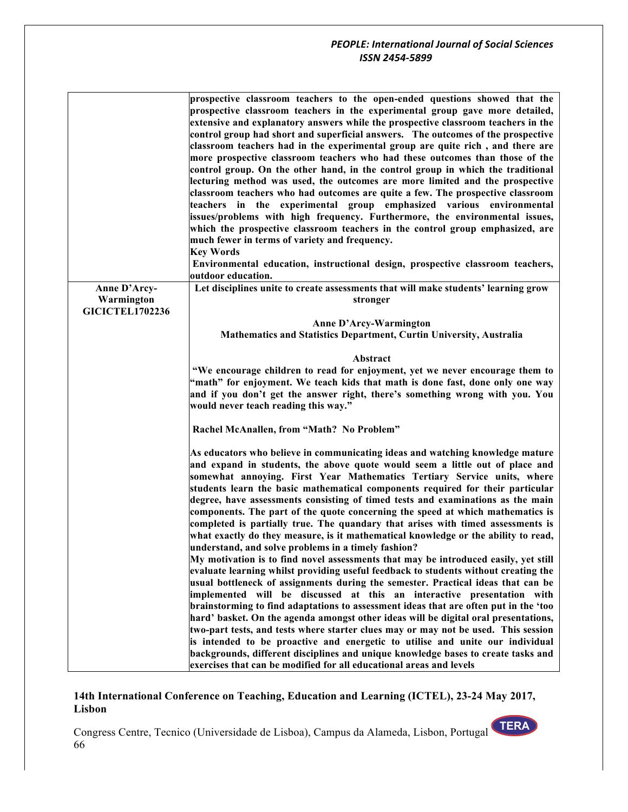|                            | prospective classroom teachers to the open-ended questions showed that the<br>prospective classroom teachers in the experimental group gave more detailed,<br>extensive and explanatory answers while the prospective classroom teachers in the<br>control group had short and superficial answers. The outcomes of the prospective<br>classroom teachers had in the experimental group are quite rich, and there are<br>more prospective classroom teachers who had these outcomes than those of the<br>control group. On the other hand, in the control group in which the traditional<br>lecturing method was used, the outcomes are more limited and the prospective<br>classroom teachers who had outcomes are quite a few. The prospective classroom<br>teachers in the experimental group emphasized various environmental<br>issues/problems with high frequency. Furthermore, the environmental issues,<br>which the prospective classroom teachers in the control group emphasized, are<br>much fewer in terms of variety and frequency.<br><b>Key Words</b><br>Environmental education, instructional design, prospective classroom teachers,<br>outdoor education.                                                                                                                                                                                                                                                                                                                                                                                                                |
|----------------------------|-----------------------------------------------------------------------------------------------------------------------------------------------------------------------------------------------------------------------------------------------------------------------------------------------------------------------------------------------------------------------------------------------------------------------------------------------------------------------------------------------------------------------------------------------------------------------------------------------------------------------------------------------------------------------------------------------------------------------------------------------------------------------------------------------------------------------------------------------------------------------------------------------------------------------------------------------------------------------------------------------------------------------------------------------------------------------------------------------------------------------------------------------------------------------------------------------------------------------------------------------------------------------------------------------------------------------------------------------------------------------------------------------------------------------------------------------------------------------------------------------------------------------------------------------------------------------------------------------|
| Anne D'Arcy-<br>Warmington | Let disciplines unite to create assessments that will make students' learning grow<br>stronger                                                                                                                                                                                                                                                                                                                                                                                                                                                                                                                                                                                                                                                                                                                                                                                                                                                                                                                                                                                                                                                                                                                                                                                                                                                                                                                                                                                                                                                                                                |
| <b>GICICTEL1702236</b>     | Anne D'Arcy-Warmington<br>Mathematics and Statistics Department, Curtin University, Australia                                                                                                                                                                                                                                                                                                                                                                                                                                                                                                                                                                                                                                                                                                                                                                                                                                                                                                                                                                                                                                                                                                                                                                                                                                                                                                                                                                                                                                                                                                 |
|                            | Abstract<br>"We encourage children to read for enjoyment, yet we never encourage them to<br>"math" for enjoyment. We teach kids that math is done fast, done only one way<br>and if you don't get the answer right, there's something wrong with you. You<br>would never teach reading this way."                                                                                                                                                                                                                                                                                                                                                                                                                                                                                                                                                                                                                                                                                                                                                                                                                                                                                                                                                                                                                                                                                                                                                                                                                                                                                             |
|                            | Rachel McAnallen, from "Math? No Problem"                                                                                                                                                                                                                                                                                                                                                                                                                                                                                                                                                                                                                                                                                                                                                                                                                                                                                                                                                                                                                                                                                                                                                                                                                                                                                                                                                                                                                                                                                                                                                     |
|                            | As educators who believe in communicating ideas and watching knowledge mature<br>and expand in students, the above quote would seem a little out of place and<br>somewhat annoying. First Year Mathematics Tertiary Service units, where<br>students learn the basic mathematical components required for their particular<br>degree, have assessments consisting of timed tests and examinations as the main<br>components. The part of the quote concerning the speed at which mathematics is<br>completed is partially true. The quandary that arises with timed assessments is<br>what exactly do they measure, is it mathematical knowledge or the ability to read,<br>understand, and solve problems in a timely fashion?<br>My motivation is to find novel assessments that may be introduced easily, yet still<br>evaluate learning whilst providing useful feedback to students without creating the<br>usual bottleneck of assignments during the semester. Practical ideas that can be<br>implemented will be discussed at this an interactive presentation with<br>brainstorming to find adaptations to assessment ideas that are often put in the 'too<br>hard' basket. On the agenda amongst other ideas will be digital oral presentations,<br>two-part tests, and tests where starter clues may or may not be used. This session<br>is intended to be proactive and energetic to utilise and unite our individual<br>backgrounds, different disciplines and unique knowledge bases to create tasks and<br>exercises that can be modified for all educational areas and levels |

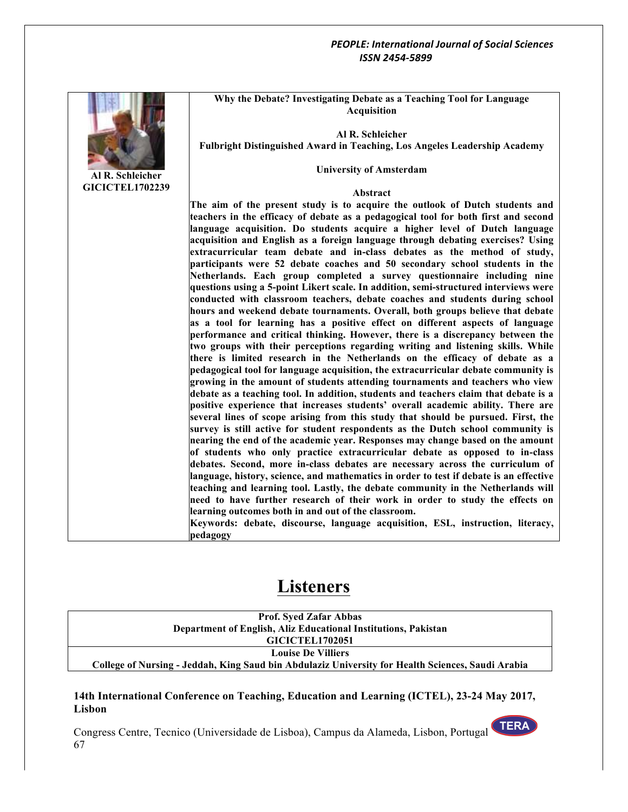

**Al R. Schleicher GICICTEL1702239** **Why the Debate? Investigating Debate as a Teaching Tool for Language Acquisition**

**Al R. Schleicher Fulbright Distinguished Award in Teaching, Los Angeles Leadership Academy**

**University of Amsterdam**

#### **Abstract**

**The aim of the present study is to acquire the outlook of Dutch students and teachers in the efficacy of debate as a pedagogical tool for both first and second language acquisition. Do students acquire a higher level of Dutch language acquisition and English as a foreign language through debating exercises? Using extracurricular team debate and in-class debates as the method of study, participants were 52 debate coaches and 50 secondary school students in the Netherlands. Each group completed a survey questionnaire including nine questions using a 5-point Likert scale. In addition, semi-structured interviews were conducted with classroom teachers, debate coaches and students during school hours and weekend debate tournaments. Overall, both groups believe that debate as a tool for learning has a positive effect on different aspects of language performance and critical thinking. However, there is a discrepancy between the two groups with their perceptions regarding writing and listening skills. While there is limited research in the Netherlands on the efficacy of debate as a pedagogical tool for language acquisition, the extracurricular debate community is growing in the amount of students attending tournaments and teachers who view debate as a teaching tool. In addition, students and teachers claim that debate is a positive experience that increases students' overall academic ability. There are several lines of scope arising from this study that should be pursued. First, the survey is still active for student respondents as the Dutch school community is nearing the end of the academic year. Responses may change based on the amount of students who only practice extracurricular debate as opposed to in-class debates. Second, more in-class debates are necessary across the curriculum of language, history, science, and mathematics in order to test if debate is an effective teaching and learning tool. Lastly, the debate community in the Netherlands will need to have further research of their work in order to study the effects on learning outcomes both in and out of the classroom.**

**Keywords: debate, discourse, language acquisition, ESL, instruction, literacy, pedagogy**

# **Listeners**

**Prof. Syed Zafar Abbas Department of English, Aliz Educational Institutions, Pakistan GICICTEL1702051 Louise De Villiers College of Nursing - Jeddah, King Saud bin Abdulaziz University for Health Sciences, Saudi Arabia**

## **14th International Conference on Teaching, Education and Learning (ICTEL), 23-24 May 2017, Lisbon**

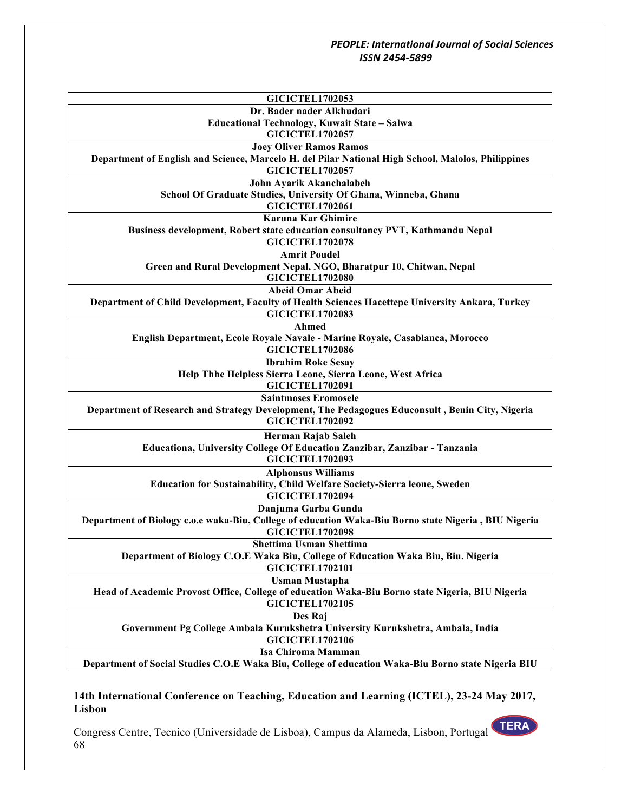| <b>GICICTEL1702053</b><br>Dr. Bader nader Alkhudari                                                  |
|------------------------------------------------------------------------------------------------------|
|                                                                                                      |
| Educational Technology, Kuwait State - Salwa                                                         |
| <b>GICICTEL1702057</b>                                                                               |
| <b>Joey Oliver Ramos Ramos</b>                                                                       |
| Department of English and Science, Marcelo H. del Pilar National High School, Malolos, Philippines   |
| <b>GICICTEL1702057</b>                                                                               |
| John Ayarik Akanchalabeh                                                                             |
| School Of Graduate Studies, University Of Ghana, Winneba, Ghana                                      |
| <b>GICICTEL1702061</b>                                                                               |
| <b>Karuna Kar Ghimire</b>                                                                            |
| Business development, Robert state education consultancy PVT, Kathmandu Nepal                        |
| <b>GICICTEL1702078</b>                                                                               |
| <b>Amrit Poudel</b>                                                                                  |
| Green and Rural Development Nepal, NGO, Bharatpur 10, Chitwan, Nepal                                 |
| <b>GICICTEL1702080</b>                                                                               |
| <b>Abeid Omar Abeid</b>                                                                              |
| Department of Child Development, Faculty of Health Sciences Hacettepe University Ankara, Turkey      |
| <b>GICICTEL1702083</b>                                                                               |
| Ahmed                                                                                                |
| English Department, Ecole Royale Navale - Marine Royale, Casablanca, Morocco                         |
| <b>GICICTEL1702086</b>                                                                               |
| <b>Ibrahim Roke Sesay</b>                                                                            |
| Help Thhe Helpless Sierra Leone, Sierra Leone, West Africa                                           |
| <b>GICICTEL1702091</b>                                                                               |
| <b>Saintmoses Eromosele</b>                                                                          |
| Department of Research and Strategy Development, The Pedagogues Educonsult, Benin City, Nigeria      |
| <b>GICICTEL1702092</b>                                                                               |
| Herman Rajab Saleh                                                                                   |
| Educationa, University College Of Education Zanzibar, Zanzibar - Tanzania                            |
| <b>GICICTEL1702093</b>                                                                               |
| <b>Alphonsus Williams</b>                                                                            |
| Education for Sustainability, Child Welfare Society-Sierra leone, Sweden                             |
| <b>GICICTEL1702094</b>                                                                               |
|                                                                                                      |
| Danjuma Garba Gunda                                                                                  |
| Department of Biology c.o.e waka-Biu, College of education Waka-Biu Borno state Nigeria, BIU Nigeria |
| <b>GICICTEL1702098</b>                                                                               |
| <b>Shettima Usman Shettima</b>                                                                       |
| Department of Biology C.O.E Waka Biu, College of Education Waka Biu, Biu. Nigeria                    |
| <b>GICICTEL1702101</b>                                                                               |
| <b>Usman Mustapha</b>                                                                                |
| Head of Academic Provost Office, College of education Waka-Biu Borno state Nigeria, BIU Nigeria      |
| <b>GICICTEL1702105</b>                                                                               |
| Des Raj                                                                                              |
| Government Pg College Ambala Kurukshetra University Kurukshetra, Ambala, India                       |
| <b>GICICTEL1702106</b>                                                                               |
| <b>Isa Chiroma Mamman</b>                                                                            |
| Department of Social Studies C.O.E Waka Biu, College of education Waka-Biu Borno state Nigeria BIU   |

# **14th International Conference on Teaching, Education and Learning (ICTEL), 23-24 May 2017, Lisbon**

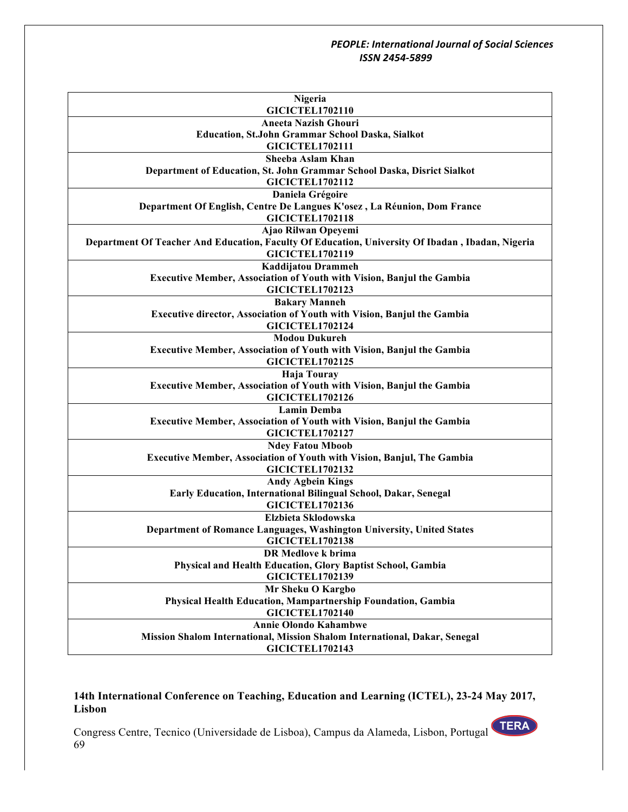| Nigeria<br><b>GICICTEL1702110</b>                                                                |
|--------------------------------------------------------------------------------------------------|
| <b>Aneeta Nazish Ghouri</b>                                                                      |
|                                                                                                  |
| <b>Education, St.John Grammar School Daska, Sialkot</b>                                          |
| GICICTEL1702111                                                                                  |
| Sheeba Aslam Khan                                                                                |
| Department of Education, St. John Grammar School Daska, Disrict Sialkot                          |
| <b>GICICTEL1702112</b>                                                                           |
| Daniela Grégoire                                                                                 |
| Department Of English, Centre De Langues K'osez, La Réunion, Dom France                          |
| <b>GICICTEL1702118</b>                                                                           |
| Ajao Rilwan Opeyemi                                                                              |
| Department Of Teacher And Education, Faculty Of Education, University Of Ibadan, Ibadan, Nigeria |
| <b>GICICTEL1702119</b>                                                                           |
| Kaddijatou Drammeh                                                                               |
| <b>Executive Member, Association of Youth with Vision, Banjul the Gambia</b>                     |
| <b>GICICTEL1702123</b>                                                                           |
| <b>Bakary Manneh</b>                                                                             |
| Executive director, Association of Youth with Vision, Banjul the Gambia                          |
| <b>GICICTEL1702124</b>                                                                           |
| <b>Modou Dukureh</b>                                                                             |
| <b>Executive Member, Association of Youth with Vision, Banjul the Gambia</b>                     |
| <b>GICICTEL1702125</b>                                                                           |
| <b>Haja Touray</b>                                                                               |
| Executive Member, Association of Youth with Vision, Banjul the Gambia                            |
| <b>GICICTEL1702126</b>                                                                           |
| <b>Lamin Demba</b>                                                                               |
| Executive Member, Association of Youth with Vision, Banjul the Gambia                            |
| <b>GICICTEL1702127</b>                                                                           |
| <b>Ndey Fatou Mboob</b>                                                                          |
| <b>Executive Member, Association of Youth with Vision, Banjul, The Gambia</b>                    |
| <b>GICICTEL1702132</b>                                                                           |
| <b>Andy Agbein Kings</b>                                                                         |
| Early Education, International Bilingual School, Dakar, Senegal                                  |
| <b>GICICTEL1702136</b>                                                                           |
| Elzbieta Sklodowska                                                                              |
| Department of Romance Languages, Washington University, United States                            |
| <b>GICICTEL1702138</b>                                                                           |
| DR Medlove k brima                                                                               |
| Physical and Health Education, Glory Baptist School, Gambia                                      |
| <b>GICICTEL1702139</b>                                                                           |
| Mr Sheku O Kargbo                                                                                |
| Physical Health Education, Mampartnership Foundation, Gambia                                     |
| <b>GICICTEL1702140</b>                                                                           |
| <b>Annie Olondo Kahambwe</b>                                                                     |
| Mission Shalom International, Mission Shalom International, Dakar, Senegal                       |
|                                                                                                  |
| <b>GICICTEL1702143</b>                                                                           |

# **14th International Conference on Teaching, Education and Learning (ICTEL), 23-24 May 2017, Lisbon**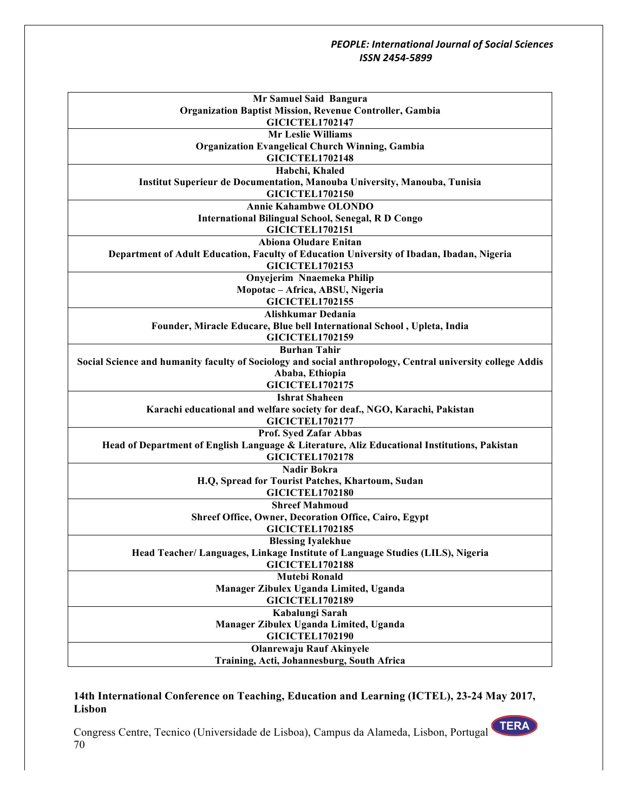| Mr Samuel Said Bangura                                                                                     |
|------------------------------------------------------------------------------------------------------------|
| <b>Organization Baptist Mission, Revenue Controller, Gambia</b>                                            |
| <b>GICICTEL1702147</b>                                                                                     |
| <b>Mr Leslie Williams</b>                                                                                  |
| <b>Organization Evangelical Church Winning, Gambia</b>                                                     |
| <b>GICICTEL1702148</b>                                                                                     |
| Habchi, Khaled                                                                                             |
| Institut Superieur de Documentation, Manouba University, Manouba, Tunisia                                  |
| <b>GICICTEL1702150</b>                                                                                     |
| <b>Annie Kahambwe OLONDO</b>                                                                               |
| <b>International Bilingual School, Senegal, R D Congo</b>                                                  |
| <b>GICICTEL1702151</b>                                                                                     |
| <b>Abiona Oludare Enitan</b>                                                                               |
| Department of Adult Education, Faculty of Education University of Ibadan, Ibadan, Nigeria                  |
| <b>GICICTEL1702153</b>                                                                                     |
| Onyejerim Nnaemeka Philip                                                                                  |
| Mopotac - Africa, ABSU, Nigeria                                                                            |
| <b>GICICTEL1702155</b>                                                                                     |
| Alishkumar Dedania<br>Founder, Miracle Educare, Blue bell International School, Upleta, India              |
| <b>GICICTEL1702159</b>                                                                                     |
| <b>Burhan Tahir</b>                                                                                        |
| Social Science and humanity faculty of Sociology and social anthropology, Central university college Addis |
| Ababa, Ethiopia                                                                                            |
| <b>GICICTEL1702175</b>                                                                                     |
| <b>Ishrat Shaheen</b>                                                                                      |
| Karachi educational and welfare society for deaf., NGO, Karachi, Pakistan                                  |
| <b>GICICTEL1702177</b>                                                                                     |
| Prof. Syed Zafar Abbas                                                                                     |
| Head of Department of English Language & Literature, Aliz Educational Institutions, Pakistan               |
| <b>GICICTEL1702178</b>                                                                                     |
| <b>Nadir Bokra</b>                                                                                         |
| H.Q, Spread for Tourist Patches, Khartoum, Sudan                                                           |
| <b>GICICTEL1702180</b>                                                                                     |
| <b>Shreef Mahmoud</b>                                                                                      |
| <b>Shreef Office, Owner, Decoration Office, Cairo, Egypt</b>                                               |
| <b>GICICTEL1702185</b>                                                                                     |
| <b>Blessing Iyalekhue</b>                                                                                  |
| Head Teacher/ Languages, Linkage Institute of Language Studies (LILS), Nigeria                             |
| <b>GICICTEL1702188</b>                                                                                     |
| <b>Mutebi Ronald</b>                                                                                       |
| Manager Zibulex Uganda Limited, Uganda                                                                     |
| <b>GICICTEL1702189</b>                                                                                     |
| Kabalungi Sarah                                                                                            |
| Manager Zibulex Uganda Limited, Uganda                                                                     |
| <b>GICICTEL1702190</b>                                                                                     |
| <b>Olanrewaju Rauf Akinyele</b>                                                                            |
| Training, Acti, Johannesburg, South Africa                                                                 |

## **14th International Conference on Teaching, Education and Learning (ICTEL), 23-24 May 2017, Lisbon**

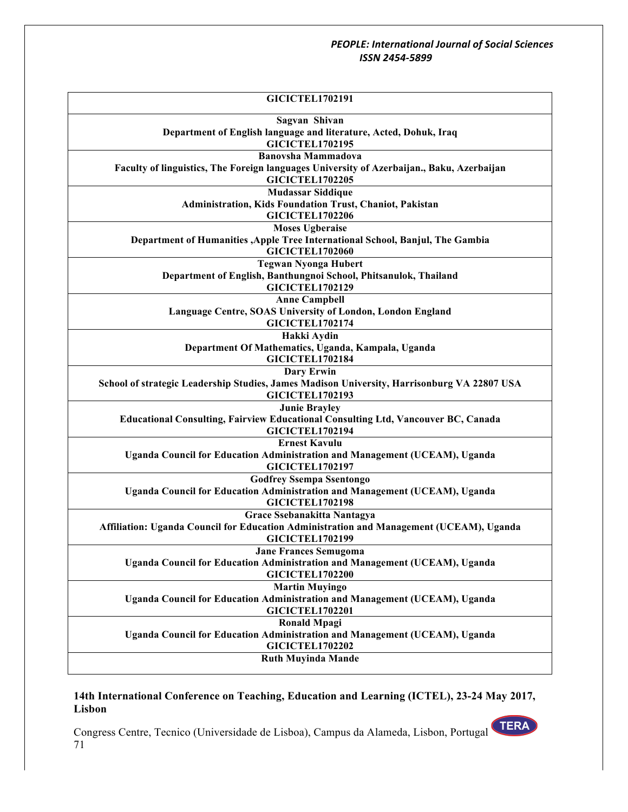| <b>GICICTEL1702191</b>                                                                                              |
|---------------------------------------------------------------------------------------------------------------------|
| Sagvan Shivan                                                                                                       |
| Department of English language and literature, Acted, Dohuk, Iraq<br><b>GICICTEL1702195</b>                         |
| <b>Banovsha Mammadova</b>                                                                                           |
| Faculty of linguistics, The Foreign languages University of Azerbaijan., Baku, Azerbaijan<br><b>GICICTEL1702205</b> |
| <b>Mudassar Siddique</b>                                                                                            |
| Administration, Kids Foundation Trust, Chaniot, Pakistan                                                            |
| <b>GICICTEL1702206</b>                                                                                              |
| <b>Moses Ugberaise</b>                                                                                              |
| Department of Humanities , Apple Tree International School, Banjul, The Gambia                                      |
| <b>GICICTEL1702060</b>                                                                                              |
| <b>Tegwan Nyonga Hubert</b>                                                                                         |
| Department of English, Banthungnoi School, Phitsanulok, Thailand                                                    |
| <b>GICICTEL1702129</b>                                                                                              |
| <b>Anne Campbell</b>                                                                                                |
| Language Centre, SOAS University of London, London England                                                          |
| <b>GICICTEL1702174</b>                                                                                              |
| Hakki Aydin                                                                                                         |
| Department Of Mathematics, Uganda, Kampala, Uganda                                                                  |
| <b>GICICTEL1702184</b>                                                                                              |
| <b>Dary Erwin</b>                                                                                                   |
| School of strategic Leadership Studies, James Madison University, Harrisonburg VA 22807 USA                         |
| <b>GICICTEL1702193</b>                                                                                              |
| <b>Junie Brayley</b>                                                                                                |
| <b>Educational Consulting, Fairview Educational Consulting Ltd, Vancouver BC, Canada</b>                            |
| <b>GICICTEL1702194</b>                                                                                              |
| <b>Ernest Kavulu</b>                                                                                                |
| Uganda Council for Education Administration and Management (UCEAM), Uganda<br><b>GICICTEL1702197</b>                |
|                                                                                                                     |
| <b>Godfrey Ssempa Ssentongo</b><br>Uganda Council for Education Administration and Management (UCEAM), Uganda       |
| <b>GICICTEL1702198</b>                                                                                              |
| Grace Ssebanakitta Nantagya                                                                                         |
| Affiliation: Uganda Council for Education Administration and Management (UCEAM), Uganda                             |
| <b>GICICTEL1702199</b>                                                                                              |
| <b>Jane Frances Semugoma</b>                                                                                        |
| Uganda Council for Education Administration and Management (UCEAM), Uganda                                          |
| <b>GICICTEL1702200</b>                                                                                              |
| <b>Martin Muyingo</b>                                                                                               |
| Uganda Council for Education Administration and Management (UCEAM), Uganda                                          |
| <b>GICICTEL1702201</b>                                                                                              |
| <b>Ronald Mpagi</b>                                                                                                 |
| Uganda Council for Education Administration and Management (UCEAM), Uganda                                          |
| <b>GICICTEL1702202</b>                                                                                              |
| <b>Ruth Muyinda Mande</b>                                                                                           |
|                                                                                                                     |

# **14th International Conference on Teaching, Education and Learning (ICTEL), 23-24 May 2017, Lisbon**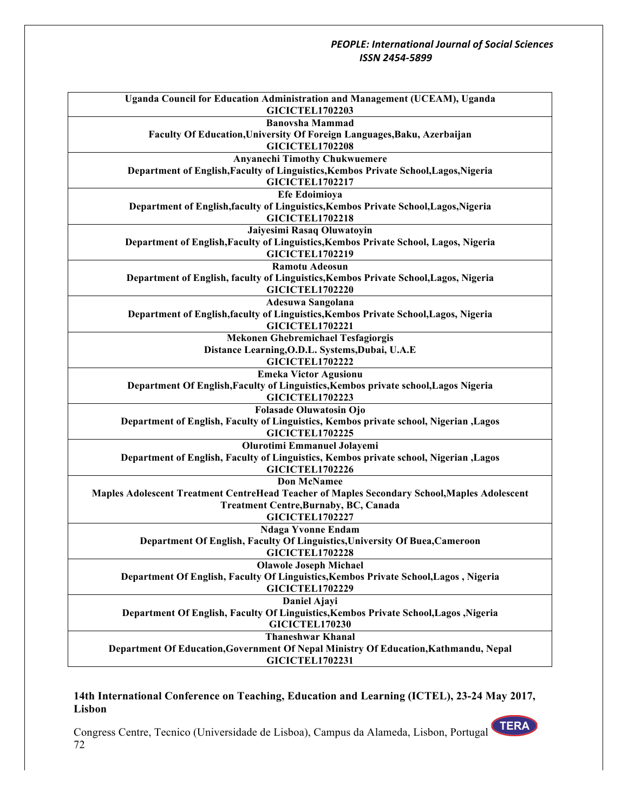| Uganda Council for Education Administration and Management (UCEAM), Uganda<br><b>GICICTEL1702203</b>             |
|------------------------------------------------------------------------------------------------------------------|
| <b>Banovsha Mammad</b>                                                                                           |
| Faculty Of Education, University Of Foreign Languages, Baku, Azerbaijan<br><b>GICICTEL1702208</b>                |
| <b>Anyanechi Timothy Chukwuemere</b>                                                                             |
| Department of English, Faculty of Linguistics, Kembos Private School, Lagos, Nigeria                             |
| <b>GICICTEL1702217</b>                                                                                           |
| <b>Efe Edoimioya</b>                                                                                             |
| Department of English, faculty of Linguistics, Kembos Private School, Lagos, Nigeria<br><b>GICICTEL1702218</b>   |
| Jaiyesimi Rasaq Oluwatoyin                                                                                       |
| Department of English, Faculty of Linguistics, Kembos Private School, Lagos, Nigeria<br><b>GICICTEL1702219</b>   |
| <b>Ramotu Adeosun</b>                                                                                            |
| Department of English, faculty of Linguistics, Kembos Private School, Lagos, Nigeria<br><b>GICICTEL1702220</b>   |
| Adesuwa Sangolana                                                                                                |
| Department of English, faculty of Linguistics, Kembos Private School, Lagos, Nigeria<br><b>GICICTEL1702221</b>   |
| <b>Mekonen Ghebremichael Tesfagiorgis</b>                                                                        |
| Distance Learning, O.D.L. Systems, Dubai, U.A.E                                                                  |
| <b>GICICTEL1702222</b>                                                                                           |
| <b>Emeka Victor Agusionu</b>                                                                                     |
| Department Of English, Faculty of Linguistics, Kembos private school, Lagos Nigeria                              |
| <b>GICICTEL1702223</b>                                                                                           |
| <b>Folasade Oluwatosin Ojo</b>                                                                                   |
| Department of English, Faculty of Linguistics, Kembos private school, Nigerian , Lagos                           |
| <b>GICICTEL1702225</b>                                                                                           |
| Olurotimi Emmanuel Jolayemi                                                                                      |
| Department of English, Faculty of Linguistics, Kembos private school, Nigerian , Lagos<br><b>GICICTEL1702226</b> |
| <b>Don McNamee</b>                                                                                               |
| Maples Adolescent Treatment CentreHead Teacher of Maples Secondary School, Maples Adolescent                     |
| <b>Treatment Centre, Burnaby, BC, Canada</b>                                                                     |
| <b>GICICTEL1702227</b>                                                                                           |
| <b>Ndaga Yvonne Endam</b>                                                                                        |
| Department Of English, Faculty Of Linguistics, University Of Buea, Cameroon                                      |
| <b>GICICTEL1702228</b>                                                                                           |
| <b>Olawole Joseph Michael</b>                                                                                    |
| Department Of English, Faculty Of Linguistics, Kembos Private School, Lagos, Nigeria                             |
| <b>GICICTEL1702229</b>                                                                                           |
| Daniel Ajayi                                                                                                     |
| Department Of English, Faculty Of Linguistics, Kembos Private School, Lagos, Nigeria                             |
| <b>GICICTEL170230</b>                                                                                            |
| <b>Thaneshwar Khanal</b>                                                                                         |
| Department Of Education, Government Of Nepal Ministry Of Education, Kathmandu, Nepal                             |
| <b>GICICTEL1702231</b>                                                                                           |

## **14th International Conference on Teaching, Education and Learning (ICTEL), 23-24 May 2017, Lisbon**